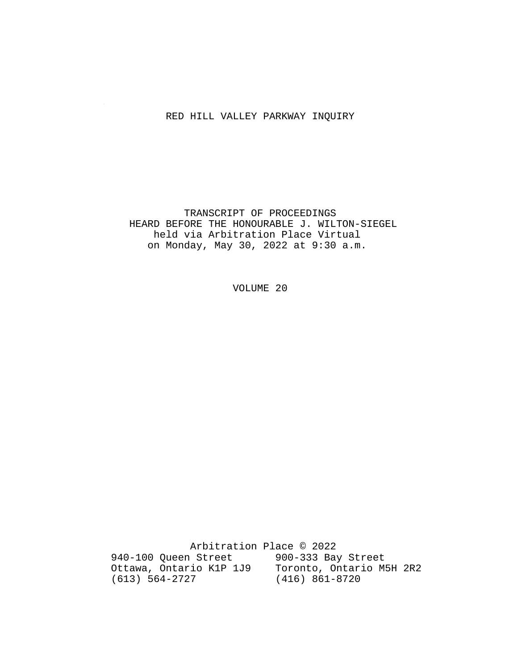#### RED HILL VALLEY PARKWAY INQUIRY

 TRANSCRIPT OF PROCEEDINGS HEARD BEFORE THE HONOURABLE J. WILTON-SIEGEL held via Arbitration Place Virtual on Monday, May 30, 2022 at 9:30 a.m.

VOLUME 20

 Arbitration Place © 2022 940-100 Queen Street 900-333 Bay Street Ottawa, Ontario K1P 1J9 Toronto, Ontario M5H 2R2 (613) 564-2727 (416) 861-8720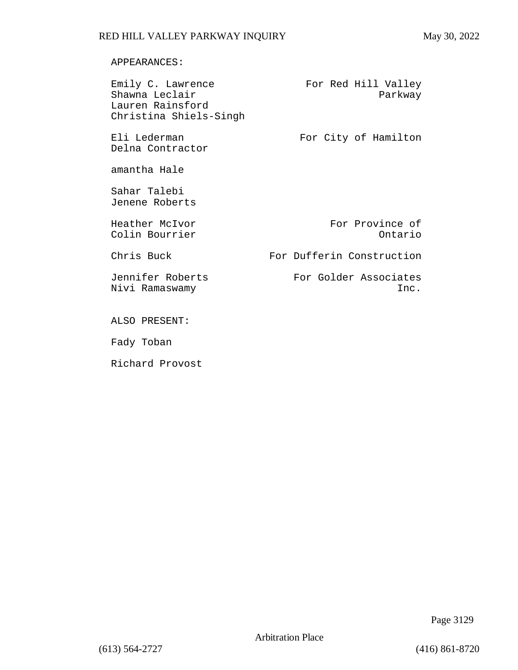#### APPEARANCES:

| Emily C. Lawrence<br>Shawna Leclair        | For Red Hill Valley<br>Parkway |
|--------------------------------------------|--------------------------------|
| Lauren Rainsford<br>Christina Shiels-Singh |                                |
| Eli Lederman<br>Delna Contractor           | For City of Hamilton           |
| amantha Hale                               |                                |
| Sahar Talebi<br>Jenene Roberts             |                                |
| Heather McIvor<br>Colin Bourrier           | For Province of<br>Ontario     |
| Chris Buck                                 | For Dufferin Construction      |
| Jennifer Roberts<br>Nivi Ramaswamy         | For Golder Associates<br>Inc.  |
| ALSO PRESENT:                              |                                |
| Fady Toban                                 |                                |
| Richard Provost                            |                                |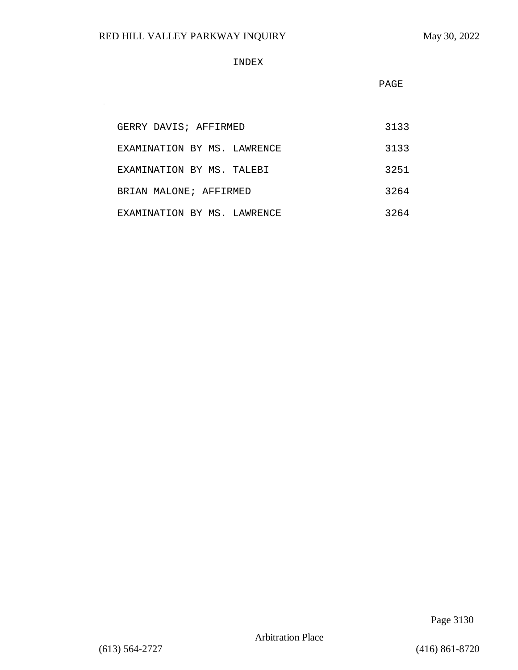$\sim$ 

#### INDEX

PAGE

| GERRY DAVIS; AFFIRMED       | 3133 |
|-----------------------------|------|
| EXAMINATION BY MS. LAWRENCE | 3133 |
| EXAMINATION BY MS. TALEBI   | 3251 |
| BRIAN MALONE; AFFIRMED      | 3264 |
| EXAMINATION BY MS. LAWRENCE | 3264 |

Page 3130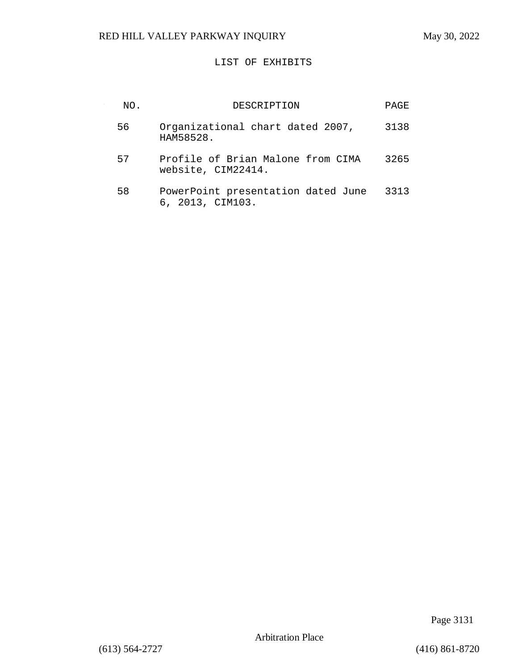# LIST OF EXHIBITS

| NO. | DESCRIPTION                                             | PAGE |
|-----|---------------------------------------------------------|------|
| 56  | Organizational chart dated 2007,<br>HAM58528.           | 3138 |
| 57  | Profile of Brian Malone from CIMA<br>website, CIM22414. | 3265 |
| 58  | PowerPoint presentation dated June<br>6, 2013, CIM103.  | 3313 |

Page 3131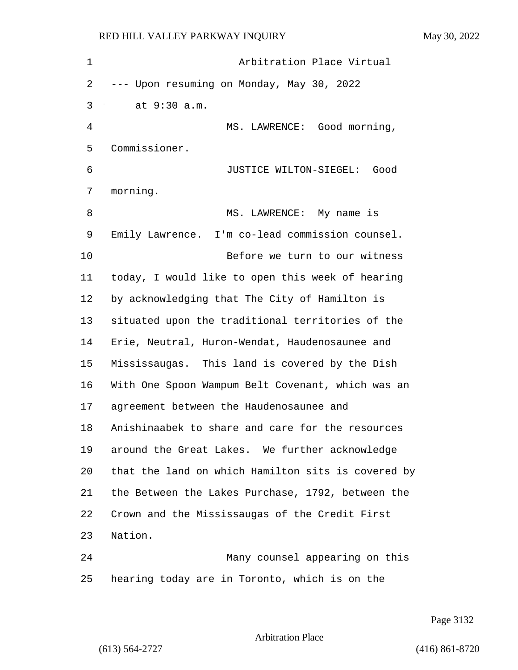| $\mathbf 1$    | Arbitration Place Virtual                          |
|----------------|----------------------------------------------------|
| 2              | --- Upon resuming on Monday, May 30, 2022          |
| 3              | at 9:30 a.m.                                       |
| $\overline{4}$ | MS. LAWRENCE: Good morning,                        |
| 5              | Commissioner.                                      |
| 6              | JUSTICE WILTON-SIEGEL: Good                        |
| 7              | morning.                                           |
| 8              | MS. LAWRENCE: My name is                           |
| 9              | Emily Lawrence. I'm co-lead commission counsel.    |
| 10             | Before we turn to our witness                      |
| 11             | today, I would like to open this week of hearing   |
| 12             | by acknowledging that The City of Hamilton is      |
| 13             | situated upon the traditional territories of the   |
| 14             | Erie, Neutral, Huron-Wendat, Haudenosaunee and     |
| 15             | Mississaugas. This land is covered by the Dish     |
| 16             | With One Spoon Wampum Belt Covenant, which was an  |
| 17             | agreement between the Haudenosaunee and            |
| 18             | Anishinaabek to share and care for the resources   |
| 19             | around the Great Lakes. We further acknowledge     |
| 20             | that the land on which Hamilton sits is covered by |
| 21             | the Between the Lakes Purchase, 1792, between the  |
| 22             | Crown and the Mississaugas of the Credit First     |
| 23             | Nation.                                            |
| 24             | Many counsel appearing on this                     |
| 25             | hearing today are in Toronto, which is on the      |

Page 3132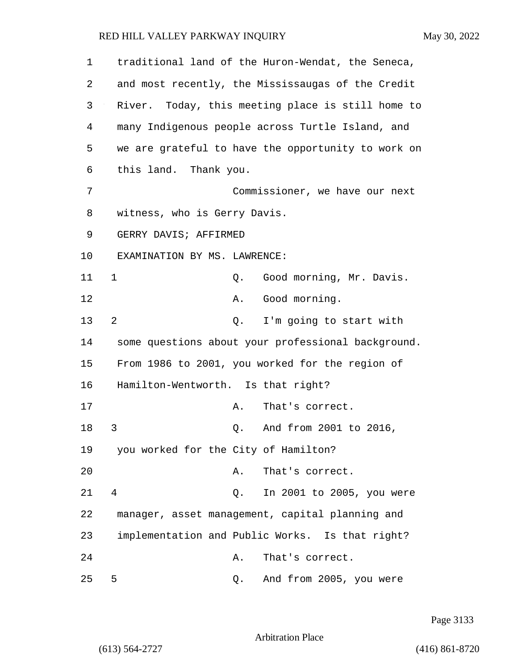| 1  |                                      |    | traditional land of the Huron-Wendat, the Seneca,  |
|----|--------------------------------------|----|----------------------------------------------------|
| 2  |                                      |    | and most recently, the Mississaugas of the Credit  |
| 3  |                                      |    | River. Today, this meeting place is still home to  |
| 4  |                                      |    | many Indigenous people across Turtle Island, and   |
| 5  |                                      |    | we are grateful to have the opportunity to work on |
| 6  | this land. Thank you.                |    |                                                    |
| 7  |                                      |    | Commissioner, we have our next                     |
| 8  | witness, who is Gerry Davis.         |    |                                                    |
| 9  | GERRY DAVIS; AFFIRMED                |    |                                                    |
| 10 | EXAMINATION BY MS. LAWRENCE:         |    |                                                    |
| 11 | $\mathbf 1$                          | Q. | Good morning, Mr. Davis.                           |
| 12 |                                      | Α. | Good morning.                                      |
| 13 | 2                                    | Q. | I'm going to start with                            |
| 14 |                                      |    | some questions about your professional background. |
| 15 |                                      |    | From 1986 to 2001, you worked for the region of    |
| 16 | Hamilton-Wentworth. Is that right?   |    |                                                    |
| 17 |                                      | Α. | That's correct.                                    |
| 18 | 3                                    | Q. | And from 2001 to 2016,                             |
| 19 | you worked for the City of Hamilton? |    |                                                    |
| 20 |                                      | Α. | That's correct.                                    |
| 21 | $\overline{4}$                       | Q. | In 2001 to 2005, you were                          |
| 22 |                                      |    | manager, asset management, capital planning and    |
| 23 |                                      |    | implementation and Public Works. Is that right?    |
| 24 |                                      | Α. | That's correct.                                    |
| 25 | 5                                    | Q. | And from 2005, you were                            |

Page 3133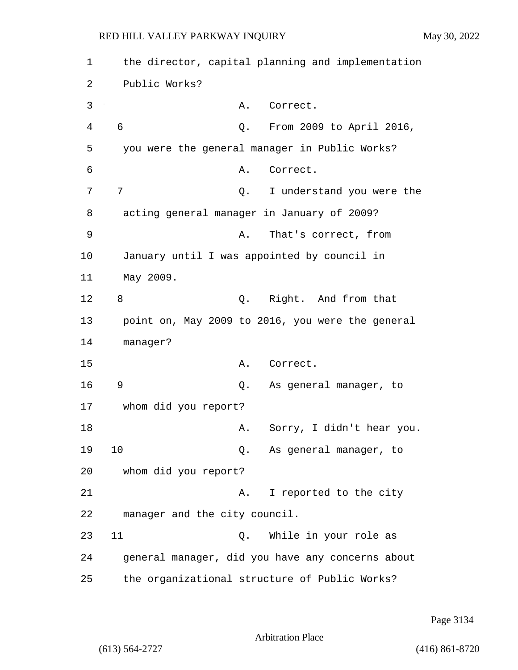| 1  | the director, capital planning and implementation |
|----|---------------------------------------------------|
| 2  | Public Works?                                     |
| 3  | Correct.<br>Α.                                    |
| 4  | 6<br>Q. From 2009 to April 2016,                  |
| 5  | you were the general manager in Public Works?     |
| 6  | Correct.<br>Α.                                    |
| 7  | 7<br>I understand you were the<br>Q.              |
| 8  | acting general manager in January of 2009?        |
| 9  | That's correct, from<br>Α.                        |
| 10 | January until I was appointed by council in       |
| 11 | May 2009.                                         |
| 12 | 8<br>Q. Right. And from that                      |
| 13 | point on, May 2009 to 2016, you were the general  |
| 14 | manager?                                          |
| 15 | Correct.<br>Α.                                    |
| 16 | 9<br>As general manager, to<br>Q.                 |
| 17 | whom did you report?                              |
| 18 | Sorry, I didn't hear you.<br>Α.                   |
| 19 | 10<br>As general manager, to<br>Q.                |
| 20 | whom did you report?                              |
| 21 | I reported to the city<br>Α.                      |
| 22 | manager and the city council.                     |
| 23 | 11<br>While in your role as<br>Q.                 |
| 24 | general manager, did you have any concerns about  |
| 25 | the organizational structure of Public Works?     |

Page 3134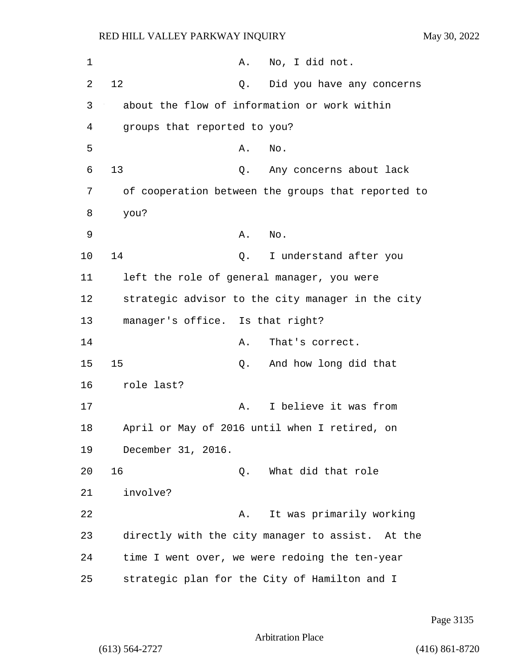| 1  | No, I did not.<br>Α.                               |
|----|----------------------------------------------------|
| 2  | 12<br>Did you have any concerns<br>Q.              |
| 3  | about the flow of information or work within       |
| 4  | groups that reported to you?                       |
| 5  | Α.<br>No.                                          |
| 6  | 13<br>Any concerns about lack<br>Q.                |
| 7  | of cooperation between the groups that reported to |
| 8  | you?                                               |
| 9  | Α.<br>No.                                          |
| 10 | 14<br>I understand after you<br>Q.                 |
| 11 | left the role of general manager, you were         |
| 12 | strategic advisor to the city manager in the city  |
| 13 | manager's office. Is that right?                   |
| 14 | That's correct.<br>Α.                              |
| 15 | 15<br>And how long did that<br>Q.                  |
| 16 | role last?                                         |
| 17 | I believe it was from<br>Α.                        |
| 18 | April or May of 2016 until when I retired, on      |
| 19 | December 31, 2016.                                 |
| 20 | 16<br>What did that role<br>Q.                     |
| 21 | involve?                                           |
| 22 | It was primarily working<br>Α.                     |
| 23 | directly with the city manager to assist. At the   |
| 24 | time I went over, we were redoing the ten-year     |
| 25 | strategic plan for the City of Hamilton and I      |

Page 3135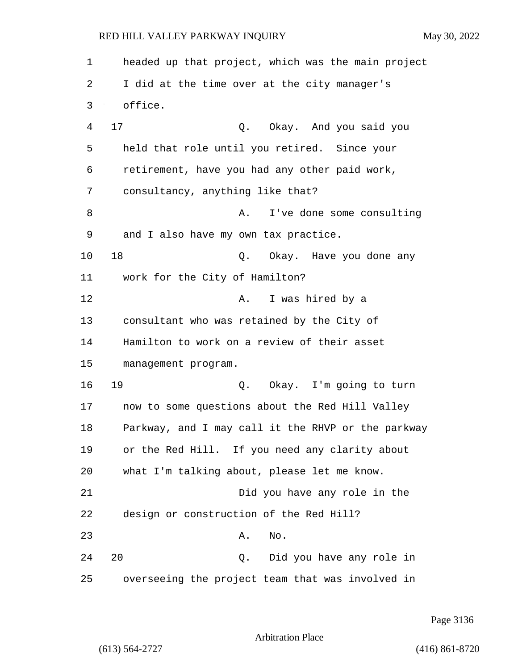| 1  | headed up that project, which was the main project |
|----|----------------------------------------------------|
| 2  | I did at the time over at the city manager's       |
| 3  | office.                                            |
| 4  | 17<br>Q. Okay. And you said you                    |
| 5  | held that role until you retired. Since your       |
| 6  | retirement, have you had any other paid work,      |
| 7  | consultancy, anything like that?                   |
| 8  | I've done some consulting<br>Α.                    |
| 9  | and I also have my own tax practice.               |
| 10 | 18<br>Q. Okay. Have you done any                   |
| 11 | work for the City of Hamilton?                     |
| 12 | I was hired by a<br>A.                             |
| 13 | consultant who was retained by the City of         |
| 14 | Hamilton to work on a review of their asset        |
| 15 | management program.                                |
| 16 | 19<br>Q. Okay. I'm going to turn                   |
| 17 | now to some questions about the Red Hill Valley    |
| 18 | Parkway, and I may call it the RHVP or the parkway |
| 19 | or the Red Hill. If you need any clarity about     |
| 20 | what I'm talking about, please let me know.        |
| 21 | Did you have any role in the                       |
| 22 | design or construction of the Red Hill?            |
| 23 | No.<br>Α.                                          |
| 24 | 20<br>Q. Did you have any role in                  |
| 25 | overseeing the project team that was involved in   |

Page 3136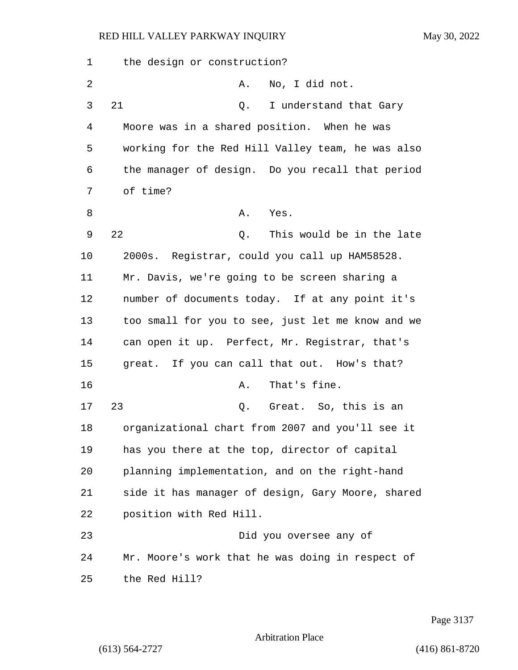| 1  | the design or construction?                       |
|----|---------------------------------------------------|
| 2  | No, I did not.<br>Α.                              |
| 3  | 21<br>I understand that Gary<br>Q.                |
| 4  | Moore was in a shared position. When he was       |
| 5  | working for the Red Hill Valley team, he was also |
| 6  | the manager of design. Do you recall that period  |
| 7  | of time?                                          |
| 8  | Α.<br>Yes.                                        |
| 9  | 22<br>This would be in the late<br>Q.             |
| 10 | 2000s. Registrar, could you call up HAM58528.     |
| 11 | Mr. Davis, we're going to be screen sharing a     |
| 12 | number of documents today. If at any point it's   |
| 13 | too small for you to see, just let me know and we |
| 14 | can open it up. Perfect, Mr. Registrar, that's    |
| 15 | great. If you can call that out. How's that?      |
| 16 | That's fine.<br>Α.                                |
| 17 | 23<br>Great. So, this is an<br>Q.                 |
| 18 | organizational chart from 2007 and you'll see it  |
| 19 | has you there at the top, director of capital     |
| 20 | planning implementation, and on the right-hand    |
| 21 | side it has manager of design, Gary Moore, shared |
| 22 | position with Red Hill.                           |
| 23 | Did you oversee any of                            |
| 24 | Mr. Moore's work that he was doing in respect of  |
| 25 | the Red Hill?                                     |

Page 3137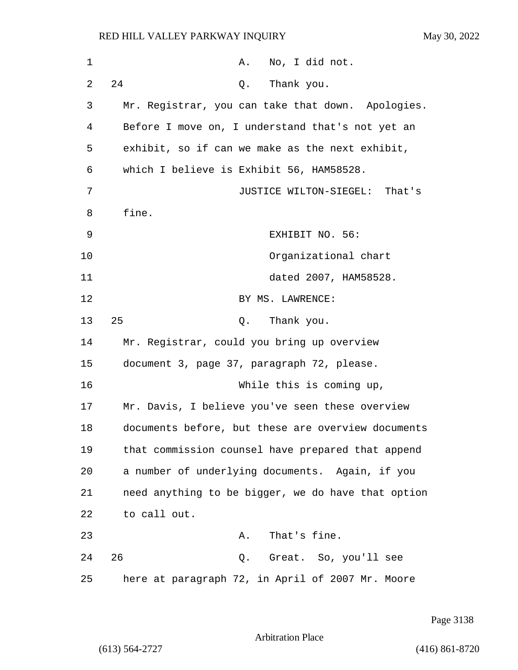| 1  | No, I did not.<br>Α.                               |
|----|----------------------------------------------------|
| 2  | 24<br>Thank you.<br>Q.                             |
| 3  | Mr. Registrar, you can take that down. Apologies.  |
| 4  | Before I move on, I understand that's not yet an   |
| 5  | exhibit, so if can we make as the next exhibit,    |
| 6  | which I believe is Exhibit 56, HAM58528.           |
| 7  | JUSTICE WILTON-SIEGEL: That's                      |
| 8  | fine.                                              |
| 9  | EXHIBIT NO. 56:                                    |
| 10 | Organizational chart                               |
| 11 | dated 2007, HAM58528.                              |
| 12 | BY MS. LAWRENCE:                                   |
| 13 | 25<br>Thank you.<br>Q.                             |
| 14 | Mr. Registrar, could you bring up overview         |
| 15 | document 3, page 37, paragraph 72, please.         |
| 16 | While this is coming up,                           |
| 17 | Mr. Davis, I believe you've seen these overview    |
| 18 | documents before, but these are overview documents |
| 19 | that commission counsel have prepared that append  |
| 20 | a number of underlying documents. Again, if you    |
| 21 | need anything to be bigger, we do have that option |
| 22 | to call out.                                       |
| 23 | That's fine.<br>Α.                                 |
| 24 | 26<br>Great. So, you'll see<br>Q.                  |
| 25 | here at paragraph 72, in April of 2007 Mr. Moore   |

Page 3138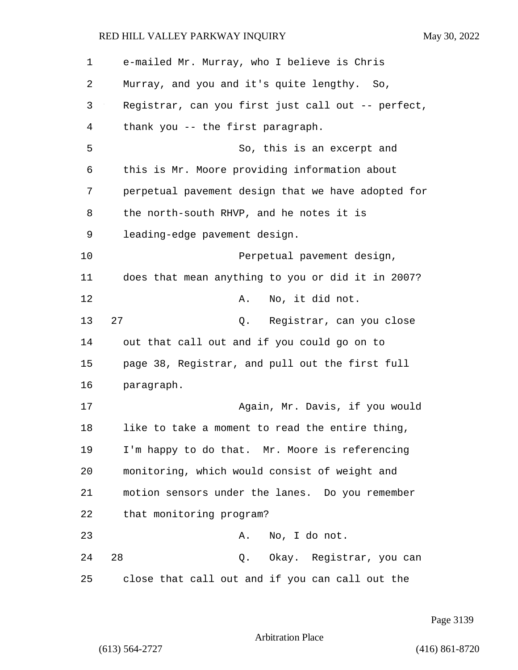| 1  | e-mailed Mr. Murray, who I believe is Chris        |
|----|----------------------------------------------------|
| 2  | Murray, and you and it's quite lengthy. So,        |
| 3  | Registrar, can you first just call out -- perfect, |
| 4  | thank you -- the first paragraph.                  |
| 5  | So, this is an excerpt and                         |
| 6  | this is Mr. Moore providing information about      |
| 7  | perpetual pavement design that we have adopted for |
| 8  | the north-south RHVP, and he notes it is           |
| 9  | leading-edge pavement design.                      |
| 10 | Perpetual pavement design,                         |
| 11 | does that mean anything to you or did it in 2007?  |
| 12 | No, it did not.<br>Α.                              |
| 13 | 27<br>Registrar, can you close<br>Q.               |
| 14 | out that call out and if you could go on to        |
| 15 | page 38, Registrar, and pull out the first full    |
| 16 | paragraph.                                         |
| 17 | Again, Mr. Davis, if you would                     |
| 18 | like to take a moment to read the entire thing,    |
| 19 | I'm happy to do that. Mr. Moore is referencing     |
| 20 | monitoring, which would consist of weight and      |
| 21 | motion sensors under the lanes. Do you remember    |
| 22 | that monitoring program?                           |
| 23 | No, I do not.<br>Α.                                |
| 24 | 28<br>Q. Okay. Registrar, you can                  |
| 25 | close that call out and if you can call out the    |

Page 3139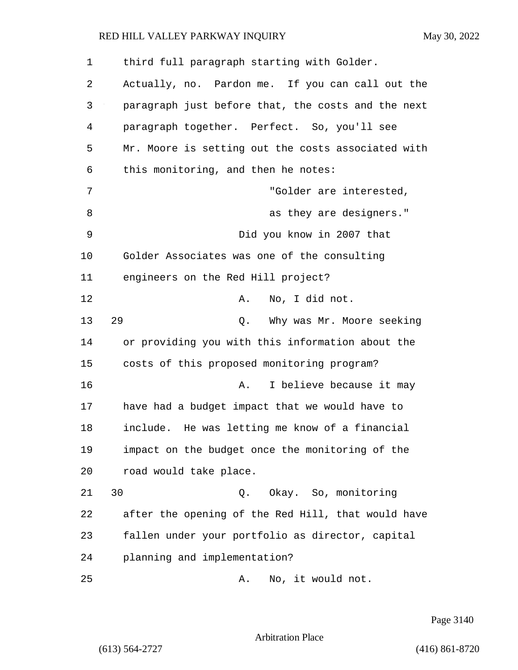| 1  | third full paragraph starting with Golder.         |
|----|----------------------------------------------------|
| 2  | Actually, no. Pardon me. If you can call out the   |
| 3  | paragraph just before that, the costs and the next |
| 4  | paragraph together. Perfect. So, you'll see        |
| 5  | Mr. Moore is setting out the costs associated with |
| 6  | this monitoring, and then he notes:                |
| 7  | "Golder are interested,                            |
| 8  | as they are designers."                            |
| 9  | Did you know in 2007 that                          |
| 10 | Golder Associates was one of the consulting        |
| 11 | engineers on the Red Hill project?                 |
| 12 | No, I did not.<br>Α.                               |
| 13 | 29<br>Why was Mr. Moore seeking<br>Q.              |
| 14 | or providing you with this information about the   |
| 15 | costs of this proposed monitoring program?         |
| 16 | I believe because it may<br>Α.                     |
| 17 | have had a budget impact that we would have to     |
| 18 | include. He was letting me know of a financial     |
| 19 | impact on the budget once the monitoring of the    |
| 20 | road would take place.                             |
| 21 | 30<br>Okay. So, monitoring<br>Q.                   |
| 22 | after the opening of the Red Hill, that would have |
| 23 | fallen under your portfolio as director, capital   |
| 24 | planning and implementation?                       |
| 25 | No, it would not.<br>Α.                            |

Page 3140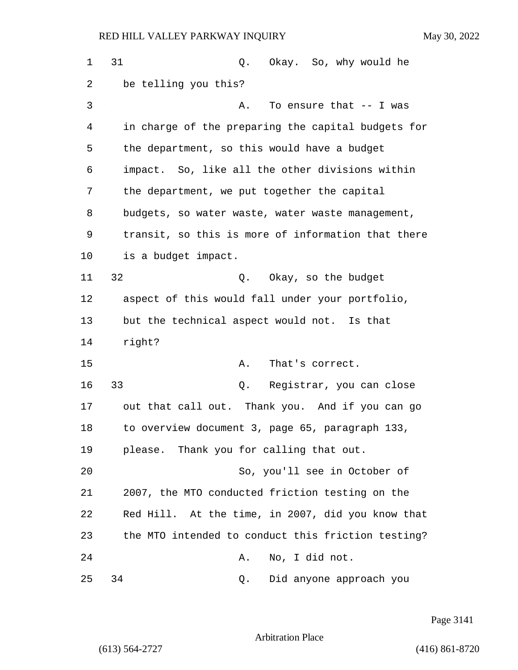| $\mathbf 1$ | 31<br>Okay. So, why would he<br>Q.                 |
|-------------|----------------------------------------------------|
| 2           | be telling you this?                               |
| 3           | To ensure that -- I was<br>Α.                      |
| 4           | in charge of the preparing the capital budgets for |
| 5           | the department, so this would have a budget        |
| 6           | impact. So, like all the other divisions within    |
| 7           | the department, we put together the capital        |
| 8           | budgets, so water waste, water waste management,   |
| 9           | transit, so this is more of information that there |
| 10          | is a budget impact.                                |
| 11          | 32<br>Q. Okay, so the budget                       |
| 12          | aspect of this would fall under your portfolio,    |
| 13          | but the technical aspect would not. Is that        |
| 14          | right?                                             |
| 15          | Α.<br>That's correct.                              |
| 16          | 33<br>Registrar, you can close<br>Q.               |
| 17          | out that call out. Thank you. And if you can go    |
| 18          | to overview document 3, page 65, paragraph 133,    |
| 19          | please. Thank you for calling that out.            |
| 20          | So, you'll see in October of                       |
| 21          | 2007, the MTO conducted friction testing on the    |
| 22          | Red Hill. At the time, in 2007, did you know that  |
| 23          | the MTO intended to conduct this friction testing? |
| 24          | No, I did not.<br>Α.                               |
| 25          | Did anyone approach you<br>34<br>Q.                |

Page 3141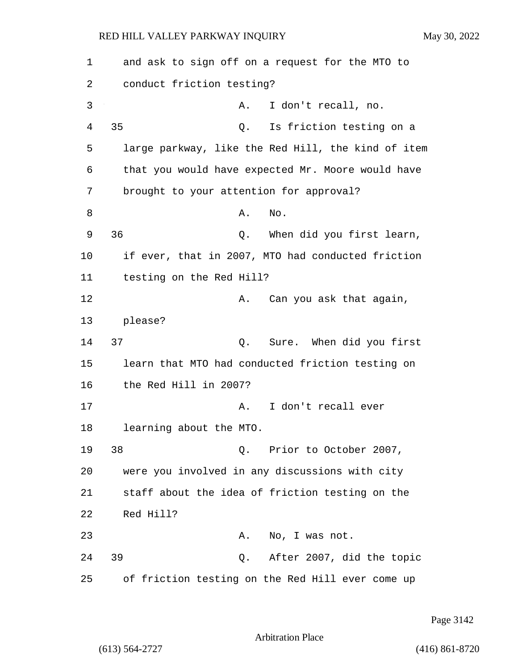| 1  | and ask to sign off on a request for the MTO to    |
|----|----------------------------------------------------|
| 2  | conduct friction testing?                          |
| 3  | I don't recall, no.<br>Α.                          |
| 4  | 35<br>Is friction testing on a<br>Q.               |
| 5  | large parkway, like the Red Hill, the kind of item |
| 6  | that you would have expected Mr. Moore would have  |
| 7  | brought to your attention for approval?            |
| 8  | No.<br>Α.                                          |
| 9  | 36<br>When did you first learn,<br>Q.              |
| 10 | if ever, that in 2007, MTO had conducted friction  |
| 11 | testing on the Red Hill?                           |
| 12 | Can you ask that again,<br>Α.                      |
| 13 | please?                                            |
| 14 | 37<br>Sure. When did you first<br>Q.               |
| 15 | learn that MTO had conducted friction testing on   |
| 16 | the Red Hill in 2007?                              |
| 17 | I don't recall ever<br>Α.                          |
| 18 | learning about the MTO.                            |
| 19 | 38<br>Q. Prior to October 2007,                    |
| 20 | were you involved in any discussions with city     |
| 21 | staff about the idea of friction testing on the    |
| 22 | Red Hill?                                          |
| 23 | No, I was not.<br>Α.                               |
| 24 | Q. After 2007, did the topic<br>39                 |
| 25 | of friction testing on the Red Hill ever come up   |

Page 3142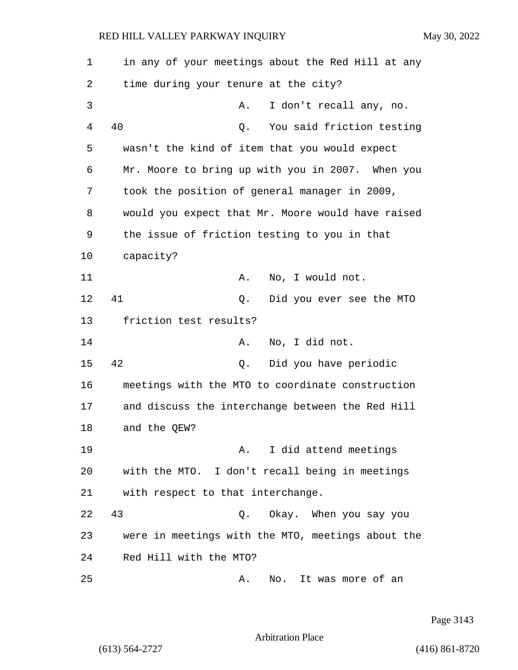1 in any of your meetings about the Red Hill at any 2 time during your tenure at the city? 3 A. I don't recall any, no. 4 40 Q. You said friction testing 5 wasn't the kind of item that you would expect 6 Mr. Moore to bring up with you in 2007. When you 7 took the position of general manager in 2009, 8 would you expect that Mr. Moore would have raised 9 the issue of friction testing to you in that 10 capacity? 11 A. No, I would not. 12 41 Q. Did you ever see the MTO 13 friction test results? 14 A. No, I did not. 15 42 Q. Did you have periodic 16 meetings with the MTO to coordinate construction 17 and discuss the interchange between the Red Hill 18 and the QEW? 19 A. I did attend meetings 20 with the MTO. I don't recall being in meetings 21 with respect to that interchange. 22 43 Q. Okay. When you say you 23 were in meetings with the MTO, meetings about the 24 Red Hill with the MTO? 25 A. No. It was more of an

Page 3143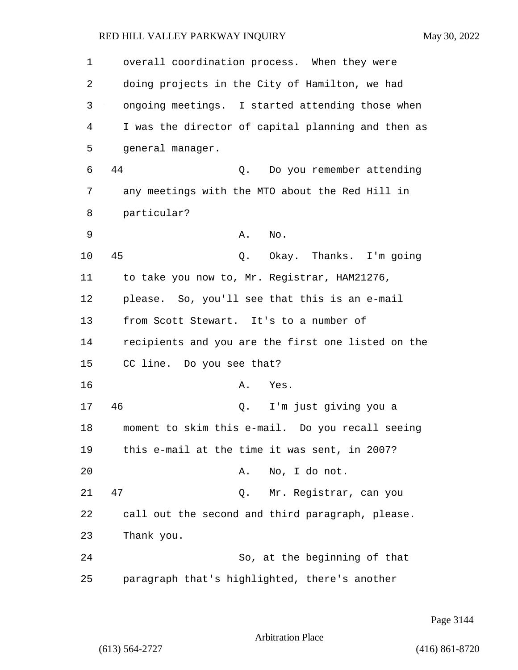1 overall coordination process. When they were 2 doing projects in the City of Hamilton, we had 3 ongoing meetings. I started attending those when 4 I was the director of capital planning and then as 5 general manager. 6 44 Q. Do you remember attending 7 any meetings with the MTO about the Red Hill in 8 particular? 9 A. No. 10 45 Q. Okay. Thanks. I'm going 11 to take you now to, Mr. Registrar, HAM21276, 12 please. So, you'll see that this is an e-mail 13 from Scott Stewart. It's to a number of 14 recipients and you are the first one listed on the 15 CC line. Do you see that? 16 A. Yes. 17 46 Q. I'm just giving you a 18 moment to skim this e-mail. Do you recall seeing 19 this e-mail at the time it was sent, in 2007? 20 A. No, I do not. 21 47 Q. Mr. Registrar, can you 22 call out the second and third paragraph, please. 23 Thank you. 24 So, at the beginning of that 25 paragraph that's highlighted, there's another

Page 3144

Arbitration Place

(613) 564-2727 (416) 861-8720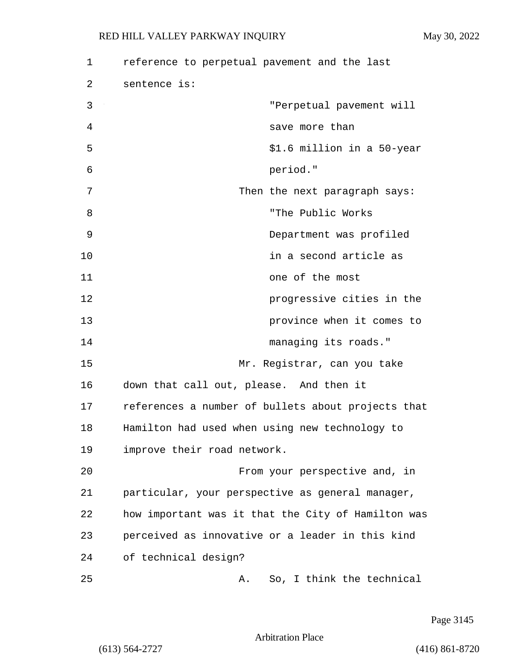| 1  | reference to perpetual pavement and the last       |
|----|----------------------------------------------------|
| 2  | sentence is:                                       |
| 3  | "Perpetual pavement will                           |
| 4  | save more than                                     |
| 5  | \$1.6 million in a 50-year                         |
| 6  | period."                                           |
| 7  | Then the next paragraph says:                      |
| 8  | "The Public Works                                  |
| 9  | Department was profiled                            |
| 10 | in a second article as                             |
| 11 | one of the most                                    |
| 12 | progressive cities in the                          |
| 13 | province when it comes to                          |
| 14 | managing its roads."                               |
| 15 | Mr. Registrar, can you take                        |
| 16 | down that call out, please. And then it            |
| 17 | references a number of bullets about projects that |
| 18 | Hamilton had used when using new technology to     |
| 19 | improve their road network.                        |
| 20 | From your perspective and, in                      |
| 21 | particular, your perspective as general manager,   |
| 22 | how important was it that the City of Hamilton was |
| 23 | perceived as innovative or a leader in this kind   |
| 24 | of technical design?                               |
| 25 | So, I think the technical<br>А.                    |

Page 3145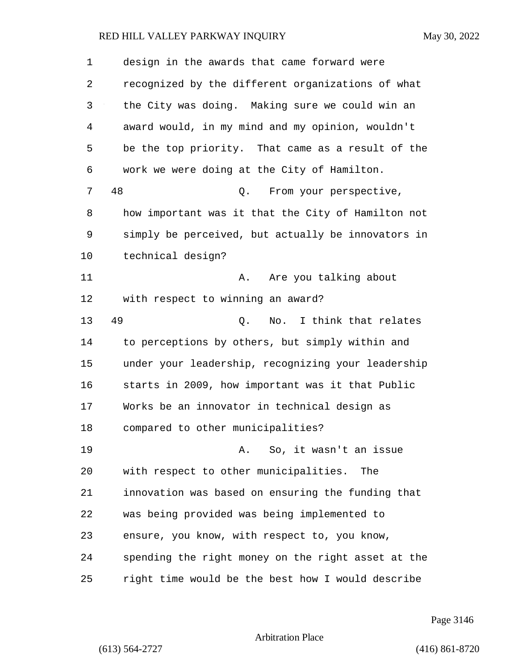| 1  | design in the awards that came forward were        |
|----|----------------------------------------------------|
| 2  | recognized by the different organizations of what  |
| 3  | the City was doing. Making sure we could win an    |
| 4  | award would, in my mind and my opinion, wouldn't   |
| 5  | be the top priority. That came as a result of the  |
| 6  | work we were doing at the City of Hamilton.        |
| 7  | 48<br>From your perspective,<br>Q.                 |
| 8  | how important was it that the City of Hamilton not |
| 9  | simply be perceived, but actually be innovators in |
| 10 | technical design?                                  |
| 11 | Are you talking about<br>Α.                        |
| 12 | with respect to winning an award?                  |
| 13 | 49<br>No. I think that relates<br>Q.               |
| 14 | to perceptions by others, but simply within and    |
| 15 | under your leadership, recognizing your leadership |
| 16 | starts in 2009, how important was it that Public   |
| 17 | Works be an innovator in technical design as       |
| 18 | compared to other municipalities?                  |
| 19 | So, it wasn't an issue<br>Α.                       |
| 20 | with respect to other municipalities.<br>The       |
| 21 | innovation was based on ensuring the funding that  |
| 22 | was being provided was being implemented to        |
| 23 | ensure, you know, with respect to, you know,       |
| 24 | spending the right money on the right asset at the |
| 25 | right time would be the best how I would describe  |

Page 3146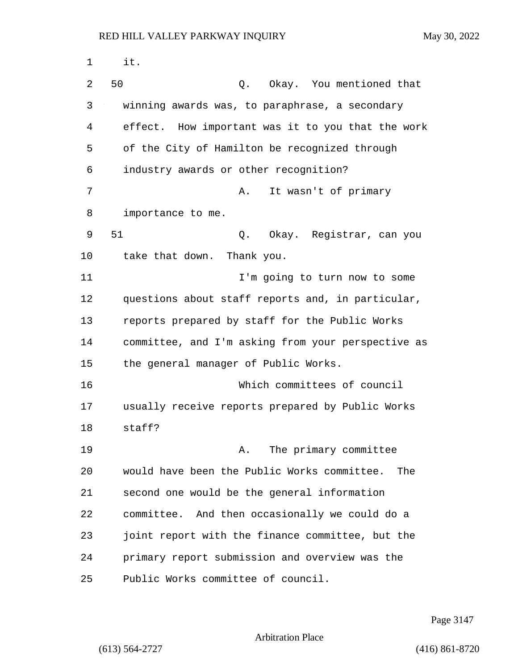1 it. 2 50 Q. Okay. You mentioned that 3 winning awards was, to paraphrase, a secondary 4 effect. How important was it to you that the work 5 of the City of Hamilton be recognized through 6 industry awards or other recognition? 7 A. It wasn't of primary 8 importance to me. 9 51 Q. Okay. Registrar, can you 10 take that down. Thank you. 11 I'm going to turn now to some 12 questions about staff reports and, in particular, 13 reports prepared by staff for the Public Works 14 committee, and I'm asking from your perspective as 15 the general manager of Public Works. 16 Which committees of council 17 usually receive reports prepared by Public Works 18 staff? 19 A. The primary committee 20 would have been the Public Works committee. The 21 second one would be the general information 22 committee. And then occasionally we could do a 23 joint report with the finance committee, but the 24 primary report submission and overview was the 25 Public Works committee of council.

Page 3147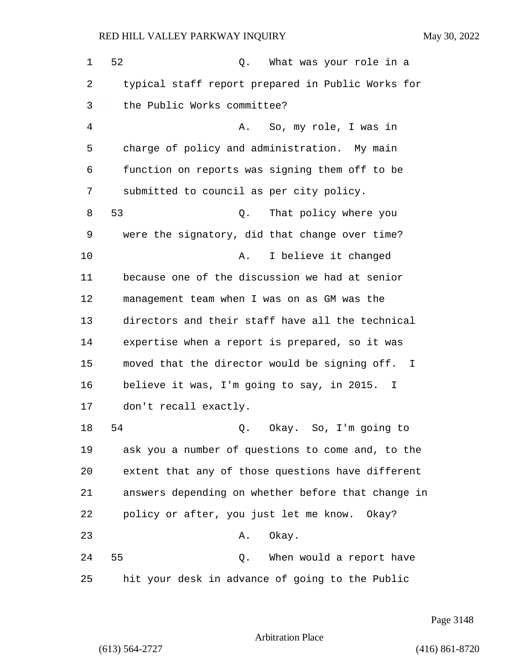| $\mathbf 1$ | 52<br>What was your role in a<br>Q.                |
|-------------|----------------------------------------------------|
| 2           | typical staff report prepared in Public Works for  |
| 3           | the Public Works committee?                        |
| 4           | So, my role, I was in<br>Α.                        |
| 5           | charge of policy and administration. My main       |
| 6           | function on reports was signing them off to be     |
| 7           | submitted to council as per city policy.           |
| 8           | 53<br>That policy where you<br>Q.                  |
| 9           | were the signatory, did that change over time?     |
| 10          | I believe it changed<br>Α.                         |
| 11          | because one of the discussion we had at senior     |
| 12          | management team when I was on as GM was the        |
| 13          | directors and their staff have all the technical   |
| 14          | expertise when a report is prepared, so it was     |
| 15          | moved that the director would be signing off. I    |
| 16          | believe it was, I'm going to say, in 2015. I       |
| 17          | don't recall exactly.                              |
| 18          | 54<br>Okay. So, I'm going to<br>Q.                 |
| 19          | ask you a number of questions to come and, to the  |
| 20          | extent that any of those questions have different  |
| 21          | answers depending on whether before that change in |
| 22          | policy or after, you just let me know. Okay?       |
| 23          | Okay.<br>Α.                                        |
| 24          | 55<br>Q. When would a report have                  |
| 25          | hit your desk in advance of going to the Public    |

Page 3148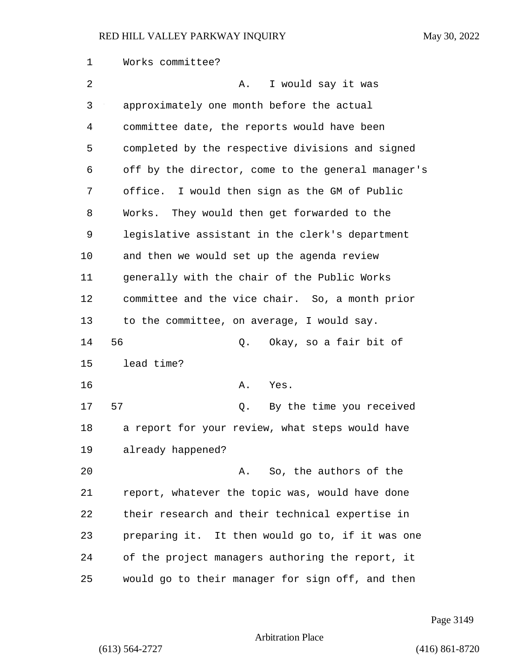1 Works committee? 2 A. I would say it was 3 approximately one month before the actual 4 committee date, the reports would have been 5 completed by the respective divisions and signed 6 off by the director, come to the general manager's 7 office. I would then sign as the GM of Public 8 Works. They would then get forwarded to the 9 legislative assistant in the clerk's department 10 and then we would set up the agenda review 11 generally with the chair of the Public Works 12 committee and the vice chair. So, a month prior 13 to the committee, on average, I would say. 14 56 Q. Okay, so a fair bit of 15 lead time? 16 A. Yes. 17 57 Q. By the time you received 18 a report for your review, what steps would have 19 already happened? 20 A. So, the authors of the 21 report, whatever the topic was, would have done 22 their research and their technical expertise in 23 preparing it. It then would go to, if it was one 24 of the project managers authoring the report, it 25 would go to their manager for sign off, and then

Page 3149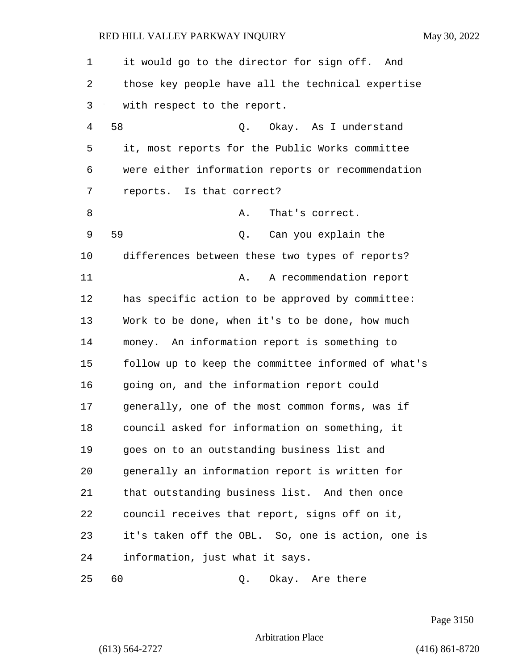| 1  | it would go to the director for sign off. And      |
|----|----------------------------------------------------|
| 2  | those key people have all the technical expertise  |
| 3  | with respect to the report.                        |
| 4  | 58<br>Q. Okay. As I understand                     |
| 5  | it, most reports for the Public Works committee    |
| 6  | were either information reports or recommendation  |
| 7  | reports. Is that correct?                          |
| 8  | That's correct.<br>Α.                              |
| 9  | 59<br>Q. Can you explain the                       |
| 10 | differences between these two types of reports?    |
| 11 | A recommendation report<br>Α.                      |
| 12 | has specific action to be approved by committee:   |
| 13 | Work to be done, when it's to be done, how much    |
| 14 | money. An information report is something to       |
| 15 | follow up to keep the committee informed of what's |
| 16 | going on, and the information report could         |
| 17 | generally, one of the most common forms, was if    |
| 18 | council asked for information on something, it     |
| 19 | goes on to an outstanding business list and        |
| 20 | generally an information report is written for     |
| 21 | that outstanding business list. And then once      |
| 22 | council receives that report, signs off on it,     |
| 23 | it's taken off the OBL. So, one is action, one is  |
| 24 | information, just what it says.                    |
| 25 | 60<br>Okay. Are there<br>Q.                        |

Page 3150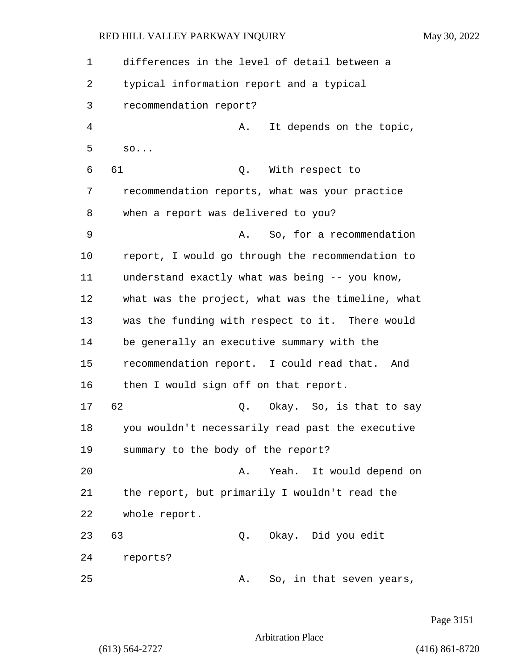1 differences in the level of detail between a 2 typical information report and a typical 3 recommendation report? 4 A. It depends on the topic, 5 so... 6 61 Q. With respect to 7 recommendation reports, what was your practice 8 when a report was delivered to you? 9 A. So, for a recommendation 10 report, I would go through the recommendation to 11 understand exactly what was being -- you know, 12 what was the project, what was the timeline, what 13 was the funding with respect to it. There would 14 be generally an executive summary with the 15 recommendation report. I could read that. And 16 then I would sign off on that report. 17 62 Q. Okay. So, is that to say 18 you wouldn't necessarily read past the executive 19 summary to the body of the report? 20 A. Yeah. It would depend on 21 the report, but primarily I wouldn't read the 22 whole report. 23 63 Q. Okay. Did you edit 24 reports? 25 A. So, in that seven years,

Page 3151

Arbitration Place

(613) 564-2727 (416) 861-8720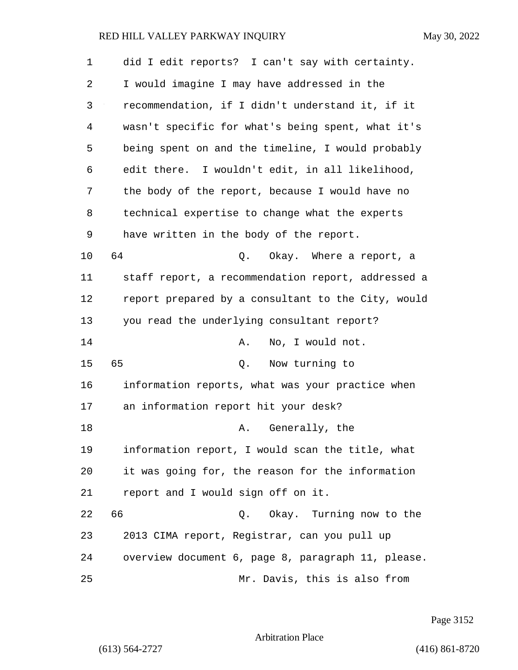| 1  | did I edit reports? I can't say with certainty.    |
|----|----------------------------------------------------|
| 2  | I would imagine I may have addressed in the        |
| 3  | recommendation, if I didn't understand it, if it   |
| 4  | wasn't specific for what's being spent, what it's  |
| 5  | being spent on and the timeline, I would probably  |
| 6  | edit there. I wouldn't edit, in all likelihood,    |
| 7  | the body of the report, because I would have no    |
| 8  | technical expertise to change what the experts     |
| 9  | have written in the body of the report.            |
| 10 | 64<br>Q. Okay. Where a report, a                   |
| 11 | staff report, a recommendation report, addressed a |
| 12 | report prepared by a consultant to the City, would |
| 13 | you read the underlying consultant report?         |
| 14 | No, I would not.<br>Α.                             |
| 15 | 65<br>Q. Now turning to                            |
| 16 | information reports, what was your practice when   |
| 17 | an information report hit your desk?               |
| 18 | A. Generally, the                                  |
| 19 | information report, I would scan the title, what   |
| 20 | it was going for, the reason for the information   |
| 21 | report and I would sign off on it.                 |
| 22 | 66<br>Q. Okay. Turning now to the                  |
| 23 | 2013 CIMA report, Registrar, can you pull up       |
| 24 | overview document 6, page 8, paragraph 11, please. |
| 25 | Mr. Davis, this is also from                       |

Page 3152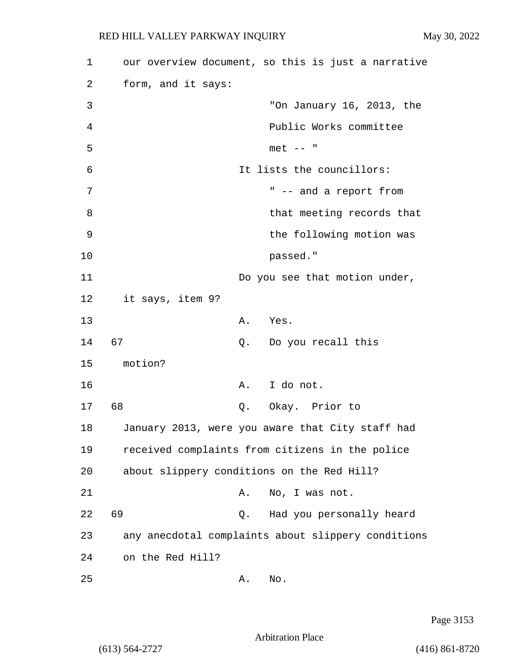| 1  | our overview document, so this is just a narrative |  |
|----|----------------------------------------------------|--|
| 2  | form, and it says:                                 |  |
| 3  | "On January 16, 2013, the                          |  |
| 4  | Public Works committee                             |  |
| 5  | $met$ -- "                                         |  |
| 6  | It lists the councillors:                          |  |
| 7  | " -- and a report from                             |  |
| 8  | that meeting records that                          |  |
| 9  | the following motion was                           |  |
| 10 | passed."                                           |  |
| 11 | Do you see that motion under,                      |  |
| 12 | it says, item 9?                                   |  |
| 13 | A. Yes.                                            |  |
| 14 | 67<br>Q. Do you recall this                        |  |
| 15 | motion?                                            |  |
| 16 | A. I do not.                                       |  |
| 17 | 68<br>Q. Okay. Prior to                            |  |
| 18 | January 2013, were you aware that City staff had   |  |
| 19 | received complaints from citizens in the police    |  |
| 20 | about slippery conditions on the Red Hill?         |  |
| 21 | No, I was not.<br>Α.                               |  |
| 22 | 69<br>Had you personally heard<br>Q.               |  |
| 23 | any anecdotal complaints about slippery conditions |  |
| 24 | on the Red Hill?                                   |  |
| 25 | No.<br>Α.                                          |  |

Page 3153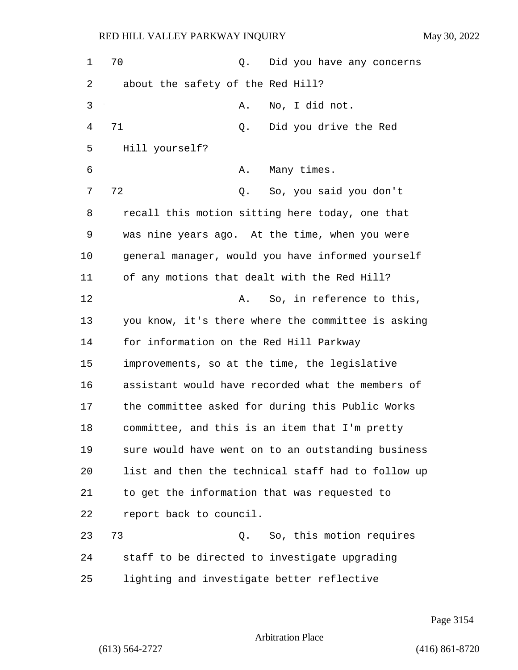1 70 0. Did you have any concerns 2 about the safety of the Red Hill? 3 A. No, I did not. 4 71 Q. Did you drive the Red 5 Hill yourself? 6 A. Many times. 7 72 Q. So, you said you don't 8 recall this motion sitting here today, one that 9 was nine years ago. At the time, when you were 10 general manager, would you have informed yourself 11 of any motions that dealt with the Red Hill? 12 A. So, in reference to this, 13 you know, it's there where the committee is asking 14 for information on the Red Hill Parkway 15 improvements, so at the time, the legislative 16 assistant would have recorded what the members of 17 the committee asked for during this Public Works 18 committee, and this is an item that I'm pretty 19 sure would have went on to an outstanding business 20 list and then the technical staff had to follow up 21 to get the information that was requested to 22 report back to council. 23 73 Q. So, this motion requires 24 staff to be directed to investigate upgrading 25 lighting and investigate better reflective

Page 3154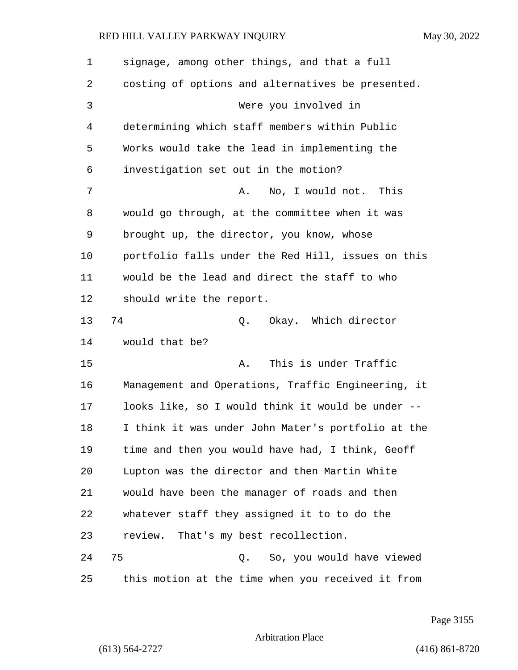| $\mathbf 1$ | signage, among other things, and that a full       |
|-------------|----------------------------------------------------|
| 2           | costing of options and alternatives be presented.  |
| 3           | Were you involved in                               |
| 4           | determining which staff members within Public      |
| 5           | Works would take the lead in implementing the      |
| 6           | investigation set out in the motion?               |
| 7           | No, I would not. This<br>Α.                        |
| 8           | would go through, at the committee when it was     |
| 9           | brought up, the director, you know, whose          |
| 10          | portfolio falls under the Red Hill, issues on this |
| 11          | would be the lead and direct the staff to who      |
| 12          | should write the report.                           |
| 13          | 74<br>Okay. Which director<br>Q.                   |
| 14          | would that be?                                     |
| 15          | This is under Traffic<br>Α.                        |
| 16          | Management and Operations, Traffic Engineering, it |
| 17          | looks like, so I would think it would be under --  |
| 18          | I think it was under John Mater's portfolio at the |
| 19          | time and then you would have had, I think, Geoff   |
| 20          | Lupton was the director and then Martin White      |
| 21          | would have been the manager of roads and then      |
| 22          | whatever staff they assigned it to to do the       |
| 23          | review. That's my best recollection.               |
| 24          | 75<br>Q. So, you would have viewed                 |
| 25          | this motion at the time when you received it from  |

Page 3155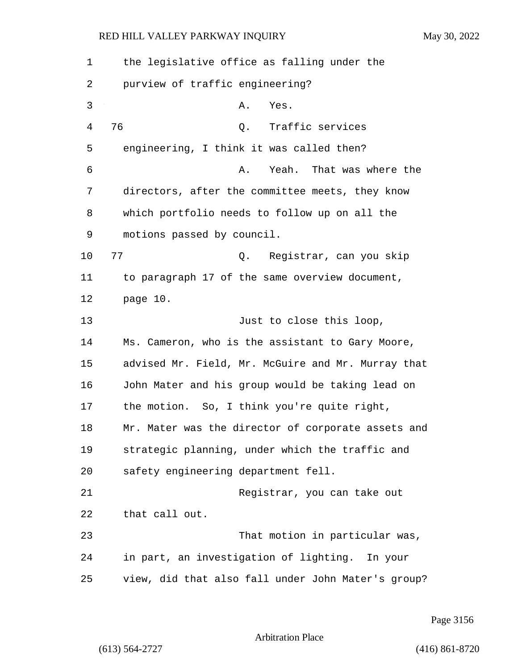| 1  | the legislative office as falling under the        |
|----|----------------------------------------------------|
|    |                                                    |
| 2  | purview of traffic engineering?                    |
| 3  | Yes.<br>Α.                                         |
| 4  | 76<br>Traffic services<br>Q.                       |
| 5  | engineering, I think it was called then?           |
| 6  | Yeah. That was where the<br>Α.                     |
| 7  | directors, after the committee meets, they know    |
| 8  | which portfolio needs to follow up on all the      |
| 9  | motions passed by council.                         |
| 10 | 77<br>Q. Registrar, can you skip                   |
| 11 | to paragraph 17 of the same overview document,     |
| 12 | page 10.                                           |
| 13 | Just to close this loop,                           |
| 14 | Ms. Cameron, who is the assistant to Gary Moore,   |
| 15 | advised Mr. Field, Mr. McGuire and Mr. Murray that |
| 16 | John Mater and his group would be taking lead on   |
| 17 | the motion. So, I think you're quite right,        |
| 18 | Mr. Mater was the director of corporate assets and |
| 19 | strategic planning, under which the traffic and    |
| 20 | safety engineering department fell.                |
| 21 | Registrar, you can take out                        |
| 22 | that call out.                                     |
| 23 | That motion in particular was,                     |
| 24 | in part, an investigation of lighting. In your     |
| 25 | view, did that also fall under John Mater's group? |

Page 3156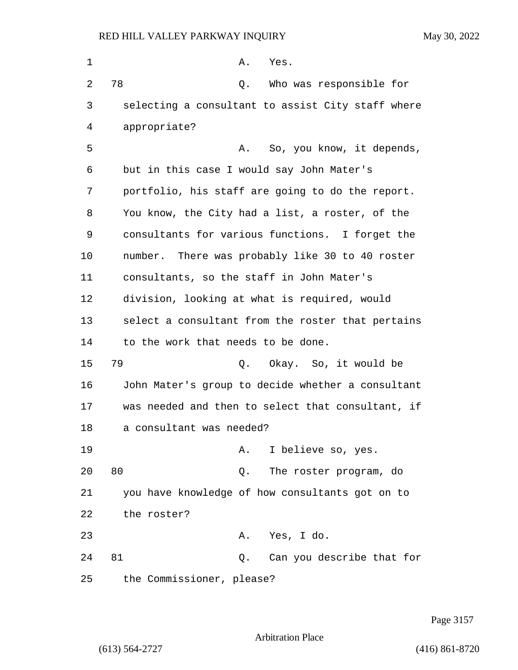| 1  | Α.<br>Yes.                                        |
|----|---------------------------------------------------|
| 2  | 78<br>Who was responsible for<br>Q.               |
| 3  | selecting a consultant to assist City staff where |
| 4  | appropriate?                                      |
| 5  | So, you know, it depends,<br>Α.                   |
| 6  | but in this case I would say John Mater's         |
| 7  | portfolio, his staff are going to do the report.  |
| 8  | You know, the City had a list, a roster, of the   |
| 9  | consultants for various functions. I forget the   |
| 10 | number. There was probably like 30 to 40 roster   |
| 11 | consultants, so the staff in John Mater's         |
| 12 | division, looking at what is required, would      |
| 13 | select a consultant from the roster that pertains |
| 14 | to the work that needs to be done.                |
| 15 | 79<br>Q. Okay. So, it would be                    |
| 16 | John Mater's group to decide whether a consultant |
| 17 | was needed and then to select that consultant, if |
| 18 | a consultant was needed?                          |
| 19 | I believe so, yes.<br>Α.                          |
| 20 | 80<br>The roster program, do<br>Q.                |
| 21 | you have knowledge of how consultants got on to   |
| 22 | the roster?                                       |
| 23 | Yes, I do.<br>Α.                                  |
| 24 | 81<br>Can you describe that for<br>Q.             |
| 25 | the Commissioner, please?                         |

Page 3157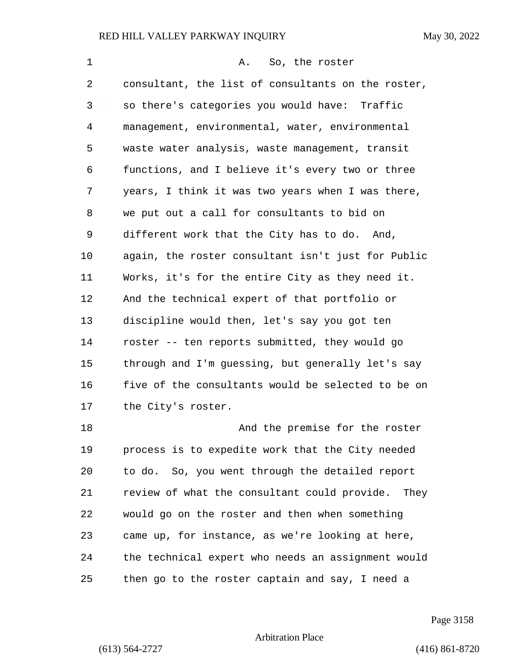| 1  | So, the roster<br>Α.                               |
|----|----------------------------------------------------|
| 2  | consultant, the list of consultants on the roster, |
| 3  | so there's categories you would have: Traffic      |
| 4  | management, environmental, water, environmental    |
| 5  | waste water analysis, waste management, transit    |
| 6  | functions, and I believe it's every two or three   |
| 7  | years, I think it was two years when I was there,  |
| 8  | we put out a call for consultants to bid on        |
| 9  | different work that the City has to do. And,       |
| 10 | again, the roster consultant isn't just for Public |
| 11 | Works, it's for the entire City as they need it.   |
| 12 | And the technical expert of that portfolio or      |
| 13 | discipline would then, let's say you got ten       |
| 14 | roster -- ten reports submitted, they would go     |
| 15 | through and I'm guessing, but generally let's say  |
| 16 | five of the consultants would be selected to be on |
| 17 | the City's roster.                                 |
| 18 | And the premise for the roster                     |
| 19 | process is to expedite work that the City needed   |
| 20 | to do. So, you went through the detailed report    |
| 21 | review of what the consultant could provide. They  |
| 22 | would go on the roster and then when something     |
| 23 | came up, for instance, as we're looking at here,   |
| 24 | the technical expert who needs an assignment would |
| 25 | then go to the roster captain and say, I need a    |

Page 3158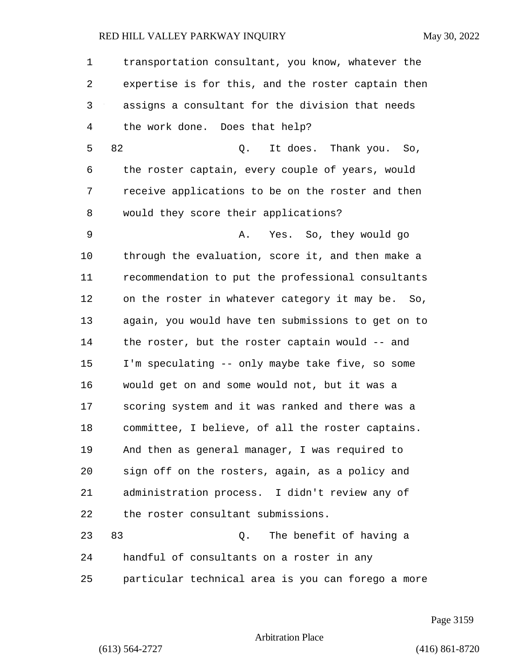1 transportation consultant, you know, whatever the 2 expertise is for this, and the roster captain then 3 assigns a consultant for the division that needs 4 the work done. Does that help? 5 82 Q. It does. Thank you. So, 6 the roster captain, every couple of years, would 7 receive applications to be on the roster and then 8 would they score their applications? 9 A. Yes. So, they would go

10 through the evaluation, score it, and then make a 11 recommendation to put the professional consultants 12 on the roster in whatever category it may be. So, 13 again, you would have ten submissions to get on to 14 the roster, but the roster captain would -- and 15 I'm speculating -- only maybe take five, so some 16 would get on and some would not, but it was a 17 scoring system and it was ranked and there was a 18 committee, I believe, of all the roster captains. 19 And then as general manager, I was required to 20 sign off on the rosters, again, as a policy and 21 administration process. I didn't review any of 22 the roster consultant submissions.

23 83 Q. The benefit of having a 24 handful of consultants on a roster in any 25 particular technical area is you can forego a more

Page 3159

Arbitration Place

(613) 564-2727 (416) 861-8720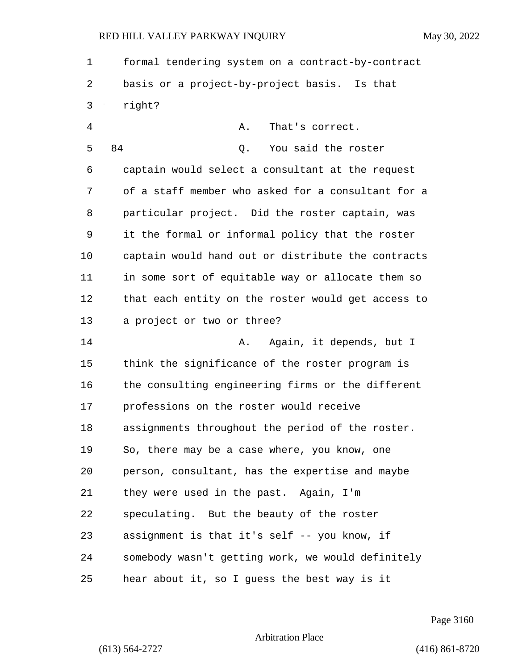1 formal tendering system on a contract-by-contract 2 basis or a project-by-project basis. Is that 3 right? 4 A. That's correct. 5 84 Q. You said the roster 6 captain would select a consultant at the request 7 of a staff member who asked for a consultant for a 8 particular project. Did the roster captain, was

9 it the formal or informal policy that the roster 10 captain would hand out or distribute the contracts 11 in some sort of equitable way or allocate them so 12 that each entity on the roster would get access to 13 a project or two or three?

14 **A.** Again, it depends, but I 15 think the significance of the roster program is 16 the consulting engineering firms or the different 17 professions on the roster would receive 18 assignments throughout the period of the roster. 19 So, there may be a case where, you know, one 20 person, consultant, has the expertise and maybe 21 they were used in the past. Again, I'm 22 speculating. But the beauty of the roster 23 assignment is that it's self -- you know, if 24 somebody wasn't getting work, we would definitely 25 hear about it, so I guess the best way is it

Page 3160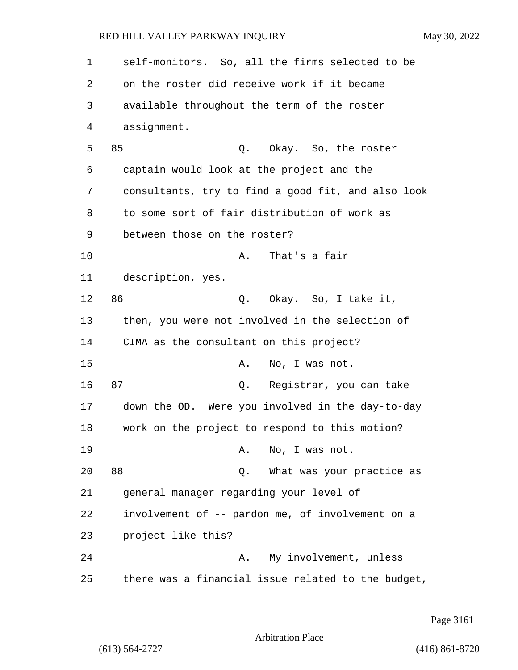| 1  | self-monitors. So, all the firms selected to be    |
|----|----------------------------------------------------|
| 2  | on the roster did receive work if it became        |
| 3  | available throughout the term of the roster        |
| 4  | assignment.                                        |
| 5  | 85<br>Okay. So, the roster<br>Q.                   |
| 6  | captain would look at the project and the          |
| 7  | consultants, try to find a good fit, and also look |
| 8  | to some sort of fair distribution of work as       |
| 9  | between those on the roster?                       |
| 10 | That's a fair<br>Α.                                |
| 11 | description, yes.                                  |
| 12 | 86<br>Q. Okay. So, I take it,                      |
| 13 | then, you were not involved in the selection of    |
| 14 | CIMA as the consultant on this project?            |
| 15 | No, I was not.<br>Α.                               |
| 16 | 87<br>Q. Registrar, you can take                   |
| 17 | down the OD. Were you involved in the day-to-day   |
| 18 | work on the project to respond to this motion?     |
| 19 | A. No, I was not.                                  |
| 20 | 88<br>Q. What was your practice as                 |
| 21 | general manager regarding your level of            |
| 22 | involvement of -- pardon me, of involvement on a   |
| 23 | project like this?                                 |
| 24 | My involvement, unless<br>Α.                       |
| 25 | there was a financial issue related to the budget, |

Page 3161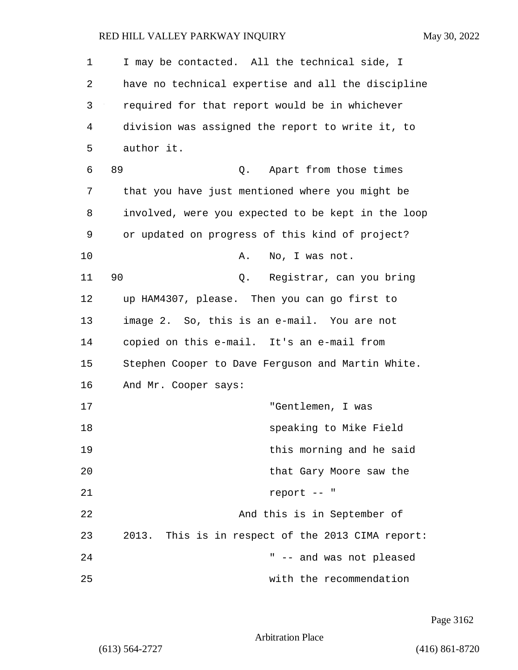1 I may be contacted. All the technical side, I 2 have no technical expertise and all the discipline 3 required for that report would be in whichever 4 division was assigned the report to write it, to 5 author it. 6 89 Q. Apart from those times 7 that you have just mentioned where you might be 8 involved, were you expected to be kept in the loop 9 or updated on progress of this kind of project? 10 A. No, I was not. 11 90 Q. Registrar, can you bring 12 up HAM4307, please. Then you can go first to 13 image 2. So, this is an e-mail. You are not 14 copied on this e-mail. It's an e-mail from 15 Stephen Cooper to Dave Ferguson and Martin White. 16 And Mr. Cooper says: 17 "Gentlemen, I was 18 speaking to Mike Field 19 this morning and he said 20 **120 home contract Cary Moore saw the** that Gary Moore saw the 21 report -- " 22 And this is in September of 23 2013. This is in respect of the 2013 CIMA report: 24 " -- and was not pleased

25 with the recommendation

Page 3162

Arbitration Place

(613) 564-2727 (416) 861-8720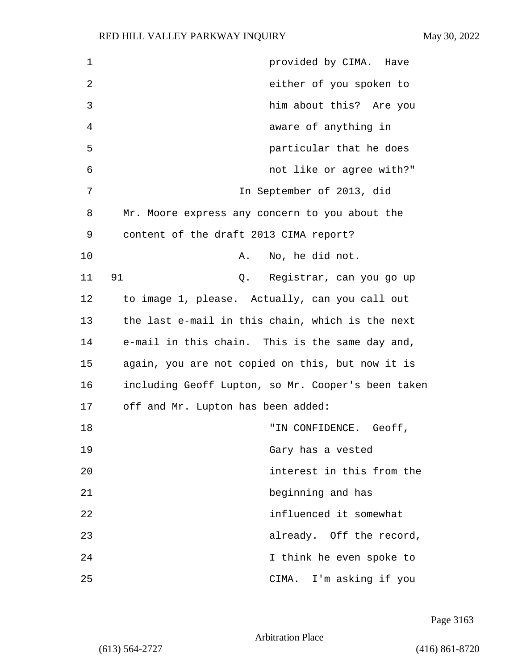| $\mathbf 1$  | provided by CIMA. Have                             |
|--------------|----------------------------------------------------|
| $\mathbf{2}$ | either of you spoken to                            |
| 3            | him about this? Are you                            |
| 4            | aware of anything in                               |
| 5            | particular that he does                            |
| 6            | not like or agree with?"                           |
| 7            | In September of 2013, did                          |
| 8            | Mr. Moore express any concern to you about the     |
| 9            | content of the draft 2013 CIMA report?             |
| 10           | No, he did not.<br>Α.                              |
| 11           | 91<br>Q. Registrar, can you go up                  |
| 12           | to image 1, please. Actually, can you call out     |
| 13           | the last e-mail in this chain, which is the next   |
| 14           | e-mail in this chain. This is the same day and,    |
| 15           | again, you are not copied on this, but now it is   |
| 16           | including Geoff Lupton, so Mr. Cooper's been taken |
| 17           | off and Mr. Lupton has been added:                 |
| 18           | "IN CONFIDENCE.<br>Geoff,                          |
| 19           | Gary has a vested                                  |
| 20           | interest in this from the                          |
| 21           | beginning and has                                  |
| 22           | influenced it somewhat                             |
| 23           | already. Off the record,                           |
| 24           | I think he even spoke to                           |
| 25           | CIMA. I'm asking if you                            |

Page 3163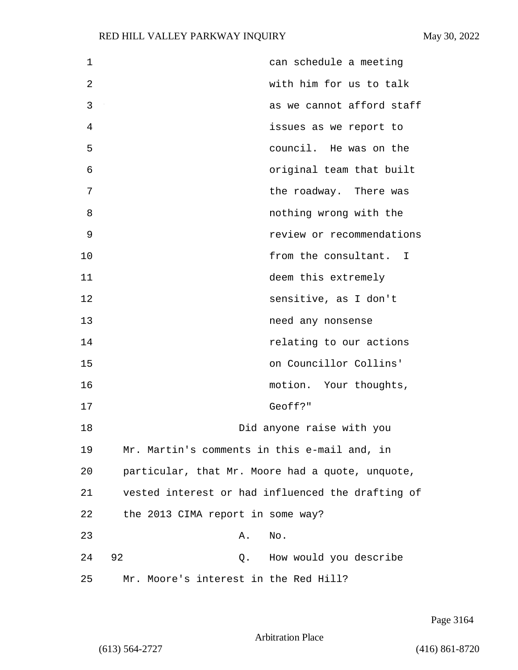| 1  | can schedule a meeting                            |
|----|---------------------------------------------------|
| 2  | with him for us to talk                           |
| 3  | as we cannot afford staff                         |
| 4  | issues as we report to                            |
| 5  | council. He was on the                            |
| 6  | original team that built                          |
| 7  | the roadway. There was                            |
| 8  | nothing wrong with the                            |
| 9  | review or recommendations                         |
| 10 | from the consultant. I                            |
| 11 | deem this extremely                               |
| 12 | sensitive, as I don't                             |
| 13 | need any nonsense                                 |
| 14 | relating to our actions                           |
| 15 | on Councillor Collins'                            |
| 16 | motion. Your thoughts,                            |
| 17 | Geoff?"                                           |
| 18 | Did anyone raise with you                         |
| 19 | Mr. Martin's comments in this e-mail and, in      |
| 20 | particular, that Mr. Moore had a quote, unquote,  |
| 21 | vested interest or had influenced the drafting of |
| 22 | the 2013 CIMA report in some way?                 |
| 23 | No.<br>Α.                                         |
| 24 | 92<br>Q. How would you describe                   |
| 25 | Mr. Moore's interest in the Red Hill?             |

Page 3164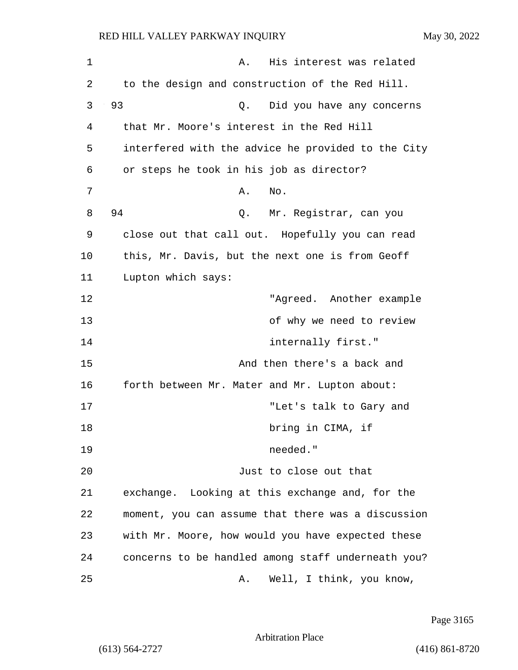| $\mathbf 1$ | His interest was related<br>Α.                     |
|-------------|----------------------------------------------------|
| 2           | to the design and construction of the Red Hill.    |
| 3           | 93<br>Did you have any concerns<br>Q.              |
| 4           | that Mr. Moore's interest in the Red Hill          |
| 5           | interfered with the advice he provided to the City |
| 6           | or steps he took in his job as director?           |
| 7           | Α.<br>No.                                          |
| 8           | 94<br>Mr. Registrar, can you<br>Q.                 |
| 9           | close out that call out. Hopefully you can read    |
| 10          | this, Mr. Davis, but the next one is from Geoff    |
| 11          | Lupton which says:                                 |
| 12          | "Agreed. Another example                           |
| 13          | of why we need to review                           |
| 14          | internally first."                                 |
| 15          | And then there's a back and                        |
| 16          | forth between Mr. Mater and Mr. Lupton about:      |
| 17          | "Let's talk to Gary and                            |
| 18          | bring in CIMA, if                                  |
| 19          | needed."                                           |
| 20          | Just to close out that                             |
| 21          | exchange. Looking at this exchange and, for the    |
| 22          | moment, you can assume that there was a discussion |
| 23          | with Mr. Moore, how would you have expected these  |
| 24          | concerns to be handled among staff underneath you? |
| 25          | Well, I think, you know,<br>Α.                     |

Page 3165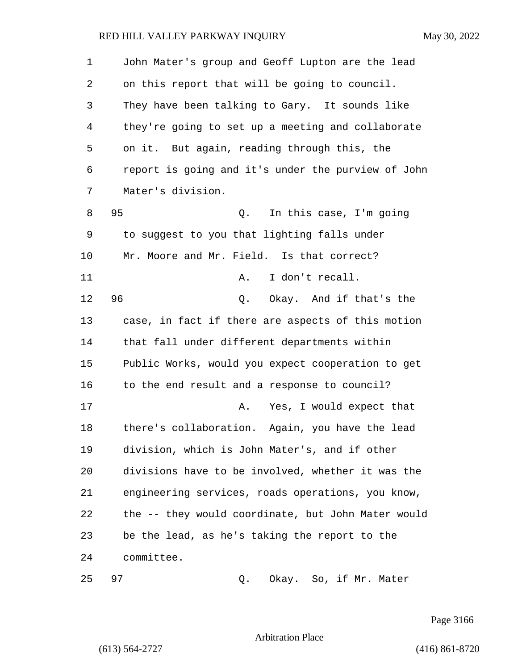| $\mathbf 1$    | John Mater's group and Geoff Lupton are the lead   |  |  |  |
|----------------|----------------------------------------------------|--|--|--|
| 2              | on this report that will be going to council.      |  |  |  |
| $\mathfrak{Z}$ | They have been talking to Gary. It sounds like     |  |  |  |
| $\overline{4}$ | they're going to set up a meeting and collaborate  |  |  |  |
| 5              | on it. But again, reading through this, the        |  |  |  |
| 6              | report is going and it's under the purview of John |  |  |  |
| 7              | Mater's division.                                  |  |  |  |
| 8              | 95<br>In this case, I'm going<br>Q.                |  |  |  |
| 9              | to suggest to you that lighting falls under        |  |  |  |
| 10             | Mr. Moore and Mr. Field. Is that correct?          |  |  |  |
| 11             | I don't recall.<br>Α.                              |  |  |  |
| 12             | 96<br>Okay. And if that's the<br>Q.                |  |  |  |
| 13             | case, in fact if there are aspects of this motion  |  |  |  |
| 14             | that fall under different departments within       |  |  |  |
| 15             | Public Works, would you expect cooperation to get  |  |  |  |
| 16             | to the end result and a response to council?       |  |  |  |
| 17             | Yes, I would expect that<br>Α.                     |  |  |  |
| 18             | there's collaboration. Again, you have the lead    |  |  |  |
| 19             | division, which is John Mater's, and if other      |  |  |  |
| 20             | divisions have to be involved, whether it was the  |  |  |  |
| 21             | engineering services, roads operations, you know,  |  |  |  |
| 22             | the -- they would coordinate, but John Mater would |  |  |  |
| 23             | be the lead, as he's taking the report to the      |  |  |  |
| 24             | committee.                                         |  |  |  |
| 25             | 97<br>Okay. So, if Mr. Mater<br>Q.                 |  |  |  |

Page 3166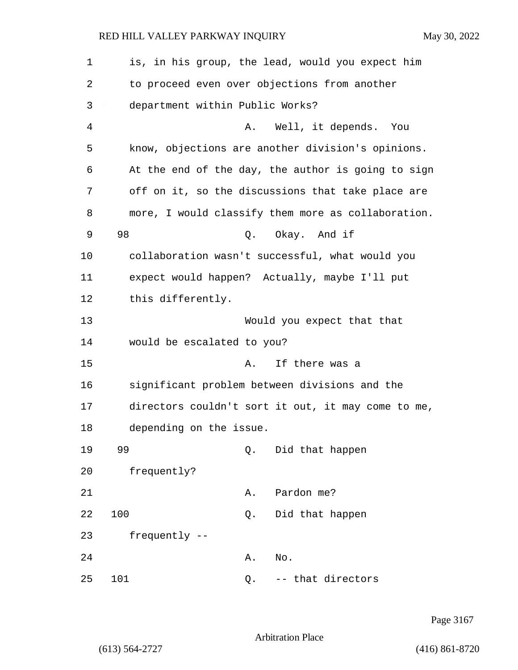| $\mathbf 1$    | is, in his group, the lead, would you expect him   |
|----------------|----------------------------------------------------|
| 2              | to proceed even over objections from another       |
| 3              | department within Public Works?                    |
| $\overline{4}$ | Well, it depends. You<br>Α.                        |
| 5              | know, objections are another division's opinions.  |
| 6              | At the end of the day, the author is going to sign |
| 7              | off on it, so the discussions that take place are  |
| 8              | more, I would classify them more as collaboration. |
| 9              | 98<br>Q. Okay. And if                              |
| 10             | collaboration wasn't successful, what would you    |
| 11             | expect would happen? Actually, maybe I'll put      |
| 12             | this differently.                                  |
| 13             | Would you expect that that                         |
| 14             | would be escalated to you?                         |
| 15             | If there was a<br>Α.                               |
| 16             | significant problem between divisions and the      |
| 17             | directors couldn't sort it out, it may come to me, |
| 18             | depending on the issue.                            |
| 19             | 99<br>Did that happen<br>Q.                        |
| 20             | frequently?                                        |
| 21             | Pardon me?<br>Α.                                   |
| 22             | 100<br>Did that happen<br>Q.                       |
| 23             | frequently --                                      |
| 24             | Α.<br>No.                                          |
| 25             | 101<br>-- that directors<br>Q.                     |

Page 3167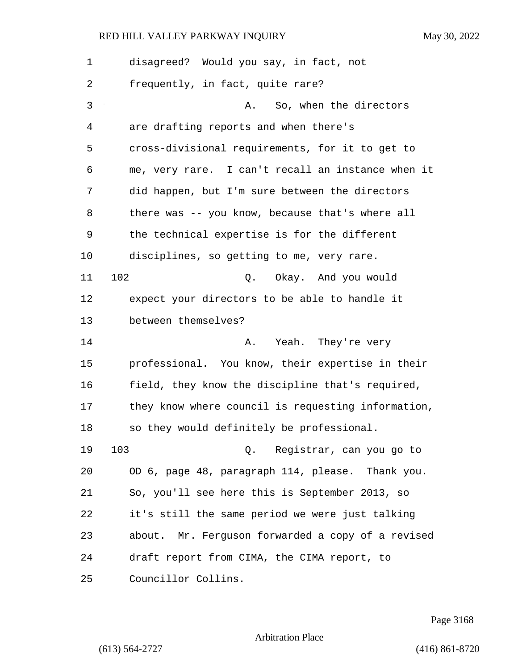| 1  | disagreed? Would you say, in fact, not             |  |  |  |
|----|----------------------------------------------------|--|--|--|
| 2  | frequently, in fact, quite rare?                   |  |  |  |
| 3  | So, when the directors<br>Α.                       |  |  |  |
| 4  | are drafting reports and when there's              |  |  |  |
| 5  | cross-divisional requirements, for it to get to    |  |  |  |
| 6  | me, very rare. I can't recall an instance when it  |  |  |  |
| 7  | did happen, but I'm sure between the directors     |  |  |  |
| 8  | there was -- you know, because that's where all    |  |  |  |
| 9  | the technical expertise is for the different       |  |  |  |
| 10 | disciplines, so getting to me, very rare.          |  |  |  |
| 11 | 102<br>Q. Okay. And you would                      |  |  |  |
| 12 | expect your directors to be able to handle it      |  |  |  |
| 13 | between themselves?                                |  |  |  |
| 14 | Yeah. They're very<br>Α.                           |  |  |  |
| 15 | professional. You know, their expertise in their   |  |  |  |
| 16 | field, they know the discipline that's required,   |  |  |  |
| 17 | they know where council is requesting information, |  |  |  |
| 18 | so they would definitely be professional.          |  |  |  |
| 19 | 103<br>Q. Registrar, can you go to                 |  |  |  |
| 20 | OD 6, page 48, paragraph 114, please. Thank you.   |  |  |  |
| 21 | So, you'll see here this is September 2013, so     |  |  |  |
| 22 | it's still the same period we were just talking    |  |  |  |
| 23 | about. Mr. Ferguson forwarded a copy of a revised  |  |  |  |
| 24 | draft report from CIMA, the CIMA report, to        |  |  |  |
| 25 | Councillor Collins.                                |  |  |  |

Page 3168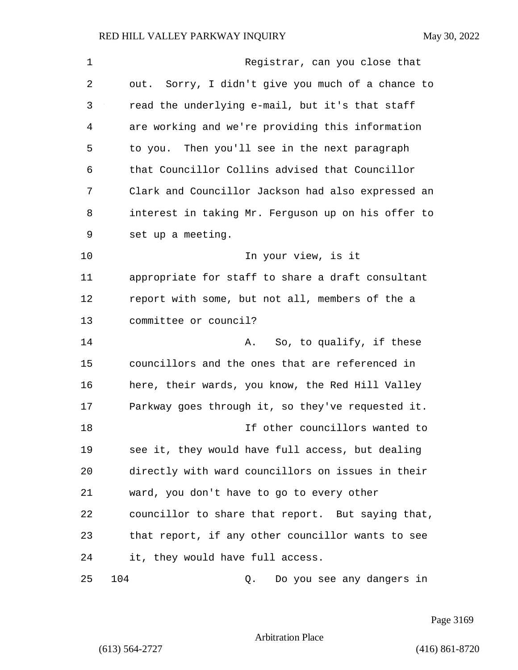| 1  | Registrar, can you close that                      |
|----|----------------------------------------------------|
| 2  | out. Sorry, I didn't give you much of a chance to  |
| 3  | read the underlying e-mail, but it's that staff    |
| 4  | are working and we're providing this information   |
| 5  | to you. Then you'll see in the next paragraph      |
| 6  | that Councillor Collins advised that Councillor    |
| 7  | Clark and Councillor Jackson had also expressed an |
| 8  | interest in taking Mr. Ferguson up on his offer to |
| 9  | set up a meeting.                                  |
| 10 | In your view, is it                                |
| 11 | appropriate for staff to share a draft consultant  |
| 12 | report with some, but not all, members of the a    |
| 13 | committee or council?                              |
| 14 | So, to qualify, if these<br>Α.                     |
| 15 | councillors and the ones that are referenced in    |
| 16 | here, their wards, you know, the Red Hill Valley   |
| 17 | Parkway goes through it, so they've requested it.  |
| 18 | If other councillors wanted to                     |
| 19 | see it, they would have full access, but dealing   |
| 20 | directly with ward councillors on issues in their  |
| 21 | ward, you don't have to go to every other          |
| 22 | councillor to share that report. But saying that,  |
| 23 | that report, if any other councillor wants to see  |
| 24 | it, they would have full access.                   |
| 25 | 104<br>Do you see any dangers in<br>Q.             |

Page 3169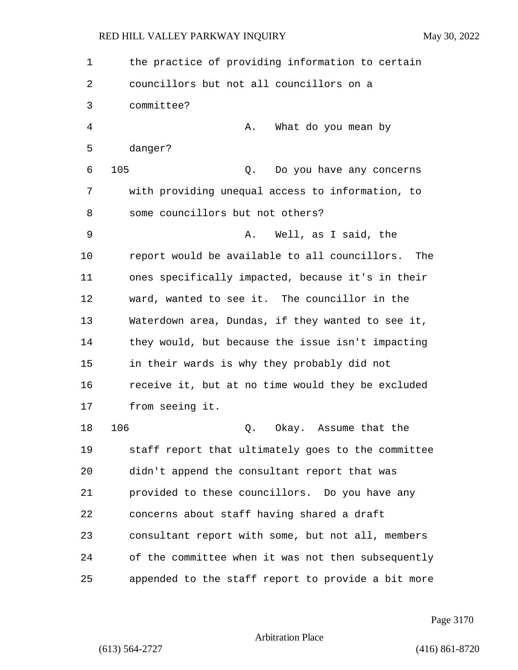1 the practice of providing information to certain 2 councillors but not all councillors on a 3 committee? 4 A. What do you mean by 5 danger? 6 105 Q. Do you have any concerns 7 with providing unequal access to information, to 8 some councillors but not others? 9 A. Well, as I said, the 10 report would be available to all councillors. The 11 ones specifically impacted, because it's in their 12 ward, wanted to see it. The councillor in the 13 Waterdown area, Dundas, if they wanted to see it, 14 they would, but because the issue isn't impacting 15 in their wards is why they probably did not 16 receive it, but at no time would they be excluded 17 from seeing it. 18 106 Q. Okay. Assume that the 19 staff report that ultimately goes to the committee 20 didn't append the consultant report that was 21 provided to these councillors. Do you have any 22 concerns about staff having shared a draft 23 consultant report with some, but not all, members 24 of the committee when it was not then subsequently

25 appended to the staff report to provide a bit more

Page 3170

Arbitration Place

(613) 564-2727 (416) 861-8720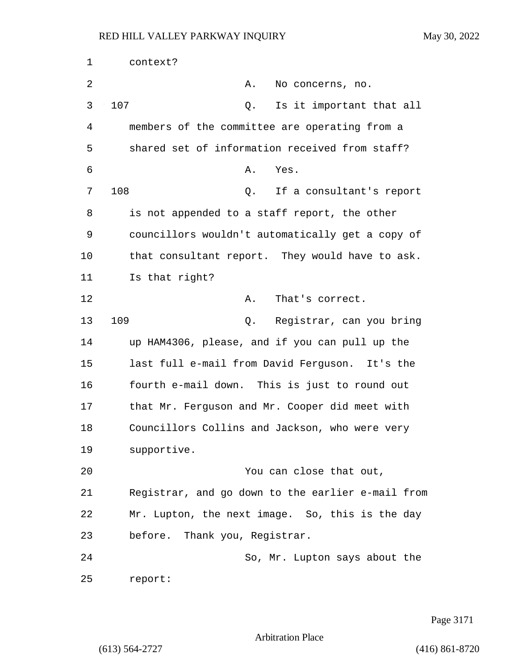| 1  | context?                                          |  |  |
|----|---------------------------------------------------|--|--|
| 2  | Α.<br>No concerns, no.                            |  |  |
| 3  | 107<br>Is it important that all<br>Q.             |  |  |
| 4  | members of the committee are operating from a     |  |  |
| 5  | shared set of information received from staff?    |  |  |
| 6  | Yes.<br>Α.                                        |  |  |
| 7  | 108<br>If a consultant's report<br>Q.             |  |  |
| 8  | is not appended to a staff report, the other      |  |  |
| 9  | councillors wouldn't automatically get a copy of  |  |  |
| 10 | that consultant report. They would have to ask.   |  |  |
| 11 | Is that right?                                    |  |  |
| 12 | That's correct.<br>Α.                             |  |  |
| 13 | 109<br>Q. Registrar, can you bring                |  |  |
| 14 | up HAM4306, please, and if you can pull up the    |  |  |
| 15 | last full e-mail from David Ferguson. It's the    |  |  |
| 16 | fourth e-mail down. This is just to round out     |  |  |
| 17 | that Mr. Ferguson and Mr. Cooper did meet with    |  |  |
| 18 | Councillors Collins and Jackson, who were very    |  |  |
| 19 | supportive.                                       |  |  |
| 20 | You can close that out,                           |  |  |
| 21 | Registrar, and go down to the earlier e-mail from |  |  |
| 22 | Mr. Lupton, the next image. So, this is the day   |  |  |
| 23 | before. Thank you, Registrar.                     |  |  |
| 24 | So, Mr. Lupton says about the                     |  |  |
| 25 | report:                                           |  |  |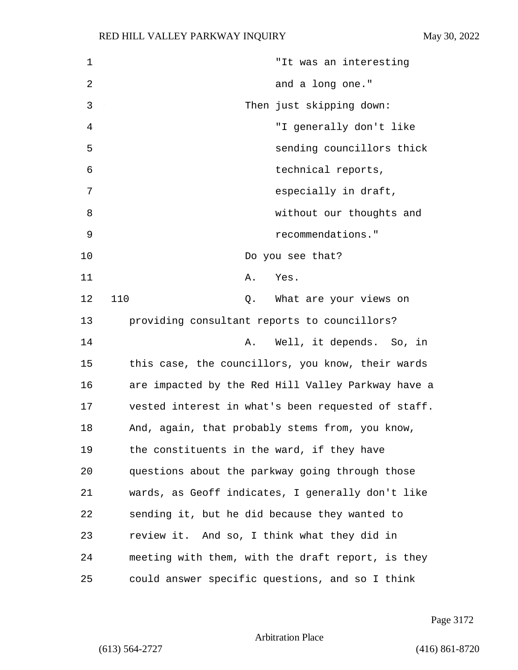| 1  | "It was an interesting                             |
|----|----------------------------------------------------|
| 2  | and a long one."                                   |
| 3  | Then just skipping down:                           |
| 4  | "I generally don't like                            |
| 5  | sending councillors thick                          |
| 6  | technical reports,                                 |
| 7  | especially in draft,                               |
| 8  | without our thoughts and                           |
| 9  | recommendations."                                  |
| 10 | Do you see that?                                   |
| 11 | Yes.<br>Α.                                         |
| 12 | 110<br>Q. What are your views on                   |
| 13 | providing consultant reports to councillors?       |
| 14 | Well, it depends. So, in<br>Α.                     |
| 15 | this case, the councillors, you know, their wards  |
| 16 | are impacted by the Red Hill Valley Parkway have a |
| 17 | vested interest in what's been requested of staff. |
| 18 | And, again, that probably stems from, you know,    |
| 19 | the constituents in the ward, if they have         |
| 20 | questions about the parkway going through those    |
| 21 | wards, as Geoff indicates, I generally don't like  |
| 22 | sending it, but he did because they wanted to      |
| 23 | review it. And so, I think what they did in        |
| 24 | meeting with them, with the draft report, is they  |
| 25 | could answer specific questions, and so I think    |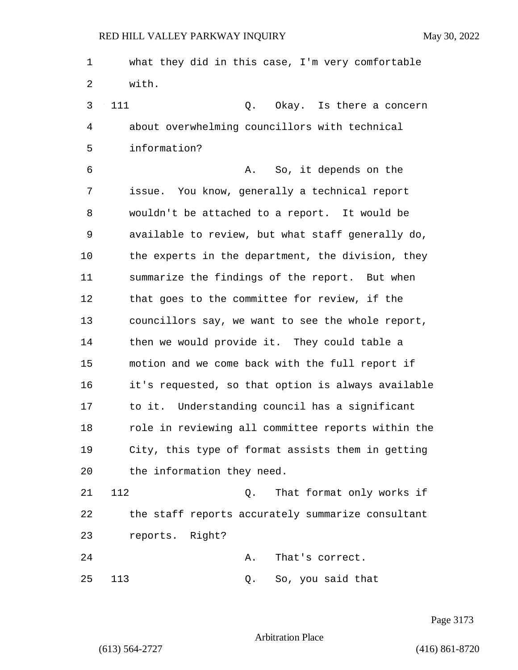1 what they did in this case, I'm very comfortable 2 with.

3 111 Q. Okay. Is there a concern 4 about overwhelming councillors with technical 5 information?

6 A. So, it depends on the 7 issue. You know, generally a technical report 8 wouldn't be attached to a report. It would be 9 available to review, but what staff generally do, 10 the experts in the department, the division, they 11 summarize the findings of the report. But when 12 that goes to the committee for review, if the 13 councillors say, we want to see the whole report, 14 then we would provide it. They could table a 15 motion and we come back with the full report if 16 it's requested, so that option is always available 17 to it. Understanding council has a significant 18 role in reviewing all committee reports within the 19 City, this type of format assists them in getting 20 the information they need.

21 112 Q. That format only works if 22 the staff reports accurately summarize consultant 23 reports. Right?

24 A. That's correct. 25 113 Q. So, you said that

Page 3173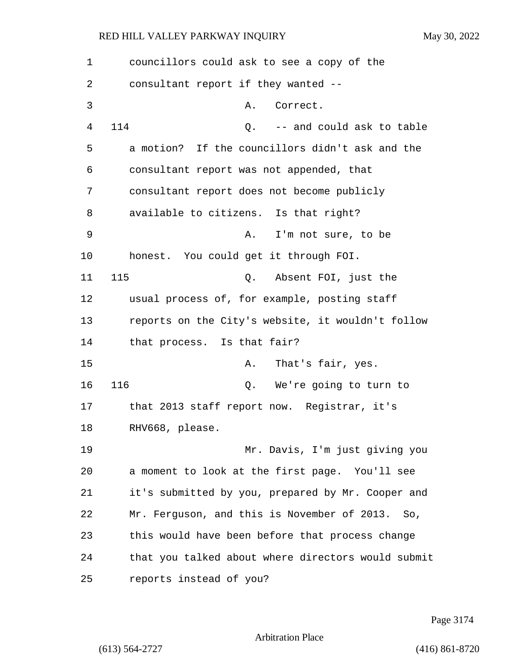| 1  | councillors could ask to see a copy of the         |
|----|----------------------------------------------------|
| 2  | consultant report if they wanted --                |
| 3  | Correct.<br>Α.                                     |
| 4  | 114<br>-- and could ask to table<br>Q.             |
| 5  | a motion? If the councillors didn't ask and the    |
| 6  | consultant report was not appended, that           |
| 7  | consultant report does not become publicly         |
| 8  | available to citizens. Is that right?              |
| 9  | I'm not sure, to be<br>А.                          |
| 10 | honest. You could get it through FOI.              |
| 11 | 115<br>Q. Absent FOI, just the                     |
| 12 | usual process of, for example, posting staff       |
| 13 | reports on the City's website, it wouldn't follow  |
| 14 | that process. Is that fair?                        |
| 15 | That's fair, yes.<br>Α.                            |
| 16 | 116<br>Q. We're going to turn to                   |
| 17 | that 2013 staff report now. Registrar, it's        |
| 18 | RHV668, please.                                    |
| 19 | Mr. Davis, I'm just giving you                     |
| 20 | a moment to look at the first page. You'll see     |
| 21 | it's submitted by you, prepared by Mr. Cooper and  |
| 22 | Mr. Ferguson, and this is November of 2013.<br>So. |
| 23 | this would have been before that process change    |
| 24 | that you talked about where directors would submit |
| 25 | reports instead of you?                            |

Page 3174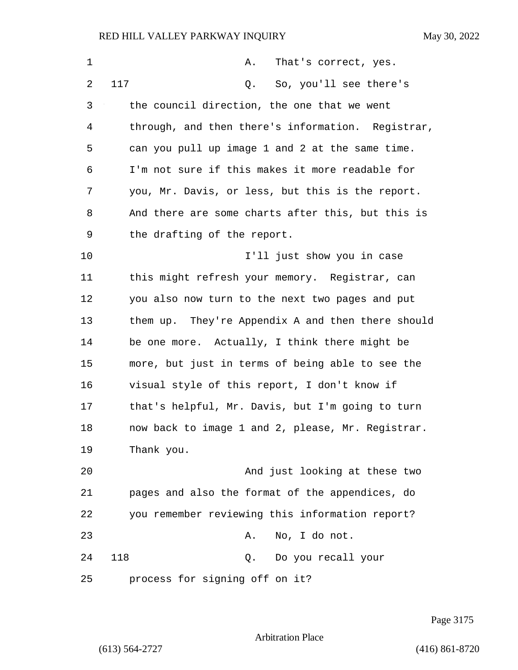| $\mathbf{1}$ | Α.<br>That's correct, yes.                        |
|--------------|---------------------------------------------------|
| 2            | 117<br>So, you'll see there's<br>Q.               |
| 3            | the council direction, the one that we went       |
| 4            | through, and then there's information. Registrar, |
| 5            | can you pull up image 1 and 2 at the same time.   |
| 6            | I'm not sure if this makes it more readable for   |
| 7            | you, Mr. Davis, or less, but this is the report.  |
| 8            | And there are some charts after this, but this is |
| 9            | the drafting of the report.                       |
| 10           | I'll just show you in case                        |
| 11           | this might refresh your memory. Registrar, can    |
| 12           | you also now turn to the next two pages and put   |
| 13           | them up. They're Appendix A and then there should |
| 14           | be one more. Actually, I think there might be     |
| 15           | more, but just in terms of being able to see the  |
| 16           | visual style of this report, I don't know if      |
| 17           | that's helpful, Mr. Davis, but I'm going to turn  |
| 18           | now back to image 1 and 2, please, Mr. Registrar. |
| 19           | Thank you.                                        |
| 20           | And just looking at these two                     |
| 21           | pages and also the format of the appendices, do   |
| 22           | you remember reviewing this information report?   |
| 23           | No, I do not.<br>Α.                               |
| 24           | 118<br>Do you recall your<br>Q.                   |
| 25           | process for signing off on it?                    |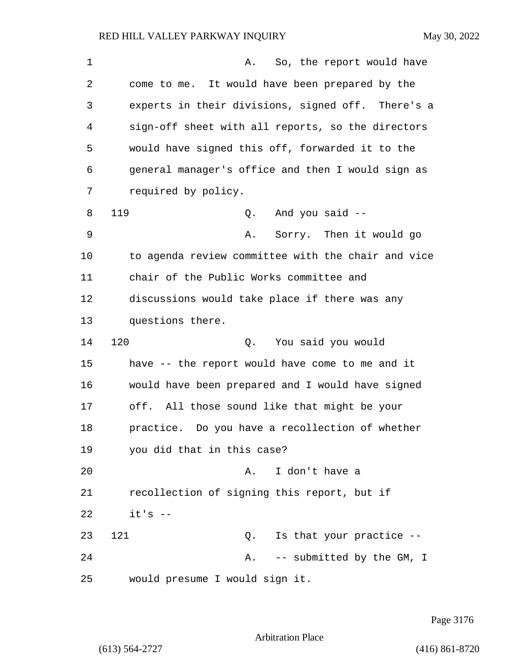| $\mathbf 1$ | So, the report would have<br>Α.                    |  |  |  |  |  |
|-------------|----------------------------------------------------|--|--|--|--|--|
| 2           | come to me. It would have been prepared by the     |  |  |  |  |  |
| 3           | experts in their divisions, signed off. There's a  |  |  |  |  |  |
| 4           | sign-off sheet with all reports, so the directors  |  |  |  |  |  |
| 5           | would have signed this off, forwarded it to the    |  |  |  |  |  |
| 6           | general manager's office and then I would sign as  |  |  |  |  |  |
| 7           | required by policy.                                |  |  |  |  |  |
| 8           | 119<br>Q. And you said --                          |  |  |  |  |  |
| 9           | Sorry. Then it would go<br>Α.                      |  |  |  |  |  |
| 10          | to agenda review committee with the chair and vice |  |  |  |  |  |
| 11          | chair of the Public Works committee and            |  |  |  |  |  |
| 12          | discussions would take place if there was any      |  |  |  |  |  |
| 13          | questions there.                                   |  |  |  |  |  |
| 14          | 120<br>You said you would<br>Q.                    |  |  |  |  |  |
| 15          | have -- the report would have come to me and it    |  |  |  |  |  |
| 16          | would have been prepared and I would have signed   |  |  |  |  |  |
| 17          | off. All those sound like that might be your       |  |  |  |  |  |
| 18          | practice. Do you have a recollection of whether    |  |  |  |  |  |
| 19          | you did that in this case?                         |  |  |  |  |  |
| 20          | I don't have a<br>Α.                               |  |  |  |  |  |
| 21          | recollection of signing this report, but if        |  |  |  |  |  |
| 22          | $it's$ --                                          |  |  |  |  |  |
| 23          | 121<br>Is that your practice --<br>Q.              |  |  |  |  |  |
| 24          | -- submitted by the GM, I<br>Α.                    |  |  |  |  |  |
| 25          | would presume I would sign it.                     |  |  |  |  |  |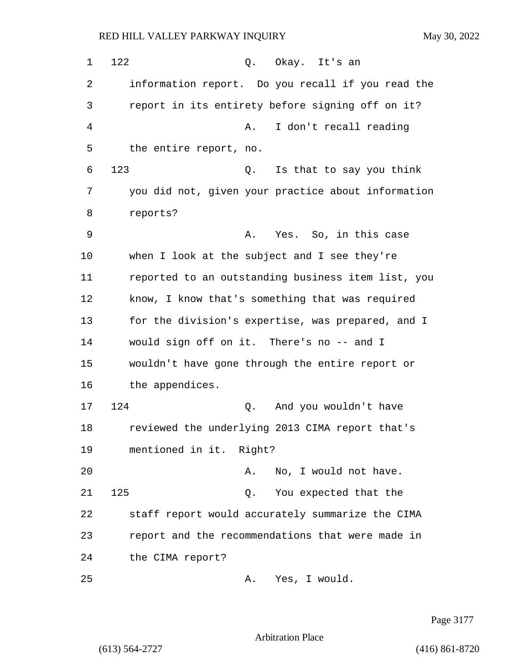1 122 0. Okay. It's an 2 information report. Do you recall if you read the 3 report in its entirety before signing off on it? 4 A. I don't recall reading 5 the entire report, no. 6 123 Q. Is that to say you think 7 you did not, given your practice about information 8 reports? 9 A. Yes. So, in this case 10 when I look at the subject and I see they're 11 reported to an outstanding business item list, you 12 know, I know that's something that was required 13 for the division's expertise, was prepared, and I 14 would sign off on it. There's no -- and I 15 wouldn't have gone through the entire report or 16 the appendices. 17 124 Q. And you wouldn't have 18 reviewed the underlying 2013 CIMA report that's 19 mentioned in it. Right? 20 A. No, I would not have. 21 125 Q. You expected that the 22 staff report would accurately summarize the CIMA 23 report and the recommendations that were made in 24 the CIMA report? 25 A. Yes, I would.

Page 3177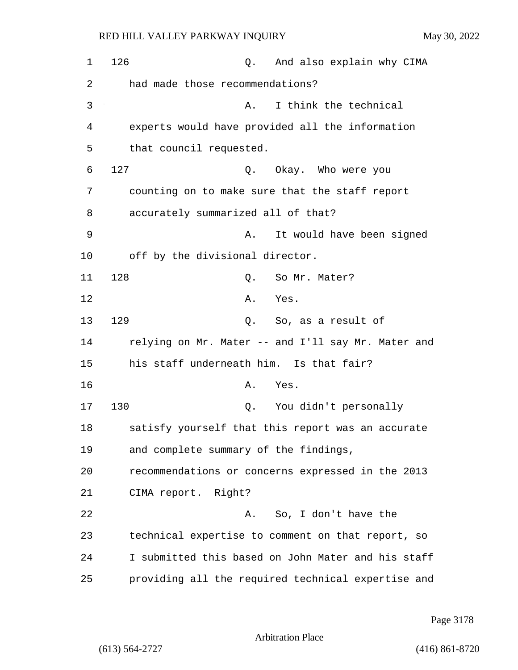| $\mathbf 1$ | 126                                     | Q. | And also explain why CIMA                          |  |
|-------------|-----------------------------------------|----|----------------------------------------------------|--|
| 2           | had made those recommendations?         |    |                                                    |  |
| 3           |                                         | Α. | I think the technical                              |  |
| 4           |                                         |    | experts would have provided all the information    |  |
| 5           | that council requested.                 |    |                                                    |  |
| 6           | 127                                     |    | Q. Okay. Who were you                              |  |
| 7           |                                         |    | counting on to make sure that the staff report     |  |
| 8           | accurately summarized all of that?      |    |                                                    |  |
| 9           |                                         | Α. | It would have been signed                          |  |
| 10          | off by the divisional director.         |    |                                                    |  |
| 11          | 128                                     | Q. | So Mr. Mater?                                      |  |
| 12          |                                         | Α. | Yes.                                               |  |
| 13          | 129                                     |    | Q. So, as a result of                              |  |
| 14          |                                         |    | relying on Mr. Mater -- and I'll say Mr. Mater and |  |
| 15          | his staff underneath him. Is that fair? |    |                                                    |  |
| 16          |                                         | Α. | Yes.                                               |  |
| 17          | 130                                     | Q. | You didn't personally                              |  |
| 18          |                                         |    | satisfy yourself that this report was an accurate  |  |
| 19          | and complete summary of the findings,   |    |                                                    |  |
| 20          |                                         |    | recommendations or concerns expressed in the 2013  |  |
| 21          | CIMA report. Right?                     |    |                                                    |  |
| 22          |                                         |    | A. So, I don't have the                            |  |
| 23          |                                         |    | technical expertise to comment on that report, so  |  |
| 24          |                                         |    | I submitted this based on John Mater and his staff |  |
| 25          |                                         |    | providing all the required technical expertise and |  |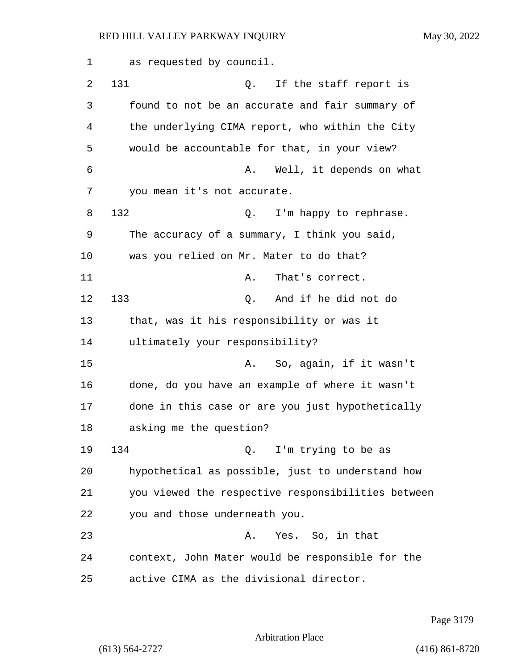1 as requested by council. 2 131 Q. If the staff report is 3 found to not be an accurate and fair summary of 4 the underlying CIMA report, who within the City 5 would be accountable for that, in your view? 6 A. Well, it depends on what 7 you mean it's not accurate. 8 132 Q. I'm happy to rephrase. 9 The accuracy of a summary, I think you said, 10 was you relied on Mr. Mater to do that? 11 A. That's correct. 12 133 Q. And if he did not do 13 that, was it his responsibility or was it 14 ultimately your responsibility? 15 A. So, again, if it wasn't 16 done, do you have an example of where it wasn't 17 done in this case or are you just hypothetically 18 asking me the question? 19 134 Q. I'm trying to be as 20 hypothetical as possible, just to understand how 21 you viewed the respective responsibilities between 22 you and those underneath you. 23 A. Yes. So, in that 24 context, John Mater would be responsible for the 25 active CIMA as the divisional director.

Page 3179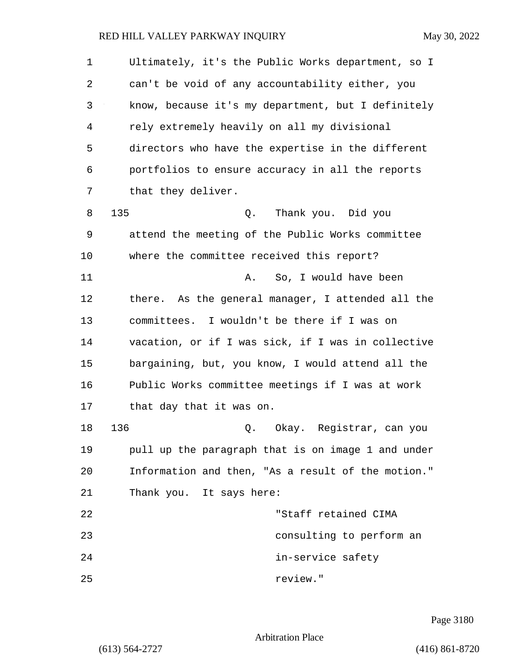| 1  | Ultimately, it's the Public Works department, so I |  |  |  |  |
|----|----------------------------------------------------|--|--|--|--|
| 2  | can't be void of any accountability either, you    |  |  |  |  |
| 3  | know, because it's my department, but I definitely |  |  |  |  |
| 4  | rely extremely heavily on all my divisional        |  |  |  |  |
| 5  | directors who have the expertise in the different  |  |  |  |  |
| 6  | portfolios to ensure accuracy in all the reports   |  |  |  |  |
| 7  | that they deliver.                                 |  |  |  |  |
| 8  | 135<br>Thank you. Did you<br>Q.                    |  |  |  |  |
| 9  | attend the meeting of the Public Works committee   |  |  |  |  |
| 10 | where the committee received this report?          |  |  |  |  |
| 11 | So, I would have been<br>Α.                        |  |  |  |  |
| 12 | there. As the general manager, I attended all the  |  |  |  |  |
| 13 | committees. I wouldn't be there if I was on        |  |  |  |  |
| 14 | vacation, or if I was sick, if I was in collective |  |  |  |  |
| 15 | bargaining, but, you know, I would attend all the  |  |  |  |  |
| 16 | Public Works committee meetings if I was at work   |  |  |  |  |
| 17 | that day that it was on.                           |  |  |  |  |
| 18 | 136<br>Q. Okay. Registrar, can you                 |  |  |  |  |
| 19 | pull up the paragraph that is on image 1 and under |  |  |  |  |
| 20 | Information and then, "As a result of the motion." |  |  |  |  |
| 21 | Thank you. It says here:                           |  |  |  |  |
| 22 | "Staff retained CIMA                               |  |  |  |  |
| 23 | consulting to perform an                           |  |  |  |  |
| 24 | in-service safety                                  |  |  |  |  |
| 25 | review."                                           |  |  |  |  |

Page 3180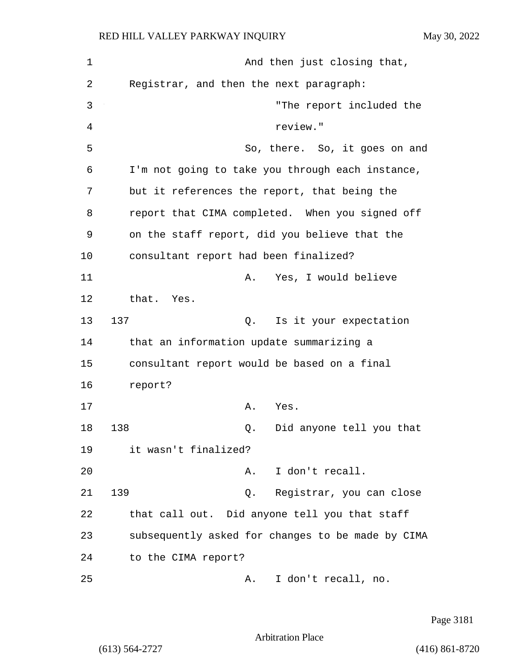| $\mathbf 1$ | And then just closing that,                       |  |  |  |
|-------------|---------------------------------------------------|--|--|--|
| 2           | Registrar, and then the next paragraph:           |  |  |  |
| 3           | "The report included the                          |  |  |  |
| 4           | review."                                          |  |  |  |
| 5           | So, there. So, it goes on and                     |  |  |  |
| 6           | I'm not going to take you through each instance,  |  |  |  |
| 7           | but it references the report, that being the      |  |  |  |
| 8           | report that CIMA completed. When you signed off   |  |  |  |
| 9           | on the staff report, did you believe that the     |  |  |  |
| 10          | consultant report had been finalized?             |  |  |  |
| 11          | Yes, I would believe<br>Α.                        |  |  |  |
| 12          | that. Yes.                                        |  |  |  |
| 13          | 137<br>Is it your expectation<br>Q.               |  |  |  |
| 14          | that an information update summarizing a          |  |  |  |
| 15          | consultant report would be based on a final       |  |  |  |
| 16          | report?                                           |  |  |  |
| 17          | Α.<br>Yes.                                        |  |  |  |
| 18          | 138<br>Did anyone tell you that<br>Q.             |  |  |  |
| 19          | it wasn't finalized?                              |  |  |  |
| 20          | I don't recall.<br>Α.                             |  |  |  |
| 21          | 139<br>Registrar, you can close<br>О.             |  |  |  |
| 22          | that call out. Did anyone tell you that staff     |  |  |  |
| 23          | subsequently asked for changes to be made by CIMA |  |  |  |
| 24          | to the CIMA report?                               |  |  |  |
| 25          | I don't recall, no.<br>Α.                         |  |  |  |

Page 3181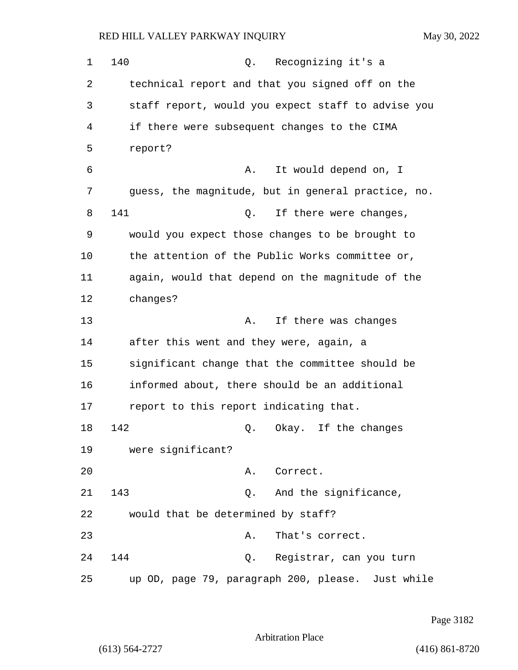1 140 Q. Recognizing it's a 2 technical report and that you signed off on the 3 staff report, would you expect staff to advise you 4 if there were subsequent changes to the CIMA 5 report? 6 A. It would depend on, I 7 guess, the magnitude, but in general practice, no. 8 141 Q. If there were changes, 9 would you expect those changes to be brought to 10 the attention of the Public Works committee or, 11 again, would that depend on the magnitude of the 12 changes? 13 A. If there was changes 14 after this went and they were, again, a 15 significant change that the committee should be 16 informed about, there should be an additional 17 report to this report indicating that. 18 142 Q. Okay. If the changes 19 were significant? 20 A. Correct. 21 143 Q. And the significance, 22 would that be determined by staff? 23 A. That's correct. 24 144 Q. Registrar, can you turn 25 up OD, page 79, paragraph 200, please. Just while

Page 3182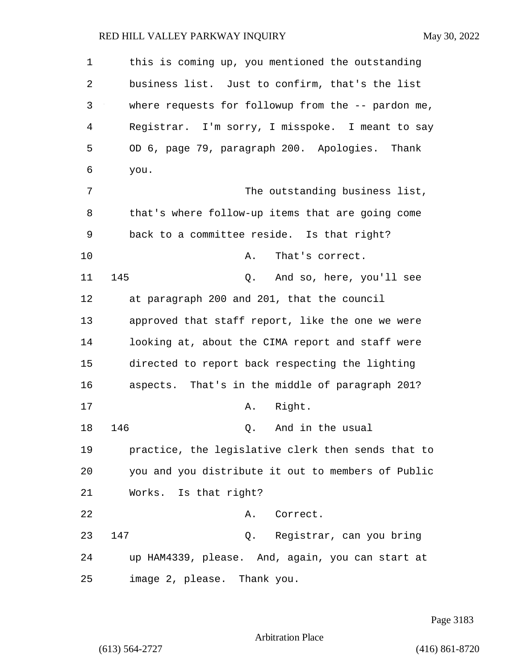1 this is coming up, you mentioned the outstanding 2 business list. Just to confirm, that's the list 3 where requests for followup from the -- pardon me, 4 Registrar. I'm sorry, I misspoke. I meant to say 5 OD 6, page 79, paragraph 200. Apologies. Thank 6 you. 7 The outstanding business list, 8 that's where follow-up items that are going come 9 back to a committee reside. Is that right? 10 A. That's correct. 11 145 Q. And so, here, you'll see 12 at paragraph 200 and 201, that the council 13 approved that staff report, like the one we were 14 looking at, about the CIMA report and staff were 15 directed to report back respecting the lighting 16 aspects. That's in the middle of paragraph 201? 17 A. Right. 18 146 C. And in the usual 19 practice, the legislative clerk then sends that to 20 you and you distribute it out to members of Public 21 Works. Is that right? 22 A. Correct. 23 147 Q. Registrar, can you bring 24 up HAM4339, please. And, again, you can start at 25 image 2, please. Thank you.

Page 3183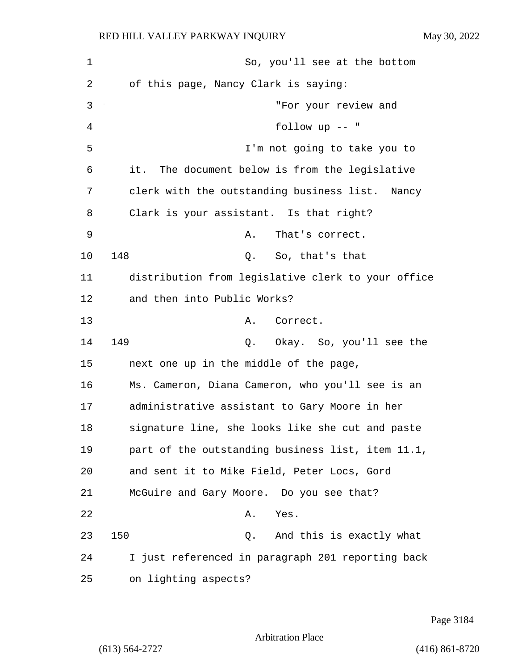1 So, you'll see at the bottom 2 of this page, Nancy Clark is saying: 3 "For your review and 4 follow up -- " 5 I'm not going to take you to 6 it. The document below is from the legislative 7 clerk with the outstanding business list. Nancy 8 Clark is your assistant. Is that right? 9 A. That's correct. 10 148 Q. So, that's that 11 distribution from legislative clerk to your office 12 and then into Public Works? 13 A. Correct. 14 149 Q. Okay. So, you'll see the 15 next one up in the middle of the page, 16 Ms. Cameron, Diana Cameron, who you'll see is an 17 administrative assistant to Gary Moore in her 18 signature line, she looks like she cut and paste 19 part of the outstanding business list, item 11.1, 20 and sent it to Mike Field, Peter Locs, Gord 21 McGuire and Gary Moore. Do you see that? 22 A. Yes. 23 150 Q. And this is exactly what 24 I just referenced in paragraph 201 reporting back 25 on lighting aspects?

Page 3184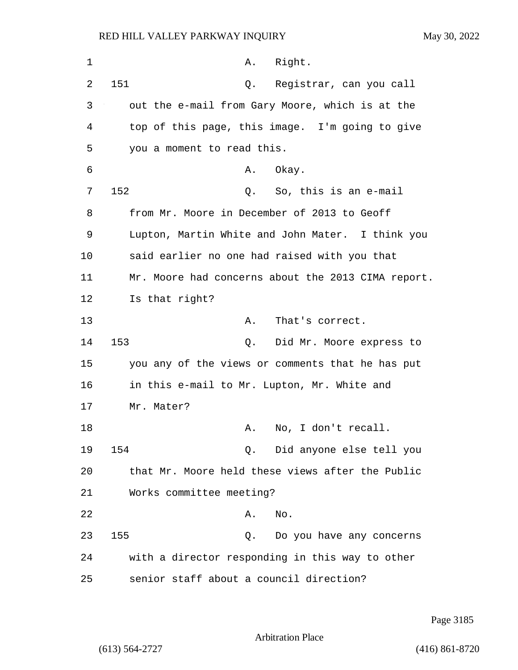| 1  | Right.<br>Α.                                       |
|----|----------------------------------------------------|
| 2  | 151<br>Registrar, can you call<br>Q.               |
| 3  | out the e-mail from Gary Moore, which is at the    |
| 4  | top of this page, this image. I'm going to give    |
| 5  | you a moment to read this.                         |
| 6  | Okay.<br>Α.                                        |
| 7  | 152<br>Q. So, this is an e-mail                    |
| 8  | from Mr. Moore in December of 2013 to Geoff        |
| 9  | Lupton, Martin White and John Mater. I think you   |
| 10 | said earlier no one had raised with you that       |
| 11 | Mr. Moore had concerns about the 2013 CIMA report. |
| 12 | Is that right?                                     |
| 13 | That's correct.<br>Α.                              |
| 14 | 153<br>Did Mr. Moore express to<br>Q.              |
| 15 | you any of the views or comments that he has put   |
| 16 | in this e-mail to Mr. Lupton, Mr. White and        |
| 17 | Mr. Mater?                                         |
| 18 | No, I don't recall.<br>Α.                          |
| 19 | 154<br>Did anyone else tell you<br>Q.              |
| 20 | that Mr. Moore held these views after the Public   |
| 21 | Works committee meeting?                           |
| 22 | No.<br>Α.                                          |
| 23 | 155<br>Do you have any concerns<br>Q.              |
| 24 | with a director responding in this way to other    |
| 25 | senior staff about a council direction?            |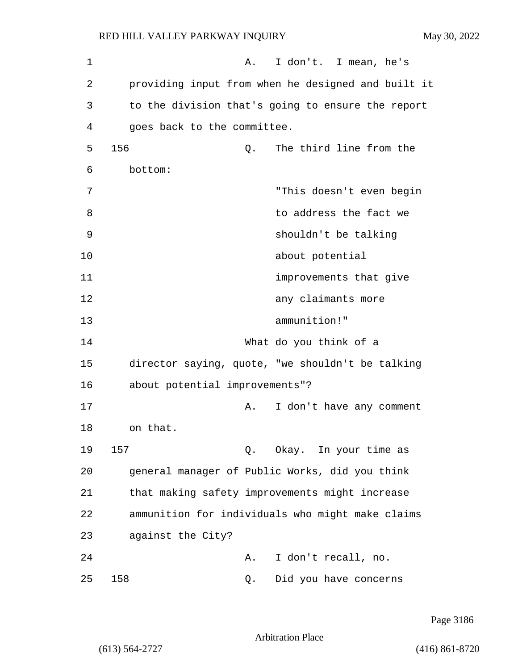| 1  | I don't. I mean, he's<br>Α.                        |
|----|----------------------------------------------------|
| 2  | providing input from when he designed and built it |
| 3  | to the division that's going to ensure the report  |
| 4  | goes back to the committee.                        |
| 5  | 156<br>The third line from the<br>Q.               |
| 6  | bottom:                                            |
| 7  | "This doesn't even begin                           |
| 8  | to address the fact we                             |
| 9  | shouldn't be talking                               |
| 10 | about potential                                    |
| 11 | improvements that give                             |
| 12 | any claimants more                                 |
| 13 | ammunition!"                                       |
| 14 | What do you think of a                             |
| 15 | director saying, quote, "we shouldn't be talking   |
| 16 | about potential improvements"?                     |
| 17 | I don't have any comment<br>Α.                     |
| 18 | on that.                                           |
| 19 | 157<br>Okay. In your time as<br>Q.                 |
| 20 | general manager of Public Works, did you think     |
| 21 | that making safety improvements might increase     |
| 22 | ammunition for individuals who might make claims   |
| 23 | against the City?                                  |
| 24 | I don't recall, no.<br>Α.                          |
| 25 | 158<br>Did you have concerns<br>Q.                 |

Page 3186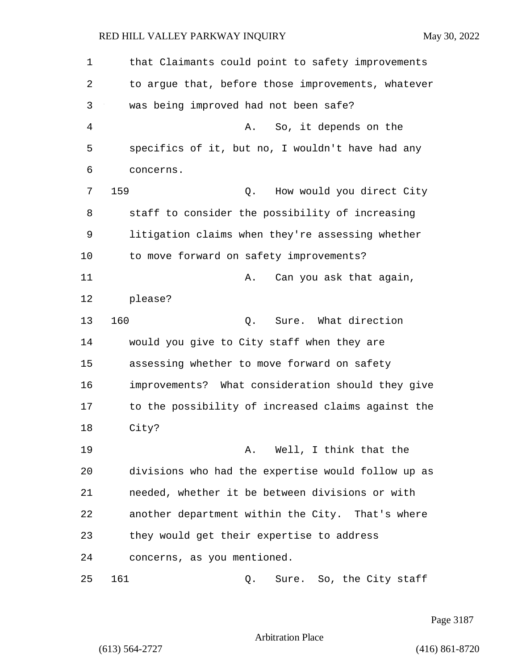1 that Claimants could point to safety improvements 2 to argue that, before those improvements, whatever 3 was being improved had not been safe? 4 A. So, it depends on the 5 specifics of it, but no, I wouldn't have had any 6 concerns. 7 159 Q. How would you direct City 8 staff to consider the possibility of increasing 9 litigation claims when they're assessing whether 10 to move forward on safety improvements? 11 A. Can you ask that again, 12 please? 13 160 C. Sure. What direction 14 would you give to City staff when they are 15 assessing whether to move forward on safety 16 improvements? What consideration should they give 17 to the possibility of increased claims against the 18 City? 19 **A.** Well, I think that the 20 divisions who had the expertise would follow up as 21 needed, whether it be between divisions or with 22 another department within the City. That's where 23 they would get their expertise to address 24 concerns, as you mentioned. 25 161 Q. Sure. So, the City staff

Page 3187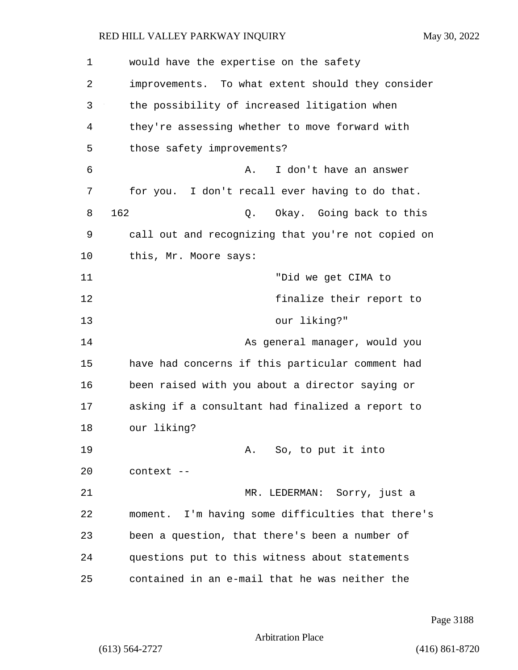| 1  | would have the expertise on the safety             |  |  |  |
|----|----------------------------------------------------|--|--|--|
| 2  | improvements. To what extent should they consider  |  |  |  |
| 3  | the possibility of increased litigation when       |  |  |  |
| 4  | they're assessing whether to move forward with     |  |  |  |
| 5  | those safety improvements?                         |  |  |  |
| 6  | I don't have an answer<br>Α.                       |  |  |  |
| 7  | for you. I don't recall ever having to do that.    |  |  |  |
| 8  | 162<br>Okay. Going back to this<br>Q.              |  |  |  |
| 9  | call out and recognizing that you're not copied on |  |  |  |
| 10 | this, Mr. Moore says:                              |  |  |  |
| 11 | "Did we get CIMA to                                |  |  |  |
| 12 | finalize their report to                           |  |  |  |
| 13 | our liking?"                                       |  |  |  |
| 14 | As general manager, would you                      |  |  |  |
| 15 | have had concerns if this particular comment had   |  |  |  |
| 16 | been raised with you about a director saying or    |  |  |  |
| 17 | asking if a consultant had finalized a report to   |  |  |  |
| 18 | our liking?                                        |  |  |  |
| 19 | A. So, to put it into                              |  |  |  |
| 20 | context --                                         |  |  |  |
| 21 | MR. LEDERMAN: Sorry, just a                        |  |  |  |
| 22 | moment. I'm having some difficulties that there's  |  |  |  |
| 23 | been a question, that there's been a number of     |  |  |  |
| 24 | questions put to this witness about statements     |  |  |  |
| 25 | contained in an e-mail that he was neither the     |  |  |  |

Page 3188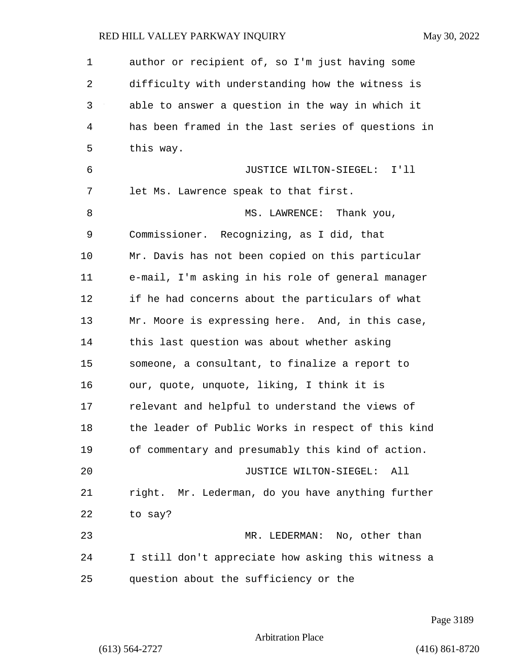| $\mathbf 1$ | author or recipient of, so I'm just having some    |
|-------------|----------------------------------------------------|
| 2           | difficulty with understanding how the witness is   |
| 3           | able to answer a question in the way in which it   |
| 4           | has been framed in the last series of questions in |
| 5           | this way.                                          |
| 6           | JUSTICE WILTON-SIEGEL: I'll                        |
| 7           | let Ms. Lawrence speak to that first.              |
| 8           | MS. LAWRENCE: Thank you,                           |
| 9           | Commissioner. Recognizing, as I did, that          |
| 10          | Mr. Davis has not been copied on this particular   |
| 11          | e-mail, I'm asking in his role of general manager  |
| 12          | if he had concerns about the particulars of what   |
| 13          | Mr. Moore is expressing here. And, in this case,   |
| 14          | this last question was about whether asking        |
| 15          | someone, a consultant, to finalize a report to     |
| 16          | our, quote, unquote, liking, I think it is         |
| 17          | relevant and helpful to understand the views of    |
| 18          | the leader of Public Works in respect of this kind |
| 19          | of commentary and presumably this kind of action.  |
| 20          | JUSTICE WILTON-SIEGEL:<br>All                      |
| 21          | right. Mr. Lederman, do you have anything further  |
| 22          | to say?                                            |
| 23          | MR. LEDERMAN: No, other than                       |
| 24          | I still don't appreciate how asking this witness a |
| 25          | question about the sufficiency or the              |

Page 3189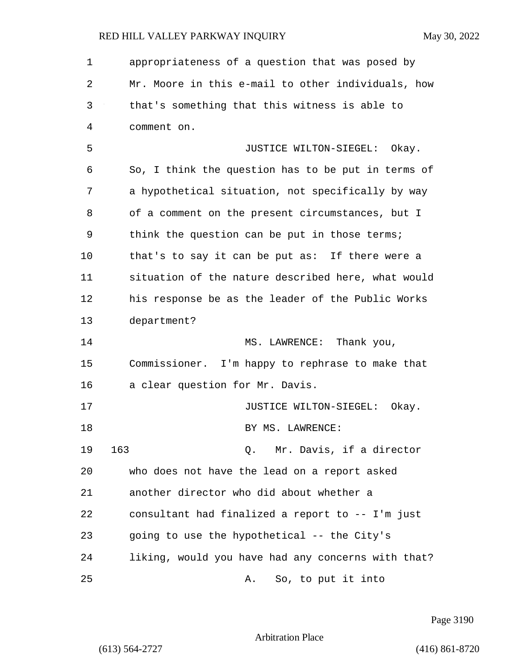1 appropriateness of a question that was posed by 2 Mr. Moore in this e-mail to other individuals, how 3 that's something that this witness is able to 4 comment on. 5 JUSTICE WILTON-SIEGEL: Okay. 6 So, I think the question has to be put in terms of 7 a hypothetical situation, not specifically by way 8 of a comment on the present circumstances, but I 9 think the question can be put in those terms; 10 that's to say it can be put as: If there were a 11 situation of the nature described here, what would 12 his response be as the leader of the Public Works 13 department? 14 MS. LAWRENCE: Thank you, 15 Commissioner. I'm happy to rephrase to make that 16 a clear question for Mr. Davis. 17 **JUSTICE WILTON-SIEGEL:** Okay. 18 BY MS. LAWRENCE: 19 163 Q. Mr. Davis, if a director 20 who does not have the lead on a report asked 21 another director who did about whether a 22 consultant had finalized a report to -- I'm just 23 going to use the hypothetical -- the City's 24 liking, would you have had any concerns with that? 25 A. So, to put it into

Page 3190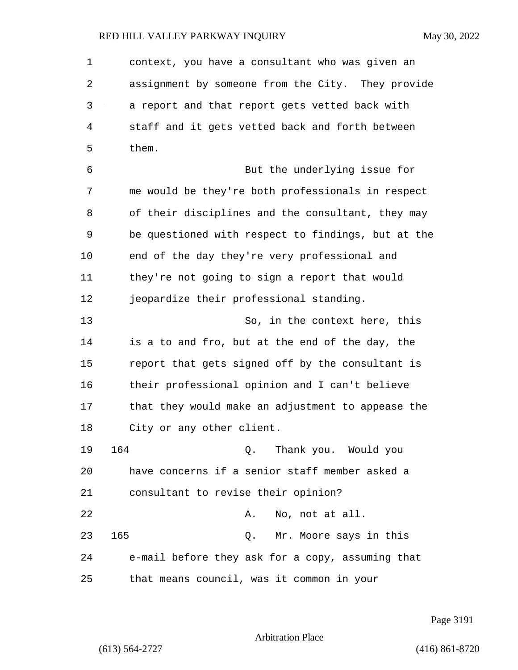1 context, you have a consultant who was given an 2 assignment by someone from the City. They provide 3 a report and that report gets vetted back with 4 staff and it gets vetted back and forth between 5 them. 6 But the underlying issue for 7 me would be they're both professionals in respect 8 of their disciplines and the consultant, they may 9 be questioned with respect to findings, but at the 10 end of the day they're very professional and 11 they're not going to sign a report that would 12 jeopardize their professional standing. 13 So, in the context here, this 14 is a to and fro, but at the end of the day, the 15 report that gets signed off by the consultant is 16 their professional opinion and I can't believe 17 that they would make an adjustment to appease the 18 City or any other client. 19 164 Q. Thank you. Would you 20 have concerns if a senior staff member asked a 21 consultant to revise their opinion? 22 A. No, not at all. 23 165 Q. Mr. Moore says in this 24 e-mail before they ask for a copy, assuming that 25 that means council, was it common in your

Page 3191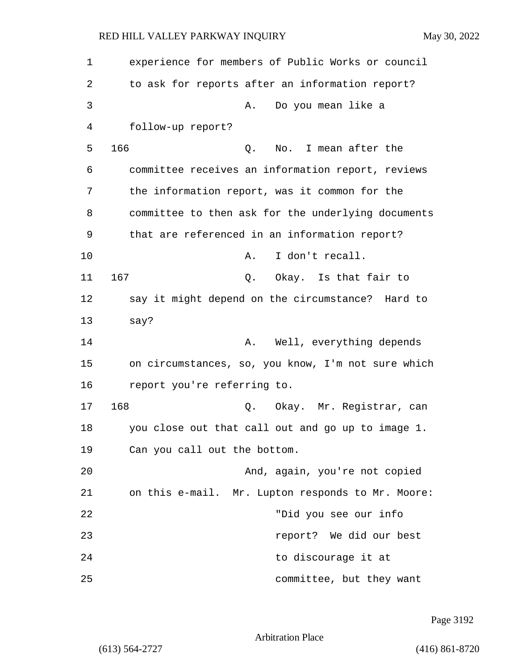| 1  | experience for members of Public Works or council  |
|----|----------------------------------------------------|
| 2  | to ask for reports after an information report?    |
| 3  | Do you mean like a<br>Α.                           |
| 4  | follow-up report?                                  |
| 5  | 166<br>No. I mean after the<br>Q.                  |
| 6  | committee receives an information report, reviews  |
| 7  | the information report, was it common for the      |
| 8  | committee to then ask for the underlying documents |
| 9  | that are referenced in an information report?      |
| 10 | I don't recall.<br>Α.                              |
| 11 | 167<br>Q. Okay. Is that fair to                    |
| 12 | say it might depend on the circumstance? Hard to   |
| 13 | say?                                               |
| 14 | Well, everything depends<br>Α.                     |
| 15 | on circumstances, so, you know, I'm not sure which |
| 16 | report you're referring to.                        |
| 17 | 168<br>Q. Okay. Mr. Registrar, can                 |
| 18 | you close out that call out and go up to image 1.  |
| 19 | Can you call out the bottom.                       |
| 20 | And, again, you're not copied                      |
| 21 | on this e-mail. Mr. Lupton responds to Mr. Moore:  |
| 22 | "Did you see our info                              |
| 23 | report? We did our best                            |
| 24 | to discourage it at                                |
| 25 | committee, but they want                           |

Page 3192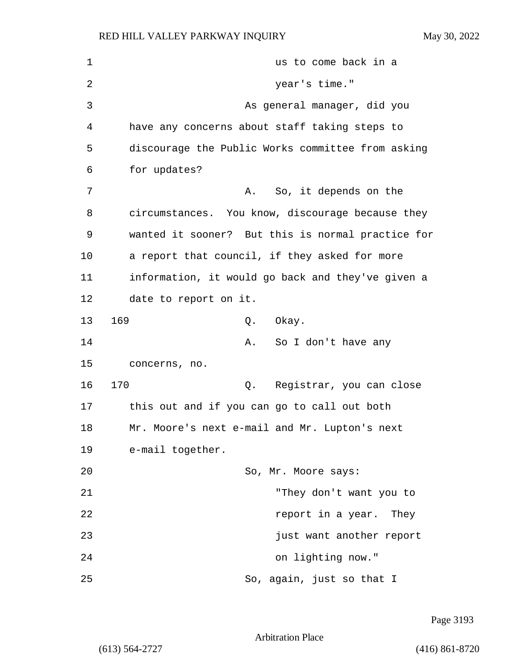| 1  | us to come back in a                              |  |  |  |
|----|---------------------------------------------------|--|--|--|
| 2  | year's time."                                     |  |  |  |
| 3  | As general manager, did you                       |  |  |  |
| 4  | have any concerns about staff taking steps to     |  |  |  |
| 5  | discourage the Public Works committee from asking |  |  |  |
| 6  | for updates?                                      |  |  |  |
| 7  | So, it depends on the<br>Α.                       |  |  |  |
| 8  | circumstances. You know, discourage because they  |  |  |  |
| 9  | wanted it sooner? But this is normal practice for |  |  |  |
| 10 | a report that council, if they asked for more     |  |  |  |
| 11 | information, it would go back and they've given a |  |  |  |
| 12 | date to report on it.                             |  |  |  |
| 13 | 169<br>Okay.<br>Q.                                |  |  |  |
| 14 | So I don't have any<br>Α.                         |  |  |  |
| 15 | concerns, no.                                     |  |  |  |
| 16 | 170<br>Registrar, you can close<br>Q.             |  |  |  |
| 17 | this out and if you can go to call out both       |  |  |  |
| 18 | Mr. Moore's next e-mail and Mr. Lupton's next     |  |  |  |
| 19 | e-mail together.                                  |  |  |  |
| 20 | So, Mr. Moore says:                               |  |  |  |
| 21 | "They don't want you to                           |  |  |  |
| 22 | report in a year. They                            |  |  |  |
| 23 | just want another report                          |  |  |  |
| 24 | on lighting now."                                 |  |  |  |
| 25 | So, again, just so that I                         |  |  |  |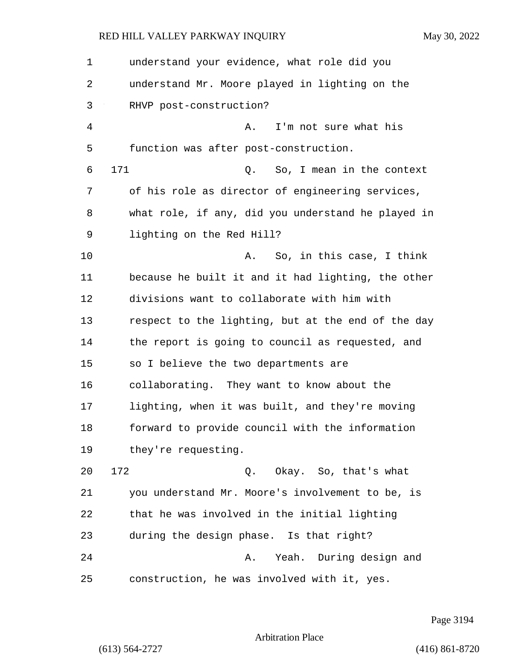| 1  | understand your evidence, what role did you        |  |  |  |  |
|----|----------------------------------------------------|--|--|--|--|
| 2  | understand Mr. Moore played in lighting on the     |  |  |  |  |
| 3  | RHVP post-construction?                            |  |  |  |  |
| 4  | I'm not sure what his<br>Α.                        |  |  |  |  |
| 5  | function was after post-construction.              |  |  |  |  |
| 6  | 171<br>So, I mean in the context<br>Q.             |  |  |  |  |
| 7  | of his role as director of engineering services,   |  |  |  |  |
| 8  | what role, if any, did you understand he played in |  |  |  |  |
| 9  | lighting on the Red Hill?                          |  |  |  |  |
| 10 | So, in this case, I think<br>Α.                    |  |  |  |  |
| 11 | because he built it and it had lighting, the other |  |  |  |  |
| 12 | divisions want to collaborate with him with        |  |  |  |  |
| 13 | respect to the lighting, but at the end of the day |  |  |  |  |
| 14 | the report is going to council as requested, and   |  |  |  |  |
| 15 | so I believe the two departments are               |  |  |  |  |
| 16 | collaborating. They want to know about the         |  |  |  |  |
| 17 | lighting, when it was built, and they're moving    |  |  |  |  |
| 18 | forward to provide council with the information    |  |  |  |  |
| 19 | they're requesting.                                |  |  |  |  |
| 20 | 172<br>Q. Okay. So, that's what                    |  |  |  |  |
| 21 | you understand Mr. Moore's involvement to be, is   |  |  |  |  |
| 22 | that he was involved in the initial lighting       |  |  |  |  |
| 23 | during the design phase. Is that right?            |  |  |  |  |
| 24 | Yeah. During design and<br>Α.                      |  |  |  |  |
| 25 | construction, he was involved with it, yes.        |  |  |  |  |

Page 3194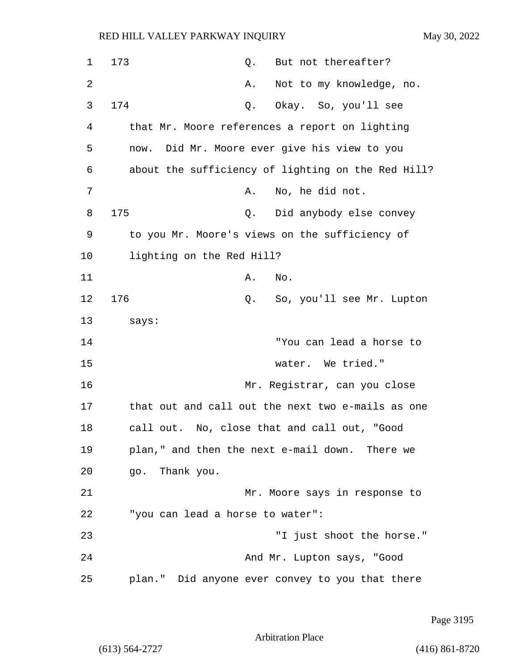| $\mathbf 1$    | 173<br>But not thereafter?<br>Q.                   |
|----------------|----------------------------------------------------|
| $\overline{2}$ | Not to my knowledge, no.<br>Α.                     |
| 3              | 174<br>Okay. So, you'll see<br>Q.                  |
| 4              | that Mr. Moore references a report on lighting     |
| 5              | Did Mr. Moore ever give his view to you<br>now.    |
| 6              | about the sufficiency of lighting on the Red Hill? |
| 7              | No, he did not.<br>Α.                              |
| 8              | 175<br>Did anybody else convey<br>Q.               |
| 9              | to you Mr. Moore's views on the sufficiency of     |
| 10             | lighting on the Red Hill?                          |
| 11             | No.<br>Α.                                          |
| 12             | 176<br>So, you'll see Mr. Lupton<br>Q.             |
| 13             | says:                                              |
| 14             | "You can lead a horse to                           |
| 15             | water. We tried."                                  |
| 16             | Mr. Registrar, can you close                       |
| 17             | that out and call out the next two e-mails as one  |
| 18             | call out. No, close that and call out, "Good       |
| 19             | plan," and then the next e-mail down. There we     |
| 20             | go. Thank you.                                     |
| 21             | Mr. Moore says in response to                      |
| 22             | "you can lead a horse to water":                   |
| 23             | "I just shoot the horse."                          |
| 24             | And Mr. Lupton says, "Good                         |
| 25             | plan." Did anyone ever convey to you that there    |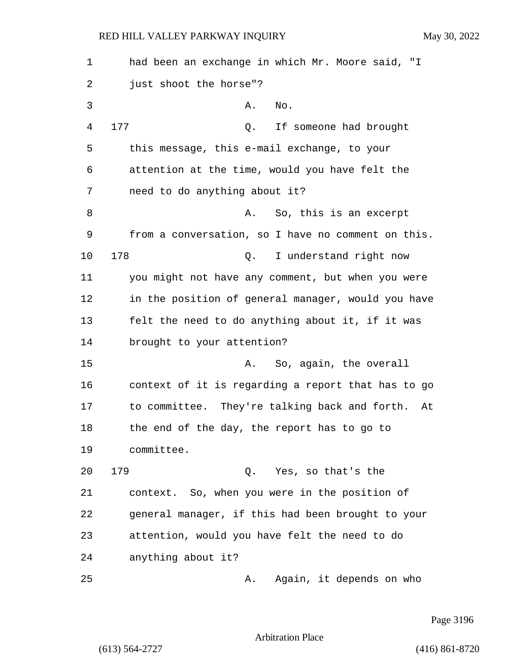| 1  | had been an exchange in which Mr. Moore said, "I    |  |  |  |  |
|----|-----------------------------------------------------|--|--|--|--|
| 2  | just shoot the horse"?                              |  |  |  |  |
| 3  | No.<br>Α.                                           |  |  |  |  |
| 4  | 177<br>If someone had brought<br>Q.                 |  |  |  |  |
| 5  | this message, this e-mail exchange, to your         |  |  |  |  |
| 6  | attention at the time, would you have felt the      |  |  |  |  |
| 7  | need to do anything about it?                       |  |  |  |  |
| 8  | So, this is an excerpt<br>Α.                        |  |  |  |  |
| 9  | from a conversation, so I have no comment on this.  |  |  |  |  |
| 10 | 178<br>I understand right now<br>Q.                 |  |  |  |  |
| 11 | you might not have any comment, but when you were   |  |  |  |  |
| 12 | in the position of general manager, would you have  |  |  |  |  |
| 13 | felt the need to do anything about it, if it was    |  |  |  |  |
| 14 | brought to your attention?                          |  |  |  |  |
| 15 | So, again, the overall<br>Α.                        |  |  |  |  |
| 16 | context of it is regarding a report that has to go  |  |  |  |  |
| 17 | to committee. They're talking back and forth.<br>At |  |  |  |  |
| 18 | the end of the day, the report has to go to         |  |  |  |  |
| 19 | committee.                                          |  |  |  |  |
| 20 | 179<br>Q. Yes, so that's the                        |  |  |  |  |
| 21 | context. So, when you were in the position of       |  |  |  |  |
| 22 | general manager, if this had been brought to your   |  |  |  |  |
| 23 | attention, would you have felt the need to do       |  |  |  |  |
| 24 | anything about it?                                  |  |  |  |  |
| 25 | Again, it depends on who<br>Α.                      |  |  |  |  |

Page 3196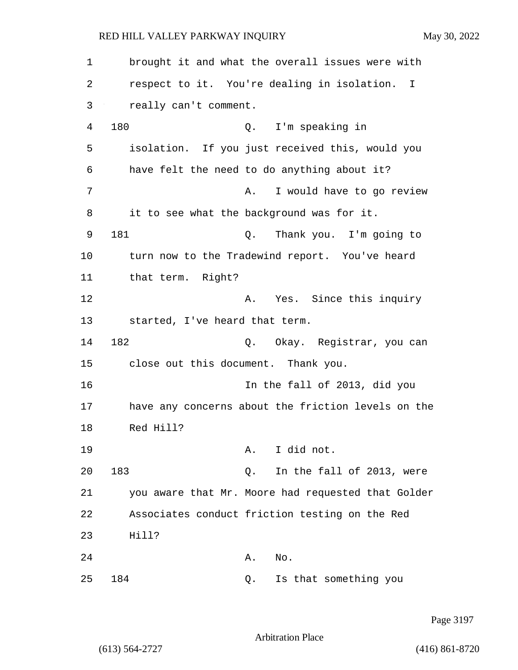1 brought it and what the overall issues were with 2 respect to it. You're dealing in isolation. I 3 really can't comment. 4 180 Q. I'm speaking in 5 isolation. If you just received this, would you 6 have felt the need to do anything about it? 7 A. I would have to go review 8 it to see what the background was for it. 9 181 Q. Thank you. I'm going to 10 turn now to the Tradewind report. You've heard 11 that term. Right? 12 A. Yes. Since this inquiry 13 started, I've heard that term. 14 182 Q. Okay. Registrar, you can 15 close out this document. Thank you. 16 In the fall of 2013, did you 17 have any concerns about the friction levels on the 18 Red Hill? 19 A. I did not. 20 183 Q. In the fall of 2013, were 21 you aware that Mr. Moore had requested that Golder 22 Associates conduct friction testing on the Red 23 Hill? 24 A. No. 25 184 Q. Is that something you

Page 3197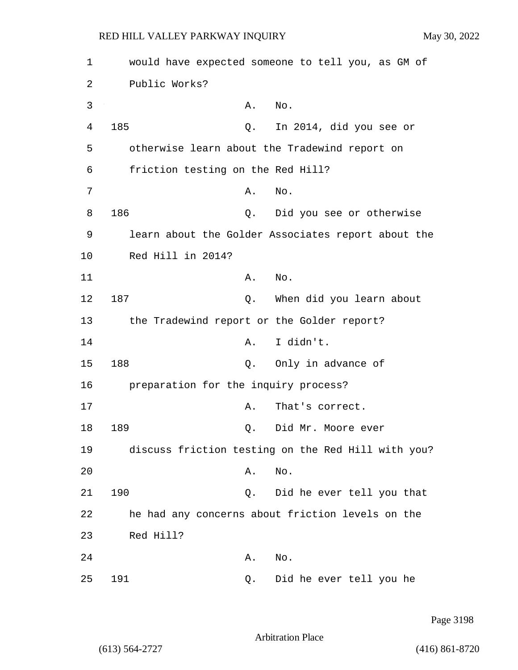| 1  |                                                    |    | would have expected someone to tell you, as GM of  |  |  |
|----|----------------------------------------------------|----|----------------------------------------------------|--|--|
| 2  | Public Works?                                      |    |                                                    |  |  |
| 3  |                                                    | Α. | No.                                                |  |  |
| 4  | 185                                                | Q. | In 2014, did you see or                            |  |  |
| 5  |                                                    |    | otherwise learn about the Tradewind report on      |  |  |
| 6  | friction testing on the Red Hill?                  |    |                                                    |  |  |
| 7  |                                                    | Α. | No.                                                |  |  |
| 8  | 186                                                | Q. | Did you see or otherwise                           |  |  |
| 9  | learn about the Golder Associates report about the |    |                                                    |  |  |
| 10 | Red Hill in 2014?                                  |    |                                                    |  |  |
| 11 |                                                    | Α. | No.                                                |  |  |
| 12 | 187                                                | Q. | When did you learn about                           |  |  |
| 13 |                                                    |    | the Tradewind report or the Golder report?         |  |  |
| 14 |                                                    | Α. | I didn't.                                          |  |  |
| 15 | 188                                                | Q. | Only in advance of                                 |  |  |
| 16 | preparation for the inquiry process?               |    |                                                    |  |  |
| 17 |                                                    | Α. | That's correct.                                    |  |  |
| 18 | 189                                                | Q. | Did Mr. Moore ever                                 |  |  |
| 19 |                                                    |    | discuss friction testing on the Red Hill with you? |  |  |
| 20 |                                                    | Α. | No.                                                |  |  |
| 21 | 190                                                | Q. | Did he ever tell you that                          |  |  |
| 22 |                                                    |    | he had any concerns about friction levels on the   |  |  |
| 23 | Red Hill?                                          |    |                                                    |  |  |
| 24 |                                                    | Α. | No.                                                |  |  |
| 25 | 191                                                | Q. | Did he ever tell you he                            |  |  |

Page 3198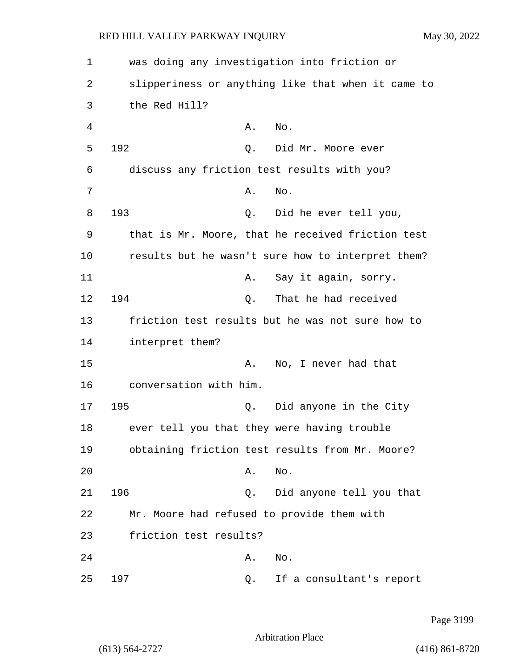1 was doing any investigation into friction or 2 slipperiness or anything like that when it came to 3 the Red Hill? 4 A. No. 5 192 Q. Did Mr. Moore ever 6 discuss any friction test results with you? 7 A. No. 8 193 Q. Did he ever tell you, 9 that is Mr. Moore, that he received friction test 10 results but he wasn't sure how to interpret them? 11 A. Say it again, sorry. 12 194 Q. That he had received 13 friction test results but he was not sure how to 14 interpret them? 15 A. No, I never had that 16 conversation with him. 17 195 Q. Did anyone in the City 18 ever tell you that they were having trouble 19 obtaining friction test results from Mr. Moore? 20 A. No. 21 196 Q. Did anyone tell you that 22 Mr. Moore had refused to provide them with 23 friction test results? 24 A. No. 25 197 Q. If a consultant's report

Page 3199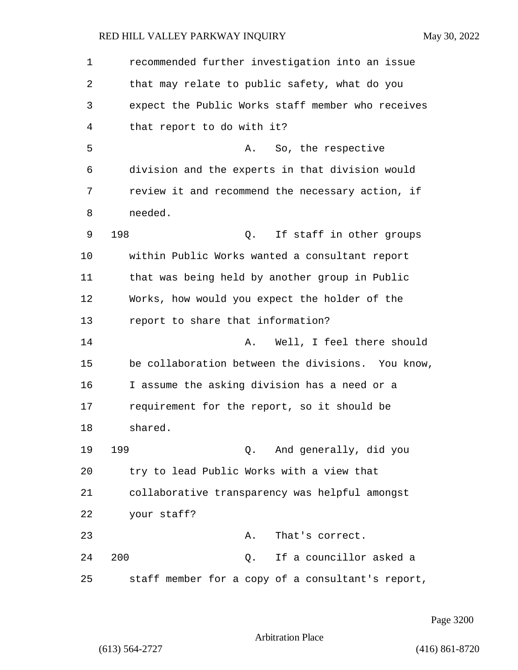| 1  | recommended further investigation into an issue   |
|----|---------------------------------------------------|
| 2  | that may relate to public safety, what do you     |
| 3  | expect the Public Works staff member who receives |
| 4  | that report to do with it?                        |
| 5  | A. So, the respective                             |
| 6  | division and the experts in that division would   |
| 7  | review it and recommend the necessary action, if  |
| 8  | needed.                                           |
| 9  | 198<br>If staff in other groups<br>Q.             |
| 10 | within Public Works wanted a consultant report    |
| 11 | that was being held by another group in Public    |
| 12 | Works, how would you expect the holder of the     |
| 13 | report to share that information?                 |
| 14 | Well, I feel there should<br>Α.                   |
| 15 | be collaboration between the divisions. You know, |
| 16 | I assume the asking division has a need or a      |
| 17 | requirement for the report, so it should be       |
| 18 | shared.                                           |
| 19 | 199<br>Q. And generally, did you                  |
| 20 | try to lead Public Works with a view that         |
| 21 | collaborative transparency was helpful amongst    |
| 22 | your staff?                                       |
| 23 | That's correct.<br>Α.                             |
| 24 | 200<br>If a councillor asked a<br>$Q$ .           |
| 25 | staff member for a copy of a consultant's report, |

Page 3200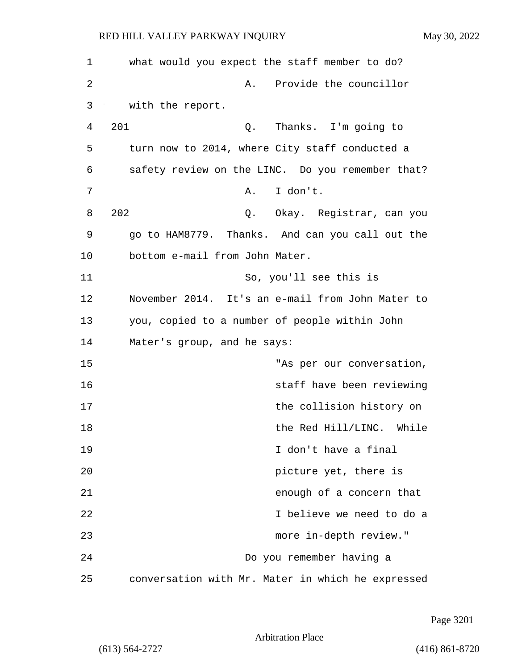| 1  | what would you expect the staff member to do?     |
|----|---------------------------------------------------|
| 2  | Provide the councillor<br>Α.                      |
| 3  | with the report.                                  |
| 4  | 201<br>Thanks. I'm going to<br>Q.                 |
| 5  | turn now to 2014, where City staff conducted a    |
| 6  | safety review on the LINC. Do you remember that?  |
| 7  | I don't.<br>Α.                                    |
| 8  | 202<br>Q. Okay. Registrar, can you                |
| 9  | go to HAM8779. Thanks. And can you call out the   |
| 10 | bottom e-mail from John Mater.                    |
| 11 | So, you'll see this is                            |
| 12 | November 2014. It's an e-mail from John Mater to  |
| 13 | you, copied to a number of people within John     |
| 14 | Mater's group, and he says:                       |
| 15 | "As per our conversation,                         |
| 16 | staff have been reviewing                         |
| 17 | the collision history on                          |
| 18 | the Red Hill/LINC. While                          |
| 19 | I don't have a final                              |
| 20 | picture yet, there is                             |
| 21 | enough of a concern that                          |
| 22 | I believe we need to do a                         |
| 23 | more in-depth review."                            |
| 24 | Do you remember having a                          |
| 25 | conversation with Mr. Mater in which he expressed |

Page 3201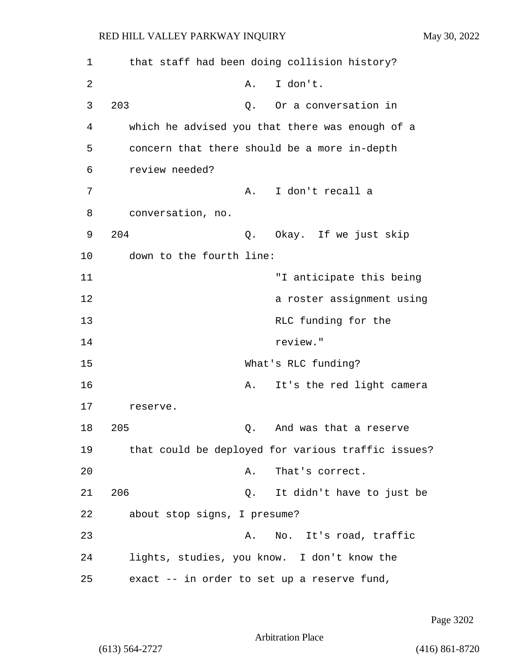| 1  | that staff had been doing collision history?       |
|----|----------------------------------------------------|
| 2  | I don't.<br>Α.                                     |
| 3  | 203<br>Or a conversation in<br>Q.                  |
| 4  | which he advised you that there was enough of a    |
| 5  | concern that there should be a more in-depth       |
| 6  | review needed?                                     |
| 7  | I don't recall a<br>Α.                             |
| 8  | conversation, no.                                  |
| 9  | 204<br>Okay. If we just skip<br>Q.                 |
| 10 | down to the fourth line:                           |
| 11 | "I anticipate this being                           |
| 12 | a roster assignment using                          |
| 13 | RLC funding for the                                |
| 14 | review."                                           |
| 15 | What's RLC funding?                                |
| 16 | It's the red light camera<br>Α.                    |
| 17 | reserve.                                           |
| 18 | 205<br>And was that a reserve<br>Q.                |
| 19 | that could be deployed for various traffic issues? |
| 20 | That's correct.<br>Α.                              |
| 21 | 206<br>It didn't have to just be<br>Q.             |
| 22 | about stop signs, I presume?                       |
| 23 | No. It's road, traffic<br>A.                       |
| 24 | lights, studies, you know. I don't know the        |
| 25 | exact -- in order to set up a reserve fund,        |

Page 3202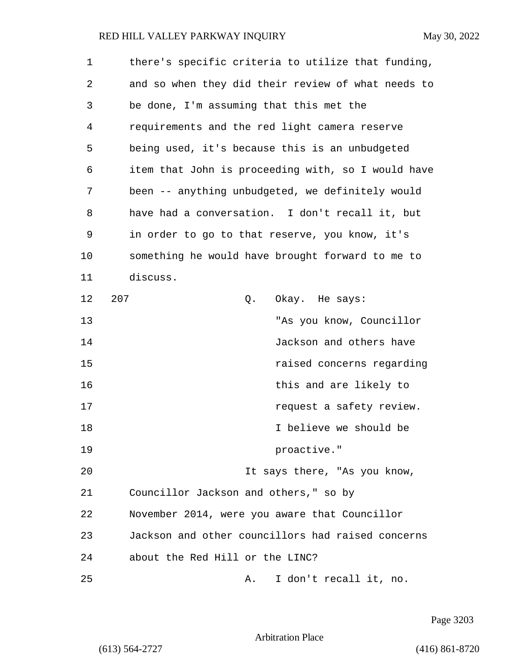| 1  | there's specific criteria to utilize that funding, |
|----|----------------------------------------------------|
| 2  | and so when they did their review of what needs to |
| 3  | be done, I'm assuming that this met the            |
| 4  | requirements and the red light camera reserve      |
| 5  | being used, it's because this is an unbudgeted     |
| 6  | item that John is proceeding with, so I would have |
| 7  | been -- anything unbudgeted, we definitely would   |
| 8  | have had a conversation. I don't recall it, but    |
| 9  | in order to go to that reserve, you know, it's     |
| 10 | something he would have brought forward to me to   |
| 11 | discuss.                                           |
| 12 | 207<br>Okay. He says:<br>Q.                        |
| 13 | "As you know, Councillor                           |
| 14 | Jackson and others have                            |
| 15 | raised concerns regarding                          |
| 16 | this and are likely to                             |
| 17 | request a safety review.                           |
| 18 | I believe we should be                             |
| 19 | proactive."                                        |
| 20 | It says there, "As you know,                       |
| 21 | Councillor Jackson and others," so by              |
| 22 | November 2014, were you aware that Councillor      |
| 23 | Jackson and other councillors had raised concerns  |
| 24 | about the Red Hill or the LINC?                    |
| 25 | I don't recall it, no.<br>Α.                       |

Page 3203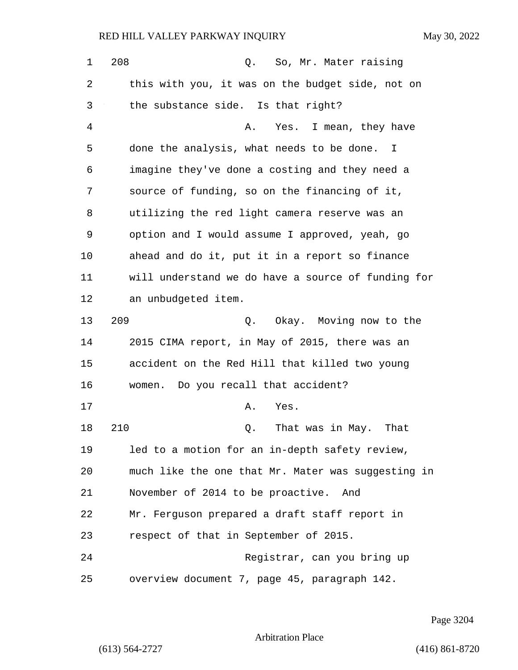| $\mathbf 1$ | 208<br>Q.<br>So, Mr. Mater raising                        |
|-------------|-----------------------------------------------------------|
| 2           | this with you, it was on the budget side, not on          |
| 3           | the substance side. Is that right?                        |
| 4           | Yes. I mean, they have<br>Α.                              |
| 5           | done the analysis, what needs to be done.<br>$\mathbb{I}$ |
| 6           | imagine they've done a costing and they need a            |
| 7           | source of funding, so on the financing of it,             |
| 8           | utilizing the red light camera reserve was an             |
| 9           | option and I would assume I approved, yeah, go            |
| 10          | ahead and do it, put it in a report so finance            |
| 11          | will understand we do have a source of funding for        |
| 12          | an unbudgeted item.                                       |
| 13          | 209<br>Q. Okay. Moving now to the                         |
| 14          | 2015 CIMA report, in May of 2015, there was an            |
| 15          | accident on the Red Hill that killed two young            |
| 16          | women. Do you recall that accident?                       |
| 17          | Yes.<br>Α.                                                |
| 18          | 210<br>That was in May.<br>That<br>Q.                     |
| 19          | led to a motion for an in-depth safety review,            |
| 20          | much like the one that Mr. Mater was suggesting in        |
| 21          | November of 2014 to be proactive.<br>And                  |
| 22          | Mr. Ferguson prepared a draft staff report in             |
| 23          | respect of that in September of 2015.                     |
| 24          | Registrar, can you bring up                               |
| 25          | overview document 7, page 45, paragraph 142.              |

Page 3204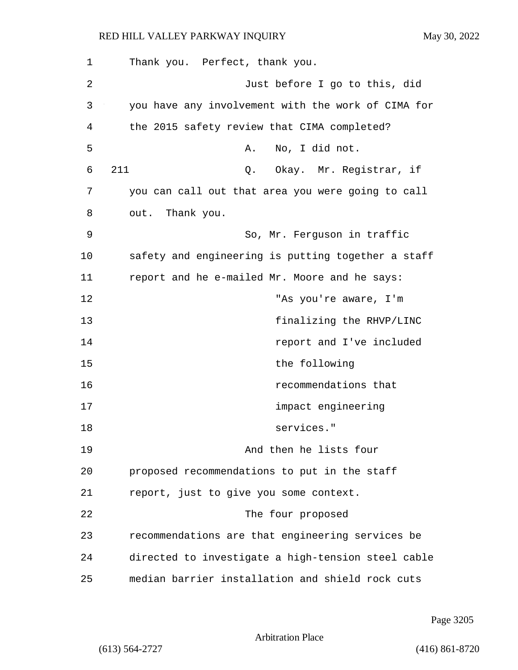| 1  | Thank you. Perfect, thank you.                     |
|----|----------------------------------------------------|
| 2  | Just before I go to this, did                      |
| 3  | you have any involvement with the work of CIMA for |
| 4  | the 2015 safety review that CIMA completed?        |
| 5  | No, I did not.<br>Α.                               |
| 6  | 211<br>Q. Okay. Mr. Registrar, if                  |
| 7  | you can call out that area you were going to call  |
| 8  | out. Thank you.                                    |
| 9  | So, Mr. Ferguson in traffic                        |
| 10 | safety and engineering is putting together a staff |
| 11 | report and he e-mailed Mr. Moore and he says:      |
| 12 | "As you're aware, I'm                              |
| 13 | finalizing the RHVP/LINC                           |
| 14 | report and I've included                           |
| 15 | the following                                      |
| 16 | recommendations that                               |
| 17 | impact engineering                                 |
| 18 | services."                                         |
| 19 | And then he lists four                             |
| 20 | proposed recommendations to put in the staff       |
| 21 | report, just to give you some context.             |
| 22 | The four proposed                                  |
| 23 | recommendations are that engineering services be   |
| 24 | directed to investigate a high-tension steel cable |
| 25 | median barrier installation and shield rock cuts   |

Page 3205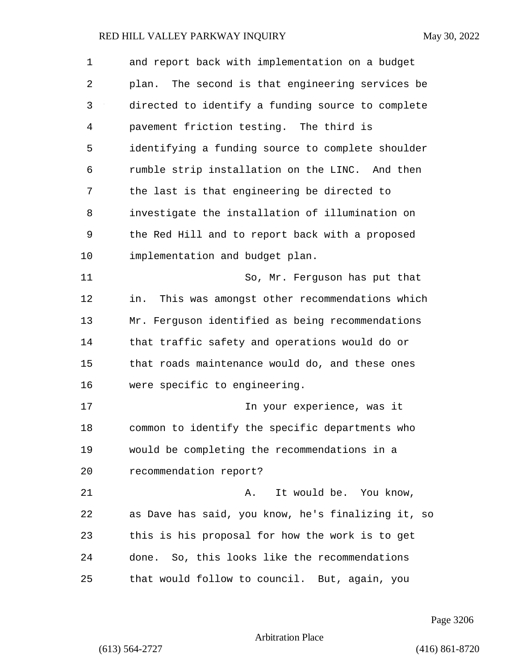| 1  | and report back with implementation on a budget     |
|----|-----------------------------------------------------|
| 2  | plan. The second is that engineering services be    |
| 3  | directed to identify a funding source to complete   |
| 4  | pavement friction testing. The third is             |
| 5  | identifying a funding source to complete shoulder   |
| 6  | rumble strip installation on the LINC. And then     |
| 7  | the last is that engineering be directed to         |
| 8  | investigate the installation of illumination on     |
| 9  | the Red Hill and to report back with a proposed     |
| 10 | implementation and budget plan.                     |
| 11 | So, Mr. Ferguson has put that                       |
| 12 | This was amongst other recommendations which<br>in. |
| 13 | Mr. Ferguson identified as being recommendations    |
| 14 | that traffic safety and operations would do or      |
| 15 | that roads maintenance would do, and these ones     |
| 16 | were specific to engineering.                       |
| 17 | In your experience, was it                          |
| 18 | common to identify the specific departments who     |
| 19 | would be completing the recommendations in a        |
| 20 | recommendation report?                              |
| 21 | It would be. You know,<br>Α.                        |
| 22 | as Dave has said, you know, he's finalizing it, so  |
| 23 | this is his proposal for how the work is to get     |
| 24 | done. So, this looks like the recommendations       |
| 25 | that would follow to council. But, again, you       |

Page 3206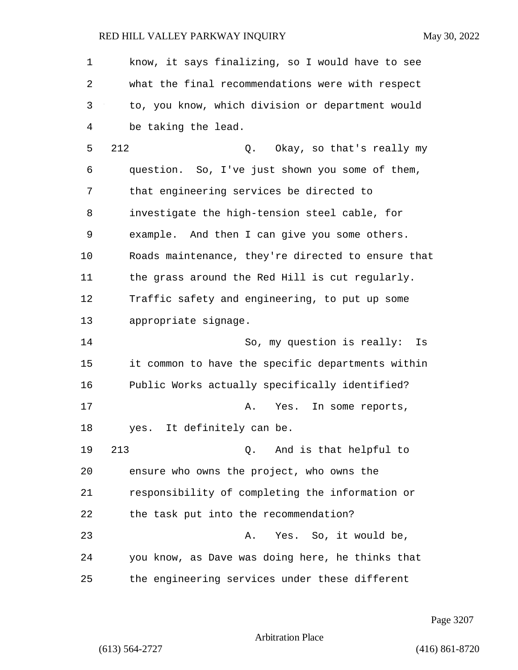1 know, it says finalizing, so I would have to see 2 what the final recommendations were with respect 3 to, you know, which division or department would 4 be taking the lead. 5 212 Q. Okay, so that's really my 6 question. So, I've just shown you some of them, 7 that engineering services be directed to 8 investigate the high-tension steel cable, for 9 example. And then I can give you some others. 10 Roads maintenance, they're directed to ensure that 11 the grass around the Red Hill is cut regularly. 12 Traffic safety and engineering, to put up some 13 appropriate signage. 14 So, my question is really: Is 15 it common to have the specific departments within 16 Public Works actually specifically identified? 17 A. Yes. In some reports, 18 yes. It definitely can be. 19 213 Q. And is that helpful to 20 ensure who owns the project, who owns the 21 responsibility of completing the information or 22 the task put into the recommendation? 23 A. Yes. So, it would be, 24 you know, as Dave was doing here, he thinks that 25 the engineering services under these different

Page 3207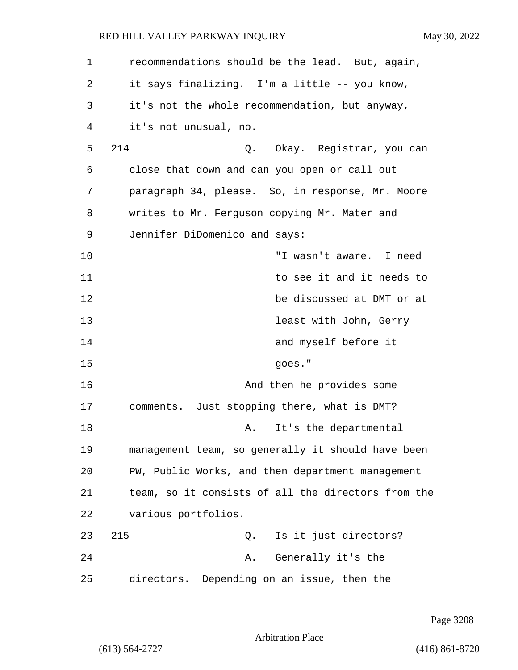| $\mathbf 1$ | recommendations should be the lead. But, again,    |
|-------------|----------------------------------------------------|
| 2           | it says finalizing. I'm a little -- you know,      |
| 3           | it's not the whole recommendation, but anyway,     |
| 4           | it's not unusual, no.                              |
| 5           | 214<br>Q. Okay. Registrar, you can                 |
| 6           | close that down and can you open or call out       |
| 7           | paragraph 34, please. So, in response, Mr. Moore   |
| 8           | writes to Mr. Ferguson copying Mr. Mater and       |
| 9           | Jennifer DiDomenico and says:                      |
| 10          | "I wasn't aware. I need                            |
| 11          | to see it and it needs to                          |
| 12          | be discussed at DMT or at                          |
| 13          | least with John, Gerry                             |
| 14          | and myself before it                               |
| 15          | goes."                                             |
| 16          | And then he provides some                          |
| 17          | comments. Just stopping there, what is DMT?        |
| 18          | It's the departmental<br>Α.                        |
| 19          | management team, so generally it should have been  |
| 20          | PW, Public Works, and then department management   |
| 21          | team, so it consists of all the directors from the |
| 22          | various portfolios.                                |
| 23          | 215<br>Q. Is it just directors?                    |
| 24          | Generally it's the<br>Α.                           |
| 25          | directors. Depending on an issue, then the         |

Page 3208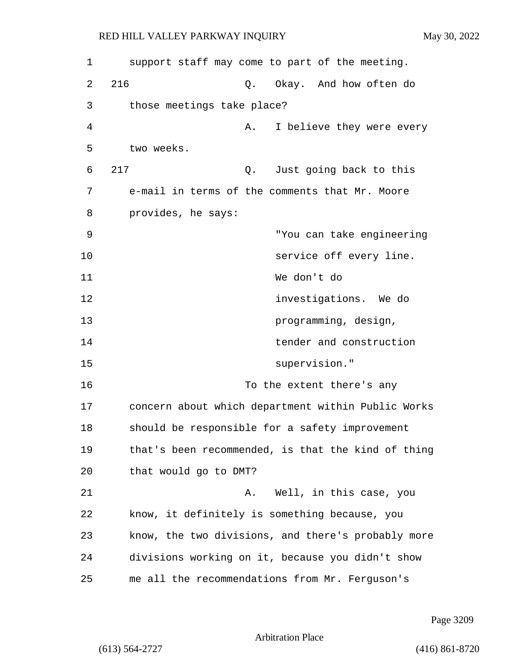| 1  | support staff may come to part of the meeting.     |
|----|----------------------------------------------------|
| 2  | 216<br>Okay. And how often do<br>Q.                |
| 3  | those meetings take place?                         |
| 4  | I believe they were every<br>Α.                    |
| 5  | two weeks.                                         |
| 6  | 217<br>Just going back to this<br>Q.               |
| 7  | e-mail in terms of the comments that Mr. Moore     |
| 8  | provides, he says:                                 |
| 9  | "You can take engineering                          |
| 10 | service off every line.                            |
| 11 | We don't do                                        |
| 12 | investigations. We do                              |
| 13 | programming, design,                               |
| 14 | tender and construction                            |
| 15 | supervision."                                      |
| 16 | To the extent there's any                          |
| 17 | concern about which department within Public Works |
| 18 | should be responsible for a safety improvement     |
| 19 | that's been recommended, is that the kind of thing |
| 20 | that would go to DMT?                              |
| 21 | Well, in this case, you<br>Α.                      |
| 22 | know, it definitely is something because, you      |
| 23 | know, the two divisions, and there's probably more |
| 24 | divisions working on it, because you didn't show   |
| 25 | me all the recommendations from Mr. Ferguson's     |

Page 3209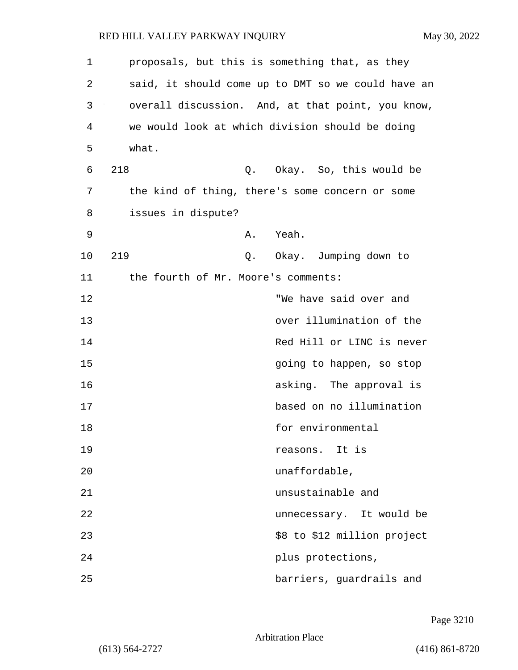| $\mathbf{1}$ | proposals, but this is something that, as they     |
|--------------|----------------------------------------------------|
| 2            | said, it should come up to DMT so we could have an |
| 3            | overall discussion. And, at that point, you know,  |
| 4            | we would look at which division should be doing    |
| 5            | what.                                              |
| 6            | 218<br>Q. Okay. So, this would be                  |
| 7            | the kind of thing, there's some concern or some    |
| 8            | issues in dispute?                                 |
| 9            | Yeah.<br>Α.                                        |
| 10           | 219<br>Okay. Jumping down to<br>Q.                 |
| 11           | the fourth of Mr. Moore's comments:                |
| 12           | "We have said over and                             |
| 13           | over illumination of the                           |
| 14           | Red Hill or LINC is never                          |
| 15           | going to happen, so stop                           |
| 16           | asking. The approval is                            |
| 17           | based on no illumination                           |
| 18           | for environmental                                  |
| 19           | reasons. It is                                     |
| 20           | unaffordable,                                      |
| 21           | unsustainable and                                  |
| 22           | unnecessary. It would be                           |
| 23           | \$8 to \$12 million project                        |
| 24           | plus protections,                                  |
| 25           | barriers, guardrails and                           |

Page 3210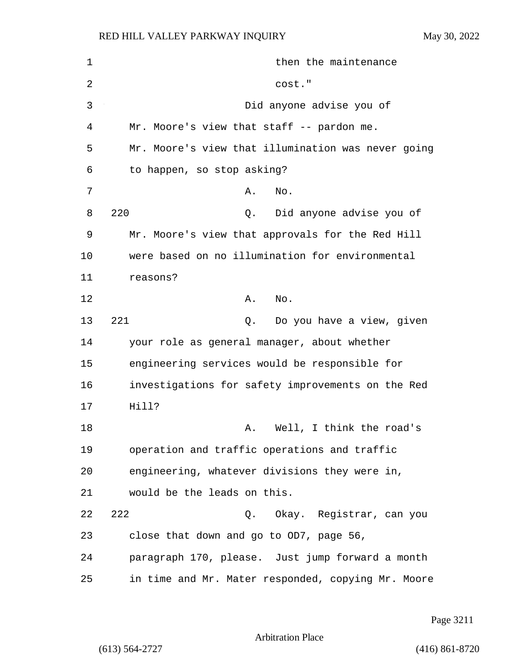| $\mathbf 1$ | then the maintenance                               |
|-------------|----------------------------------------------------|
| 2           | cost."                                             |
| 3           | Did anyone advise you of                           |
| 4           | Mr. Moore's view that staff -- pardon me.          |
| 5           | Mr. Moore's view that illumination was never going |
| 6           | to happen, so stop asking?                         |
| 7           | Α.<br>No.                                          |
| 8           | 220<br>Did anyone advise you of<br>Q.              |
| 9           | Mr. Moore's view that approvals for the Red Hill   |
| 10          | were based on no illumination for environmental    |
| 11          | reasons?                                           |
| 12          | No.<br>Α.                                          |
| 13          | 221<br>Do you have a view, given<br>Q.             |
| 14          | your role as general manager, about whether        |
| 15          | engineering services would be responsible for      |
| 16          | investigations for safety improvements on the Red  |
| 17          | Hill?                                              |
| 18          | Well, I think the road's<br>Α.                     |
| 19          | operation and traffic operations and traffic       |
| 20          | engineering, whatever divisions they were in,      |
| 21          | would be the leads on this.                        |
| 22          | 222<br>Q. Okay. Registrar, can you                 |
| 23          | close that down and go to OD7, page 56,            |
| 24          | paragraph 170, please. Just jump forward a month   |
| 25          | in time and Mr. Mater responded, copying Mr. Moore |

Page 3211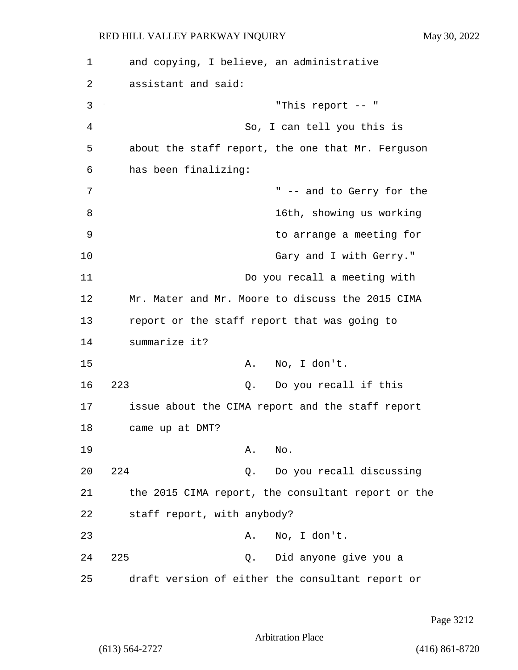1 and copying, I believe, an administrative 2 assistant and said: 3 "This report -- " 4 So, I can tell you this is 5 about the staff report, the one that Mr. Ferguson 6 has been finalizing: 7 T = 300  $\mu$  -- and to Gerry for the 8 16th, showing us working 9 to arrange a meeting for 10 Gary and I with Gerry." 11 Do you recall a meeting with 12 Mr. Mater and Mr. Moore to discuss the 2015 CIMA 13 report or the staff report that was going to 14 summarize it? 15 A. No, I don't. 16 223 Q. Do you recall if this 17 issue about the CIMA report and the staff report 18 came up at DMT? 19 A. No. 20 224 Q. Do you recall discussing 21 the 2015 CIMA report, the consultant report or the 22 staff report, with anybody? 23 A. No, I don't. 24 225 Q. Did anyone give you a 25 draft version of either the consultant report or

Page 3212

Arbitration Place

(613) 564-2727 (416) 861-8720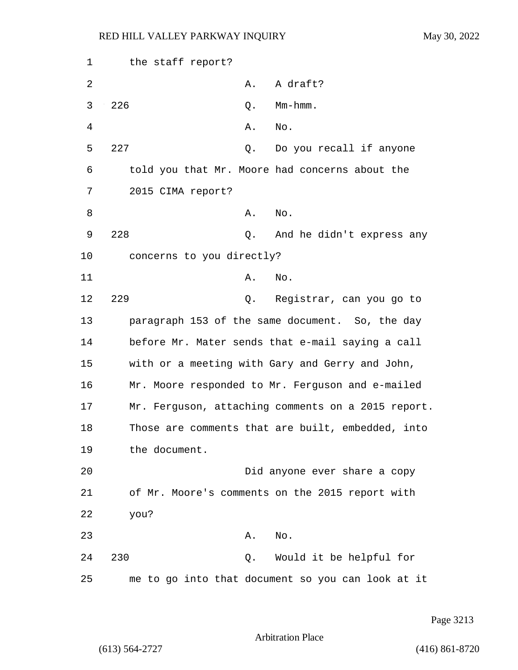| 1  | the staff report?                                  |
|----|----------------------------------------------------|
| 2  | A draft?<br>Α.                                     |
| 3  | 226<br>Mm-hmm.<br>Q.                               |
| 4  | No.<br>Α.                                          |
| 5  | 227<br>Do you recall if anyone<br>Q.               |
| 6  | told you that Mr. Moore had concerns about the     |
| 7  | 2015 CIMA report?                                  |
| 8  | No.<br>Α.                                          |
| 9  | 228<br>Q.<br>And he didn't express any             |
| 10 | concerns to you directly?                          |
| 11 | No.<br>Α.                                          |
| 12 | 229<br>Q.<br>Registrar, can you go to              |
| 13 | paragraph 153 of the same document. So, the day    |
| 14 | before Mr. Mater sends that e-mail saying a call   |
| 15 | with or a meeting with Gary and Gerry and John,    |
| 16 | Mr. Moore responded to Mr. Ferguson and e-mailed   |
| 17 | Mr. Ferguson, attaching comments on a 2015 report. |
| 18 | Those are comments that are built, embedded, into  |
| 19 | the document.                                      |
| 20 | Did anyone ever share a copy                       |
| 21 | of Mr. Moore's comments on the 2015 report with    |
| 22 | you?                                               |
| 23 | No.<br>Α.                                          |
| 24 | 230<br>Would it be helpful for<br>Q.               |
| 25 | me to go into that document so you can look at it  |

Page 3213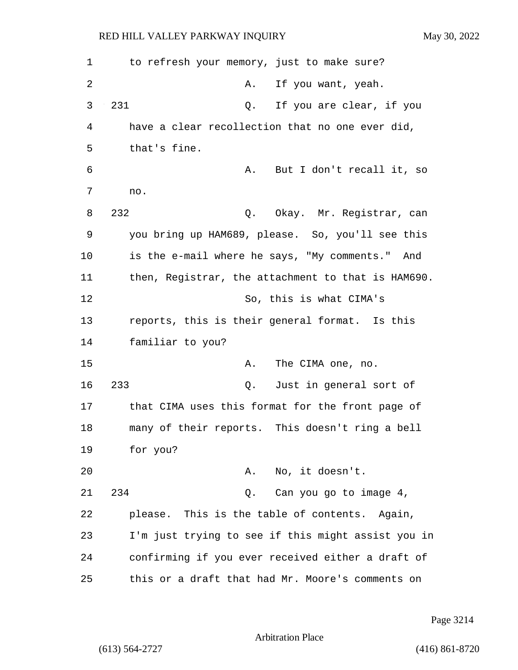1 to refresh your memory, just to make sure? 2 A. If you want, yeah. 3 231 Q. If you are clear, if you 4 have a clear recollection that no one ever did, 5 that's fine. 6 A. But I don't recall it, so 7 no. 8 232 Q. Okay. Mr. Registrar, can 9 you bring up HAM689, please. So, you'll see this 10 is the e-mail where he says, "My comments." And 11 then, Registrar, the attachment to that is HAM690. 12 So, this is what CIMA's 13 reports, this is their general format. Is this 14 familiar to you? 15 A. The CIMA one, no. 16 233 Q. Just in general sort of 17 that CIMA uses this format for the front page of 18 many of their reports. This doesn't ring a bell 19 for you? 20 A. No, it doesn't. 21 234 Q. Can you go to image 4, 22 please. This is the table of contents. Again, 23 I'm just trying to see if this might assist you in 24 confirming if you ever received either a draft of 25 this or a draft that had Mr. Moore's comments on

Page 3214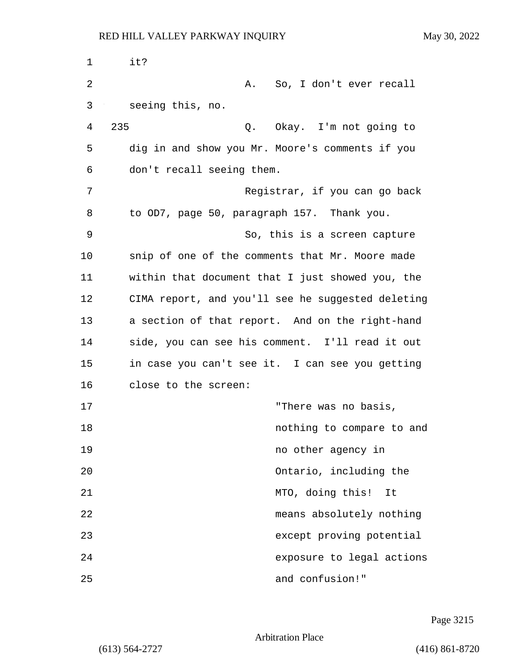| 1  | it?                                               |
|----|---------------------------------------------------|
| 2  | A. So, I don't ever recall                        |
| 3  | seeing this, no.                                  |
| 4  | 235<br>Q. Okay. I'm not going to                  |
| 5  | dig in and show you Mr. Moore's comments if you   |
| 6  | don't recall seeing them.                         |
| 7  | Registrar, if you can go back                     |
| 8  | to OD7, page 50, paragraph 157. Thank you.        |
| 9  | So, this is a screen capture                      |
| 10 | snip of one of the comments that Mr. Moore made   |
| 11 | within that document that I just showed you, the  |
| 12 | CIMA report, and you'll see he suggested deleting |
| 13 | a section of that report. And on the right-hand   |
| 14 | side, you can see his comment. I'll read it out   |
| 15 | in case you can't see it. I can see you getting   |
| 16 | close to the screen:                              |
| 17 | "There was no basis,                              |
| 18 | nothing to compare to and                         |
| 19 | no other agency in                                |
| 20 | Ontario, including the                            |
| 21 | MTO, doing this! It                               |
| 22 | means absolutely nothing                          |
| 23 | except proving potential                          |
| 24 | exposure to legal actions                         |
| 25 | and confusion!"                                   |

Page 3215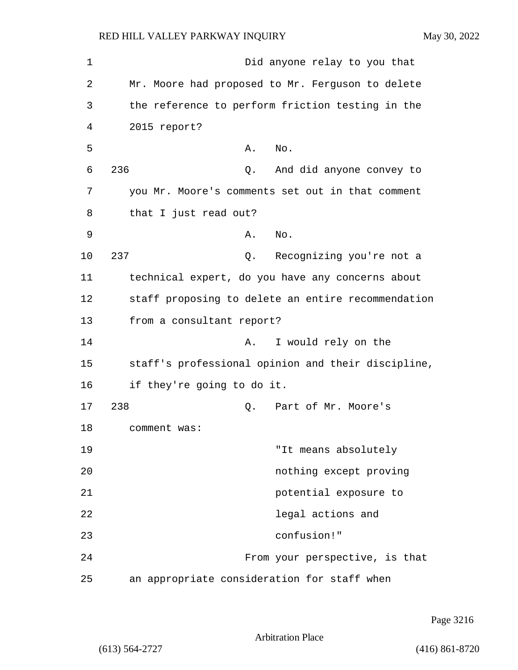| 1  | Did anyone relay to you that                       |
|----|----------------------------------------------------|
| 2  | Mr. Moore had proposed to Mr. Ferguson to delete   |
| 3  | the reference to perform friction testing in the   |
| 4  | 2015 report?                                       |
| 5  | Α.<br>No.                                          |
| 6  | 236<br>And did anyone convey to<br>Q.              |
| 7  | you Mr. Moore's comments set out in that comment   |
| 8  | that I just read out?                              |
| 9  | No.<br>Α.                                          |
| 10 | 237<br>Recognizing you're not a<br>Q.              |
| 11 | technical expert, do you have any concerns about   |
| 12 | staff proposing to delete an entire recommendation |
| 13 | from a consultant report?                          |
| 14 | I would rely on the<br>Α.                          |
| 15 | staff's professional opinion and their discipline, |
| 16 | if they're going to do it.                         |
| 17 | 238<br>Part of Mr. Moore's<br>Q.                   |
| 18 | comment was:                                       |
| 19 | "It means absolutely                               |
| 20 | nothing except proving                             |
| 21 | potential exposure to                              |
| 22 | legal actions and                                  |
| 23 | confusion!"                                        |
| 24 | From your perspective, is that                     |
| 25 | an appropriate consideration for staff when        |

Page 3216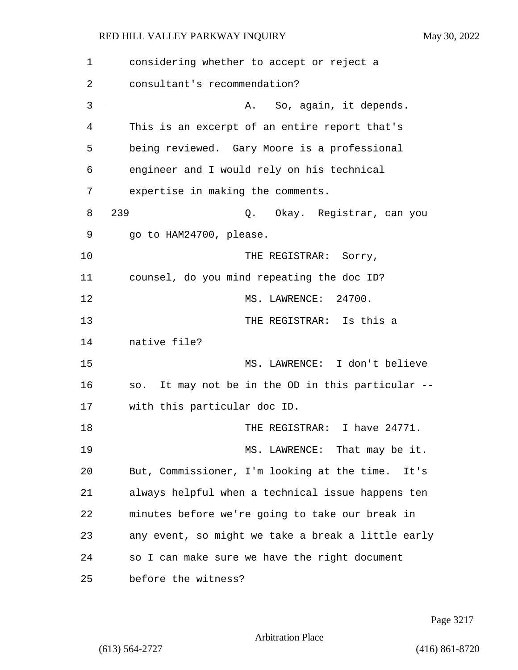| 1  | considering whether to accept or reject a            |
|----|------------------------------------------------------|
| 2  | consultant's recommendation?                         |
| 3  | So, again, it depends.<br>Α.                         |
| 4  | This is an excerpt of an entire report that's        |
| 5  | being reviewed. Gary Moore is a professional         |
| 6  | engineer and I would rely on his technical           |
| 7  | expertise in making the comments.                    |
| 8  | 239<br>Q. Okay. Registrar, can you                   |
| 9  | go to HAM24700, please.                              |
| 10 | THE REGISTRAR: Sorry,                                |
| 11 | counsel, do you mind repeating the doc ID?           |
| 12 | MS. LAWRENCE: 24700.                                 |
| 13 | THE REGISTRAR: Is this a                             |
| 14 | native file?                                         |
| 15 | MS. LAWRENCE: I don't believe                        |
| 16 | It may not be in the OD in this particular --<br>SO. |
| 17 | with this particular doc ID.                         |
| 18 | THE REGISTRAR: I have 24771.                         |
| 19 | MS. LAWRENCE: That may be it.                        |
| 20 | But, Commissioner, I'm looking at the time.<br>It's  |
| 21 | always helpful when a technical issue happens ten    |
| 22 | minutes before we're going to take our break in      |
| 23 | any event, so might we take a break a little early   |
| 24 | so I can make sure we have the right document        |
| 25 | before the witness?                                  |

Page 3217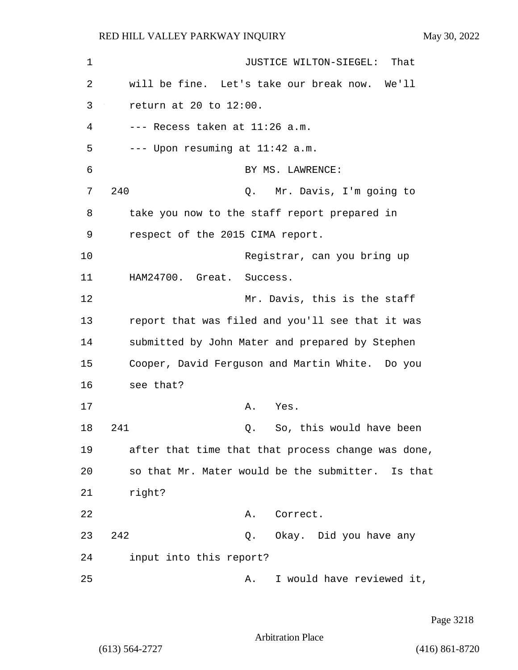| $\mathbf 1$ | JUSTICE WILTON-SIEGEL:<br>That                     |
|-------------|----------------------------------------------------|
| 2           | will be fine. Let's take our break now. We'll      |
| 3           | return at 20 to 12:00.                             |
| 4           | --- Recess taken at 11:26 a.m.                     |
| 5           | --- Upon resuming at 11:42 a.m.                    |
| 6           | BY MS. LAWRENCE:                                   |
| 7           | 240<br>Mr. Davis, I'm going to<br>Q.               |
| 8           | take you now to the staff report prepared in       |
| 9           | respect of the 2015 CIMA report.                   |
| 10          | Registrar, can you bring up                        |
| 11          | HAM24700. Great. Success.                          |
| 12          | Mr. Davis, this is the staff                       |
| 13          | report that was filed and you'll see that it was   |
| 14          | submitted by John Mater and prepared by Stephen    |
| 15          | Cooper, David Ferguson and Martin White. Do you    |
| 16          | see that?                                          |
| 17          | Α.<br>Yes.                                         |
| 18          | So, this would have been<br>241<br>Q.              |
| 19          | after that time that that process change was done, |
| 20          | so that Mr. Mater would be the submitter. Is that  |
| 21          | right?                                             |
| 22          | Correct.<br>Α.                                     |
| 23          | 242<br>Q. Okay. Did you have any                   |
| 24          | input into this report?                            |
| 25          | I would have reviewed it,<br>Α.                    |

Page 3218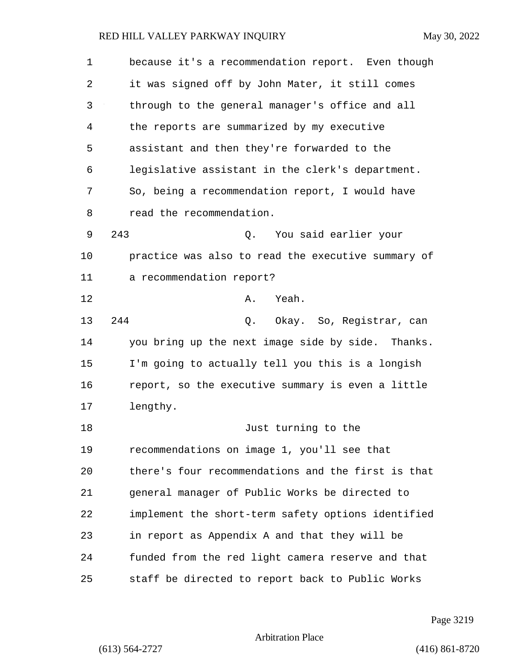| 1  | because it's a recommendation report. Even though  |
|----|----------------------------------------------------|
| 2  | it was signed off by John Mater, it still comes    |
| 3  | through to the general manager's office and all    |
| 4  | the reports are summarized by my executive         |
| 5  | assistant and then they're forwarded to the        |
| 6  | legislative assistant in the clerk's department.   |
| 7  | So, being a recommendation report, I would have    |
| 8  | read the recommendation.                           |
| 9  | 243<br>You said earlier your<br>Q.                 |
| 10 | practice was also to read the executive summary of |
| 11 | a recommendation report?                           |
| 12 | Yeah.<br>Α.                                        |
| 13 | 244<br>Okay. So, Registrar, can<br>Q.              |
| 14 | you bring up the next image side by side. Thanks.  |
| 15 | I'm going to actually tell you this is a longish   |
| 16 | report, so the executive summary is even a little  |
| 17 | lengthy.                                           |
| 18 | Just turning to the                                |
| 19 | recommendations on image 1, you'll see that        |
| 20 | there's four recommendations and the first is that |
| 21 | general manager of Public Works be directed to     |
| 22 | implement the short-term safety options identified |
| 23 | in report as Appendix A and that they will be      |
| 24 | funded from the red light camera reserve and that  |
| 25 | staff be directed to report back to Public Works   |

Page 3219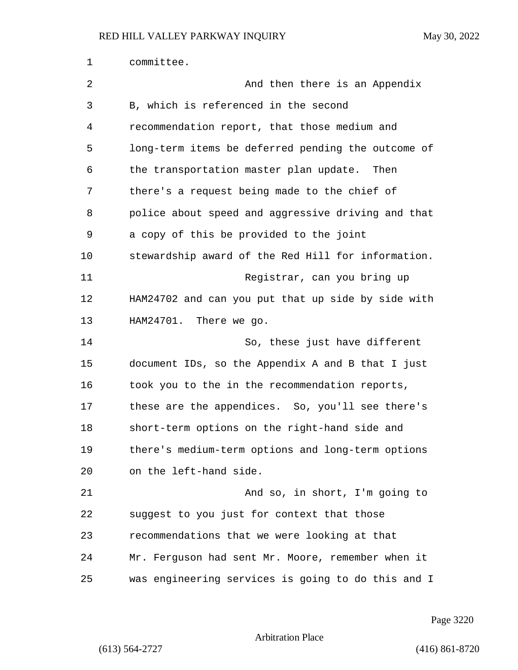| $\mathbf 1$ | committee.                                         |
|-------------|----------------------------------------------------|
| 2           | And then there is an Appendix                      |
| 3           | B, which is referenced in the second               |
| 4           | recommendation report, that those medium and       |
| 5           | long-term items be deferred pending the outcome of |
| 6           | the transportation master plan update. Then        |
| 7           | there's a request being made to the chief of       |
| 8           | police about speed and aggressive driving and that |
| 9           | a copy of this be provided to the joint            |
| 10          | stewardship award of the Red Hill for information. |
| 11          | Registrar, can you bring up                        |
| 12          | HAM24702 and can you put that up side by side with |
| 13          | HAM24701. There we go.                             |
| 14          | So, these just have different                      |
| 15          | document IDs, so the Appendix A and B that I just  |
| 16          | took you to the in the recommendation reports,     |
| 17          | these are the appendices. So, you'll see there's   |
| 18          | short-term options on the right-hand side and      |
| 19          | there's medium-term options and long-term options  |
| 20          | on the left-hand side.                             |
| 21          | And so, in short, I'm going to                     |
| 22          | suggest to you just for context that those         |
| 23          | recommendations that we were looking at that       |
| 24          | Mr. Ferguson had sent Mr. Moore, remember when it  |
| 25          | was engineering services is going to do this and I |

Page 3220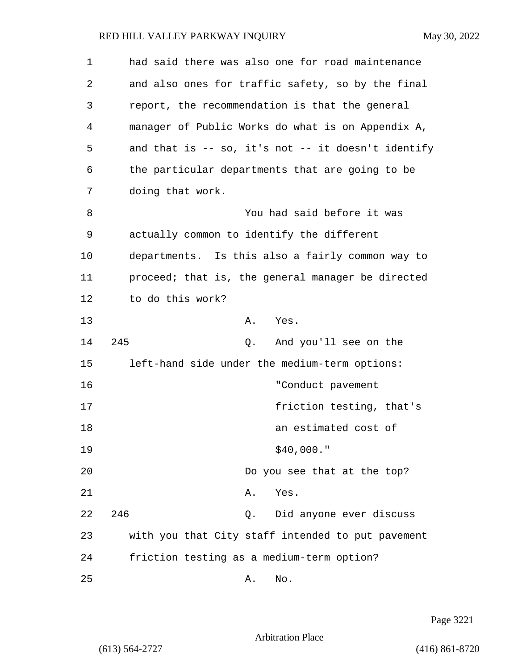| $\mathbf 1$ | had said there was also one for road maintenance     |
|-------------|------------------------------------------------------|
| 2           | and also ones for traffic safety, so by the final    |
| 3           | report, the recommendation is that the general       |
| 4           | manager of Public Works do what is on Appendix A,    |
| 5           | and that is $-$ so, it's not $-$ it doesn't identify |
| 6           | the particular departments that are going to be      |
| 7           | doing that work.                                     |
| 8           | You had said before it was                           |
| 9           | actually common to identify the different            |
| 10          | departments. Is this also a fairly common way to     |
| 11          | proceed; that is, the general manager be directed    |
| 12          | to do this work?                                     |
| 13          | Yes.<br>Α.                                           |
| 14          | 245<br>And you'll see on the<br>Q.                   |
| 15          | left-hand side under the medium-term options:        |
| 16          | "Conduct pavement                                    |
| 17          | friction testing, that's                             |
| 18          | an estimated cost of                                 |
| 19          | \$40,000."                                           |
| 20          | Do you see that at the top?                          |
| 21          | Yes.<br>Α.                                           |
| 22          | 246<br>Did anyone ever discuss<br>Q.                 |
| 23          | with you that City staff intended to put pavement    |
| 24          | friction testing as a medium-term option?            |
| 25          | No.<br>Α.                                            |

Page 3221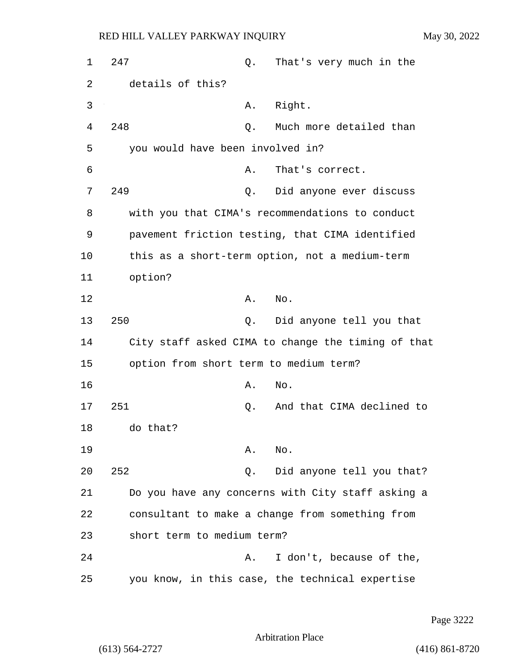1 247 Q. That's very much in the 2 details of this? 3 A. Right. 4 248 Q. Much more detailed than 5 you would have been involved in? 6 A. That's correct. 7 249 Q. Did anyone ever discuss 8 with you that CIMA's recommendations to conduct 9 pavement friction testing, that CIMA identified 10 this as a short-term option, not a medium-term 11 option? 12 A. No. 13 250 Q. Did anyone tell you that 14 City staff asked CIMA to change the timing of that 15 option from short term to medium term? 16 A. No. 17 251 Q. And that CIMA declined to 18 do that? 19 A. No. 20 252 Q. Did anyone tell you that? 21 Do you have any concerns with City staff asking a 22 consultant to make a change from something from 23 short term to medium term? 24 A. I don't, because of the, 25 you know, in this case, the technical expertise

Page 3222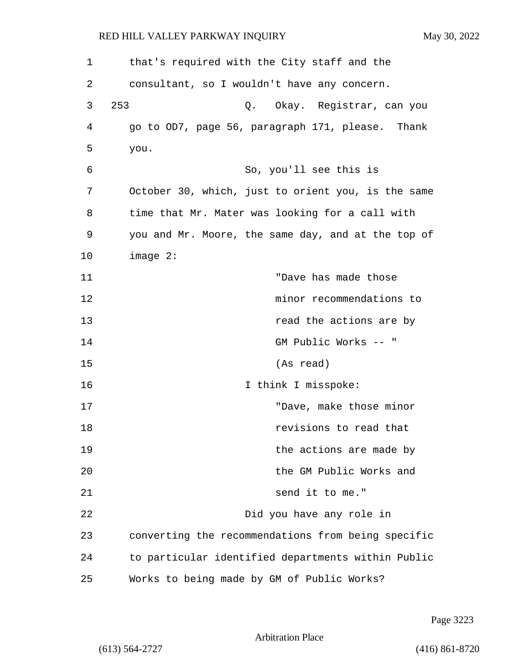| 1  | that's required with the City staff and the        |
|----|----------------------------------------------------|
| 2  | consultant, so I wouldn't have any concern.        |
| 3  | 253<br>Q. Okay. Registrar, can you                 |
| 4  | go to OD7, page 56, paragraph 171, please. Thank   |
| 5  | you.                                               |
| 6  | So, you'll see this is                             |
| 7  | October 30, which, just to orient you, is the same |
| 8  | time that Mr. Mater was looking for a call with    |
| 9  | you and Mr. Moore, the same day, and at the top of |
| 10 | $image 2$ :                                        |
| 11 | "Dave has made those                               |
| 12 | minor recommendations to                           |
| 13 | read the actions are by                            |
| 14 | GM Public Works -- "                               |
| 15 | (As read)                                          |
| 16 | I think I misspoke:                                |
| 17 | "Dave, make those minor                            |
| 18 | revisions to read that                             |
| 19 | the actions are made by                            |
| 20 | the GM Public Works and                            |
| 21 | send it to me."                                    |
| 22 | Did you have any role in                           |
| 23 | converting the recommendations from being specific |
| 24 | to particular identified departments within Public |
| 25 | Works to being made by GM of Public Works?         |

Page 3223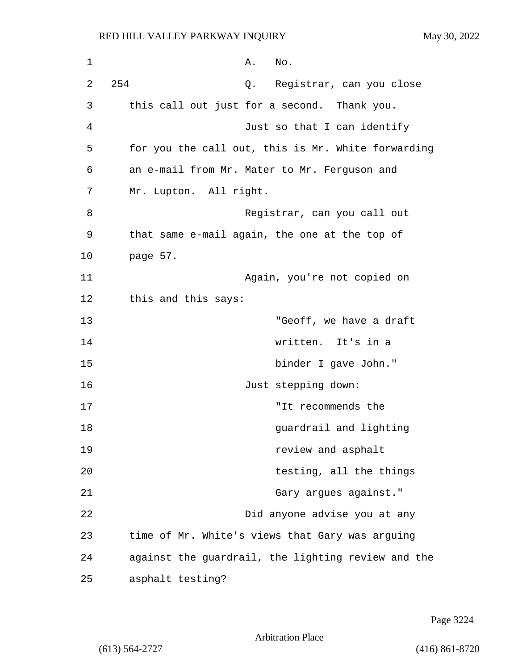| 1  | Α.<br>No.                                          |
|----|----------------------------------------------------|
| 2  | 254<br>Q. Registrar, can you close                 |
| 3  | this call out just for a second. Thank you.        |
| 4  | Just so that I can identify                        |
| 5  | for you the call out, this is Mr. White forwarding |
| 6  | an e-mail from Mr. Mater to Mr. Ferguson and       |
| 7  | Mr. Lupton. All right.                             |
| 8  | Registrar, can you call out                        |
| 9  | that same e-mail again, the one at the top of      |
| 10 | page 57.                                           |
| 11 | Again, you're not copied on                        |
| 12 | this and this says:                                |
| 13 | "Geoff, we have a draft                            |
| 14 | written. It's in a                                 |
| 15 | binder I gave John."                               |
| 16 | Just stepping down:                                |
| 17 | "It recommends the                                 |
| 18 | guardrail and lighting                             |
| 19 | review and asphalt                                 |
| 20 | testing, all the things                            |
| 21 | Gary argues against."                              |
| 22 | Did anyone advise you at any                       |
| 23 | time of Mr. White's views that Gary was arguing    |
| 24 | against the guardrail, the lighting review and the |
| 25 | asphalt testing?                                   |

Page 3224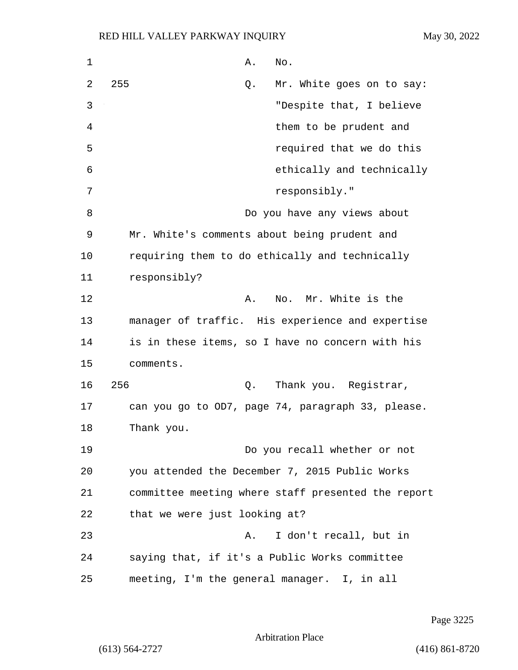| $\mathbf 1$ | Α.<br>No.                                          |
|-------------|----------------------------------------------------|
| 2           | 255<br>Mr. White goes on to say:<br>Q.             |
| 3           | "Despite that, I believe                           |
| 4           | them to be prudent and                             |
| 5           | required that we do this                           |
| 6           | ethically and technically                          |
| 7           | responsibly."                                      |
| 8           | Do you have any views about                        |
| 9           | Mr. White's comments about being prudent and       |
| 10          | requiring them to do ethically and technically     |
| 11          | responsibly?                                       |
| 12          | No. Mr. White is the<br>Α.                         |
| 13          | manager of traffic. His experience and expertise   |
| 14          | is in these items, so I have no concern with his   |
| 15          | comments.                                          |
| 16          | 256<br>Thank you. Registrar,<br>Q.                 |
| 17          | can you go to OD7, page 74, paragraph 33, please.  |
| 18          | Thank you.                                         |
| 19          | Do you recall whether or not                       |
| 20          | you attended the December 7, 2015 Public Works     |
| 21          | committee meeting where staff presented the report |
| 22          | that we were just looking at?                      |
| 23          | I don't recall, but in<br>Α.                       |
| 24          | saying that, if it's a Public Works committee      |
| 25          | meeting, I'm the general manager. I, in all        |

Page 3225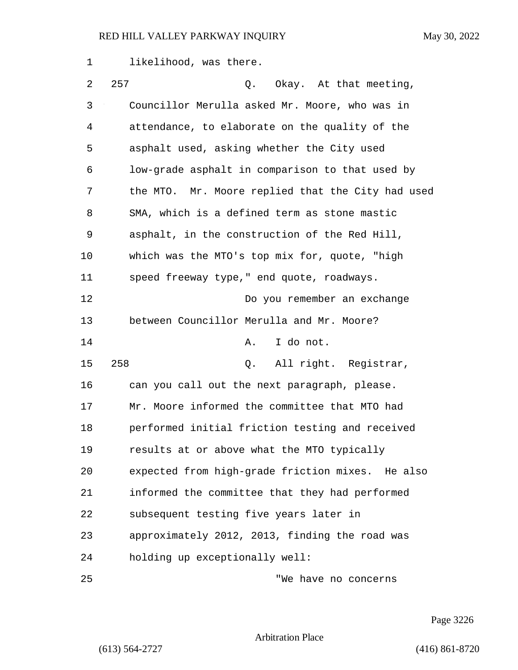| 1  | likelihood, was there.                            |
|----|---------------------------------------------------|
| 2  | 257<br>Okay. At that meeting,<br>Q.               |
| 3  | Councillor Merulla asked Mr. Moore, who was in    |
| 4  | attendance, to elaborate on the quality of the    |
| 5  | asphalt used, asking whether the City used        |
| 6  | low-grade asphalt in comparison to that used by   |
| 7  | the MTO. Mr. Moore replied that the City had used |
| 8  | SMA, which is a defined term as stone mastic      |
| 9  | asphalt, in the construction of the Red Hill,     |
| 10 | which was the MTO's top mix for, quote, "high     |
| 11 | speed freeway type," end quote, roadways.         |
| 12 | Do you remember an exchange                       |
| 13 | between Councillor Merulla and Mr. Moore?         |
| 14 | I do not.<br>Α.                                   |
| 15 | 258<br>All right. Registrar,<br>Q.                |
| 16 | can you call out the next paragraph, please.      |
| 17 | Mr. Moore informed the committee that MTO had     |
| 18 | performed initial friction testing and received   |
| 19 | results at or above what the MTO typically        |
| 20 | expected from high-grade friction mixes. He also  |
| 21 | informed the committee that they had performed    |
| 22 | subsequent testing five years later in            |
| 23 | approximately 2012, 2013, finding the road was    |
| 24 | holding up exceptionally well:                    |
| 25 | "We have no concerns                              |

Page 3226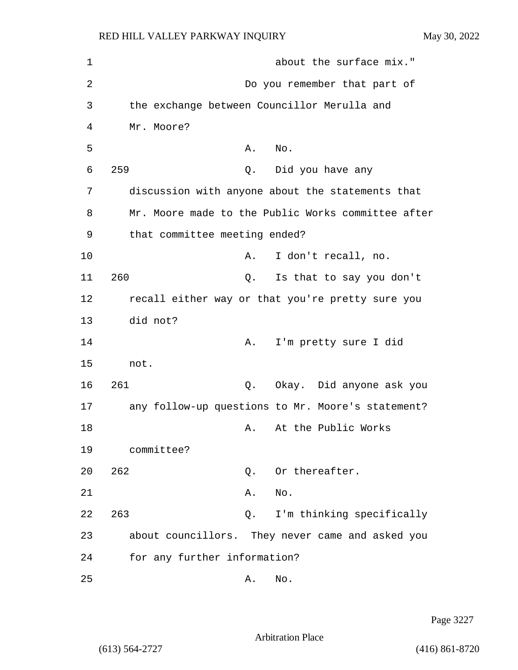| $\mathbf 1$ | about the surface mix."                            |
|-------------|----------------------------------------------------|
| 2           | Do you remember that part of                       |
| 3           | the exchange between Councillor Merulla and        |
| 4           | Mr. Moore?                                         |
| 5           | No.<br>Α.                                          |
| 6           | 259<br>Did you have any<br>Q.                      |
| 7           | discussion with anyone about the statements that   |
| 8           | Mr. Moore made to the Public Works committee after |
| 9           | that committee meeting ended?                      |
| 10          | I don't recall, no.<br>Α.                          |
| 11          | 260<br>Is that to say you don't<br>Q.              |
| 12          | recall either way or that you're pretty sure you   |
| 13          | did not?                                           |
| 14          | I'm pretty sure I did<br>Α.                        |
| 15          | not.                                               |
| 16          | 261<br>Okay. Did anyone ask you<br>Q.              |
| 17          | any follow-up questions to Mr. Moore's statement?  |
| 18          | At the Public Works<br>A.                          |
| 19          | committee?                                         |
| 20          | 262<br>Or thereafter.<br>Q.                        |
| 21          | No.<br>Α.                                          |
| 22          | I'm thinking specifically<br>263<br>Q.             |
| 23          | about councillors. They never came and asked you   |
| 24          | for any further information?                       |
| 25          | No.<br>Α.                                          |

Page 3227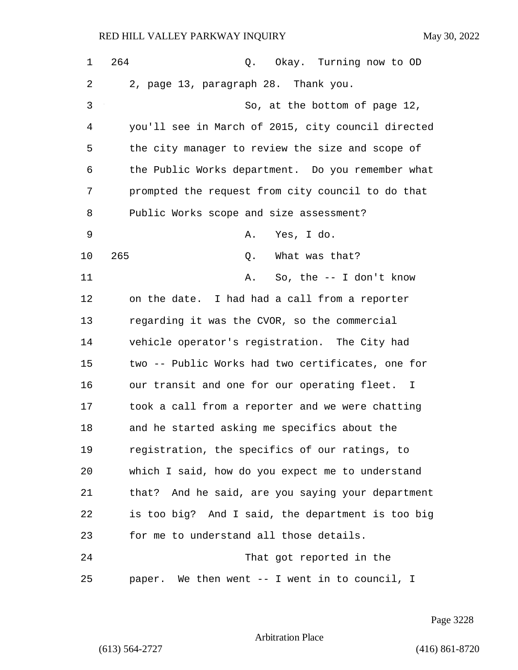| $\mathbf 1$ | 264<br>Q. Okay. Turning now to OD                  |
|-------------|----------------------------------------------------|
| 2           | 2, page 13, paragraph 28. Thank you.               |
| 3           | So, at the bottom of page 12,                      |
| 4           | you'll see in March of 2015, city council directed |
| 5           | the city manager to review the size and scope of   |
| 6           | the Public Works department. Do you remember what  |
| 7           | prompted the request from city council to do that  |
| 8           | Public Works scope and size assessment?            |
| 9           | Yes, I do.<br>Α.                                   |
| 10          | 265<br>What was that?<br>Q.                        |
| 11          | So, the $-$ I don't know<br>Α.                     |
| 12          | on the date. I had had a call from a reporter      |
| 13          | regarding it was the CVOR, so the commercial       |
| 14          | vehicle operator's registration. The City had      |
| 15          | two -- Public Works had two certificates, one for  |
| 16          | our transit and one for our operating fleet. I     |
| 17          | took a call from a reporter and we were chatting   |
| 18          | and he started asking me specifics about the       |
| 19          | registration, the specifics of our ratings, to     |
| 20          | which I said, how do you expect me to understand   |
| 21          | that? And he said, are you saying your department  |
| 22          | is too big? And I said, the department is too big  |
| 23          | for me to understand all those details.            |
| 24          | That got reported in the                           |
| 25          | paper. We then went -- I went in to council, I     |

Page 3228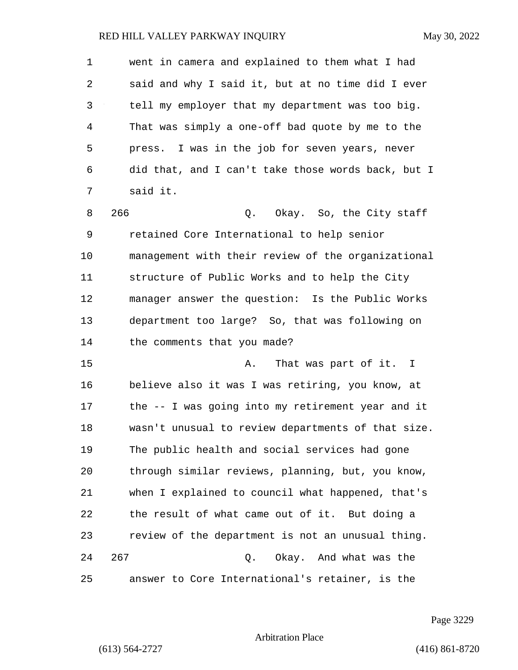1 went in camera and explained to them what I had 2 said and why I said it, but at no time did I ever 3 tell my employer that my department was too big. 4 That was simply a one-off bad quote by me to the 5 press. I was in the job for seven years, never 6 did that, and I can't take those words back, but I 7 said it. 8 266 Q. Okay. So, the City staff 9 retained Core International to help senior 10 management with their review of the organizational 11 structure of Public Works and to help the City 12 manager answer the question: Is the Public Works 13 department too large? So, that was following on 14 the comments that you made? 15 A. That was part of it. I 16 believe also it was I was retiring, you know, at 17 the -- I was going into my retirement year and it 18 wasn't unusual to review departments of that size. 19 The public health and social services had gone 20 through similar reviews, planning, but, you know, 21 when I explained to council what happened, that's 22 the result of what came out of it. But doing a 23 review of the department is not an unusual thing. 24 267 Q. Okay. And what was the 25 answer to Core International's retainer, is the

Page 3229

Arbitration Place

(613) 564-2727 (416) 861-8720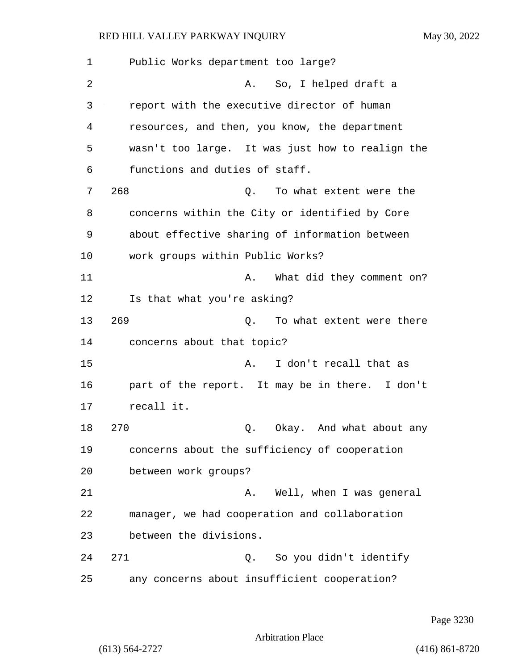1 Public Works department too large? 2 A. So, I helped draft a 3 report with the executive director of human 4 resources, and then, you know, the department 5 wasn't too large. It was just how to realign the 6 functions and duties of staff. 7 268 Q. To what extent were the 8 concerns within the City or identified by Core 9 about effective sharing of information between 10 work groups within Public Works? 11 A. What did they comment on? 12 Is that what you're asking? 13 269 0. To what extent were there 14 concerns about that topic? 15 A. I don't recall that as 16 part of the report. It may be in there. I don't 17 recall it. 18 270 Q. Okay. And what about any 19 concerns about the sufficiency of cooperation 20 between work groups? 21 A. Well, when I was general 22 manager, we had cooperation and collaboration 23 between the divisions. 24 271 Q. So you didn't identify 25 any concerns about insufficient cooperation?

Page 3230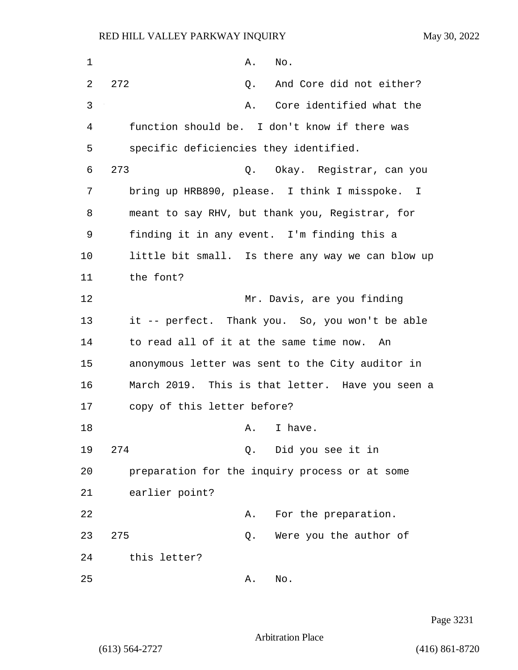1 **A.** No. 2 272 Q. And Core did not either? 3 A. Core identified what the 4 function should be. I don't know if there was 5 specific deficiencies they identified. 6 273 Q. Okay. Registrar, can you 7 bring up HRB890, please. I think I misspoke. I 8 meant to say RHV, but thank you, Registrar, for 9 finding it in any event. I'm finding this a 10 little bit small. Is there any way we can blow up 11 the font? 12 Mr. Davis, are you finding 13 it -- perfect. Thank you. So, you won't be able 14 to read all of it at the same time now. An 15 anonymous letter was sent to the City auditor in 16 March 2019. This is that letter. Have you seen a 17 copy of this letter before? 18 A. I have. 19 274 Q. Did you see it in 20 preparation for the inquiry process or at some 21 earlier point? 22 A. For the preparation. 23 275 Q. Were you the author of 24 this letter? 25 A. No.

Page 3231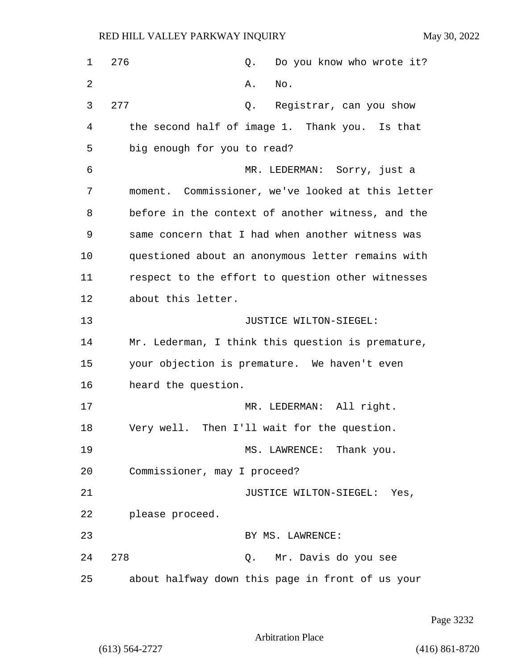| 1  | 276<br>Do you know who wrote it?<br>Q.            |
|----|---------------------------------------------------|
| 2  | Α.<br>No.                                         |
| 3  | 277<br>Registrar, can you show<br>Q.              |
| 4  | the second half of image 1. Thank you. Is that    |
| 5  | big enough for you to read?                       |
| 6  | MR. LEDERMAN: Sorry, just a                       |
| 7  | moment. Commissioner, we've looked at this letter |
| 8  | before in the context of another witness, and the |
| 9  | same concern that I had when another witness was  |
| 10 | questioned about an anonymous letter remains with |
| 11 | respect to the effort to question other witnesses |
| 12 | about this letter.                                |
| 13 | JUSTICE WILTON-SIEGEL:                            |
| 14 | Mr. Lederman, I think this question is premature, |
| 15 | your objection is premature. We haven't even      |
| 16 | heard the question.                               |
| 17 | MR. LEDERMAN: All right.                          |
| 18 | Very well. Then I'll wait for the question.       |
| 19 | MS. LAWRENCE: Thank you.                          |
| 20 | Commissioner, may I proceed?                      |
| 21 | JUSTICE WILTON-SIEGEL: Yes,                       |
| 22 | please proceed.                                   |
| 23 | BY MS. LAWRENCE:                                  |
| 24 | 278<br>Q. Mr. Davis do you see                    |
| 25 | about halfway down this page in front of us your  |

Page 3232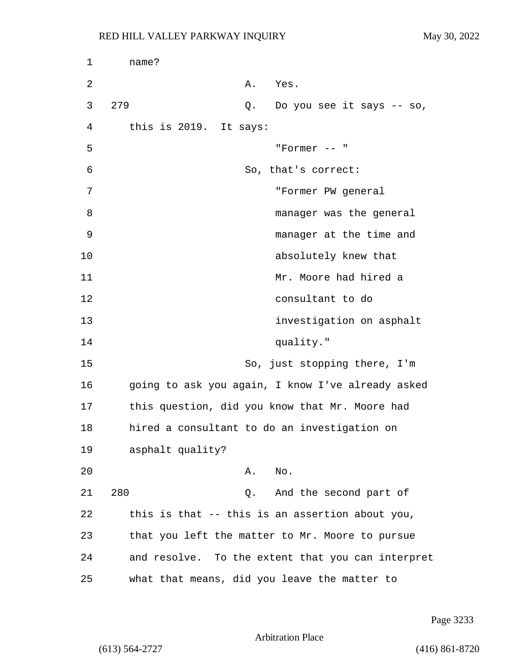| 1  | name?                                             |
|----|---------------------------------------------------|
| 2  | Α.<br>Yes.                                        |
| 3  | 279<br>Q. Do you see it says -- so,               |
| 4  | this is 2019. It says:                            |
| 5  | "Former $--$ "                                    |
| 6  | So, that's correct:                               |
| 7  | "Former PW general                                |
| 8  | manager was the general                           |
| 9  | manager at the time and                           |
| 10 | absolutely knew that                              |
| 11 | Mr. Moore had hired a                             |
| 12 | consultant to do                                  |
| 13 | investigation on asphalt                          |
| 14 | quality."                                         |
| 15 | So, just stopping there, I'm                      |
| 16 | going to ask you again, I know I've already asked |
| 17 | this question, did you know that Mr. Moore had    |
| 18 | hired a consultant to do an investigation on      |
| 19 | asphalt quality?                                  |
| 20 | Α.<br>No.                                         |
| 21 | 280<br>And the second part of<br>Q.               |
| 22 | this is that -- this is an assertion about you,   |
| 23 | that you left the matter to Mr. Moore to pursue   |
| 24 | and resolve. To the extent that you can interpret |
| 25 | what that means, did you leave the matter to      |

Page 3233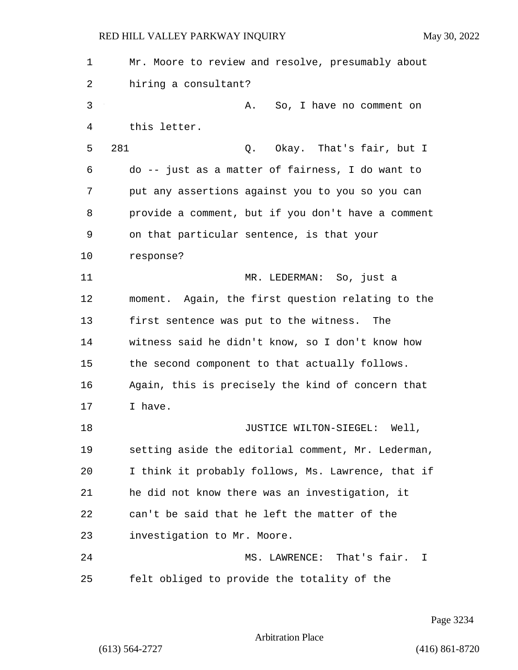1 Mr. Moore to review and resolve, presumably about 2 hiring a consultant? 3 A. So, I have no comment on 4 this letter. 5 281 Q. Okay. That's fair, but I 6 do -- just as a matter of fairness, I do want to 7 put any assertions against you to you so you can 8 provide a comment, but if you don't have a comment 9 on that particular sentence, is that your 10 response? 11 MR. LEDERMAN: So, just a 12 moment. Again, the first question relating to the 13 first sentence was put to the witness. The 14 witness said he didn't know, so I don't know how 15 the second component to that actually follows. 16 Again, this is precisely the kind of concern that 17 T have. 18 **JUSTICE WILTON-SIEGEL:** Well, 19 setting aside the editorial comment, Mr. Lederman, 20 I think it probably follows, Ms. Lawrence, that if 21 he did not know there was an investigation, it 22 can't be said that he left the matter of the 23 investigation to Mr. Moore. 24 MS. LAWRENCE: That's fair. I 25 felt obliged to provide the totality of the

Page 3234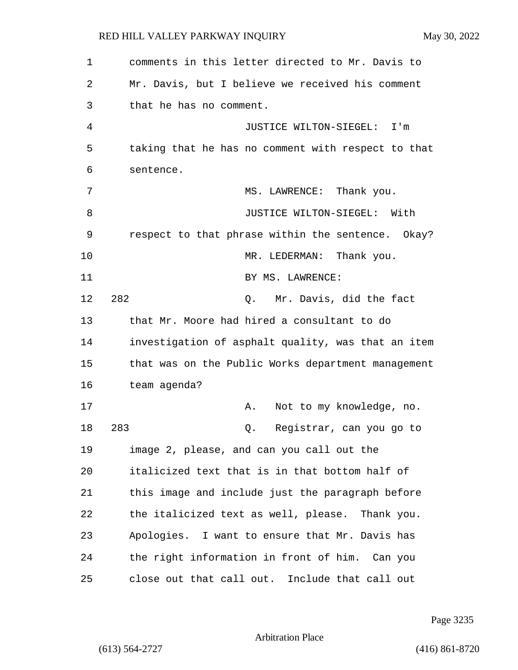1 comments in this letter directed to Mr. Davis to

2 Mr. Davis, but I believe we received his comment 3 that he has no comment. 4 JUSTICE WILTON-SIEGEL: I'm 5 taking that he has no comment with respect to that 6 sentence. 7 MS. LAWRENCE: Thank you. 8 JUSTICE WILTON-SIEGEL: With 9 respect to that phrase within the sentence. Okay? 10 MR. LEDERMAN: Thank you. 11 BY MS. LAWRENCE: 12 282 Q. Mr. Davis, did the fact 13 that Mr. Moore had hired a consultant to do 14 investigation of asphalt quality, was that an item 15 that was on the Public Works department management 16 team agenda? 17 A. Not to my knowledge, no. 18 283 Q. Registrar, can you go to 19 image 2, please, and can you call out the 20 italicized text that is in that bottom half of 21 this image and include just the paragraph before 22 the italicized text as well, please. Thank you. 23 Apologies. I want to ensure that Mr. Davis has 24 the right information in front of him. Can you 25 close out that call out. Include that call out

Page 3235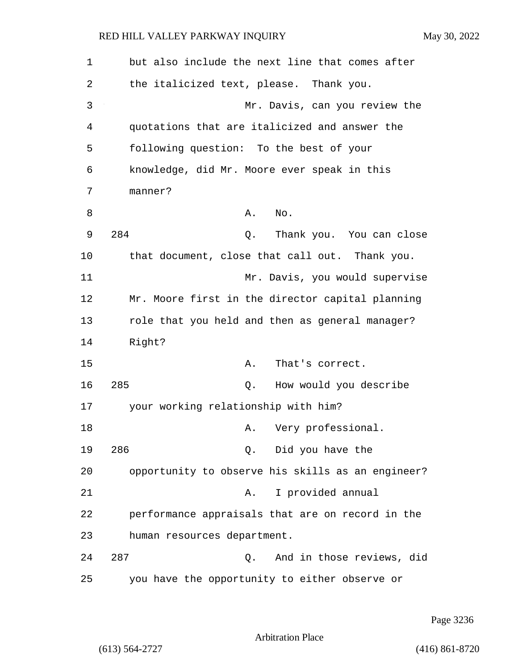| 1  | but also include the next line that comes after   |
|----|---------------------------------------------------|
| 2  | the italicized text, please. Thank you.           |
| 3  | Mr. Davis, can you review the                     |
| 4  | quotations that are italicized and answer the     |
| 5  | following question: To the best of your           |
| 6  | knowledge, did Mr. Moore ever speak in this       |
| 7  | manner?                                           |
| 8  | No.<br>Α.                                         |
| 9  | 284<br>Thank you. You can close<br>Q.             |
| 10 | that document, close that call out. Thank you.    |
| 11 | Mr. Davis, you would supervise                    |
| 12 | Mr. Moore first in the director capital planning  |
| 13 | role that you held and then as general manager?   |
| 14 | Right?                                            |
| 15 | Α.<br>That's correct.                             |
| 16 | 285<br>How would you describe<br>Q.               |
| 17 | your working relationship with him?               |
| 18 | Very professional.<br>Α.                          |
| 19 | 286<br>Q. Did you have the                        |
| 20 | opportunity to observe his skills as an engineer? |
| 21 | I provided annual<br>Α.                           |
| 22 | performance appraisals that are on record in the  |
| 23 | human resources department.                       |
| 24 | 287<br>And in those reviews, did<br>Q.            |
| 25 | you have the opportunity to either observe or     |

Page 3236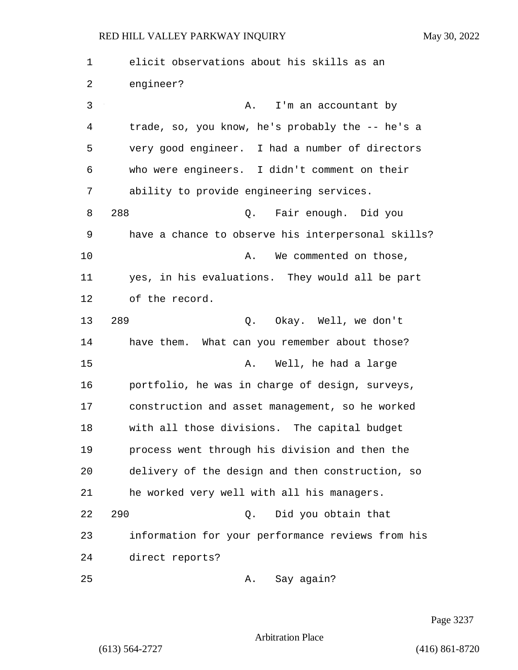1 elicit observations about his skills as an 2 engineer? 3 A. I'm an accountant by 4 trade, so, you know, he's probably the -- he's a 5 very good engineer. I had a number of directors 6 who were engineers. I didn't comment on their 7 ability to provide engineering services. 8 288 Q. Fair enough. Did you 9 have a chance to observe his interpersonal skills? 10 A. We commented on those, 11 yes, in his evaluations. They would all be part 12 of the record. 13 289 Q. Okay. Well, we don't 14 have them. What can you remember about those? 15 A. Well, he had a large 16 portfolio, he was in charge of design, surveys, 17 construction and asset management, so he worked 18 with all those divisions. The capital budget 19 process went through his division and then the 20 delivery of the design and then construction, so 21 he worked very well with all his managers. 22 290 Q. Did you obtain that 23 information for your performance reviews from his 24 direct reports? 25 A. Say again?

Page 3237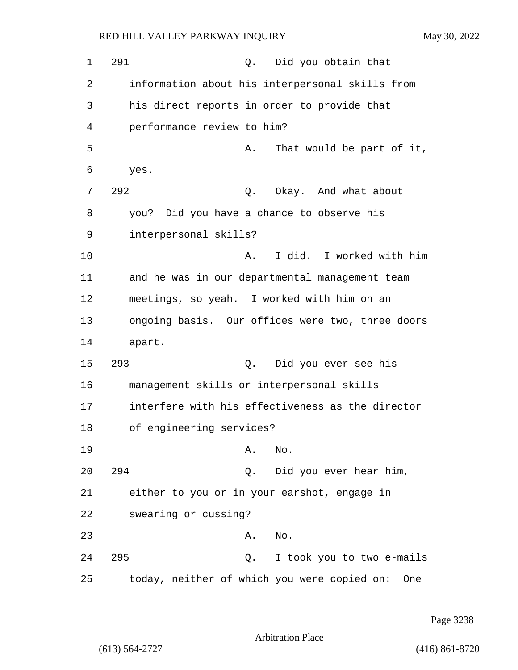1 291 0. Did you obtain that 2 information about his interpersonal skills from 3 his direct reports in order to provide that 4 performance review to him? 5 A. That would be part of it, 6 yes. 7 292 Q. Okay. And what about 8 you? Did you have a chance to observe his 9 interpersonal skills? 10 A. I did. I worked with him 11 and he was in our departmental management team 12 meetings, so yeah. I worked with him on an 13 ongoing basis. Our offices were two, three doors 14 apart. 15 293 Q. Did you ever see his 16 management skills or interpersonal skills 17 interfere with his effectiveness as the director 18 of engineering services? 19 A. No. 20 294 Q. Did you ever hear him, 21 either to you or in your earshot, engage in 22 swearing or cussing? 23 A. No. 24 295 Q. I took you to two e-mails 25 today, neither of which you were copied on: One

Page 3238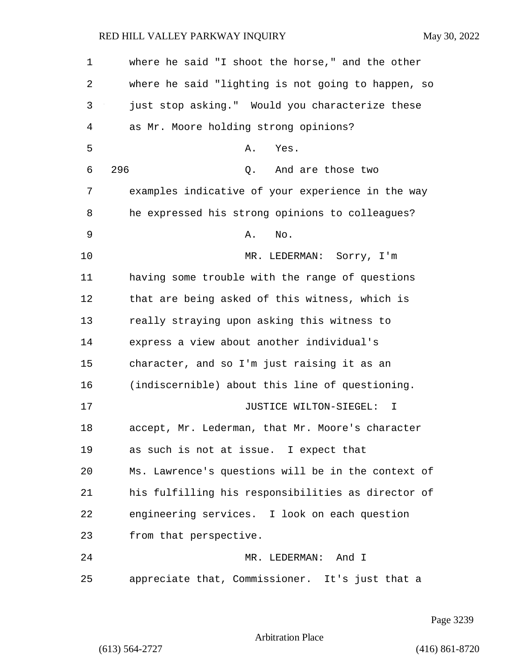1 where he said "I shoot the horse," and the other 2 where he said "lighting is not going to happen, so 3 just stop asking." Would you characterize these 4 as Mr. Moore holding strong opinions? 5 A. Yes. 6 296 Q. And are those two 7 examples indicative of your experience in the way 8 he expressed his strong opinions to colleagues? 9 A. No. 10 MR. LEDERMAN: Sorry, I'm 11 having some trouble with the range of questions 12 that are being asked of this witness, which is 13 really straying upon asking this witness to 14 express a view about another individual's 15 character, and so I'm just raising it as an 16 (indiscernible) about this line of questioning. 17 JUSTICE WILTON-SIEGEL: I 18 accept, Mr. Lederman, that Mr. Moore's character 19 as such is not at issue. I expect that 20 Ms. Lawrence's questions will be in the context of 21 his fulfilling his responsibilities as director of 22 engineering services. I look on each question 23 from that perspective. 24 MR. LEDERMAN: And I 25 appreciate that, Commissioner. It's just that a

Page 3239

Arbitration Place

(613) 564-2727 (416) 861-8720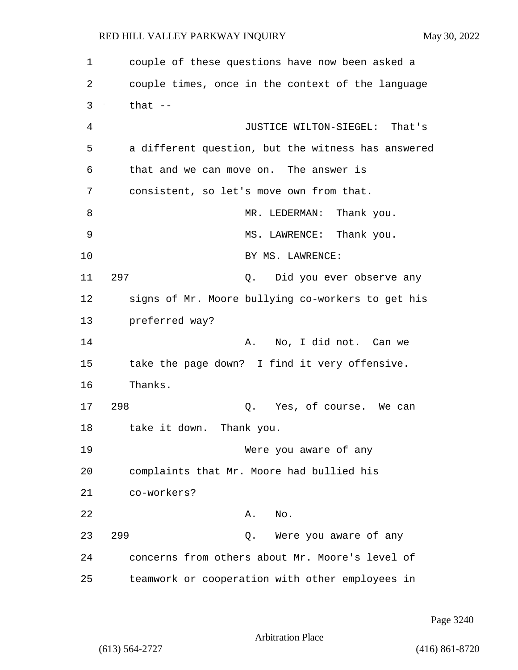1 couple of these questions have now been asked a 2 couple times, once in the context of the language  $3$  that  $-$ 4 JUSTICE WILTON-SIEGEL: That's 5 a different question, but the witness has answered 6 that and we can move on. The answer is 7 consistent, so let's move own from that. 8 MR. LEDERMAN: Thank you. 9 MS. LAWRENCE: Thank you. 10 BY MS. LAWRENCE: 11 297 Q. Did you ever observe any 12 signs of Mr. Moore bullying co-workers to get his 13 preferred way? 14 A. No, I did not. Can we 15 take the page down? I find it very offensive. 16 Thanks. 17 298 Q. Yes, of course. We can 18 take it down. Thank you. 19 Were you aware of any 20 complaints that Mr. Moore had bullied his 21 co-workers? 22 A. No. 23 299 Q. Were you aware of any 24 concerns from others about Mr. Moore's level of 25 teamwork or cooperation with other employees in

Page 3240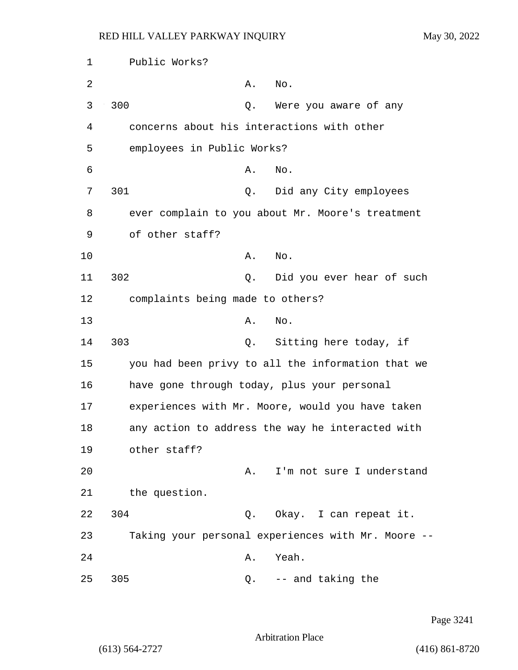1 Public Works? 2 A. No. 3 300 Q. Were you aware of any 4 concerns about his interactions with other 5 employees in Public Works?  $\delta$  A. No. 7 301 Q. Did any City employees 8 ever complain to you about Mr. Moore's treatment 9 of other staff? 10 A. No. 11 302 Q. Did you ever hear of such 12 complaints being made to others? 13 A. No. 14 303 Q. Sitting here today, if 15 you had been privy to all the information that we 16 have gone through today, plus your personal 17 experiences with Mr. Moore, would you have taken 18 any action to address the way he interacted with 19 other staff? 20 A. I'm not sure I understand 21 the question. 22 304 Q. Okay. I can repeat it. 23 Taking your personal experiences with Mr. Moore -- 24 A. Yeah. 25 305 Q. -- and taking the

Page 3241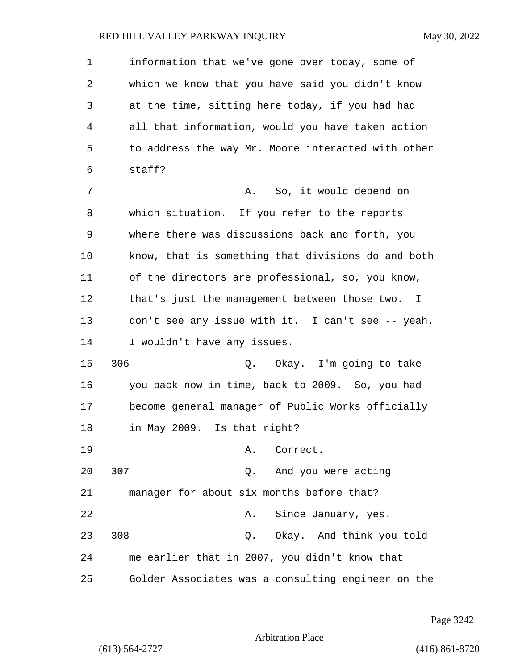1 information that we've gone over today, some of 2 which we know that you have said you didn't know 3 at the time, sitting here today, if you had had 4 all that information, would you have taken action 5 to address the way Mr. Moore interacted with other 6 staff? 7 A. So, it would depend on 8 which situation. If you refer to the reports 9 where there was discussions back and forth, you 10 know, that is something that divisions do and both 11 of the directors are professional, so, you know, 12 that's just the management between those two. I 13 don't see any issue with it. I can't see -- yeah. 14 I wouldn't have any issues. 15 306 Q. Okay. I'm going to take 16 you back now in time, back to 2009. So, you had 17 become general manager of Public Works officially 18 in May 2009. Is that right? 19 A. Correct. 20 307 Q. And you were acting 21 manager for about six months before that? 22 A. Since January, yes. 23 308 Q. Okay. And think you told 24 me earlier that in 2007, you didn't know that 25 Golder Associates was a consulting engineer on the

Page 3242

Arbitration Place

(613) 564-2727 (416) 861-8720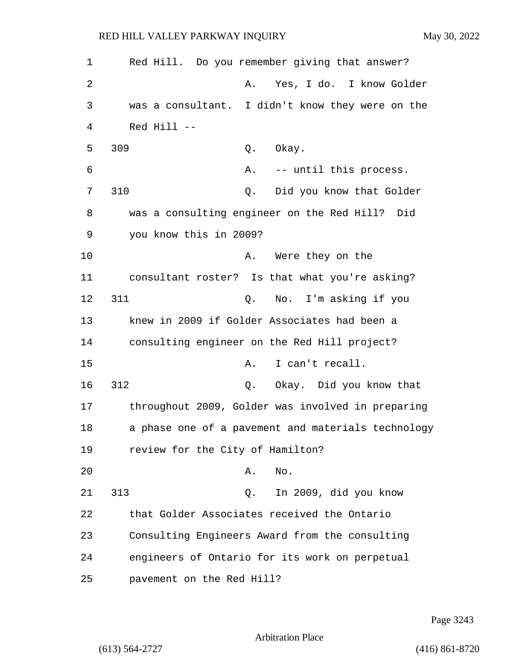| $\mathbf 1$ | Red Hill. Do you remember giving that answer?      |
|-------------|----------------------------------------------------|
| 2           | Yes, I do. I know Golder<br>Α.                     |
| 3           | was a consultant. I didn't know they were on the   |
| 4           | Red Hill --                                        |
| 5           | 309<br>Okay.<br>Q.                                 |
| 6           | Α.<br>-- until this process.                       |
| 7           | 310<br>Did you know that Golder<br>$Q$ .           |
| 8           | was a consulting engineer on the Red Hill? Did     |
| 9           | you know this in 2009?                             |
| 10          | Were they on the<br>Α.                             |
| 11          | consultant roster? Is that what you're asking?     |
| 12          | 311<br>No. I'm asking if you<br>Q.                 |
| 13          | knew in 2009 if Golder Associates had been a       |
| 14          | consulting engineer on the Red Hill project?       |
| 15          | I can't recall.<br>Α.                              |
| 16          | 312<br>Okay. Did you know that<br>$Q$ .            |
| 17          | throughout 2009, Golder was involved in preparing  |
| 18          | a phase one of a pavement and materials technology |
| 19          | review for the City of Hamilton?                   |
| 20          | No.<br>Α.                                          |
| 21          | 313<br>In 2009, did you know<br>Q.                 |
| 22          | that Golder Associates received the Ontario        |
| 23          | Consulting Engineers Award from the consulting     |
| 24          | engineers of Ontario for its work on perpetual     |
| 25          | pavement on the Red Hill?                          |

Page 3243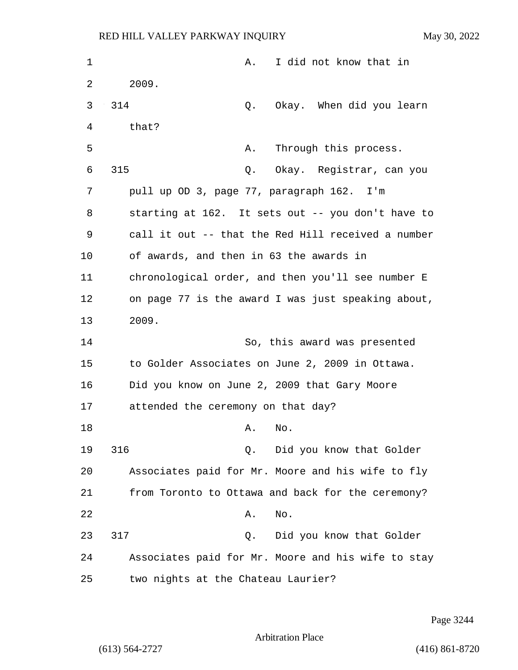| 1  | I did not know that in<br>Α.                       |
|----|----------------------------------------------------|
| 2  | 2009.                                              |
| 3  | 314<br>Okay. When did you learn<br>Q.              |
| 4  | that?                                              |
| 5  | Through this process.<br>Α.                        |
| 6  | 315<br>Okay. Registrar, can you<br>Q.              |
| 7  | pull up OD 3, page 77, paragraph 162. I'm          |
|    |                                                    |
| 8  | starting at 162. It sets out -- you don't have to  |
| 9  | call it out -- that the Red Hill received a number |
| 10 | of awards, and then in 63 the awards in            |
| 11 | chronological order, and then you'll see number E  |
| 12 | on page 77 is the award I was just speaking about, |
| 13 | 2009.                                              |
| 14 | So, this award was presented                       |
| 15 | to Golder Associates on June 2, 2009 in Ottawa.    |
| 16 | Did you know on June 2, 2009 that Gary Moore       |
| 17 | attended the ceremony on that day?                 |
| 18 | A. NO.                                             |
| 19 | 316<br>Did you know that Golder<br>Q.              |
| 20 | Associates paid for Mr. Moore and his wife to fly  |
| 21 | from Toronto to Ottawa and back for the ceremony?  |
| 22 | No.<br>Α.                                          |
| 23 | 317<br>Did you know that Golder<br>Q.              |
| 24 | Associates paid for Mr. Moore and his wife to stay |
| 25 | two nights at the Chateau Laurier?                 |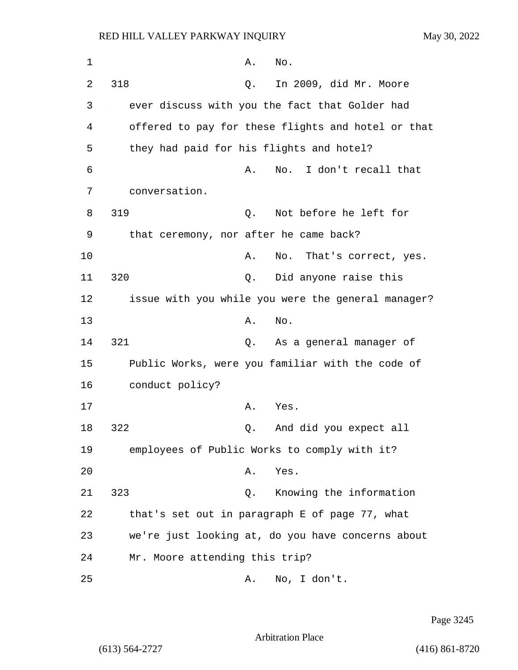| $\mathbf 1$ | No.<br>Α.                                          |                          |
|-------------|----------------------------------------------------|--------------------------|
| 2           | 318<br>In 2009, did Mr. Moore<br>Q.                |                          |
| 3           | ever discuss with you the fact that Golder had     |                          |
| 4           | offered to pay for these flights and hotel or that |                          |
| 5           | they had paid for his flights and hotel?           |                          |
| 6           | Α.<br>No.                                          | I don't recall that      |
| 7           | conversation.                                      |                          |
| 8           | 319<br>Not before he left for<br>Q.                |                          |
| 9           | that ceremony, nor after he came back?             |                          |
| 10          | Α.                                                 | No. That's correct, yes. |
| 11          | 320<br>Did anyone raise this<br>Q.                 |                          |
| 12          | issue with you while you were the general manager? |                          |
| 13          | No.<br>Α.                                          |                          |
| 14          | 321<br>As a general manager of<br>Q.               |                          |
| 15          | Public Works, were you familiar with the code of   |                          |
| 16          | conduct policy?                                    |                          |
| 17          | Α.<br>Yes.                                         |                          |
| 18          | 322<br>And did you expect all<br>Q.                |                          |
| 19          | employees of Public Works to comply with it?       |                          |
| 20          | Yes.<br>Α.                                         |                          |
| 21          | 323<br>Knowing the information<br>Q.               |                          |
| 22          | that's set out in paragraph E of page 77, what     |                          |
| 23          | we're just looking at, do you have concerns about  |                          |
| 24          | Mr. Moore attending this trip?                     |                          |
| 25          | No, I don't.<br>Α.                                 |                          |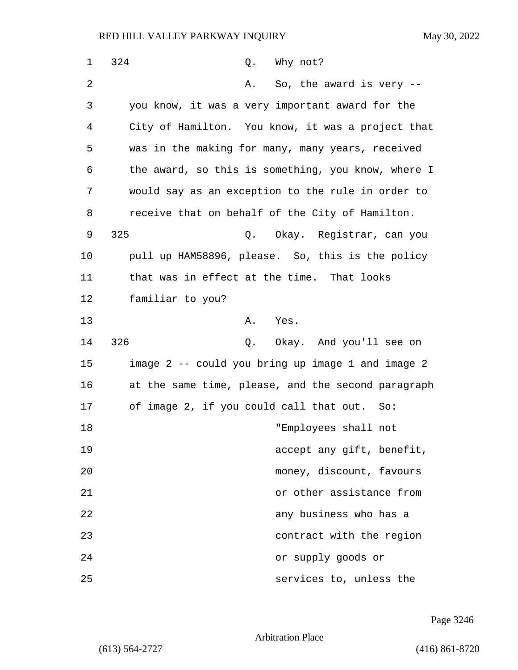| 1      | 324<br>Why not?<br>Q.                              |
|--------|----------------------------------------------------|
| 2      | So, the award is very --<br>Α.                     |
| 3      | you know, it was a very important award for the    |
| 4      | City of Hamilton. You know, it was a project that  |
| 5      | was in the making for many, many years, received   |
| 6      | the award, so this is something, you know, where I |
| 7      | would say as an exception to the rule in order to  |
| 8      | receive that on behalf of the City of Hamilton.    |
| 9      | 325<br>Okay. Registrar, can you<br>Q.              |
| 10     | pull up HAM58896, please. So, this is the policy   |
| 11     | that was in effect at the time. That looks         |
| 12     | familiar to you?                                   |
| 13     | Α.<br>Yes.                                         |
| 14     | 326<br>Okay. And you'll see on<br>Q.               |
| 15     | image 2 -- could you bring up image 1 and image 2  |
| 16     | at the same time, please, and the second paragraph |
| 17     | of image 2, if you could call that out. So:        |
| $18\,$ | "Employees shall not                               |
| 19     | accept any gift, benefit,                          |
| 20     | money, discount, favours                           |
| 21     | or other assistance from                           |
| 22     | any business who has a                             |
| 23     | contract with the region                           |
| 24     | or supply goods or                                 |
| 25     | services to, unless the                            |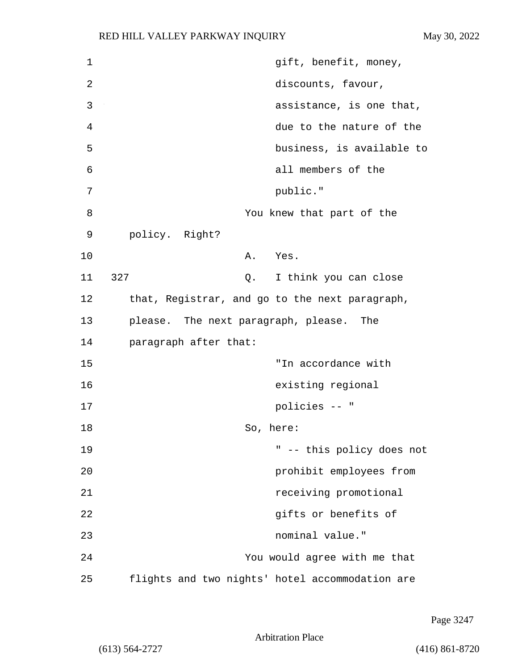| $\mathbf 1$ | gift, benefit, money,                           |
|-------------|-------------------------------------------------|
| 2           | discounts, favour,                              |
| 3           | assistance, is one that,                        |
| 4           | due to the nature of the                        |
| 5           | business, is available to                       |
| 6           | all members of the                              |
| 7           | public."                                        |
| 8           | You knew that part of the                       |
| 9           | policy. Right?                                  |
| 10          | Α.<br>Yes.                                      |
| 11          | 327<br>I think you can close<br>Q.              |
| 12          | that, Registrar, and go to the next paragraph,  |
| 13          | please. The next paragraph, please. The         |
| 14          | paragraph after that:                           |
| 15          | "In accordance with                             |
| 16          | existing regional                               |
| 17          | policies -- "                                   |
| 18          | So, here:                                       |
| 19          | " -- this policy does not                       |
| 20          | prohibit employees from                         |
| 21          | receiving promotional                           |
| 22          | gifts or benefits of                            |
| 23          | nominal value."                                 |
| 24          | You would agree with me that                    |
| 25          | flights and two nights' hotel accommodation are |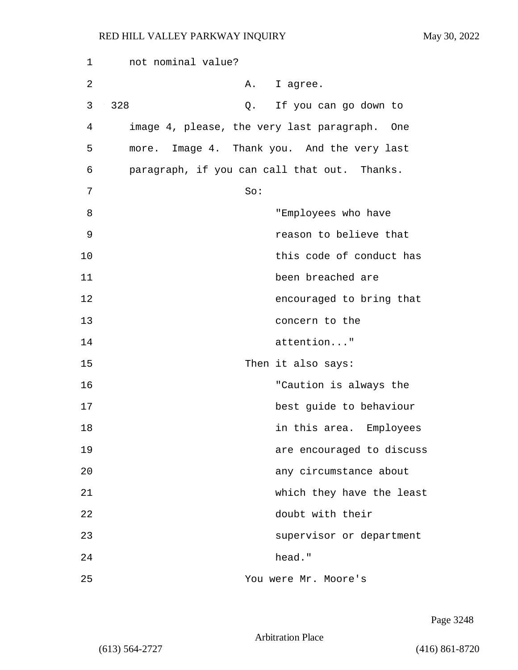| 1  | not nominal value?                           |                           |
|----|----------------------------------------------|---------------------------|
| 2  | Α.                                           | I agree.                  |
| 3  | 328<br>Q.                                    | If you can go down to     |
| 4  | image 4, please, the very last paragraph.    | One                       |
| 5  | more. Image 4. Thank you. And the very last  |                           |
| 6  | paragraph, if you can call that out. Thanks. |                           |
| 7  | So:                                          |                           |
| 8  |                                              | "Employees who have       |
| 9  |                                              | reason to believe that    |
| 10 |                                              | this code of conduct has  |
| 11 |                                              | been breached are         |
| 12 |                                              | encouraged to bring that  |
| 13 |                                              | concern to the            |
| 14 |                                              | attention"                |
| 15 |                                              | Then it also says:        |
| 16 |                                              | "Caution is always the    |
| 17 |                                              | best guide to behaviour   |
| 18 |                                              | in this area. Employees   |
| 19 |                                              | are encouraged to discuss |
| 20 |                                              | any circumstance about    |
| 21 |                                              | which they have the least |
| 22 |                                              | doubt with their          |
| 23 |                                              | supervisor or department  |
| 24 |                                              | head."                    |
| 25 |                                              | You were Mr. Moore's      |

Page 3248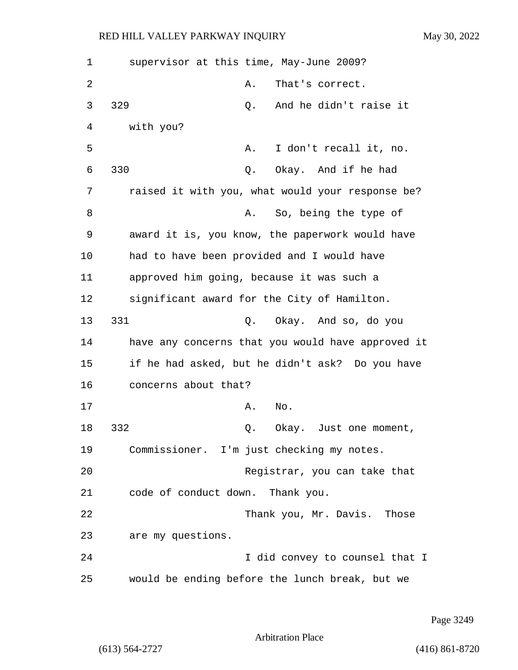| 1  | supervisor at this time, May-June 2009?           |
|----|---------------------------------------------------|
| 2  | That's correct.<br>Α.                             |
| 3  | 329<br>And he didn't raise it<br>Q.               |
| 4  | with you?                                         |
| 5  | I don't recall it, no.<br>Α.                      |
| 6  | 330<br>Okay. And if he had<br>Q.                  |
| 7  | raised it with you, what would your response be?  |
| 8  | So, being the type of<br>Α.                       |
| 9  | award it is, you know, the paperwork would have   |
| 10 | had to have been provided and I would have        |
| 11 | approved him going, because it was such a         |
| 12 | significant award for the City of Hamilton.       |
| 13 | 331<br>Okay. And so, do you<br>Q.                 |
| 14 | have any concerns that you would have approved it |
| 15 | if he had asked, but he didn't ask? Do you have   |
| 16 | concerns about that?                              |
| 17 | No.<br>Α.                                         |
| 18 | 332<br>Q.<br>Okay. Just one moment,               |
| 19 | Commissioner. I'm just checking my notes.         |
| 20 | Registrar, you can take that                      |
| 21 | code of conduct down. Thank you.                  |
| 22 | Thank you, Mr. Davis. Those                       |
| 23 | are my questions.                                 |
| 24 | I did convey to counsel that I                    |
| 25 | would be ending before the lunch break, but we    |

Page 3249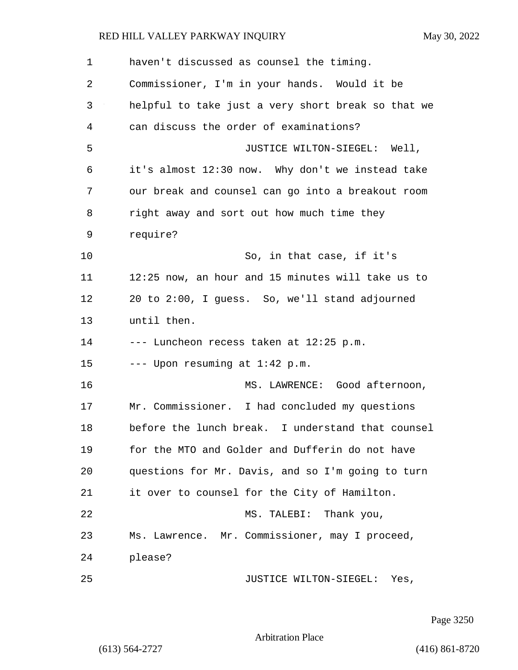| 1  | haven't discussed as counsel the timing.           |
|----|----------------------------------------------------|
| 2  | Commissioner, I'm in your hands. Would it be       |
| 3  | helpful to take just a very short break so that we |
| 4  | can discuss the order of examinations?             |
| 5  | JUSTICE WILTON-SIEGEL: Well,                       |
| 6  | it's almost 12:30 now. Why don't we instead take   |
| 7  | our break and counsel can go into a breakout room  |
| 8  | right away and sort out how much time they         |
| 9  | require?                                           |
| 10 | So, in that case, if it's                          |
| 11 | 12:25 now, an hour and 15 minutes will take us to  |
| 12 | 20 to 2:00, I guess. So, we'll stand adjourned     |
| 13 | until then.                                        |
| 14 | --- Luncheon recess taken at 12:25 p.m.            |
| 15 | --- Upon resuming at 1:42 p.m.                     |
| 16 | MS. LAWRENCE: Good afternoon,                      |
| 17 | Mr. Commissioner. I had concluded my questions     |
| 18 | before the lunch break. I understand that counsel  |
| 19 | for the MTO and Golder and Dufferin do not have    |
| 20 | questions for Mr. Davis, and so I'm going to turn  |
| 21 | it over to counsel for the City of Hamilton.       |
| 22 | MS. TALEBI: Thank you,                             |
| 23 | Ms. Lawrence. Mr. Commissioner, may I proceed,     |
| 24 | please?                                            |
| 25 | JUSTICE WILTON-SIEGEL: Yes,                        |

Page 3250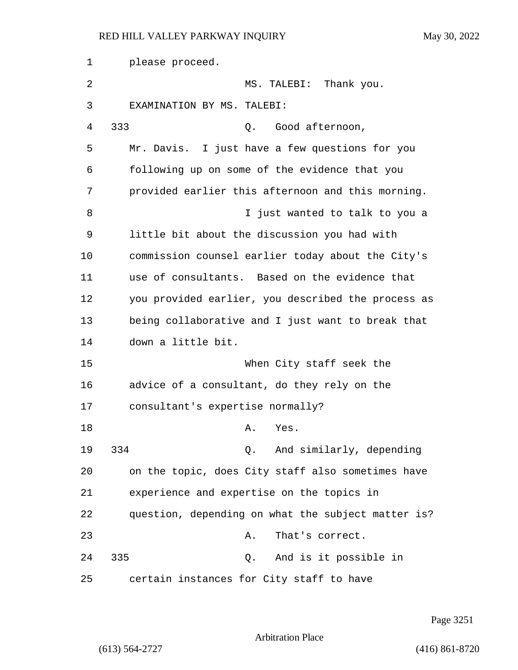| 1  | please proceed.                                    |
|----|----------------------------------------------------|
| 2  | MS. TALEBI: Thank you.                             |
| 3  | EXAMINATION BY MS. TALEBI:                         |
| 4  | 333<br>Good afternoon,<br>Q.                       |
| 5  | Mr. Davis. I just have a few questions for you     |
| 6  | following up on some of the evidence that you      |
| 7  | provided earlier this afternoon and this morning.  |
| 8  | I just wanted to talk to you a                     |
| 9  | little bit about the discussion you had with       |
| 10 | commission counsel earlier today about the City's  |
| 11 | use of consultants. Based on the evidence that     |
| 12 | you provided earlier, you described the process as |
| 13 | being collaborative and I just want to break that  |
| 14 | down a little bit.                                 |
| 15 | When City staff seek the                           |
| 16 | advice of a consultant, do they rely on the        |
| 17 | consultant's expertise normally?                   |
| 18 | Yes.<br>Α.                                         |
| 19 | 334<br>Q. And similarly, depending                 |
| 20 | on the topic, does City staff also sometimes have  |
| 21 | experience and expertise on the topics in          |
| 22 | question, depending on what the subject matter is? |
| 23 | That's correct.<br>Α.                              |
| 24 | 335<br>And is it possible in<br>Q.                 |
| 25 | certain instances for City staff to have           |

Page 3251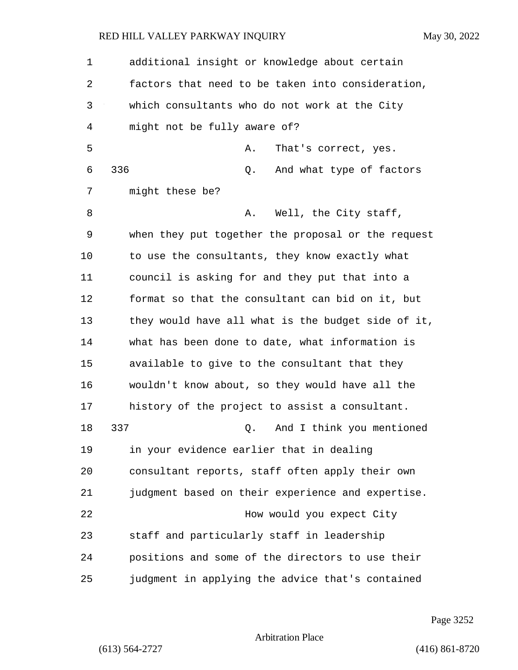| $\mathbf 1$ | additional insight or knowledge about certain      |
|-------------|----------------------------------------------------|
| 2           | factors that need to be taken into consideration,  |
| 3           | which consultants who do not work at the City      |
| 4           | might not be fully aware of?                       |
| 5           | Α.<br>That's correct, yes.                         |
| 6           | 336<br>And what type of factors<br>Q.              |
| 7           | might these be?                                    |
| 8           | Well, the City staff,<br>Α.                        |
| 9           | when they put together the proposal or the request |
| 10          | to use the consultants, they know exactly what     |
| 11          | council is asking for and they put that into a     |
| 12          | format so that the consultant can bid on it, but   |
| 13          | they would have all what is the budget side of it, |
| 14          | what has been done to date, what information is    |
| 15          | available to give to the consultant that they      |
| 16          | wouldn't know about, so they would have all the    |
| 17          | history of the project to assist a consultant.     |
| 18          | 337<br>And I think you mentioned<br>Q.             |
| 19          | in your evidence earlier that in dealing           |
| 20          | consultant reports, staff often apply their own    |
| 21          | judgment based on their experience and expertise.  |
| 22          | How would you expect City                          |
| 23          | staff and particularly staff in leadership         |
| 24          | positions and some of the directors to use their   |
| 25          | judgment in applying the advice that's contained   |

Page 3252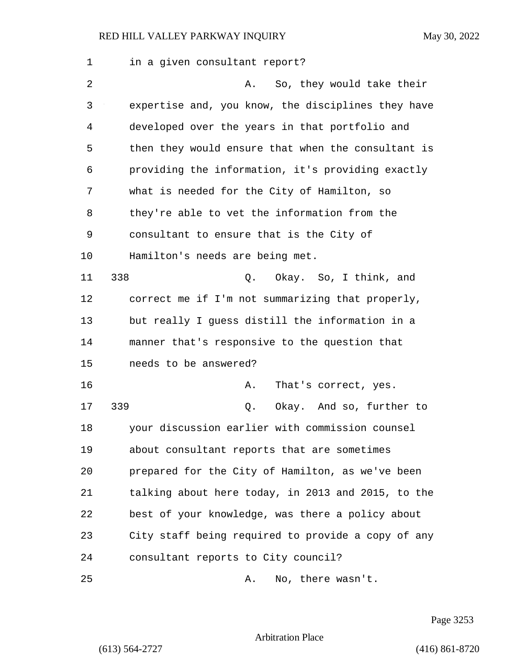| 1  | in a given consultant report?                      |
|----|----------------------------------------------------|
| 2  | So, they would take their<br>Α.                    |
| 3  | expertise and, you know, the disciplines they have |
| 4  | developed over the years in that portfolio and     |
| 5  | then they would ensure that when the consultant is |
| 6  | providing the information, it's providing exactly  |
| 7  | what is needed for the City of Hamilton, so        |
| 8  | they're able to vet the information from the       |
| 9  | consultant to ensure that is the City of           |
| 10 | Hamilton's needs are being met.                    |
| 11 | 338<br>Q. Okay. So, I think, and                   |
| 12 | correct me if I'm not summarizing that properly,   |
| 13 | but really I guess distill the information in a    |
| 14 | manner that's responsive to the question that      |
| 15 | needs to be answered?                              |
| 16 | That's correct, yes.<br>Α.                         |
| 17 | 339<br>Okay. And so, further to<br>Q.              |
| 18 | your discussion earlier with commission counsel    |
| 19 | about consultant reports that are sometimes        |
| 20 | prepared for the City of Hamilton, as we've been   |
| 21 | talking about here today, in 2013 and 2015, to the |
| 22 | best of your knowledge, was there a policy about   |
| 23 | City staff being required to provide a copy of any |
| 24 | consultant reports to City council?                |
| 25 | No, there wasn't.<br>Α.                            |

Page 3253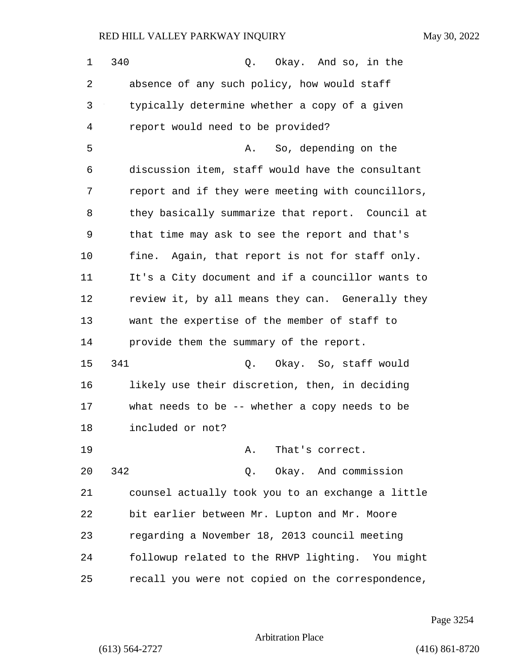| 1  | 340<br>Q. Okay. And so, in the                    |
|----|---------------------------------------------------|
| 2  | absence of any such policy, how would staff       |
| 3  | typically determine whether a copy of a given     |
| 4  | report would need to be provided?                 |
| 5  | So, depending on the<br>Α.                        |
| 6  | discussion item, staff would have the consultant  |
| 7  | report and if they were meeting with councillors, |
| 8  | they basically summarize that report. Council at  |
| 9  | that time may ask to see the report and that's    |
| 10 | fine. Again, that report is not for staff only.   |
| 11 | It's a City document and if a councillor wants to |
| 12 | review it, by all means they can. Generally they  |
| 13 | want the expertise of the member of staff to      |
| 14 | provide them the summary of the report.           |
| 15 | 341<br>Okay. So, staff would<br>Q.                |
| 16 | likely use their discretion, then, in deciding    |
| 17 | what needs to be -- whether a copy needs to be    |
| 18 | included or not?                                  |
| 19 | That's correct.<br>Α.                             |
| 20 | Q. Okay. And commission<br>342                    |
| 21 | counsel actually took you to an exchange a little |
| 22 | bit earlier between Mr. Lupton and Mr. Moore      |
| 23 | regarding a November 18, 2013 council meeting     |
| 24 | followup related to the RHVP lighting. You might  |
| 25 | recall you were not copied on the correspondence, |

Page 3254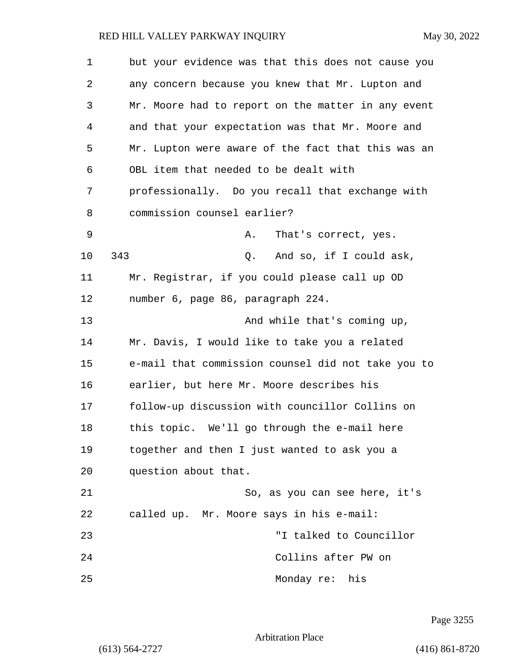| 1  | but your evidence was that this does not cause you |
|----|----------------------------------------------------|
| 2  | any concern because you knew that Mr. Lupton and   |
| 3  | Mr. Moore had to report on the matter in any event |
| 4  | and that your expectation was that Mr. Moore and   |
| 5  | Mr. Lupton were aware of the fact that this was an |
| 6  | OBL item that needed to be dealt with              |
| 7  | professionally. Do you recall that exchange with   |
| 8  | commission counsel earlier?                        |
| 9  | That's correct, yes.<br>Α.                         |
| 10 | 343<br>And so, if I could ask,<br>Q.               |
| 11 | Mr. Registrar, if you could please call up OD      |
| 12 | number 6, page 86, paragraph 224.                  |
| 13 | And while that's coming up,                        |
| 14 | Mr. Davis, I would like to take you a related      |
| 15 | e-mail that commission counsel did not take you to |
| 16 | earlier, but here Mr. Moore describes his          |
| 17 | follow-up discussion with councillor Collins on    |
| 18 | this topic. We'll go through the e-mail here       |
| 19 | together and then I just wanted to ask you a       |
| 20 | question about that.                               |
| 21 | So, as you can see here, it's                      |
| 22 | called up. Mr. Moore says in his e-mail:           |
| 23 | "I talked to Councillor                            |
| 24 | Collins after PW on                                |
| 25 | Monday re: his                                     |

Page 3255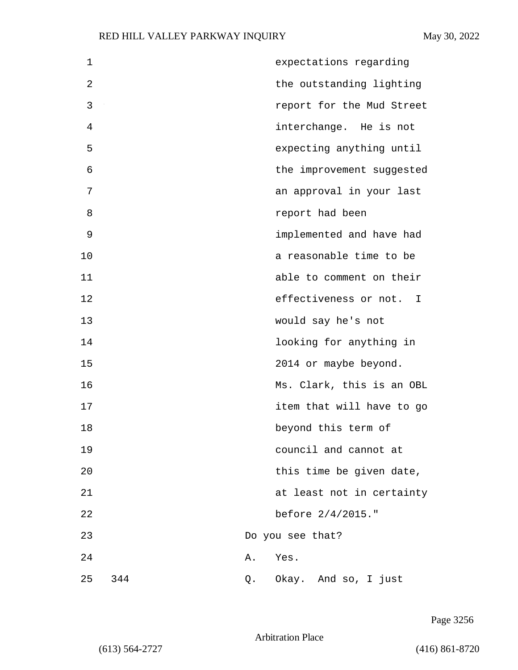| $\mathbf 1$ |     |    | expectations regarding    |
|-------------|-----|----|---------------------------|
| 2           |     |    | the outstanding lighting  |
| 3           |     |    | report for the Mud Street |
| 4           |     |    | interchange. He is not    |
| 5           |     |    | expecting anything until  |
| 6           |     |    | the improvement suggested |
| 7           |     |    | an approval in your last  |
| 8           |     |    | report had been           |
| 9           |     |    | implemented and have had  |
| 10          |     |    | a reasonable time to be   |
| 11          |     |    | able to comment on their  |
| 12          |     |    | effectiveness or not. I   |
| 13          |     |    | would say he's not        |
| 14          |     |    | looking for anything in   |
| 15          |     |    | 2014 or maybe beyond.     |
| 16          |     |    | Ms. Clark, this is an OBL |
| 17          |     |    | item that will have to go |
| 18          |     |    | beyond this term of       |
| 19          |     |    | council and cannot at     |
| 20          |     |    | this time be given date,  |
| 21          |     |    | at least not in certainty |
| 22          |     |    | before $2/4/2015.$ "      |
| 23          |     |    | Do you see that?          |
| 24          |     | Α. | Yes.                      |
| 25          | 344 | Q. | Okay. And so, I just      |

Page 3256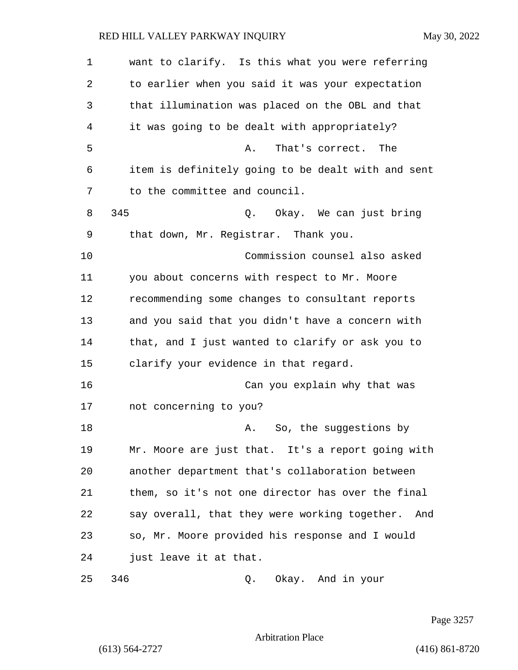1 want to clarify. Is this what you were referring 2 to earlier when you said it was your expectation 3 that illumination was placed on the OBL and that 4 it was going to be dealt with appropriately? 5 A. That's correct. The 6 item is definitely going to be dealt with and sent 7 to the committee and council. 8 345 Q. Okay. We can just bring 9 that down, Mr. Registrar. Thank you. 10 Commission counsel also asked 11 you about concerns with respect to Mr. Moore 12 recommending some changes to consultant reports 13 and you said that you didn't have a concern with 14 that, and I just wanted to clarify or ask you to 15 clarify your evidence in that regard. 16 Can you explain why that was 17 not concerning to you? 18 **A.** So, the suggestions by 19 Mr. Moore are just that. It's a report going with 20 another department that's collaboration between 21 them, so it's not one director has over the final 22 say overall, that they were working together. And 23 so, Mr. Moore provided his response and I would 24 just leave it at that. 25 346 Q. Okay. And in your

Page 3257

Arbitration Place

(613) 564-2727 (416) 861-8720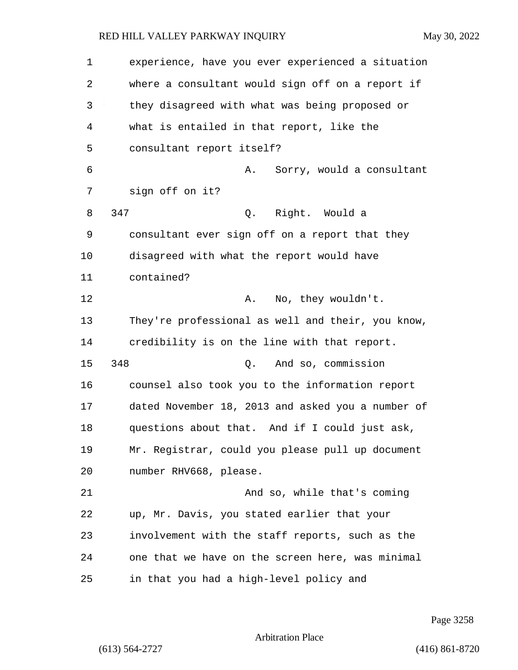1 experience, have you ever experienced a situation 2 where a consultant would sign off on a report if 3 they disagreed with what was being proposed or 4 what is entailed in that report, like the 5 consultant report itself? 6 A. Sorry, would a consultant 7 sign off on it? 8 347 Q. Right. Would a 9 consultant ever sign off on a report that they 10 disagreed with what the report would have 11 contained? 12 A. No, they wouldn't. 13 They're professional as well and their, you know, 14 credibility is on the line with that report. 15 348 Q. And so, commission 16 counsel also took you to the information report 17 dated November 18, 2013 and asked you a number of 18 questions about that. And if I could just ask, 19 Mr. Registrar, could you please pull up document 20 number RHV668, please. 21 And so, while that's coming 22 up, Mr. Davis, you stated earlier that your 23 involvement with the staff reports, such as the 24 one that we have on the screen here, was minimal 25 in that you had a high-level policy and

Page 3258

Arbitration Place

(613) 564-2727 (416) 861-8720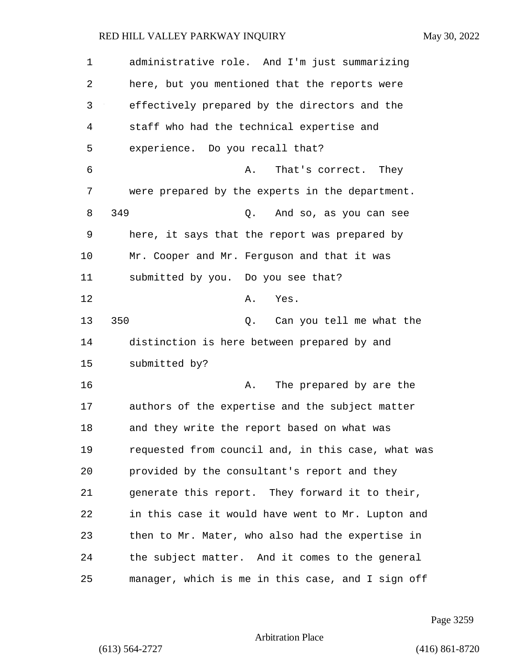1 administrative role. And I'm just summarizing 2 here, but you mentioned that the reports were 3 effectively prepared by the directors and the 4 staff who had the technical expertise and 5 experience. Do you recall that? 6 A. That's correct. They 7 were prepared by the experts in the department. 8 349 Q. And so, as you can see 9 here, it says that the report was prepared by 10 Mr. Cooper and Mr. Ferguson and that it was 11 submitted by you. Do you see that? 12 A. Yes. 13 350 Q. Can you tell me what the 14 distinction is here between prepared by and 15 submitted by? 16 **A.** The prepared by are the 17 authors of the expertise and the subject matter 18 and they write the report based on what was 19 requested from council and, in this case, what was 20 provided by the consultant's report and they 21 generate this report. They forward it to their, 22 in this case it would have went to Mr. Lupton and 23 then to Mr. Mater, who also had the expertise in 24 the subject matter. And it comes to the general 25 manager, which is me in this case, and I sign off

Page 3259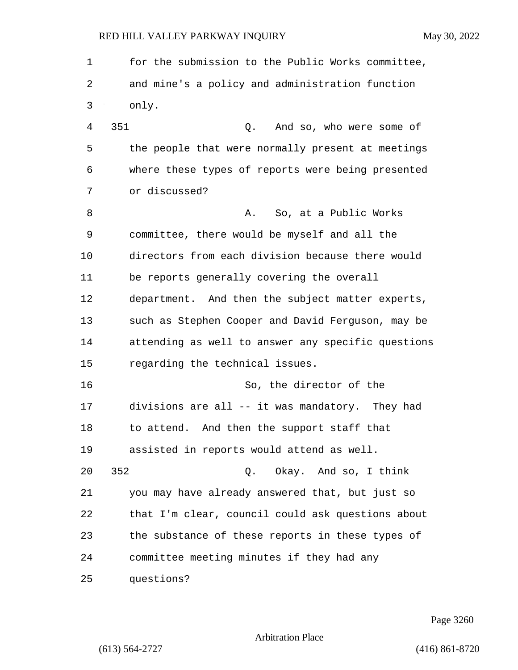1 for the submission to the Public Works committee, 2 and mine's a policy and administration function 3 only. 4 351 Q. And so, who were some of 5 the people that were normally present at meetings 6 where these types of reports were being presented 7 or discussed? 8 a. So, at a Public Works 9 committee, there would be myself and all the 10 directors from each division because there would 11 be reports generally covering the overall 12 department. And then the subject matter experts, 13 such as Stephen Cooper and David Ferguson, may be 14 attending as well to answer any specific questions 15 regarding the technical issues. 16 So, the director of the 17 divisions are all -- it was mandatory. They had 18 to attend. And then the support staff that 19 assisted in reports would attend as well. 20 352 Q. Okay. And so, I think 21 you may have already answered that, but just so 22 that I'm clear, council could ask questions about 23 the substance of these reports in these types of 24 committee meeting minutes if they had any 25 questions?

Page 3260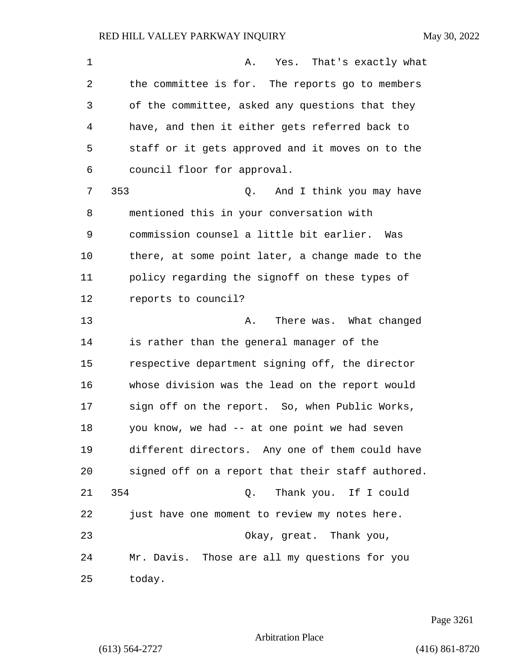| $\mathbf 1$ | Yes. That's exactly what<br>Α.                    |
|-------------|---------------------------------------------------|
| 2           | the committee is for. The reports go to members   |
| 3           | of the committee, asked any questions that they   |
| 4           | have, and then it either gets referred back to    |
| 5           | staff or it gets approved and it moves on to the  |
| 6           | council floor for approval.                       |
| 7           | 353<br>And I think you may have<br>Q.             |
| 8           | mentioned this in your conversation with          |
| 9           | commission counsel a little bit earlier. Was      |
| 10          | there, at some point later, a change made to the  |
| 11          | policy regarding the signoff on these types of    |
| 12          | reports to council?                               |
| 13          | There was. What changed<br>Α.                     |
| 14          | is rather than the general manager of the         |
| 15          | respective department signing off, the director   |
| 16          | whose division was the lead on the report would   |
| 17          | sign off on the report. So, when Public Works,    |
| 18          | you know, we had -- at one point we had seven     |
| 19          | different directors. Any one of them could have   |
| 20          | signed off on a report that their staff authored. |
| 21          | 354<br>Q. Thank you. If I could                   |
| 22          | just have one moment to review my notes here.     |
| 23          | Okay, great. Thank you,                           |
| 24          | Mr. Davis. Those are all my questions for you     |
| 25          | today.                                            |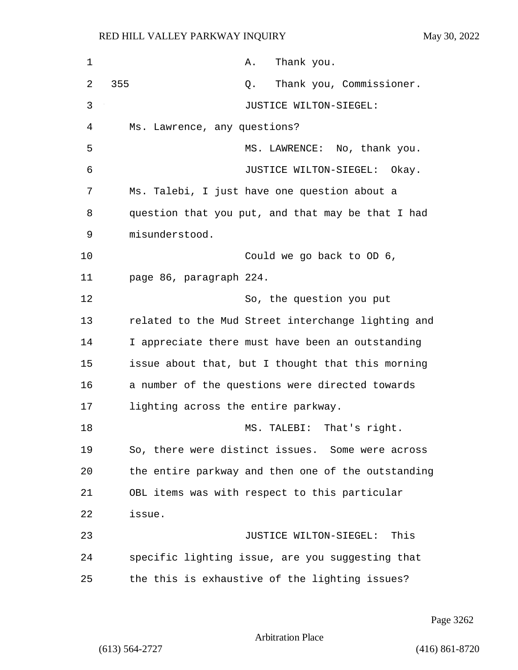| 1  | Thank you.<br>A.                                   |
|----|----------------------------------------------------|
| 2  | 355<br>Thank you, Commissioner.<br>Q.              |
| 3  | JUSTICE WILTON-SIEGEL:                             |
| 4  | Ms. Lawrence, any questions?                       |
| 5  | MS. LAWRENCE: No, thank you.                       |
| 6  | JUSTICE WILTON-SIEGEL: Okay.                       |
| 7  | Ms. Talebi, I just have one question about a       |
| 8  | question that you put, and that may be that I had  |
| 9  | misunderstood.                                     |
| 10 | Could we go back to OD 6,                          |
| 11 | page 86, paragraph 224.                            |
| 12 | So, the question you put                           |
| 13 | related to the Mud Street interchange lighting and |
| 14 | I appreciate there must have been an outstanding   |
| 15 | issue about that, but I thought that this morning  |
| 16 | a number of the questions were directed towards    |
| 17 | lighting across the entire parkway.                |
| 18 | TALEBI: That's right.<br>MS .                      |
| 19 | So, there were distinct issues. Some were across   |
| 20 | the entire parkway and then one of the outstanding |
| 21 | OBL items was with respect to this particular      |
| 22 | issue.                                             |
| 23 | JUSTICE WILTON-SIEGEL:<br>This                     |
| 24 | specific lighting issue, are you suggesting that   |
| 25 | the this is exhaustive of the lighting issues?     |

Page 3262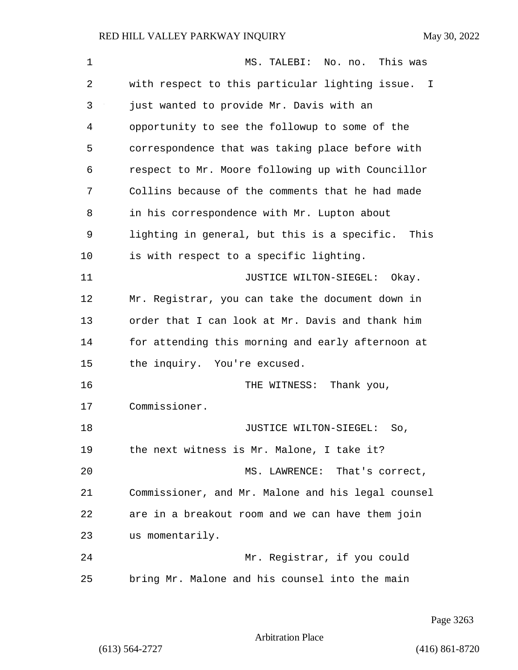| 1  | This was<br>MS. TALEBI: No. no.                      |
|----|------------------------------------------------------|
| 2  | with respect to this particular lighting issue. I    |
| 3  | just wanted to provide Mr. Davis with an             |
| 4  | opportunity to see the followup to some of the       |
| 5  | correspondence that was taking place before with     |
| 6  | respect to Mr. Moore following up with Councillor    |
| 7  | Collins because of the comments that he had made     |
| 8  | in his correspondence with Mr. Lupton about          |
| 9  | lighting in general, but this is a specific.<br>This |
| 10 | is with respect to a specific lighting.              |
| 11 | JUSTICE WILTON-SIEGEL:<br>Okay.                      |
| 12 | Mr. Registrar, you can take the document down in     |
| 13 | order that I can look at Mr. Davis and thank him     |
| 14 | for attending this morning and early afternoon at    |
| 15 | the inquiry. You're excused.                         |
| 16 | THE WITNESS:<br>Thank you,                           |
| 17 | Commissioner.                                        |
| 18 | JUSTICE WILTON-SIEGEL:<br>So,                        |
| 19 | the next witness is Mr. Malone, I take it?           |
| 20 | MS. LAWRENCE: That's correct,                        |
| 21 | Commissioner, and Mr. Malone and his legal counsel   |
| 22 | are in a breakout room and we can have them join     |
| 23 | us momentarily.                                      |
| 24 | Mr. Registrar, if you could                          |
| 25 | bring Mr. Malone and his counsel into the main       |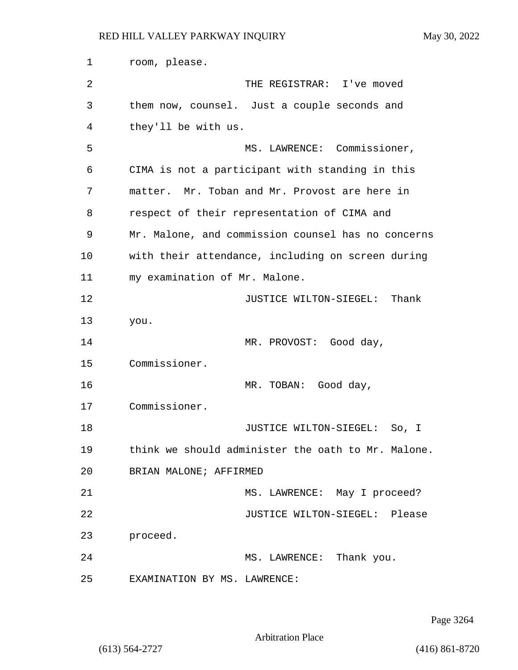1 room, please. 2 THE REGISTRAR: I've moved 3 them now, counsel. Just a couple seconds and 4 they'll be with us. 5 MS. LAWRENCE: Commissioner, 6 CIMA is not a participant with standing in this 7 matter. Mr. Toban and Mr. Provost are here in 8 respect of their representation of CIMA and 9 Mr. Malone, and commission counsel has no concerns 10 with their attendance, including on screen during 11 my examination of Mr. Malone. 12 **JUSTICE WILTON-SIEGEL:** Thank 13 you. 14 MR. PROVOST: Good day, 15 Commissioner. 16 MR. TOBAN: Good day, 17 Commissioner. 18 JUSTICE WILTON-SIEGEL: So, I 19 think we should administer the oath to Mr. Malone. 20 BRIAN MALONE; AFFIRMED 21 MS. LAWRENCE: May I proceed? 22 JUSTICE WILTON-SIEGEL: Please 23 proceed. 24 MS. LAWRENCE: Thank you. 25 EXAMINATION BY MS. LAWRENCE:

Page 3264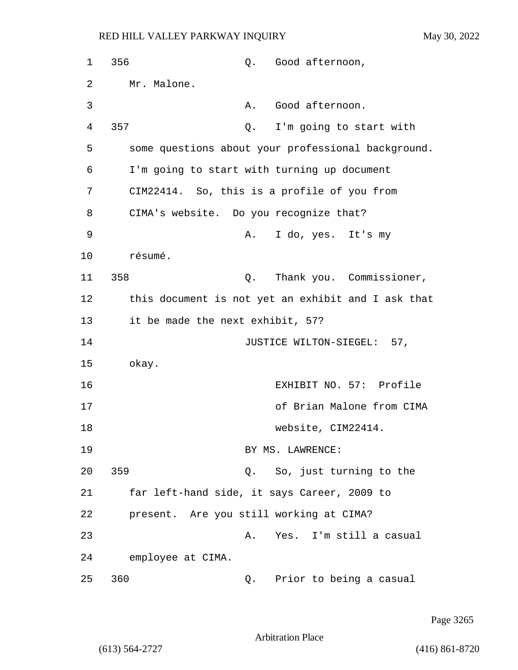| $\mathbf 1$ | 356                                     |    | Q. Good afternoon,                                 |
|-------------|-----------------------------------------|----|----------------------------------------------------|
| 2           | Mr. Malone.                             |    |                                                    |
| 3           |                                         | Α. | Good afternoon.                                    |
| 4           | 357                                     | Q. | I'm going to start with                            |
| 5           |                                         |    | some questions about your professional background. |
| 6           |                                         |    | I'm going to start with turning up document        |
| 7           |                                         |    | CIM22414. So, this is a profile of you from        |
| 8           | CIMA's website. Do you recognize that?  |    |                                                    |
| 9           |                                         | Α. | I do, yes. It's my                                 |
| 10          | résumé.                                 |    |                                                    |
| 11          | 358                                     | Q. | Thank you. Commissioner,                           |
| 12          |                                         |    | this document is not yet an exhibit and I ask that |
| 13          | it be made the next exhibit, 57?        |    |                                                    |
| 14          |                                         |    | JUSTICE WILTON-SIEGEL: 57,                         |
| 15          | okay.                                   |    |                                                    |
| 16          |                                         |    | EXHIBIT NO. 57: Profile                            |
| 17          |                                         |    | of Brian Malone from CIMA                          |
| 18          |                                         |    | website, CIM22414.                                 |
| 19          |                                         |    | BY MS. LAWRENCE:                                   |
| 20          | 359                                     | Q. | So, just turning to the                            |
| 21          |                                         |    | far left-hand side, it says Career, 2009 to        |
| 22          | present. Are you still working at CIMA? |    |                                                    |
| 23          |                                         | Α. | Yes. I'm still a casual                            |
| 24          | employee at CIMA.                       |    |                                                    |
| 25          | 360                                     | Q. | Prior to being a casual                            |

Page 3265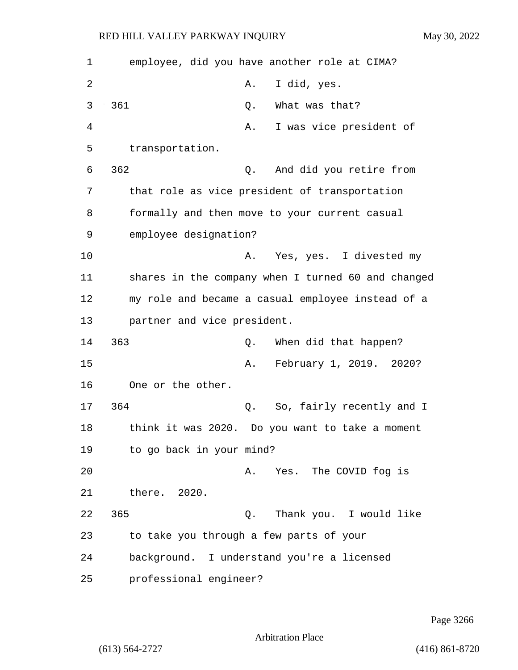| $\mathbf 1$ | employee, did you have another role at CIMA?       |
|-------------|----------------------------------------------------|
| 2           | I did, yes.<br>Α.                                  |
| 3           | 361<br>What was that?<br>Q.                        |
| 4           | I was vice president of<br>Α.                      |
| 5           | transportation.                                    |
| 6           | 362<br>And did you retire from<br>Q.               |
| 7           | that role as vice president of transportation      |
| 8           | formally and then move to your current casual      |
| 9           | employee designation?                              |
| 10          | Yes, yes. I divested my<br>Α.                      |
| 11          | shares in the company when I turned 60 and changed |
| 12          | my role and became a casual employee instead of a  |
| 13          | partner and vice president.                        |
| 14          | 363<br>When did that happen?<br>Q.                 |
| 15          | February 1, 2019. 2020?<br>Α.                      |
| 16          | One or the other.                                  |
| 17          | 364<br>So, fairly recently and I<br>Q.             |
| 18          | think it was 2020. Do you want to take a moment    |
| 19          | to go back in your mind?                           |
| 20          | A. Yes. The COVID fog is                           |
| 21          | there. 2020.                                       |
| 22          | 365<br>Thank you. I would like<br>Q.               |
| 23          | to take you through a few parts of your            |
| 24          | background. I understand you're a licensed         |
| 25          | professional engineer?                             |

Page 3266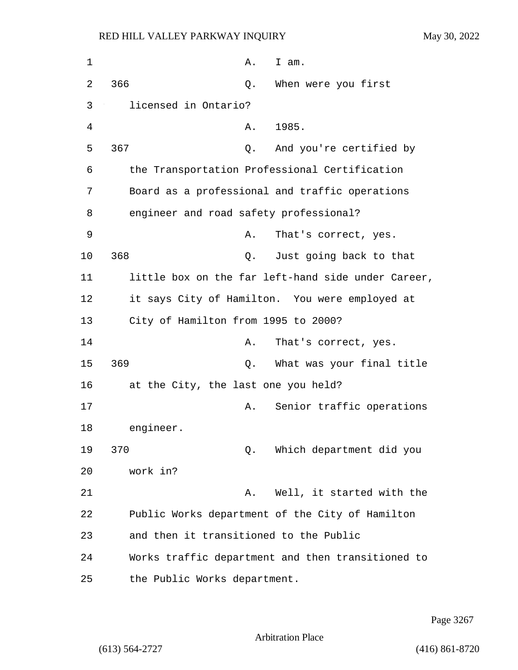| $\mathbf 1$ | Α.<br>I am.                                        |
|-------------|----------------------------------------------------|
| 2           | 366<br>When were you first<br>Q.                   |
| 3           | licensed in Ontario?                               |
| 4           | 1985.<br>Α.                                        |
| 5           | 367<br>And you're certified by<br>Q.               |
| 6           | the Transportation Professional Certification      |
| 7           | Board as a professional and traffic operations     |
| 8           | engineer and road safety professional?             |
| 9           | That's correct, yes.<br>Α.                         |
| 10          | 368<br>Just going back to that<br>Q.               |
| 11          | little box on the far left-hand side under Career, |
| 12          | it says City of Hamilton. You were employed at     |
| 13          | City of Hamilton from 1995 to 2000?                |
| 14          | That's correct, yes.<br>Α.                         |
| 15          | 369<br>What was your final title<br>Q.             |
| 16          | at the City, the last one you held?                |
| 17          | Senior traffic operations<br>Α.                    |
| 18          | engineer.                                          |
| 19          | 370<br>Which department did you<br>Q.              |
| 20          | work in?                                           |
| 21          | Well, it started with the<br>Α.                    |
| 22          | Public Works department of the City of Hamilton    |
| 23          | and then it transitioned to the Public             |
| 24          | Works traffic department and then transitioned to  |
| 25          | the Public Works department.                       |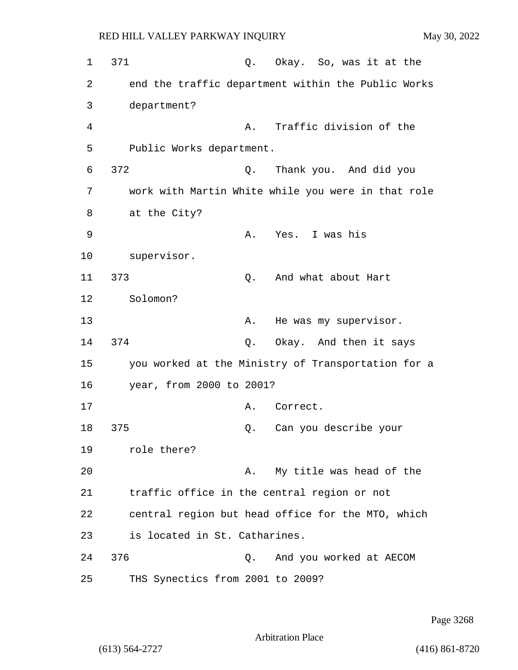1 371 0. Okay. So, was it at the 2 end the traffic department within the Public Works 3 department? 4 A. Traffic division of the 5 Public Works department. 6 372 Q. Thank you. And did you 7 work with Martin White while you were in that role 8 at the City? 9 A. Yes. I was his 10 supervisor. 11 373 Q. And what about Hart 12 Solomon? 13 A. He was my supervisor. 14 374 Q. Okay. And then it says 15 you worked at the Ministry of Transportation for a 16 year, from 2000 to 2001? 17 A. Correct. 18 375 Q. Can you describe your 19 role there? 20 A. My title was head of the 21 traffic office in the central region or not 22 central region but head office for the MTO, which 23 is located in St. Catharines. 24 376 Q. And you worked at AECOM 25 THS Synectics from 2001 to 2009?

Page 3268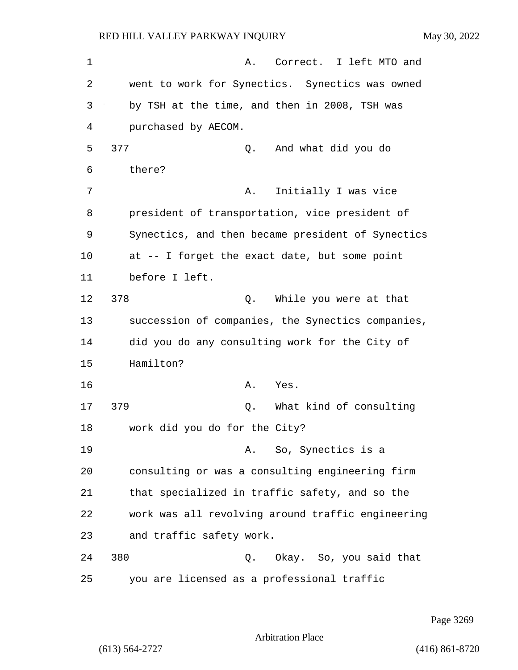1 A. Correct. I left MTO and 2 went to work for Synectics. Synectics was owned 3 by TSH at the time, and then in 2008, TSH was 4 purchased by AECOM. 5 377 Q. And what did you do 6 there? 7 A. Initially I was vice 8 president of transportation, vice president of 9 Synectics, and then became president of Synectics 10 at -- I forget the exact date, but some point 11 before I left. 12 378 Q. While you were at that 13 succession of companies, the Synectics companies, 14 did you do any consulting work for the City of 15 Hamilton? 16 A. Yes. 17 379 Q. What kind of consulting 18 work did you do for the City? 19 A. So, Synectics is a 20 consulting or was a consulting engineering firm 21 that specialized in traffic safety, and so the 22 work was all revolving around traffic engineering 23 and traffic safety work. 24 380 Q. Okay. So, you said that 25 you are licensed as a professional traffic

Page 3269

Arbitration Place

(613) 564-2727 (416) 861-8720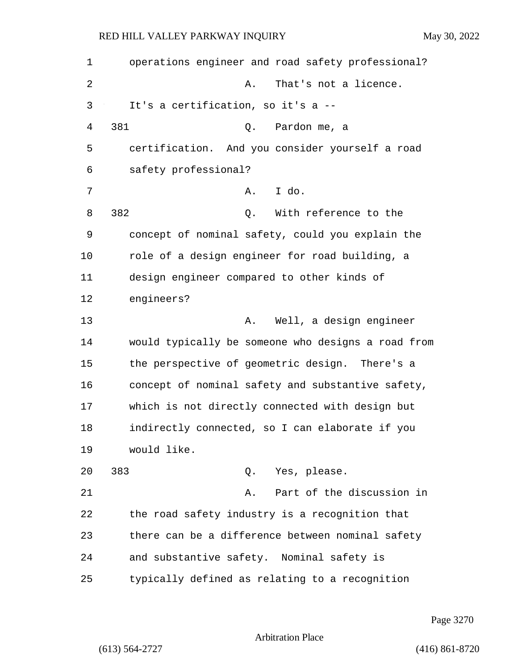| 1  | operations engineer and road safety professional?  |
|----|----------------------------------------------------|
| 2  | That's not a licence.<br>Α.                        |
| 3  | It's a certification, so it's a --                 |
| 4  | 381<br>Pardon me, a<br>Q.                          |
| 5  | certification. And you consider yourself a road    |
| 6  | safety professional?                               |
| 7  | I do.<br>Α.                                        |
| 8  | 382<br>With reference to the<br>Q.                 |
| 9  | concept of nominal safety, could you explain the   |
| 10 | role of a design engineer for road building, a     |
| 11 | design engineer compared to other kinds of         |
| 12 | engineers?                                         |
| 13 | Well, a design engineer<br>Α.                      |
| 14 | would typically be someone who designs a road from |
| 15 | the perspective of geometric design. There's a     |
| 16 | concept of nominal safety and substantive safety,  |
| 17 | which is not directly connected with design but    |
| 18 | indirectly connected, so I can elaborate if you    |
| 19 | would like.                                        |
| 20 | 383<br>Q. Yes, please.                             |
| 21 | Part of the discussion in<br>Α.                    |
| 22 | the road safety industry is a recognition that     |
| 23 | there can be a difference between nominal safety   |
| 24 | and substantive safety. Nominal safety is          |
| 25 | typically defined as relating to a recognition     |

Page 3270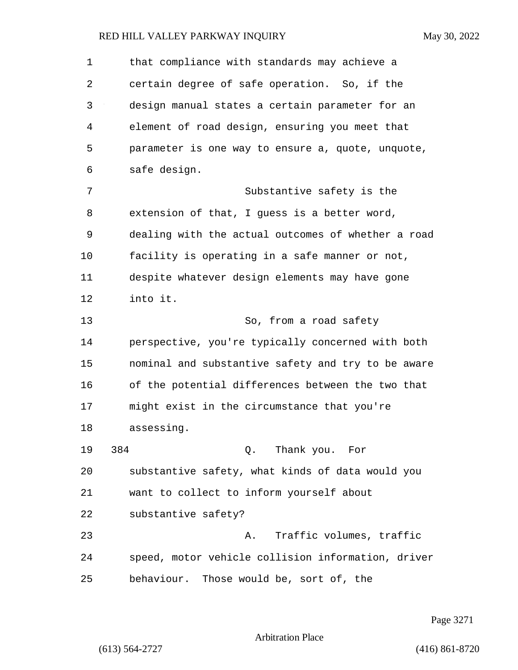| $\mathbf 1$ | that compliance with standards may achieve a       |
|-------------|----------------------------------------------------|
| 2           | certain degree of safe operation. So, if the       |
| 3           | design manual states a certain parameter for an    |
| 4           | element of road design, ensuring you meet that     |
| 5           | parameter is one way to ensure a, quote, unquote,  |
| 6           | safe design.                                       |
| 7           | Substantive safety is the                          |
| 8           | extension of that, I guess is a better word,       |
| 9           | dealing with the actual outcomes of whether a road |
| 10          | facility is operating in a safe manner or not,     |
| 11          | despite whatever design elements may have gone     |
| 12          | into it.                                           |
| 13          | So, from a road safety                             |
| 14          | perspective, you're typically concerned with both  |
| 15          | nominal and substantive safety and try to be aware |
| 16          | of the potential differences between the two that  |
| 17          | might exist in the circumstance that you're        |
| 18          | assessing.                                         |
| 19          | 384<br>Q. Thank you. For                           |
| 20          | substantive safety, what kinds of data would you   |
| 21          | want to collect to inform yourself about           |
| 22          | substantive safety?                                |
| 23          | A. Traffic volumes, traffic                        |
| 24          | speed, motor vehicle collision information, driver |
| 25          | behaviour. Those would be, sort of, the            |

Page 3271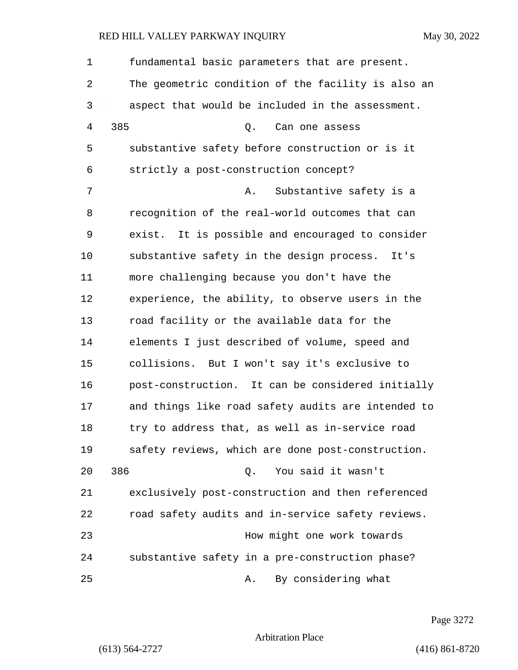| 1  | fundamental basic parameters that are present.     |
|----|----------------------------------------------------|
| 2  | The geometric condition of the facility is also an |
| 3  | aspect that would be included in the assessment.   |
| 4  | 385<br>Q.<br>Can one assess                        |
| 5  | substantive safety before construction or is it    |
| 6  | strictly a post-construction concept?              |
| 7  | Substantive safety is a<br>Α.                      |
| 8  | recognition of the real-world outcomes that can    |
| 9  | exist. It is possible and encouraged to consider   |
| 10 | substantive safety in the design process. It's     |
| 11 | more challenging because you don't have the        |
| 12 | experience, the ability, to observe users in the   |
| 13 | road facility or the available data for the        |
| 14 | elements I just described of volume, speed and     |
| 15 | collisions. But I won't say it's exclusive to      |
| 16 | post-construction. It can be considered initially  |
| 17 | and things like road safety audits are intended to |
| 18 | try to address that, as well as in-service road    |
| 19 | safety reviews, which are done post-construction.  |
| 20 | 386<br>You said it wasn't<br>Q.                    |
| 21 | exclusively post-construction and then referenced  |
| 22 | road safety audits and in-service safety reviews.  |
| 23 | How might one work towards                         |
| 24 | substantive safety in a pre-construction phase?    |
| 25 | By considering what<br>Α.                          |

Page 3272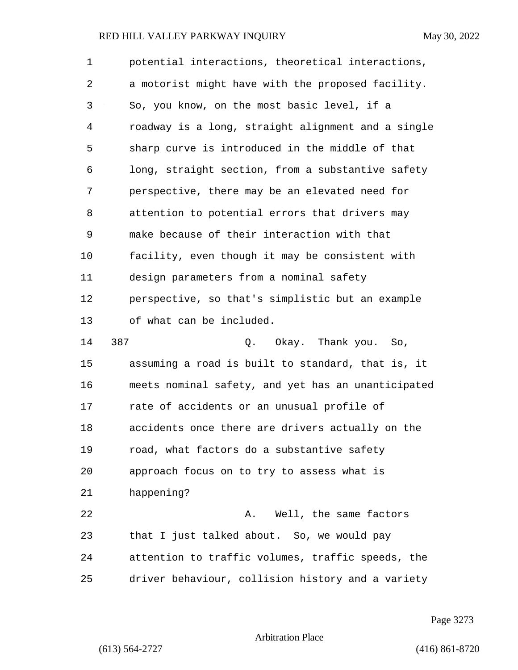1 potential interactions, theoretical interactions, 2 a motorist might have with the proposed facility. 3 So, you know, on the most basic level, if a 4 roadway is a long, straight alignment and a single 5 sharp curve is introduced in the middle of that 6 long, straight section, from a substantive safety 7 perspective, there may be an elevated need for 8 attention to potential errors that drivers may 9 make because of their interaction with that 10 facility, even though it may be consistent with 11 design parameters from a nominal safety 12 perspective, so that's simplistic but an example 13 of what can be included. 14 387 Q. Okay. Thank you. So, 15 assuming a road is built to standard, that is, it 16 meets nominal safety, and yet has an unanticipated 17 rate of accidents or an unusual profile of 18 accidents once there are drivers actually on the 19 road, what factors do a substantive safety 20 approach focus on to try to assess what is 21 happening? 22 A. Well, the same factors 23 that I just talked about. So, we would pay 24 attention to traffic volumes, traffic speeds, the 25 driver behaviour, collision history and a variety

Page 3273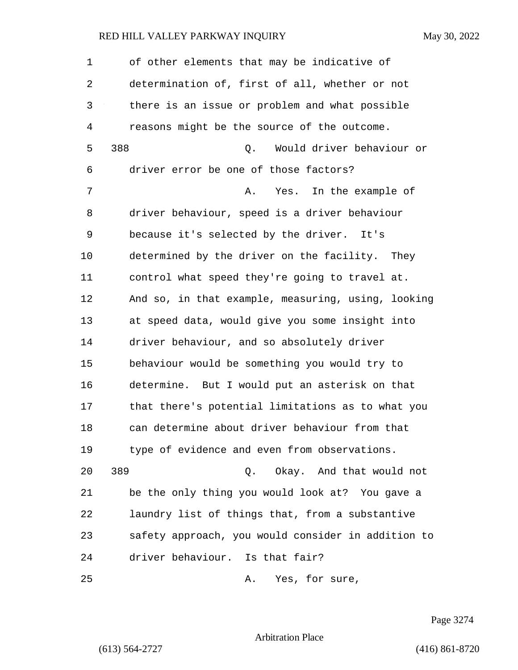1 of other elements that may be indicative of 2 determination of, first of all, whether or not 3 there is an issue or problem and what possible 4 reasons might be the source of the outcome. 5 388 Q. Would driver behaviour or 6 driver error be one of those factors? 7 A. Yes. In the example of 8 driver behaviour, speed is a driver behaviour 9 because it's selected by the driver. It's 10 determined by the driver on the facility. They 11 control what speed they're going to travel at. 12 And so, in that example, measuring, using, looking 13 at speed data, would give you some insight into 14 driver behaviour, and so absolutely driver 15 behaviour would be something you would try to 16 determine. But I would put an asterisk on that 17 that there's potential limitations as to what you 18 can determine about driver behaviour from that 19 type of evidence and even from observations. 20 389 Q. Okay. And that would not 21 be the only thing you would look at? You gave a 22 laundry list of things that, from a substantive 23 safety approach, you would consider in addition to

24 driver behaviour. Is that fair?

25 A. Yes, for sure,

Page 3274

Arbitration Place

(613) 564-2727 (416) 861-8720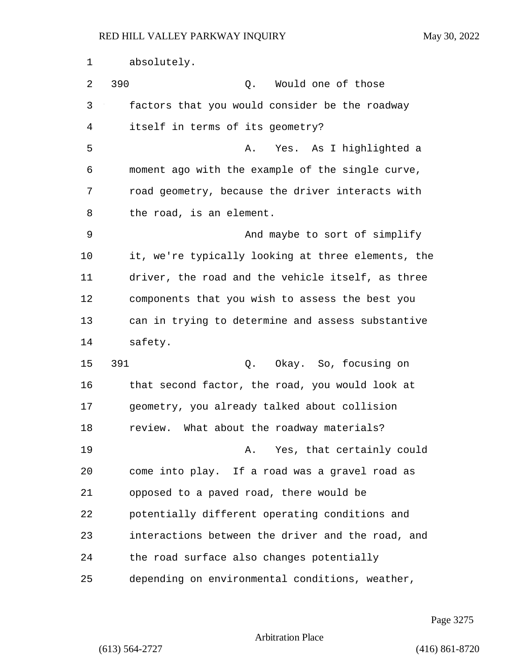1 absolutely. 2 390 Q. Would one of those 3 factors that you would consider be the roadway 4 itself in terms of its geometry? 5 A. Yes. As I highlighted a 6 moment ago with the example of the single curve, 7 road geometry, because the driver interacts with 8 the road, is an element. 9 And maybe to sort of simplify 10 it, we're typically looking at three elements, the 11 driver, the road and the vehicle itself, as three 12 components that you wish to assess the best you 13 can in trying to determine and assess substantive 14 safety. 15 391 Q. Okay. So, focusing on 16 that second factor, the road, you would look at 17 geometry, you already talked about collision 18 review. What about the roadway materials? 19 **A.** Yes, that certainly could 20 come into play. If a road was a gravel road as 21 opposed to a paved road, there would be 22 potentially different operating conditions and 23 interactions between the driver and the road, and 24 the road surface also changes potentially 25 depending on environmental conditions, weather,

Page 3275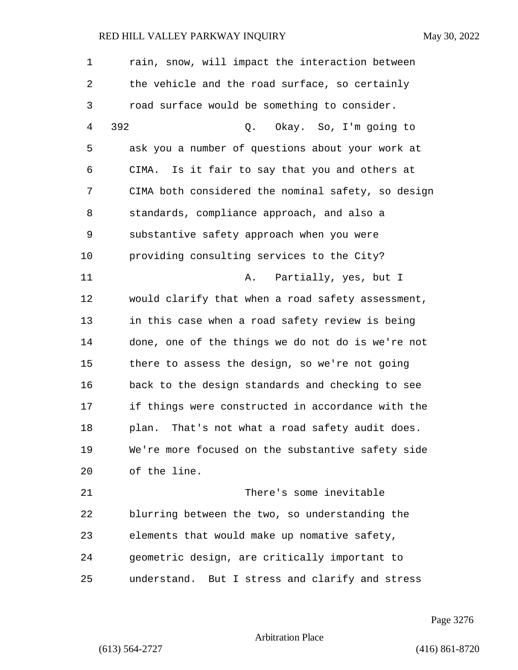| $\mathbf 1$ | rain, snow, will impact the interaction between    |
|-------------|----------------------------------------------------|
| 2           | the vehicle and the road surface, so certainly     |
| 3           | road surface would be something to consider.       |
| 4           | 392<br>Okay. So, I'm going to<br>Q.                |
| 5           | ask you a number of questions about your work at   |
| 6           | CIMA. Is it fair to say that you and others at     |
| 7           | CIMA both considered the nominal safety, so design |
| 8           | standards, compliance approach, and also a         |
| 9           | substantive safety approach when you were          |
| 10          | providing consulting services to the City?         |
| 11          | Partially, yes, but I<br>Α.                        |
| 12          | would clarify that when a road safety assessment,  |
| 13          | in this case when a road safety review is being    |
| 14          | done, one of the things we do not do is we're not  |
| 15          | there to assess the design, so we're not going     |
| 16          | back to the design standards and checking to see   |
| 17          | if things were constructed in accordance with the  |
| 18          | That's not what a road safety audit does.<br>plan. |
| 19          | We're more focused on the substantive safety side  |
| 20          | of the line.                                       |
| 21          | There's some inevitable                            |
| 22          | blurring between the two, so understanding the     |
| 23          | elements that would make up nomative safety,       |
| 24          | geometric design, are critically important to      |
| 25          | understand. But I stress and clarify and stress    |

Page 3276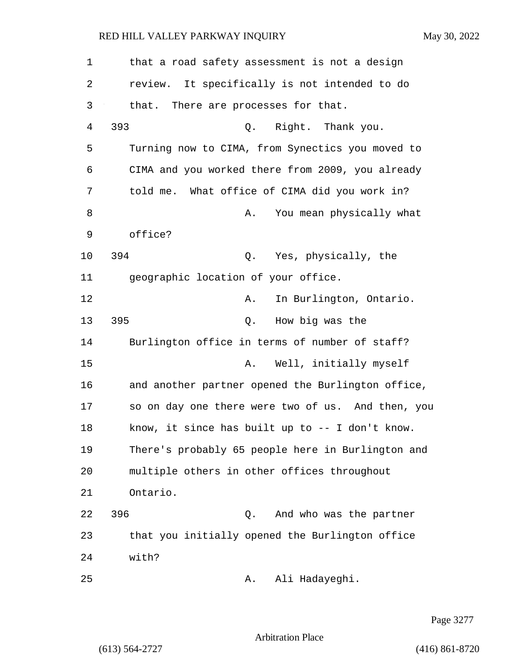| 1              | that a road safety assessment is not a design     |
|----------------|---------------------------------------------------|
| 2              | review.<br>It specifically is not intended to do  |
| 3              | that. There are processes for that.               |
| $\overline{4}$ | 393<br>Q. Right. Thank you.                       |
| 5              | Turning now to CIMA, from Synectics you moved to  |
| 6              | CIMA and you worked there from 2009, you already  |
| 7              | told me. What office of CIMA did you work in?     |
| 8              | You mean physically what<br>Α.                    |
| 9              | office?                                           |
| 10             | 394<br>Q. Yes, physically, the                    |
| 11             | geographic location of your office.               |
| 12             | In Burlington, Ontario.<br>Α.                     |
| 13             | 395<br>How big was the<br>Q.                      |
| 14             | Burlington office in terms of number of staff?    |
| 15             | Well, initially myself<br>Α.                      |
| 16             | and another partner opened the Burlington office, |
| 17             | so on day one there were two of us. And then, you |
| 18             | know, it since has built up to -- I don't know.   |
| 19             | There's probably 65 people here in Burlington and |
| 20             | multiple others in other offices throughout       |
| 21             | Ontario.                                          |
| 22             | 396<br>And who was the partner<br>Q.              |
| 23             | that you initially opened the Burlington office   |
| 24             | with?                                             |
| 25             | Ali Hadayeghi.<br>Α.                              |

Page 3277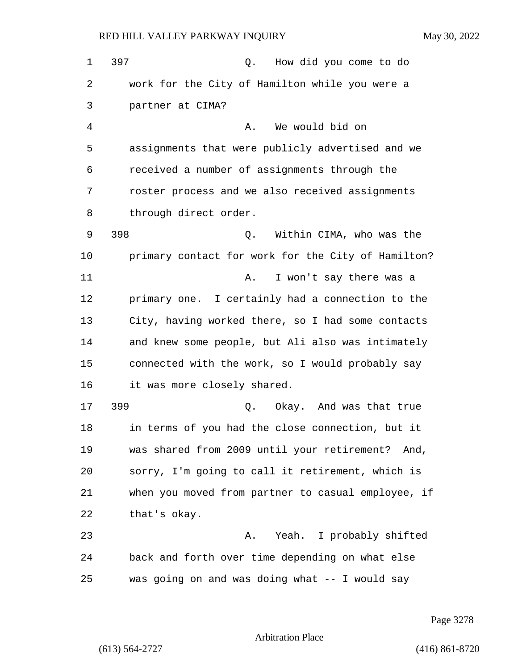1 397 Q. How did you come to do 2 work for the City of Hamilton while you were a 3 partner at CIMA? 4 A. We would bid on 5 assignments that were publicly advertised and we 6 received a number of assignments through the 7 roster process and we also received assignments 8 through direct order. 9 398 Q. Within CIMA, who was the 10 primary contact for work for the City of Hamilton? 11 A. I won't say there was a 12 primary one. I certainly had a connection to the 13 City, having worked there, so I had some contacts 14 and knew some people, but Ali also was intimately 15 connected with the work, so I would probably say 16 it was more closely shared. 17 399 Q. Okay. And was that true 18 in terms of you had the close connection, but it 19 was shared from 2009 until your retirement? And, 20 sorry, I'm going to call it retirement, which is 21 when you moved from partner to casual employee, if 22 that's okay. 23 A. Yeah. I probably shifted 24 back and forth over time depending on what else 25 was going on and was doing what -- I would say

Page 3278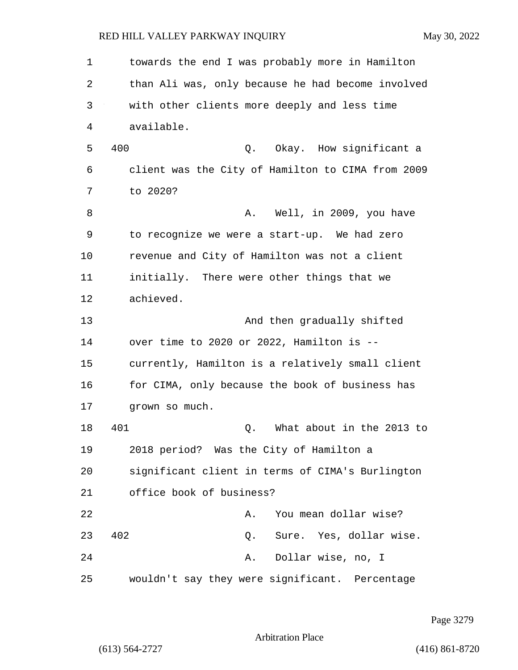1 towards the end I was probably more in Hamilton 2 than Ali was, only because he had become involved 3 with other clients more deeply and less time 4 available. 5 400 Q. Okay. How significant a 6 client was the City of Hamilton to CIMA from 2009 7 to 2020? 8 A. Well, in 2009, you have 9 to recognize we were a start-up. We had zero 10 revenue and City of Hamilton was not a client 11 initially. There were other things that we 12 achieved. 13 And then gradually shifted 14 over time to 2020 or 2022, Hamilton is -- 15 currently, Hamilton is a relatively small client 16 for CIMA, only because the book of business has 17 grown so much. 18 401 Q. What about in the 2013 to 19 2018 period? Was the City of Hamilton a 20 significant client in terms of CIMA's Burlington 21 office book of business? 22 A. You mean dollar wise? 23 402 Q. Sure. Yes, dollar wise. 24 A. Dollar wise, no, I 25 wouldn't say they were significant. Percentage

Page 3279

Arbitration Place

(613) 564-2727 (416) 861-8720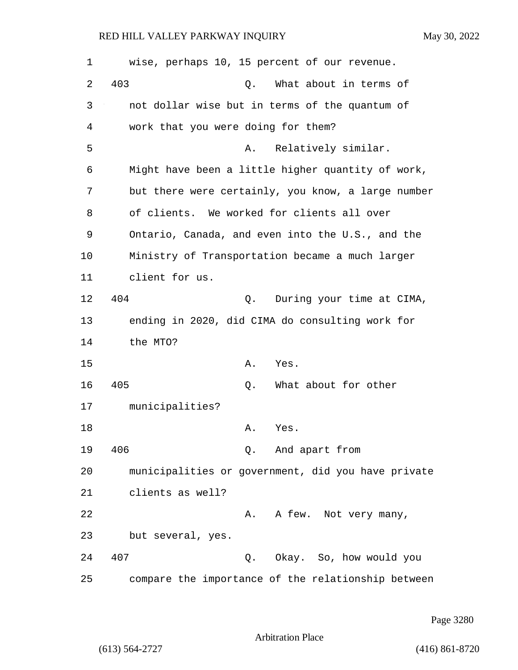| 1  | wise, perhaps 10, 15 percent of our revenue.       |
|----|----------------------------------------------------|
| 2  | 403<br>What about in terms of<br>Q.                |
| 3  | not dollar wise but in terms of the quantum of     |
| 4  | work that you were doing for them?                 |
| 5  | Relatively similar.<br>Α.                          |
| 6  | Might have been a little higher quantity of work,  |
| 7  | but there were certainly, you know, a large number |
| 8  | of clients. We worked for clients all over         |
| 9  | Ontario, Canada, and even into the U.S., and the   |
| 10 | Ministry of Transportation became a much larger    |
| 11 | client for us.                                     |
| 12 | 404<br>During your time at CIMA,<br>Q.             |
| 13 | ending in 2020, did CIMA do consulting work for    |
| 14 | the MTO?                                           |
| 15 | Α.<br>Yes.                                         |
| 16 | 405<br>What about for other<br>Q.                  |
| 17 | municipalities?                                    |
| 18 | Α.<br>Yes.                                         |
| 19 | 406<br>Q. And apart from                           |
| 20 | municipalities or government, did you have private |
| 21 | clients as well?                                   |
| 22 | A few. Not very many,<br>Α.                        |
| 23 | but several, yes.                                  |
| 24 | 407<br>Q. Okay. So, how would you                  |
| 25 | compare the importance of the relationship between |

Page 3280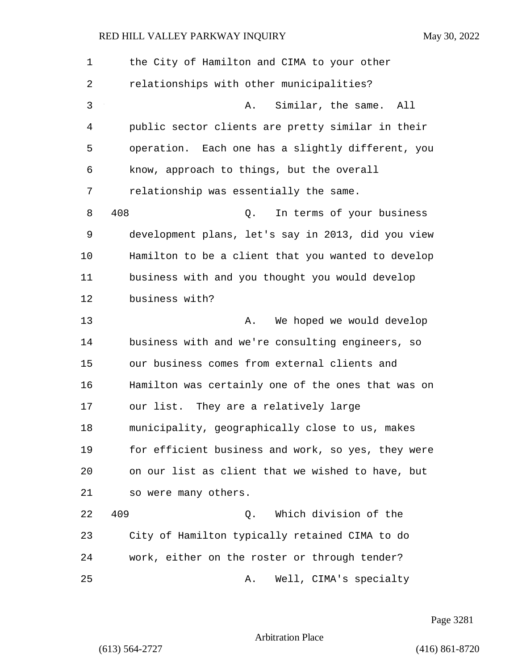| 1  | the City of Hamilton and CIMA to your other        |
|----|----------------------------------------------------|
| 2  | relationships with other municipalities?           |
| 3  | Similar, the same.<br>All<br>Α.                    |
| 4  | public sector clients are pretty similar in their  |
| 5  | operation. Each one has a slightly different, you  |
| 6  | know, approach to things, but the overall          |
| 7  | relationship was essentially the same.             |
| 8  | 408<br>In terms of your business<br>Q.             |
| 9  | development plans, let's say in 2013, did you view |
| 10 | Hamilton to be a client that you wanted to develop |
| 11 | business with and you thought you would develop    |
| 12 | business with?                                     |
| 13 | We hoped we would develop<br>Α.                    |
| 14 | business with and we're consulting engineers, so   |
| 15 | our business comes from external clients and       |
| 16 | Hamilton was certainly one of the ones that was on |
| 17 | our list. They are a relatively large              |
| 18 | municipality, geographically close to us, makes    |
| 19 | for efficient business and work, so yes, they were |
| 20 | on our list as client that we wished to have, but  |
| 21 | so were many others.                               |
| 22 | Which division of the<br>409<br>Q.                 |
| 23 | City of Hamilton typically retained CIMA to do     |
| 24 | work, either on the roster or through tender?      |
| 25 | Well, CIMA's specialty<br>Α.                       |

Page 3281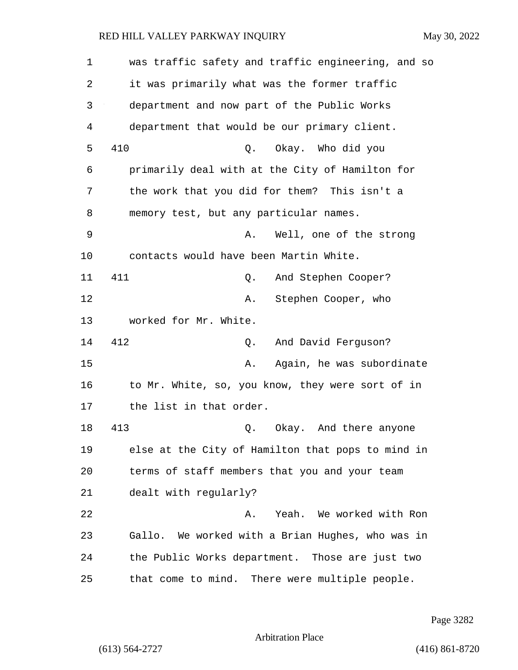| $\mathbf 1$ | was traffic safety and traffic engineering, and so |
|-------------|----------------------------------------------------|
| 2           | it was primarily what was the former traffic       |
| 3           | department and now part of the Public Works        |
| 4           | department that would be our primary client.       |
| 5           | 410<br>Okay. Who did you<br>Q.                     |
| 6           | primarily deal with at the City of Hamilton for    |
| 7           | the work that you did for them? This isn't a       |
| 8           | memory test, but any particular names.             |
| 9           | Well, one of the strong<br>Α.                      |
| 10          | contacts would have been Martin White.             |
| 11          | 411<br>And Stephen Cooper?<br>Q.                   |
| 12          | Stephen Cooper, who<br>Α.                          |
| 13          | worked for Mr. White.                              |
| 14          | 412<br>And David Ferguson?<br>Q.                   |
| 15          | Again, he was subordinate<br>Α.                    |
| 16          | to Mr. White, so, you know, they were sort of in   |
| 17          | the list in that order.                            |
| 18          | 413<br>Okay. And there anyone<br>Q.                |
| 19          | else at the City of Hamilton that pops to mind in  |
| 20          | terms of staff members that you and your team      |
| 21          | dealt with regularly?                              |
| 22          | Yeah. We worked with Ron<br>Α.                     |
| 23          | Gallo. We worked with a Brian Hughes, who was in   |
| 24          | the Public Works department. Those are just two    |
| 25          | that come to mind. There were multiple people.     |

Page 3282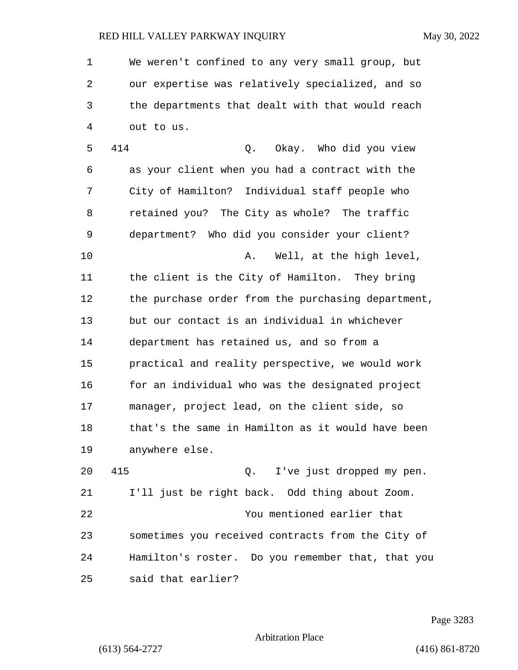1 We weren't confined to any very small group, but 2 our expertise was relatively specialized, and so 3 the departments that dealt with that would reach 4 out to us.

5 414 Q. Okay. Who did you view 6 as your client when you had a contract with the 7 City of Hamilton? Individual staff people who 8 retained you? The City as whole? The traffic 9 department? Who did you consider your client? 10 A. Well, at the high level, 11 the client is the City of Hamilton. They bring 12 the purchase order from the purchasing department, 13 but our contact is an individual in whichever 14 department has retained us, and so from a 15 practical and reality perspective, we would work 16 for an individual who was the designated project 17 manager, project lead, on the client side, so 18 that's the same in Hamilton as it would have been 19 anywhere else.

20 415 Q. I've just dropped my pen. 21 I'll just be right back. Odd thing about Zoom. 22 You mentioned earlier that 23 sometimes you received contracts from the City of 24 Hamilton's roster. Do you remember that, that you 25 said that earlier?

Page 3283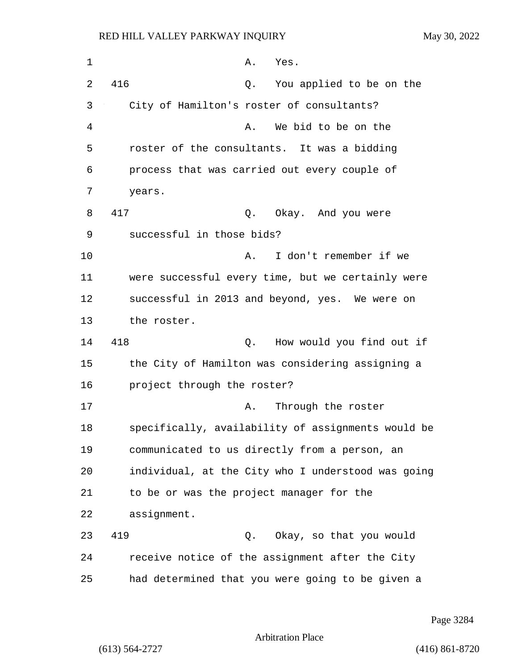| $\mathbf 1$ | Α.<br>Yes.                                         |
|-------------|----------------------------------------------------|
| 2           | 416<br>You applied to be on the<br>Q.              |
| 3           | City of Hamilton's roster of consultants?          |
| 4           | We bid to be on the<br>Α.                          |
| 5           | roster of the consultants. It was a bidding        |
| 6           | process that was carried out every couple of       |
| 7           | years.                                             |
| 8           | 417<br>Q.<br>Okay. And you were                    |
| 9           | successful in those bids?                          |
| 10          | I don't remember if we<br>Α.                       |
| 11          | were successful every time, but we certainly were  |
| 12          | successful in 2013 and beyond, yes. We were on     |
| 13          | the roster.                                        |
| 14          | 418<br>How would you find out if<br>Q.             |
| 15          | the City of Hamilton was considering assigning a   |
| 16          | project through the roster?                        |
| 17          | Through the roster<br>Α.                           |
| 18          | specifically, availability of assignments would be |
| 19          | communicated to us directly from a person, an      |
| 20          | individual, at the City who I understood was going |
| 21          | to be or was the project manager for the           |
| 22          | assignment.                                        |
| 23          | 419<br>Okay, so that you would<br>Q.               |
| 24          | receive notice of the assignment after the City    |
| 25          | had determined that you were going to be given a   |

Page 3284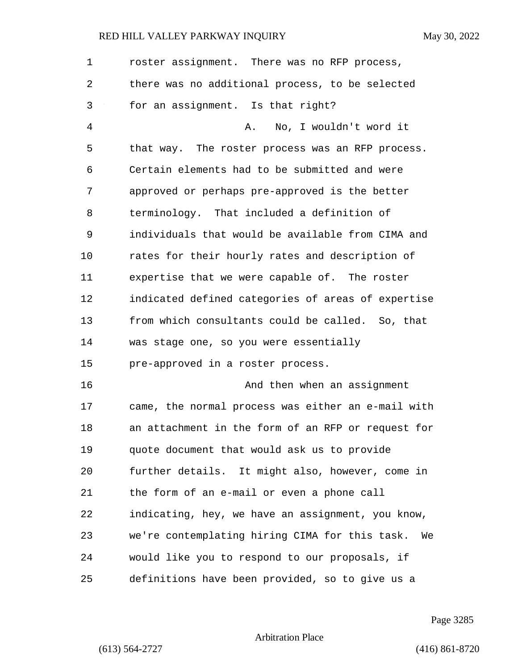| $\mathbf 1$ | roster assignment. There was no RFP process,         |
|-------------|------------------------------------------------------|
| 2           | there was no additional process, to be selected      |
| 3           | for an assignment. Is that right?                    |
| 4           | No, I wouldn't word it<br>Α.                         |
| 5           | that way. The roster process was an RFP process.     |
| 6           | Certain elements had to be submitted and were        |
| 7           | approved or perhaps pre-approved is the better       |
| 8           | terminology. That included a definition of           |
| 9           | individuals that would be available from CIMA and    |
| 10          | rates for their hourly rates and description of      |
| 11          | expertise that we were capable of. The roster        |
| 12          | indicated defined categories of areas of expertise   |
| 13          | from which consultants could be called. So, that     |
| 14          | was stage one, so you were essentially               |
| 15          | pre-approved in a roster process.                    |
| 16          | And then when an assignment                          |
| 17          | came, the normal process was either an e-mail with   |
| 18          | an attachment in the form of an RFP or request for   |
| 19          | quote document that would ask us to provide          |
| 20          | further details. It might also, however, come in     |
| 21          | the form of an e-mail or even a phone call           |
| 22          | indicating, hey, we have an assignment, you know,    |
| 23          | we're contemplating hiring CIMA for this task.<br>We |
| 24          | would like you to respond to our proposals, if       |
| 25          | definitions have been provided, so to give us a      |

Page 3285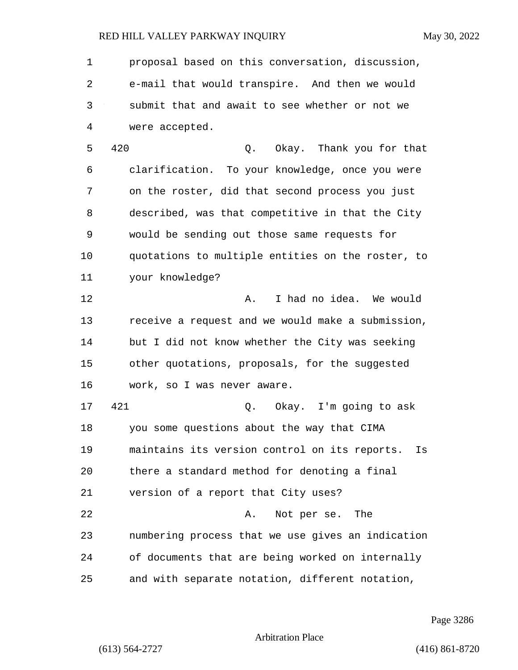1 proposal based on this conversation, discussion, 2 e-mail that would transpire. And then we would 3 submit that and await to see whether or not we 4 were accepted. 5 420 Q. Okay. Thank you for that 6 clarification. To your knowledge, once you were 7 on the roster, did that second process you just 8 described, was that competitive in that the City 9 would be sending out those same requests for 10 quotations to multiple entities on the roster, to 11 your knowledge? 12 **A.** I had no idea. We would 13 receive a request and we would make a submission, 14 but I did not know whether the City was seeking 15 other quotations, proposals, for the suggested 16 work, so I was never aware. 17 421 Q. Okay. I'm going to ask 18 you some questions about the way that CIMA 19 maintains its version control on its reports. Is 20 there a standard method for denoting a final 21 version of a report that City uses? 22 A. Not per se. The 23 numbering process that we use gives an indication 24 of documents that are being worked on internally 25 and with separate notation, different notation,

Page 3286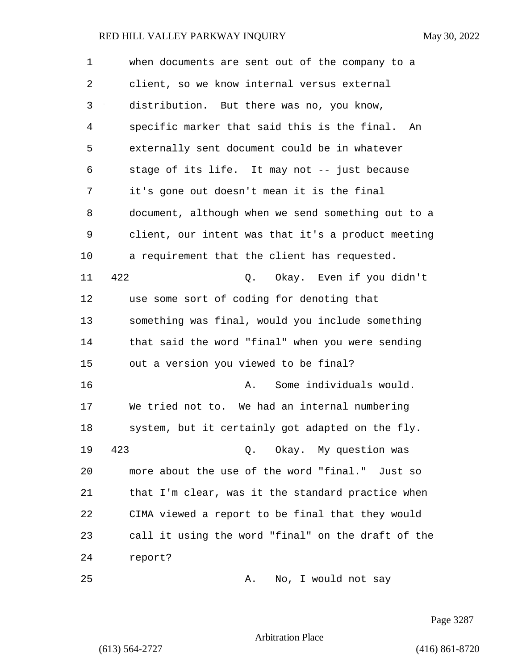| 1              | when documents are sent out of the company to a    |
|----------------|----------------------------------------------------|
| 2              | client, so we know internal versus external        |
| 3              | distribution. But there was no, you know,          |
| $\overline{4}$ | specific marker that said this is the final.<br>An |
| 5              | externally sent document could be in whatever      |
| 6              | stage of its life. It may not -- just because      |
| 7              | it's gone out doesn't mean it is the final         |
| 8              | document, although when we send something out to a |
| 9              | client, our intent was that it's a product meeting |
| 10             | a requirement that the client has requested.       |
| 11             | 422<br>Okay. Even if you didn't<br>Q.              |
| 12             | use some sort of coding for denoting that          |
| 13             | something was final, would you include something   |
| 14             | that said the word "final" when you were sending   |
| 15             | out a version you viewed to be final?              |
| 16             | Some individuals would.<br>Α.                      |
| 17             | We tried not to. We had an internal numbering      |
| 18             | system, but it certainly got adapted on the fly.   |
| 19             | 423<br>Q. Okay. My question was                    |
| 20             | more about the use of the word "final." Just so    |
| 21             | that I'm clear, was it the standard practice when  |
| 22             | CIMA viewed a report to be final that they would   |
| 23             | call it using the word "final" on the draft of the |
| 24             | report?                                            |
| 25             | No, I would not say<br>Α.                          |

Page 3287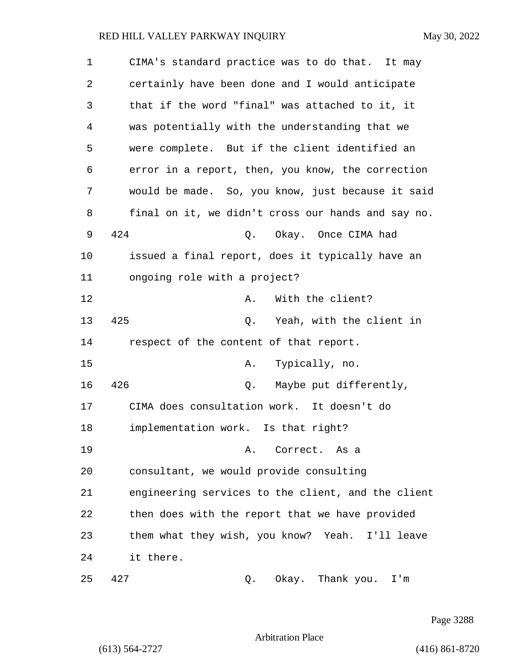| $\mathbf 1$ | CIMA's standard practice was to do that. It may    |
|-------------|----------------------------------------------------|
| 2           | certainly have been done and I would anticipate    |
| 3           | that if the word "final" was attached to it, it    |
| 4           | was potentially with the understanding that we     |
| 5           | were complete. But if the client identified an     |
| 6           | error in a report, then, you know, the correction  |
| 7           | would be made. So, you know, just because it said  |
| 8           | final on it, we didn't cross our hands and say no. |
| 9           | 424<br>Okay. Once CIMA had<br>Q.                   |
| 10          | issued a final report, does it typically have an   |
| 11          | ongoing role with a project?                       |
| 12          | With the client?<br>Α.                             |
| 13          | 425<br>Yeah, with the client in<br>Q.              |
| 14          | respect of the content of that report.             |
| 15          | Typically, no.<br>Α.                               |
| 16          | 426<br>Maybe put differently,<br>Q.                |
| 17          | CIMA does consultation work. It doesn't do         |
| 18          | implementation work. Is that right?                |
| 19          | A. Correct. As a                                   |
| 20          | consultant, we would provide consulting            |
| 21          | engineering services to the client, and the client |
| 22          | then does with the report that we have provided    |
| 23          | them what they wish, you know? Yeah. I'll leave    |
| 24          | it there.                                          |
| 25          | 427<br>Okay. Thank you.<br>I'm<br>Q.               |

Page 3288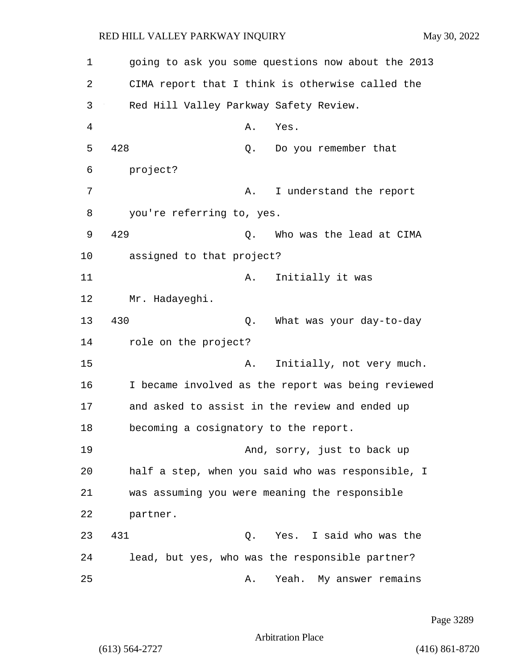1 going to ask you some questions now about the 2013 2 CIMA report that I think is otherwise called the 3 Red Hill Valley Parkway Safety Review. 4 A. Yes. 5 428 Q. Do you remember that 6 project? 7 A. I understand the report 8 you're referring to, yes. 9 429 Q. Who was the lead at CIMA 10 assigned to that project? 11 A. Initially it was 12 Mr. Hadayeghi. 13 430 Q. What was your day-to-day 14 role on the project? 15 A. Initially, not very much. 16 I became involved as the report was being reviewed 17 and asked to assist in the review and ended up 18 becoming a cosignatory to the report. 19 And, sorry, just to back up 20 half a step, when you said who was responsible, I 21 was assuming you were meaning the responsible 22 partner. 23 431 Q. Yes. I said who was the 24 lead, but yes, who was the responsible partner? 25 A. Yeah. My answer remains

Page 3289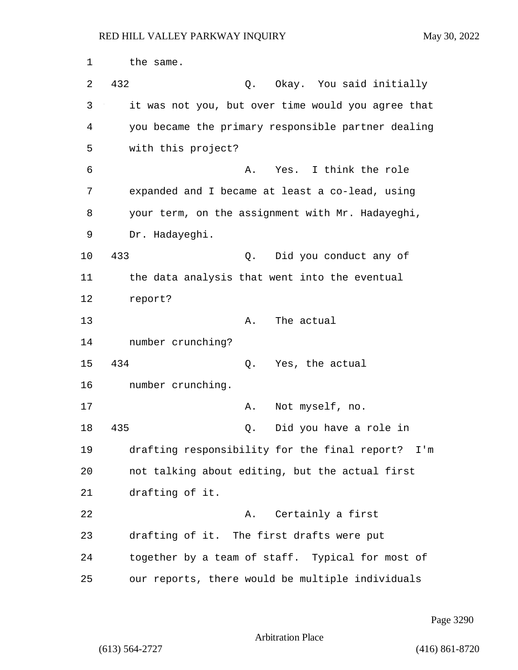1 the same. 2 432 Q. Okay. You said initially 3 it was not you, but over time would you agree that 4 you became the primary responsible partner dealing 5 with this project? 6 **6** A. Yes. I think the role 7 expanded and I became at least a co-lead, using 8 your term, on the assignment with Mr. Hadayeghi, 9 Dr. Hadayeghi. 10 433 Q. Did you conduct any of 11 the data analysis that went into the eventual 12 report? 13 A. The actual 14 number crunching? 15 434 Q. Yes, the actual 16 number crunching. 17 A. Not myself, no. 18 435 Q. Did you have a role in 19 drafting responsibility for the final report? I'm 20 not talking about editing, but the actual first 21 drafting of it. 22 A. Certainly a first 23 drafting of it. The first drafts were put 24 together by a team of staff. Typical for most of 25 our reports, there would be multiple individuals

Page 3290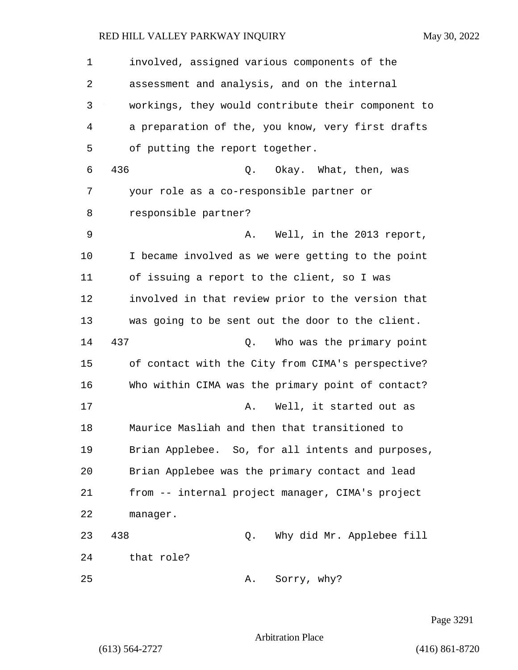1 involved, assigned various components of the 2 assessment and analysis, and on the internal 3 workings, they would contribute their component to 4 a preparation of the, you know, very first drafts 5 of putting the report together. 6 436 Q. Okay. What, then, was 7 your role as a co-responsible partner or 8 responsible partner? 9 A. Well, in the 2013 report, 10 I became involved as we were getting to the point 11 of issuing a report to the client, so I was 12 involved in that review prior to the version that 13 was going to be sent out the door to the client. 14 437 Q. Who was the primary point 15 of contact with the City from CIMA's perspective? 16 Who within CIMA was the primary point of contact? 17 A. Well, it started out as 18 Maurice Masliah and then that transitioned to 19 Brian Applebee. So, for all intents and purposes, 20 Brian Applebee was the primary contact and lead 21 from -- internal project manager, CIMA's project 22 manager. 23 438 Q. Why did Mr. Applebee fill 24 that role? 25 A. Sorry, why?

Page 3291

Arbitration Place

(613) 564-2727 (416) 861-8720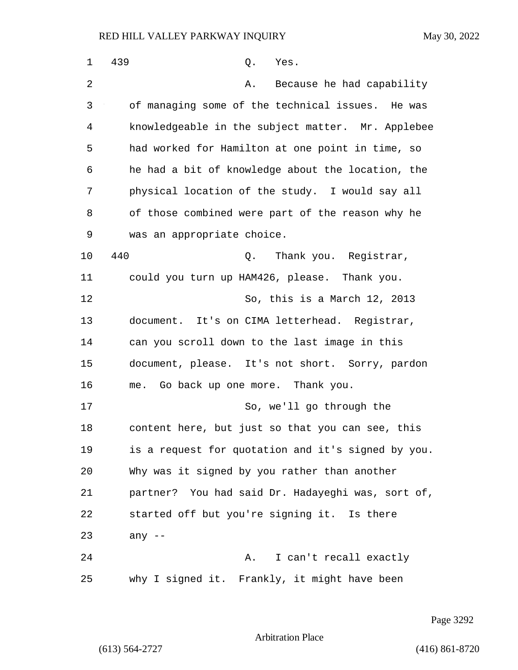| 1  | 439<br>Q.<br>Yes.                                  |
|----|----------------------------------------------------|
| 2  | Because he had capability<br>Α.                    |
| 3  | of managing some of the technical issues. He was   |
| 4  | knowledgeable in the subject matter. Mr. Applebee  |
| 5  | had worked for Hamilton at one point in time, so   |
| 6  | he had a bit of knowledge about the location, the  |
| 7  | physical location of the study. I would say all    |
| 8  | of those combined were part of the reason why he   |
| 9  | was an appropriate choice.                         |
| 10 | 440<br>Q. Thank you. Registrar,                    |
| 11 | could you turn up HAM426, please. Thank you.       |
| 12 | So, this is a March 12, 2013                       |
| 13 | document. It's on CIMA letterhead. Registrar,      |
| 14 | can you scroll down to the last image in this      |
| 15 | document, please. It's not short. Sorry, pardon    |
| 16 | me. Go back up one more. Thank you.                |
| 17 | So, we'll go through the                           |
| 18 | content here, but just so that you can see, this   |
| 19 | is a request for quotation and it's signed by you. |
| 20 | Why was it signed by you rather than another       |
| 21 | partner? You had said Dr. Hadayeghi was, sort of,  |
| 22 | started off but you're signing it. Is there        |
| 23 | any $--$                                           |
| 24 | I can't recall exactly<br>Α.                       |
| 25 | why I signed it. Frankly, it might have been       |

Page 3292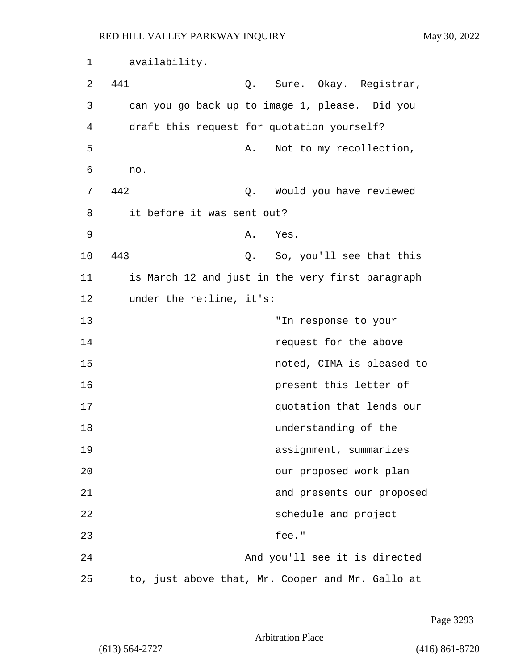1 availability. 2 441 Q. Sure. Okay. Registrar, 3 can you go back up to image 1, please. Did you 4 draft this request for quotation yourself? 5 A. Not to my recollection, 6 no. 7 442 Q. Would you have reviewed 8 it before it was sent out? 9 A. Yes. 10 443 Q. So, you'll see that this 11 is March 12 and just in the very first paragraph 12 under the re:line, it's: 13 "In response to your 14 **14 request for the above** 15 noted, CIMA is pleased to 16 **present this letter of** 17 quotation that lends our 18 understanding of the 19 assignment, summarizes 20 our proposed work plan 21 and presents our proposed 22 schedule and project 23 fee." 24 And you'll see it is directed 25 to, just above that, Mr. Cooper and Mr. Gallo at

Page 3293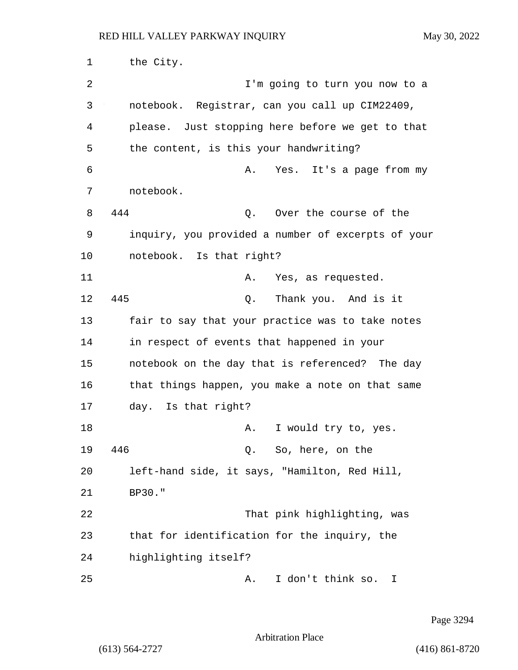1 the City. 2 I'm going to turn you now to a 3 notebook. Registrar, can you call up CIM22409, 4 please. Just stopping here before we get to that 5 the content, is this your handwriting? 6 A. Yes. It's a page from my 7 notebook. 8 444 Q. Over the course of the 9 inquiry, you provided a number of excerpts of your 10 notebook. Is that right? 11 A. Yes, as requested. 12 445 Q. Thank you. And is it 13 fair to say that your practice was to take notes 14 in respect of events that happened in your 15 notebook on the day that is referenced? The day 16 that things happen, you make a note on that same 17 day. Is that right? 18 A. I would try to, yes. 19 446 Q. So, here, on the 20 left-hand side, it says, "Hamilton, Red Hill, 21 BP30." 22 That pink highlighting, was 23 that for identification for the inquiry, the 24 highlighting itself? 25 A. I don't think so. I

Page 3294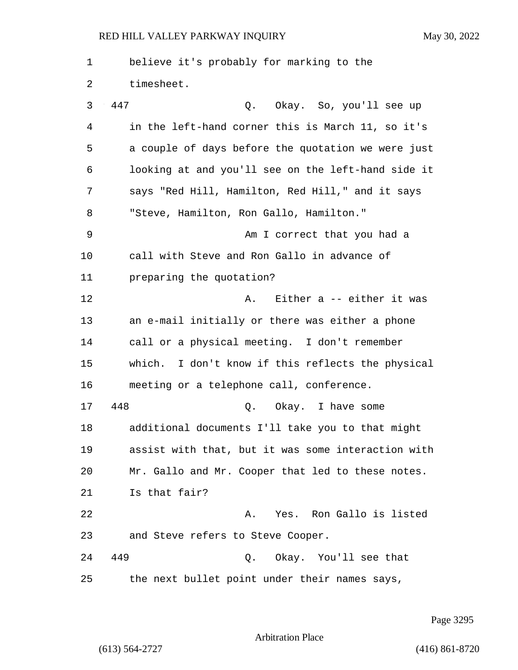1 believe it's probably for marking to the 2 timesheet. 3 447 Q. Okay. So, you'll see up 4 in the left-hand corner this is March 11, so it's 5 a couple of days before the quotation we were just 6 looking at and you'll see on the left-hand side it 7 says "Red Hill, Hamilton, Red Hill," and it says 8 "Steve, Hamilton, Ron Gallo, Hamilton." 9 Am I correct that you had a 10 call with Steve and Ron Gallo in advance of 11 preparing the quotation? 12 **A.** Either a -- either it was 13 an e-mail initially or there was either a phone 14 call or a physical meeting. I don't remember 15 which. I don't know if this reflects the physical 16 meeting or a telephone call, conference. 17 448 Q. Okay. I have some 18 additional documents I'll take you to that might 19 assist with that, but it was some interaction with 20 Mr. Gallo and Mr. Cooper that led to these notes. 21 Is that fair? 22 A. Yes. Ron Gallo is listed 23 and Steve refers to Steve Cooper. 24 449 Q. Okay. You'll see that 25 the next bullet point under their names says,

Page 3295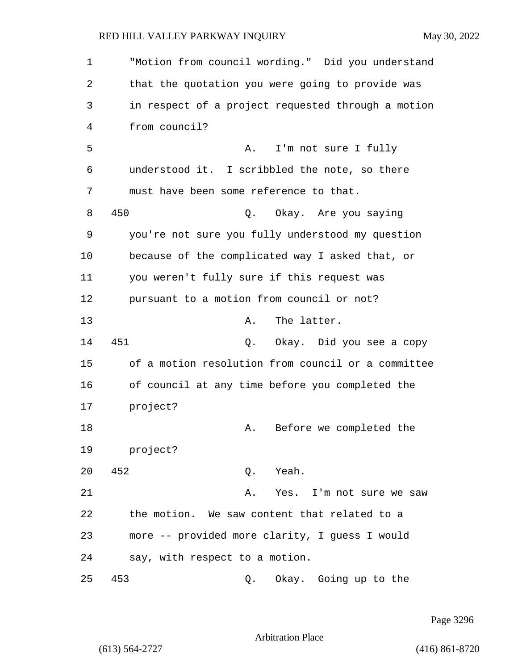1 "Motion from council wording." Did you understand 2 that the quotation you were going to provide was 3 in respect of a project requested through a motion 4 from council? 5 A. I'm not sure I fully 6 understood it. I scribbled the note, so there 7 must have been some reference to that. 8 450 Q. Okay. Are you saying 9 you're not sure you fully understood my question 10 because of the complicated way I asked that, or 11 you weren't fully sure if this request was 12 pursuant to a motion from council or not? 13 A. The latter. 14 451 Q. Okay. Did you see a copy 15 of a motion resolution from council or a committee 16 of council at any time before you completed the 17 project? 18 A. Before we completed the 19 project? 20 452 Q. Yeah. 21 A. Yes. I'm not sure we saw 22 the motion. We saw content that related to a 23 more -- provided more clarity, I guess I would 24 say, with respect to a motion. 25 453 Q. Okay. Going up to the

Page 3296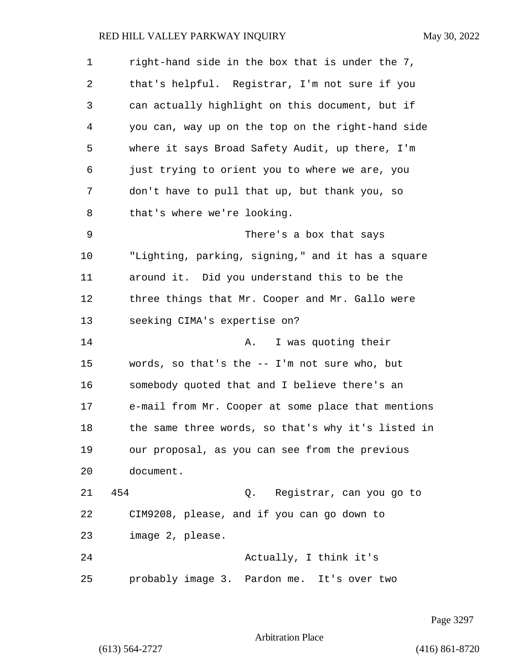| $\mathbf 1$ | right-hand side in the box that is under the 7,    |
|-------------|----------------------------------------------------|
| 2           | that's helpful. Registrar, I'm not sure if you     |
| 3           | can actually highlight on this document, but if    |
| 4           | you can, way up on the top on the right-hand side  |
| 5           | where it says Broad Safety Audit, up there, I'm    |
| 6           | just trying to orient you to where we are, you     |
| 7           | don't have to pull that up, but thank you, so      |
| 8           | that's where we're looking.                        |
| 9           | There's a box that says                            |
| 10          | "Lighting, parking, signing," and it has a square  |
| 11          | around it. Did you understand this to be the       |
| 12          | three things that Mr. Cooper and Mr. Gallo were    |
| 13          | seeking CIMA's expertise on?                       |
| 14          | I was quoting their<br>Α.                          |
| 15          | words, so that's the -- I'm not sure who, but      |
| 16          | somebody quoted that and I believe there's an      |
| 17          | e-mail from Mr. Cooper at some place that mentions |
| 18          | the same three words, so that's why it's listed in |
| 19          | our proposal, as you can see from the previous     |
| 20          | document.                                          |
| 21          | 454<br>Q. Registrar, can you go to                 |
| 22          | CIM9208, please, and if you can go down to         |
| 23          | image 2, please.                                   |
| 24          | Actually, I think it's                             |
| 25          | probably image 3. Pardon me. It's over two         |

Page 3297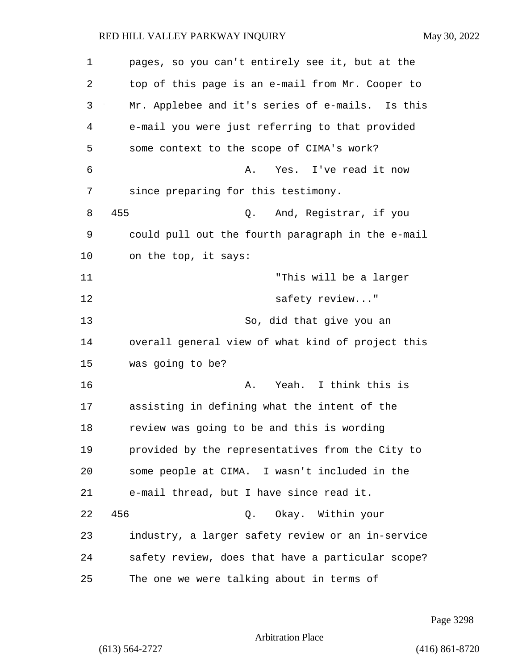| 1  | pages, so you can't entirely see it, but at the   |
|----|---------------------------------------------------|
| 2  | top of this page is an e-mail from Mr. Cooper to  |
| 3  | Mr. Applebee and it's series of e-mails. Is this  |
| 4  | e-mail you were just referring to that provided   |
| 5  | some context to the scope of CIMA's work?         |
| 6  | Yes. I've read it now<br>Α.                       |
| 7  | since preparing for this testimony.               |
| 8  | 455<br>And, Registrar, if you<br>Q.               |
| 9  | could pull out the fourth paragraph in the e-mail |
| 10 | on the top, it says:                              |
| 11 | "This will be a larger                            |
| 12 | safety review"                                    |
| 13 | So, did that give you an                          |
| 14 | overall general view of what kind of project this |
| 15 | was going to be?                                  |
| 16 | Yeah. I think this is<br>Α.                       |
| 17 | assisting in defining what the intent of the      |
| 18 | review was going to be and this is wording        |
| 19 | provided by the representatives from the City to  |
| 20 | some people at CIMA. I wasn't included in the     |
| 21 | e-mail thread, but I have since read it.          |
| 22 | 456<br>Q. Okay. Within your                       |
| 23 | industry, a larger safety review or an in-service |
| 24 | safety review, does that have a particular scope? |
| 25 | The one we were talking about in terms of         |

Page 3298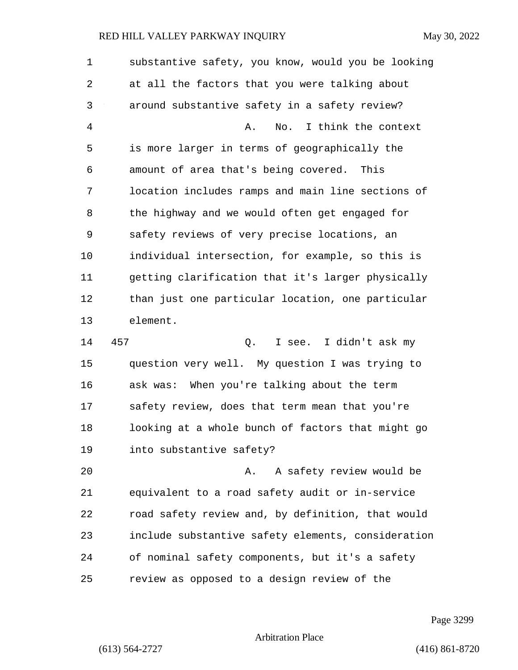1 substantive safety, you know, would you be looking 2 at all the factors that you were talking about 3 around substantive safety in a safety review? 4 A. No. I think the context 5 is more larger in terms of geographically the 6 amount of area that's being covered. This 7 location includes ramps and main line sections of 8 the highway and we would often get engaged for 9 safety reviews of very precise locations, an 10 individual intersection, for example, so this is 11 getting clarification that it's larger physically 12 than just one particular location, one particular 13 element. 14 457 Q. I see. I didn't ask my 15 question very well. My question I was trying to 16 ask was: When you're talking about the term 17 safety review, does that term mean that you're 18 looking at a whole bunch of factors that might go 19 into substantive safety? 20 A. A safety review would be 21 equivalent to a road safety audit or in-service 22 road safety review and, by definition, that would 23 include substantive safety elements, consideration 24 of nominal safety components, but it's a safety 25 review as opposed to a design review of the

Page 3299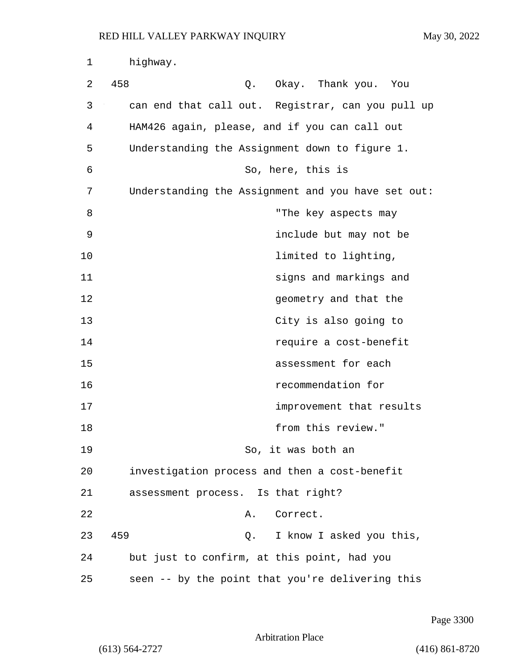| 1  | highway.                                           |
|----|----------------------------------------------------|
| 2  | 458<br>Q. Okay. Thank you. You                     |
| 3  | can end that call out. Registrar, can you pull up  |
| 4  | HAM426 again, please, and if you can call out      |
| 5  | Understanding the Assignment down to figure 1.     |
| 6  | So, here, this is                                  |
| 7  | Understanding the Assignment and you have set out: |
| 8  | "The key aspects may                               |
| 9  | include but may not be                             |
| 10 | limited to lighting,                               |
| 11 | signs and markings and                             |
| 12 | geometry and that the                              |
| 13 | City is also going to                              |
| 14 | require a cost-benefit                             |
| 15 | assessment for each                                |
| 16 | recommendation for                                 |
| 17 | improvement that results                           |
| 18 | from this review."                                 |
| 19 | So, it was both an                                 |
| 20 | investigation process and then a cost-benefit      |
| 21 | assessment process. Is that right?                 |
| 22 | Correct.<br>Α.                                     |
| 23 | 459<br>I know I asked you this,<br>Q.              |
| 24 | but just to confirm, at this point, had you        |
| 25 | seen -- by the point that you're delivering this   |

Page 3300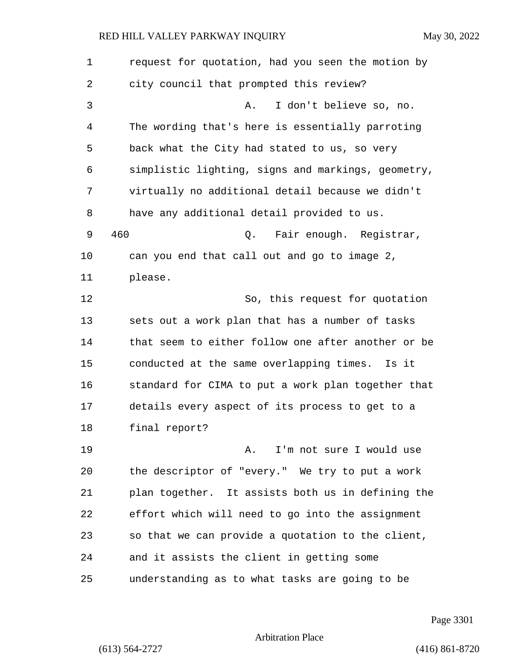| $\mathbf 1$ | request for quotation, had you seen the motion by  |
|-------------|----------------------------------------------------|
| 2           | city council that prompted this review?            |
| 3           | I don't believe so, no.<br>Α.                      |
| 4           | The wording that's here is essentially parroting   |
| 5           | back what the City had stated to us, so very       |
| 6           | simplistic lighting, signs and markings, geometry, |
| 7           | virtually no additional detail because we didn't   |
| 8           | have any additional detail provided to us.         |
| 9           | 460<br>Fair enough. Registrar,<br>Q.               |
| 10          | can you end that call out and go to image 2,       |
| 11          | please.                                            |
| 12          | So, this request for quotation                     |
| 13          | sets out a work plan that has a number of tasks    |
| 14          | that seem to either follow one after another or be |
| 15          | conducted at the same overlapping times.<br>Is it  |
| 16          | standard for CIMA to put a work plan together that |
| 17          | details every aspect of its process to get to a    |
| 18          | final report?                                      |
| 19          | I'm not sure I would use<br>Α.                     |
| 20          | the descriptor of "every." We try to put a work    |
| 21          | plan together. It assists both us in defining the  |
| 22          | effort which will need to go into the assignment   |
| 23          | so that we can provide a quotation to the client,  |
| 24          | and it assists the client in getting some          |
| 25          | understanding as to what tasks are going to be     |

Page 3301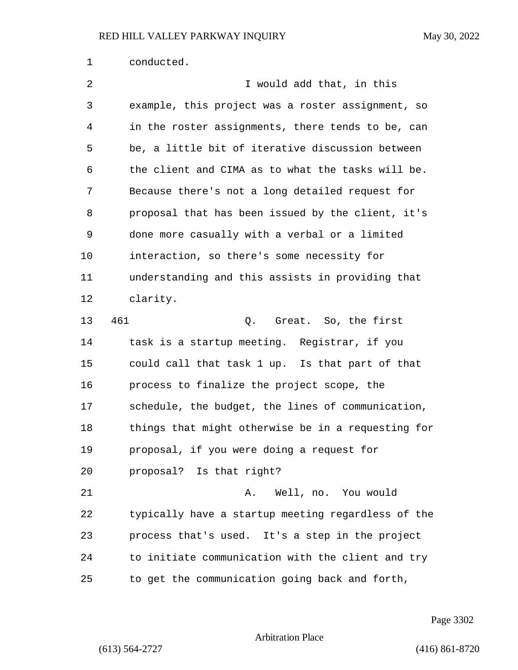| 1  | conducted.                                         |
|----|----------------------------------------------------|
| 2  | I would add that, in this                          |
| 3  | example, this project was a roster assignment, so  |
| 4  | in the roster assignments, there tends to be, can  |
| 5  | be, a little bit of iterative discussion between   |
| 6  | the client and CIMA as to what the tasks will be.  |
| 7  | Because there's not a long detailed request for    |
| 8  | proposal that has been issued by the client, it's  |
| 9  | done more casually with a verbal or a limited      |
| 10 | interaction, so there's some necessity for         |
| 11 | understanding and this assists in providing that   |
| 12 | clarity.                                           |
| 13 | 461<br>Great. So, the first<br>Q.                  |
| 14 | task is a startup meeting. Registrar, if you       |
| 15 | could call that task 1 up. Is that part of that    |
| 16 | process to finalize the project scope, the         |
| 17 | schedule, the budget, the lines of communication,  |
| 18 | things that might otherwise be in a requesting for |
| 19 | proposal, if you were doing a request for          |
| 20 | proposal? Is that right?                           |
| 21 | Well, no. You would<br>Α.                          |
| 22 | typically have a startup meeting regardless of the |
| 23 | process that's used. It's a step in the project    |
| 24 | to initiate communication with the client and try  |
| 25 | to get the communication going back and forth,     |

Page 3302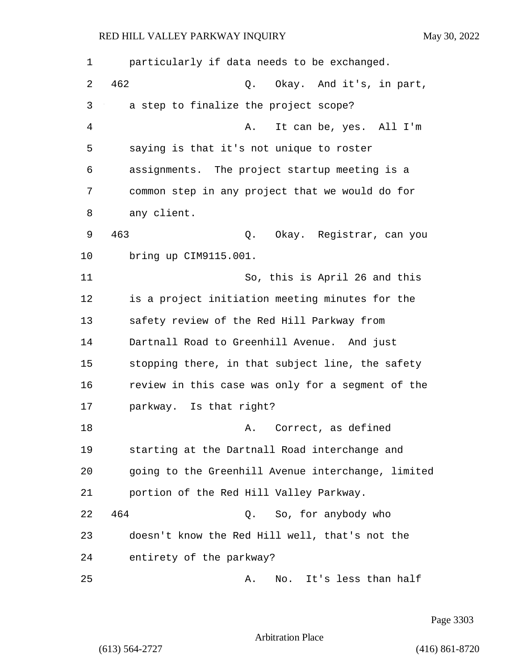1 particularly if data needs to be exchanged. 2 462 Q. Okay. And it's, in part, 3 a step to finalize the project scope? 4 A. It can be, yes. All I'm 5 saying is that it's not unique to roster 6 assignments. The project startup meeting is a 7 common step in any project that we would do for 8 any client. 9 463 Q. Okay. Registrar, can you 10 bring up CIM9115.001. 11 So, this is April 26 and this 12 is a project initiation meeting minutes for the 13 safety review of the Red Hill Parkway from 14 Dartnall Road to Greenhill Avenue. And just 15 stopping there, in that subject line, the safety 16 review in this case was only for a segment of the 17 parkway. Is that right? 18 A. Correct, as defined 19 starting at the Dartnall Road interchange and 20 going to the Greenhill Avenue interchange, limited 21 portion of the Red Hill Valley Parkway. 22 464 Q. So, for anybody who 23 doesn't know the Red Hill well, that's not the 24 entirety of the parkway? 25 A. No. It's less than half

Page 3303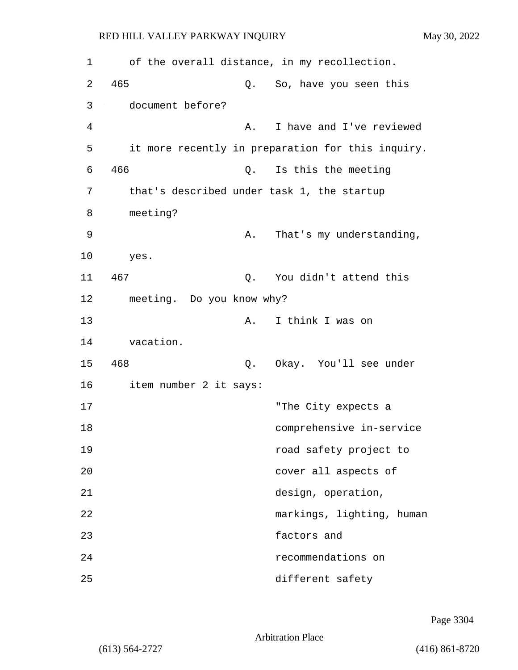| 1  |                           | of the overall distance, in my recollection.      |
|----|---------------------------|---------------------------------------------------|
| 2  | 465<br>Q.                 | So, have you seen this                            |
| 3  | document before?          |                                                   |
| 4  | Α.                        | I have and I've reviewed                          |
| 5  |                           | it more recently in preparation for this inquiry. |
| 6  | 466<br>Q.                 | Is this the meeting                               |
| 7  |                           | that's described under task 1, the startup        |
| 8  | meeting?                  |                                                   |
| 9  |                           | That's my understanding,<br>Α.                    |
| 10 | yes.                      |                                                   |
| 11 | 467<br>Q.                 | You didn't attend this                            |
| 12 | meeting. Do you know why? |                                                   |
| 13 | Α.                        | I think I was on                                  |
| 14 | vacation.                 |                                                   |
| 15 | 468<br>Q.                 | Okay. You'll see under                            |
| 16 | item number 2 it says:    |                                                   |
| 17 |                           | "The City expects a                               |
| 18 |                           | comprehensive in-service                          |
| 19 |                           | road safety project to                            |
| 20 |                           | cover all aspects of                              |
| 21 |                           | design, operation,                                |
| 22 |                           | markings, lighting, human                         |
| 23 |                           | factors and                                       |
| 24 |                           | recommendations on                                |
| 25 |                           | different safety                                  |

Page 3304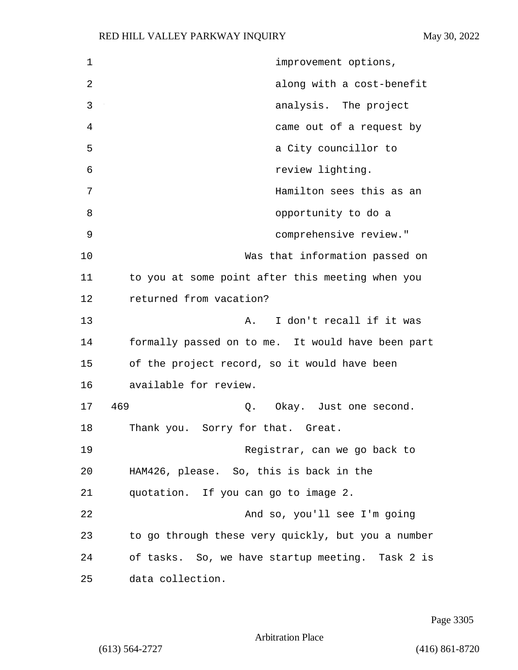| $\mathbf{1}$ | improvement options,                               |
|--------------|----------------------------------------------------|
| 2            | along with a cost-benefit                          |
| 3            | analysis. The project                              |
| 4            | came out of a request by                           |
| 5            | a City councillor to                               |
| 6            | review lighting.                                   |
| 7            | Hamilton sees this as an                           |
| 8            | opportunity to do a                                |
| 9            | comprehensive review."                             |
| 10           | Was that information passed on                     |
| 11           | to you at some point after this meeting when you   |
| 12           | returned from vacation?                            |
| 13           | I don't recall if it was<br>Α.                     |
| 14           | formally passed on to me. It would have been part  |
| 15           | of the project record, so it would have been       |
| 16           | available for review.                              |
| 17           | 469<br>Okay. Just one second.<br>Q.                |
| 18           | Sorry for that. Great.<br>Thank you.               |
| 19           | Registrar, can we go back to                       |
| 20           | HAM426, please. So, this is back in the            |
| 21           | quotation. If you can go to image 2.               |
| 22           | And so, you'll see I'm going                       |
| 23           | to go through these very quickly, but you a number |
| 24           | of tasks. So, we have startup meeting. Task 2 is   |
| 25           | data collection.                                   |

Page 3305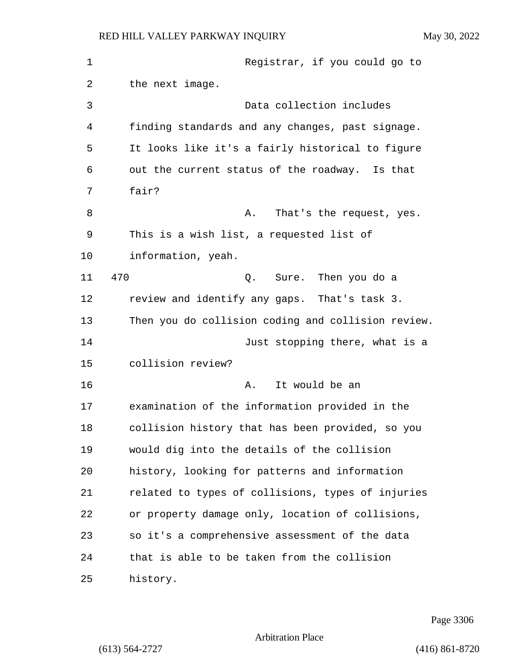| $\mathbf 1$ | Registrar, if you could go to                      |
|-------------|----------------------------------------------------|
| 2           | the next image.                                    |
| 3           | Data collection includes                           |
| 4           | finding standards and any changes, past signage.   |
| 5           | It looks like it's a fairly historical to figure   |
| 6           | out the current status of the roadway. Is that     |
| 7           | fair?                                              |
| 8           | That's the request, yes.<br>Α.                     |
| 9           | This is a wish list, a requested list of           |
| 10          | information, yeah.                                 |
| 11          | 470<br>Sure. Then you do a<br>Q.                   |
| 12          | review and identify any gaps. That's task 3.       |
| 13          | Then you do collision coding and collision review. |
| 14          | Just stopping there, what is a                     |
| 15          | collision review?                                  |
| 16          | It would be an<br>Α.                               |
| 17          | examination of the information provided in the     |
| 18          | collision history that has been provided, so you   |
| 19          | would dig into the details of the collision        |
| 20          | history, looking for patterns and information      |
| 21          | related to types of collisions, types of injuries  |
| 22          | or property damage only, location of collisions,   |
| 23          | so it's a comprehensive assessment of the data     |
| 24          | that is able to be taken from the collision        |
| 25          | history.                                           |

Page 3306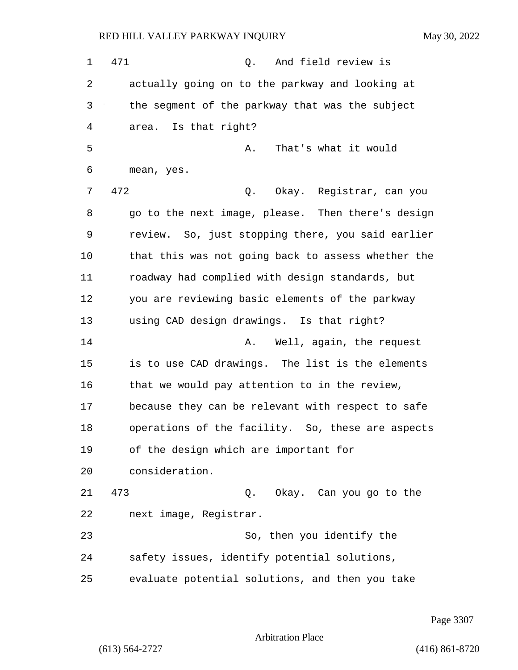1 471 Q. And field review is 2 actually going on to the parkway and looking at 3 the segment of the parkway that was the subject 4 area. Is that right? 5 A. That's what it would 6 mean, yes. 7 472 Q. Okay. Registrar, can you 8 go to the next image, please. Then there's design 9 review. So, just stopping there, you said earlier 10 that this was not going back to assess whether the 11 roadway had complied with design standards, but 12 you are reviewing basic elements of the parkway 13 using CAD design drawings. Is that right? 14 **A.** Well, again, the request 15 is to use CAD drawings. The list is the elements 16 that we would pay attention to in the review, 17 because they can be relevant with respect to safe 18 operations of the facility. So, these are aspects 19 of the design which are important for 20 consideration. 21 473 Q. Okay. Can you go to the 22 next image, Registrar. 23 So, then you identify the 24 safety issues, identify potential solutions, 25 evaluate potential solutions, and then you take

Page 3307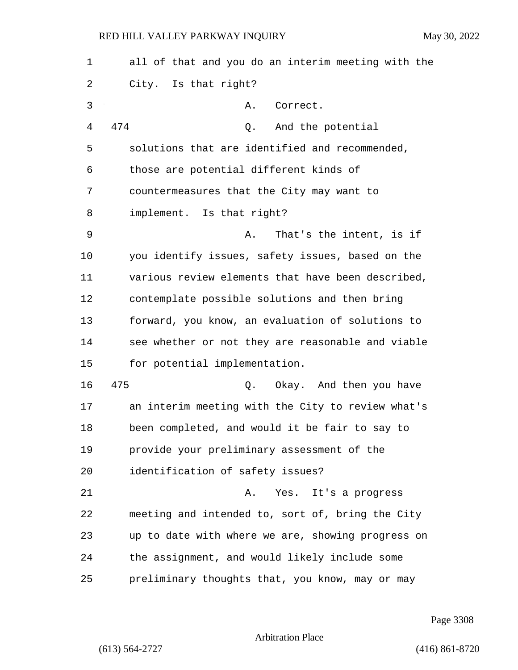1 all of that and you do an interim meeting with the 2 City. Is that right? 3 A. Correct. 4 474 Q. And the potential 5 solutions that are identified and recommended, 6 those are potential different kinds of 7 countermeasures that the City may want to 8 implement. Is that right? 9 A. That's the intent, is if 10 you identify issues, safety issues, based on the 11 various review elements that have been described, 12 contemplate possible solutions and then bring 13 forward, you know, an evaluation of solutions to 14 see whether or not they are reasonable and viable 15 for potential implementation. 16 475 Q. Okay. And then you have 17 an interim meeting with the City to review what's 18 been completed, and would it be fair to say to 19 provide your preliminary assessment of the 20 identification of safety issues? 21 A. Yes. It's a progress 22 meeting and intended to, sort of, bring the City 23 up to date with where we are, showing progress on 24 the assignment, and would likely include some 25 preliminary thoughts that, you know, may or may

Page 3308

Arbitration Place

(613) 564-2727 (416) 861-8720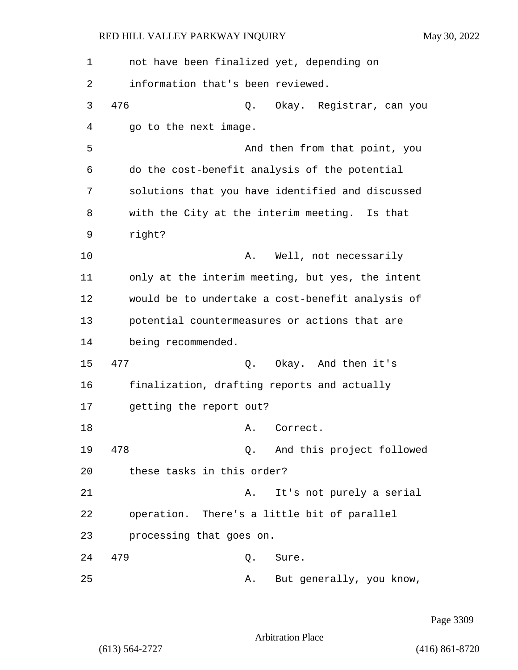1 not have been finalized yet, depending on 2 information that's been reviewed. 3 476 Q. Okay. Registrar, can you 4 go to the next image. 5 And then from that point, you 6 do the cost-benefit analysis of the potential 7 solutions that you have identified and discussed 8 with the City at the interim meeting. Is that 9 right? 10 A. Well, not necessarily 11 only at the interim meeting, but yes, the intent 12 would be to undertake a cost-benefit analysis of 13 potential countermeasures or actions that are 14 being recommended. 15 477 Q. Okay. And then it's 16 finalization, drafting reports and actually 17 getting the report out? 18 A. Correct. 19 478 Q. And this project followed 20 these tasks in this order? 21 A. It's not purely a serial 22 operation. There's a little bit of parallel 23 processing that goes on. 24 479 Q. Sure. 25 A. But generally, you know,

Page 3309

Arbitration Place

(613) 564-2727 (416) 861-8720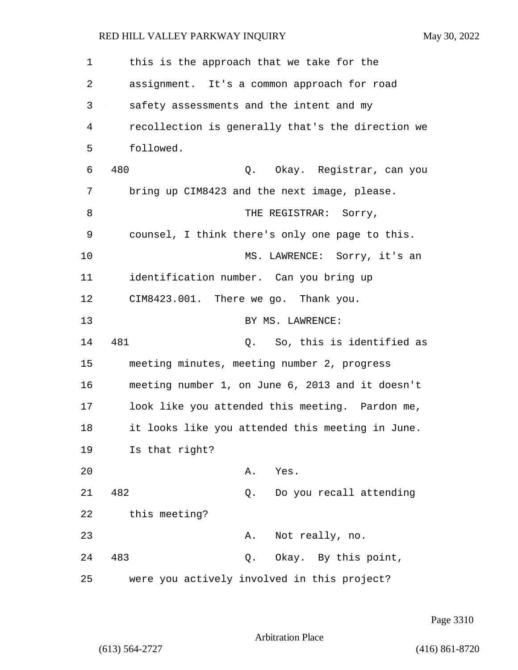| 1  | this is the approach that we take for the         |
|----|---------------------------------------------------|
| 2  | assignment. It's a common approach for road       |
| 3  | safety assessments and the intent and my          |
| 4  | recollection is generally that's the direction we |
| 5  | followed.                                         |
| 6  | 480<br>Q. Okay. Registrar, can you                |
| 7  | bring up CIM8423 and the next image, please.      |
| 8  | THE REGISTRAR: Sorry,                             |
| 9  | counsel, I think there's only one page to this.   |
| 10 | MS. LAWRENCE: Sorry, it's an                      |
| 11 | identification number. Can you bring up           |
| 12 | CIM8423.001. There we go. Thank you.              |
| 13 | BY MS. LAWRENCE:                                  |
| 14 | 481<br>Q. So, this is identified as               |
| 15 | meeting minutes, meeting number 2, progress       |
| 16 | meeting number 1, on June 6, 2013 and it doesn't  |
| 17 | look like you attended this meeting. Pardon me,   |
| 18 | it looks like you attended this meeting in June.  |
| 19 | Is that right?                                    |
| 20 | Α.<br>Yes.                                        |
| 21 | 482<br>Do you recall attending<br>Q.              |
| 22 | this meeting?                                     |
| 23 | Not really, no.<br>Α.                             |
| 24 | 483<br>Okay. By this point,<br>Q.                 |
| 25 | were you actively involved in this project?       |

Page 3310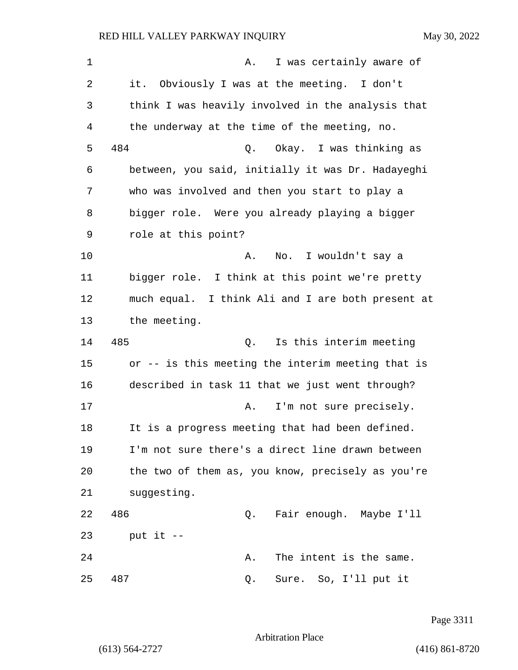| 1  | I was certainly aware of<br>Α.                    |
|----|---------------------------------------------------|
| 2  | it. Obviously I was at the meeting. I don't       |
| 3  | think I was heavily involved in the analysis that |
| 4  | the underway at the time of the meeting, no.      |
| 5  | 484<br>Okay. I was thinking as<br>Q.              |
| 6  | between, you said, initially it was Dr. Hadayeghi |
| 7  | who was involved and then you start to play a     |
| 8  | bigger role. Were you already playing a bigger    |
| 9  | role at this point?                               |
| 10 | No. I wouldn't say a<br>Α.                        |
| 11 | bigger role. I think at this point we're pretty   |
| 12 | much equal. I think Ali and I are both present at |
| 13 | the meeting.                                      |
| 14 | 485<br>Is this interim meeting<br>Q.              |
| 15 | or -- is this meeting the interim meeting that is |
| 16 | described in task 11 that we just went through?   |
| 17 | I'm not sure precisely.<br>Α.                     |
| 18 | It is a progress meeting that had been defined.   |
| 19 | I'm not sure there's a direct line drawn between  |
| 20 | the two of them as, you know, precisely as you're |
| 21 | suggesting.                                       |
| 22 | 486<br>Fair enough. Maybe I'll<br>Q.              |
| 23 | put it $-$                                        |
| 24 | The intent is the same.<br>Α.                     |
| 25 | 487<br>Sure. So, I'll put it<br>Q.                |

Page 3311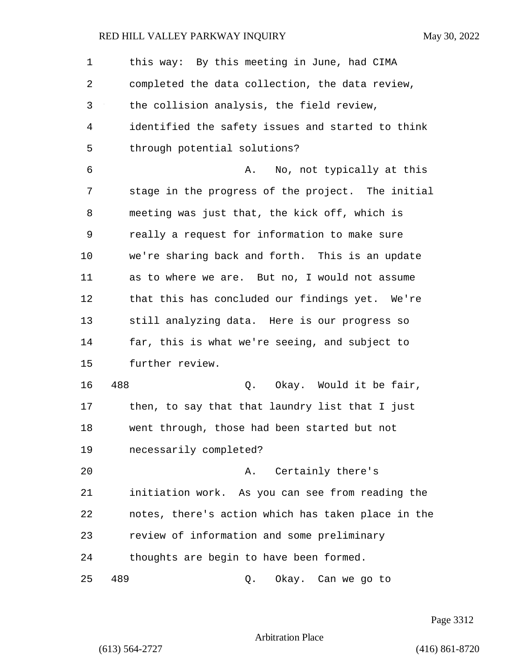1 this way: By this meeting in June, had CIMA 2 completed the data collection, the data review, 3 the collision analysis, the field review, 4 identified the safety issues and started to think 5 through potential solutions? 6 A. No, not typically at this 7 stage in the progress of the project. The initial 8 meeting was just that, the kick off, which is 9 really a request for information to make sure 10 we're sharing back and forth. This is an update 11 as to where we are. But no, I would not assume 12 that this has concluded our findings yet. We're 13 still analyzing data. Here is our progress so 14 far, this is what we're seeing, and subject to 15 further review. 16 488 Q. Okay. Would it be fair, 17 then, to say that that laundry list that I just 18 went through, those had been started but not 19 necessarily completed? 20 A. Certainly there's 21 initiation work. As you can see from reading the 22 notes, there's action which has taken place in the 23 review of information and some preliminary 24 thoughts are begin to have been formed. 25 489 Q. Okay. Can we go to

Page 3312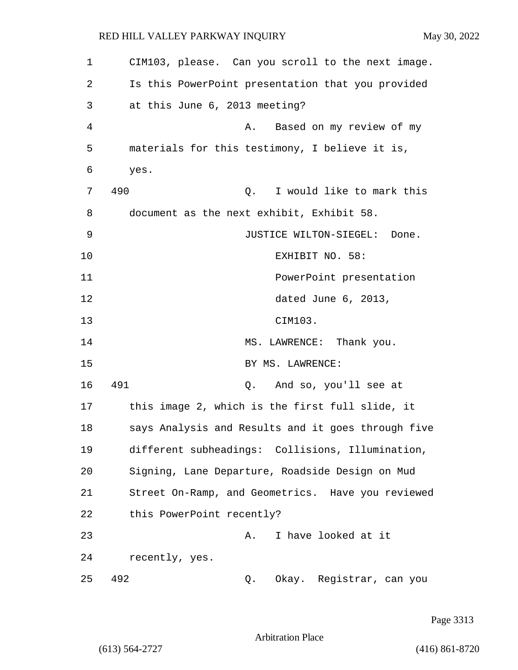| 1  | CIM103, please. Can you scroll to the next image.  |
|----|----------------------------------------------------|
| 2  | Is this PowerPoint presentation that you provided  |
| 3  | at this June 6, 2013 meeting?                      |
| 4  | Based on my review of my<br>Α.                     |
| 5  | materials for this testimony, I believe it is,     |
| 6  | yes.                                               |
| 7  | 490<br>I would like to mark this<br>Q.             |
| 8  | document as the next exhibit, Exhibit 58.          |
| 9  | JUSTICE WILTON-SIEGEL: Done.                       |
| 10 | EXHIBIT NO. 58:                                    |
| 11 | PowerPoint presentation                            |
| 12 | dated June 6, 2013,                                |
| 13 | CIM103.                                            |
| 14 | MS. LAWRENCE: Thank you.                           |
| 15 | BY MS. LAWRENCE:                                   |
| 16 | 491<br>And so, you'll see at<br>Q.                 |
| 17 | this image 2, which is the first full slide, it    |
| 18 | says Analysis and Results and it goes through five |
| 19 | different subheadings: Collisions, Illumination,   |
| 20 | Signing, Lane Departure, Roadside Design on Mud    |
| 21 | Street On-Ramp, and Geometrics. Have you reviewed  |
| 22 | this PowerPoint recently?                          |
| 23 | I have looked at it<br>Α.                          |
| 24 | recently, yes.                                     |
| 25 | 492<br>Okay. Registrar, can you<br>Q.              |

Page 3313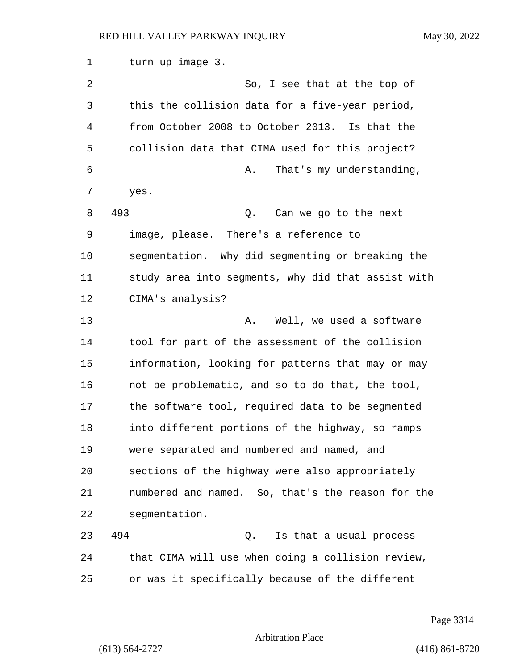1 turn up image 3. 2 So, I see that at the top of 3 this the collision data for a five-year period, 4 from October 2008 to October 2013. Is that the 5 collision data that CIMA used for this project? 6 A. That's my understanding, 7 yes. 8 493 Q. Can we go to the next 9 image, please. There's a reference to 10 segmentation. Why did segmenting or breaking the 11 study area into segments, why did that assist with 12 CIMA's analysis? 13 A. Well, we used a software 14 tool for part of the assessment of the collision 15 information, looking for patterns that may or may 16 not be problematic, and so to do that, the tool, 17 the software tool, required data to be segmented 18 into different portions of the highway, so ramps 19 were separated and numbered and named, and 20 sections of the highway were also appropriately 21 numbered and named. So, that's the reason for the 22 segmentation. 23 494 Q. Is that a usual process 24 that CIMA will use when doing a collision review, 25 or was it specifically because of the different

Page 3314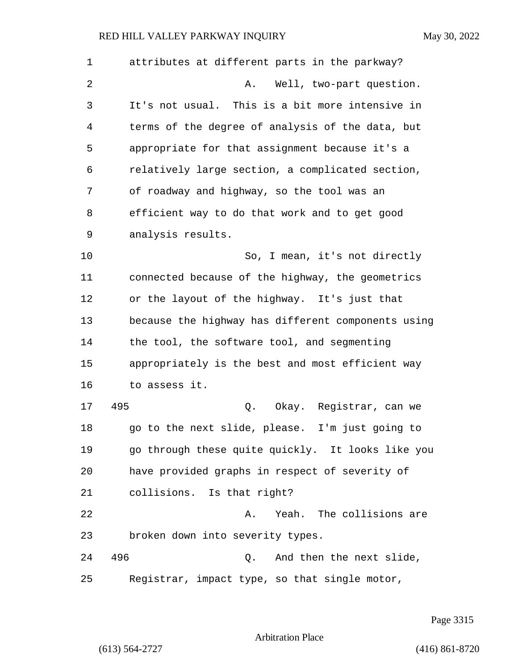| $\mathbf 1$ | attributes at different parts in the parkway?      |
|-------------|----------------------------------------------------|
| 2           | Well, two-part question.<br>Α.                     |
| 3           | It's not usual. This is a bit more intensive in    |
| 4           | terms of the degree of analysis of the data, but   |
| 5           | appropriate for that assignment because it's a     |
| 6           | relatively large section, a complicated section,   |
| 7           | of roadway and highway, so the tool was an         |
| 8           | efficient way to do that work and to get good      |
| 9           | analysis results.                                  |
| 10          | So, I mean, it's not directly                      |
| 11          | connected because of the highway, the geometrics   |
| 12          | or the layout of the highway. It's just that       |
| 13          | because the highway has different components using |
| 14          | the tool, the software tool, and segmenting        |
| 15          | appropriately is the best and most efficient way   |
| 16          | to assess it.                                      |
| 17          | 495<br>Q.<br>Okay. Registrar, can we               |
| 18          | go to the next slide, please.<br>I'm just going to |
| 19          | go through these quite quickly. It looks like you  |
| 20          | have provided graphs in respect of severity of     |
| 21          | collisions. Is that right?                         |
| 22          | Yeah. The collisions are<br>Α.                     |
| 23          | broken down into severity types.                   |
| 24          | 496<br>And then the next slide,<br>Q.              |
| 25          | Registrar, impact type, so that single motor,      |

Page 3315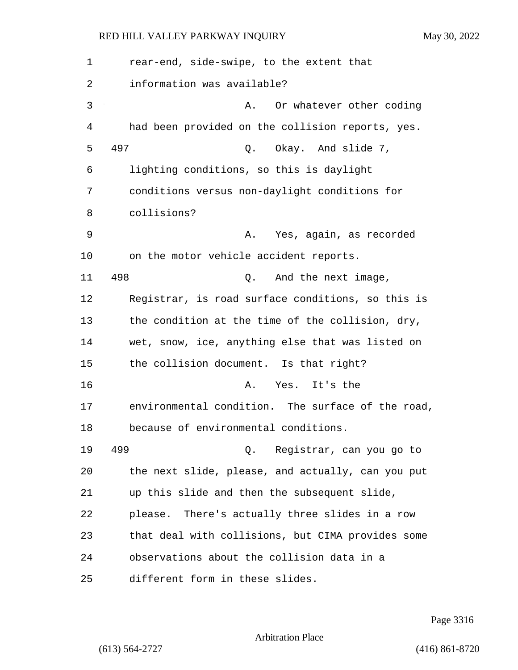1 rear-end, side-swipe, to the extent that 2 information was available? 3 A. Or whatever other coding 4 had been provided on the collision reports, yes. 5 497 Q. Okay. And slide 7, 6 lighting conditions, so this is daylight 7 conditions versus non-daylight conditions for 8 collisions? 9 A. Yes, again, as recorded 10 on the motor vehicle accident reports. 11 498 Q. And the next image, 12 Registrar, is road surface conditions, so this is 13 the condition at the time of the collision, dry, 14 wet, snow, ice, anything else that was listed on 15 the collision document. Is that right? 16 A. Yes. It's the 17 environmental condition. The surface of the road, 18 because of environmental conditions. 19 499 Q. Registrar, can you go to 20 the next slide, please, and actually, can you put 21 up this slide and then the subsequent slide, 22 please. There's actually three slides in a row 23 that deal with collisions, but CIMA provides some 24 observations about the collision data in a 25 different form in these slides.

Page 3316

Arbitration Place

(613) 564-2727 (416) 861-8720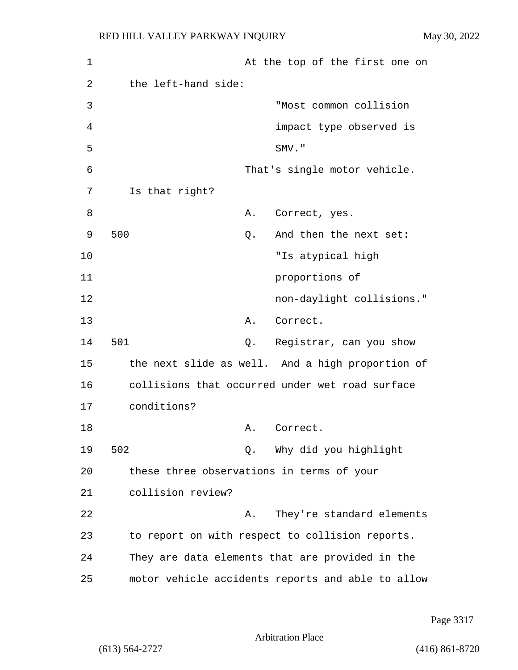| 1  | At the top of the first one on                    |
|----|---------------------------------------------------|
| 2  | the left-hand side:                               |
| 3  | "Most common collision                            |
| 4  | impact type observed is                           |
| 5  | SMV."                                             |
| 6  | That's single motor vehicle.                      |
| 7  | Is that right?                                    |
| 8  | Α.<br>Correct, yes.                               |
| 9  | 500<br>And then the next set:<br>Q.               |
| 10 | "Is atypical high                                 |
| 11 | proportions of                                    |
| 12 | non-daylight collisions."                         |
| 13 | Correct.<br>Α.                                    |
| 14 | 501<br>Registrar, can you show<br>Q.              |
| 15 | the next slide as well. And a high proportion of  |
| 16 | collisions that occurred under wet road surface   |
| 17 | conditions?                                       |
| 18 | Α.<br>Correct.                                    |
| 19 | 502<br>Q. Why did you highlight                   |
| 20 | these three observations in terms of your         |
| 21 | collision review?                                 |
| 22 | They're standard elements<br>Α.                   |
| 23 | to report on with respect to collision reports.   |
| 24 | They are data elements that are provided in the   |
| 25 | motor vehicle accidents reports and able to allow |

Page 3317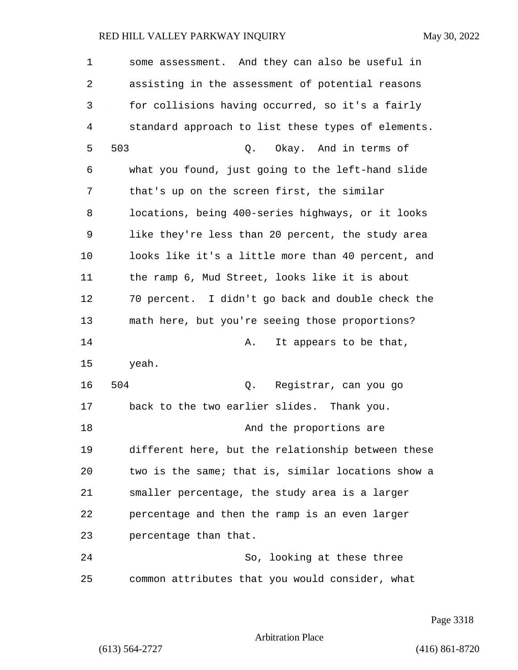1 some assessment. And they can also be useful in 2 assisting in the assessment of potential reasons 3 for collisions having occurred, so it's a fairly 4 standard approach to list these types of elements. 5 503 Q. Okay. And in terms of 6 what you found, just going to the left-hand slide 7 that's up on the screen first, the similar 8 locations, being 400-series highways, or it looks 9 like they're less than 20 percent, the study area 10 looks like it's a little more than 40 percent, and 11 the ramp 6, Mud Street, looks like it is about 12 70 percent. I didn't go back and double check the 13 math here, but you're seeing those proportions? 14 **A.** It appears to be that, 15 yeah. 16 504 Q. Registrar, can you go 17 back to the two earlier slides. Thank you. 18 and the proportions are 19 different here, but the relationship between these 20 two is the same; that is, similar locations show a 21 smaller percentage, the study area is a larger 22 percentage and then the ramp is an even larger 23 percentage than that. 24 So, looking at these three 25 common attributes that you would consider, what

Page 3318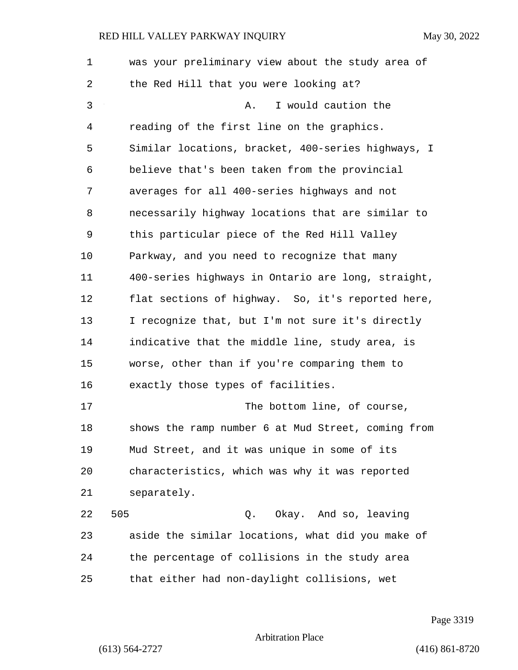| $\mathbf 1$ | was your preliminary view about the study area of  |
|-------------|----------------------------------------------------|
| 2           | the Red Hill that you were looking at?             |
| 3           | I would caution the<br>Α.                          |
| 4           | reading of the first line on the graphics.         |
| 5           | Similar locations, bracket, 400-series highways, I |
| 6           | believe that's been taken from the provincial      |
| 7           | averages for all 400-series highways and not       |
| 8           | necessarily highway locations that are similar to  |
| 9           | this particular piece of the Red Hill Valley       |
| 10          | Parkway, and you need to recognize that many       |
| 11          | 400-series highways in Ontario are long, straight, |
| 12          | flat sections of highway. So, it's reported here,  |
| 13          | I recognize that, but I'm not sure it's directly   |
| 14          | indicative that the middle line, study area, is    |
| 15          | worse, other than if you're comparing them to      |
| 16          | exactly those types of facilities.                 |
| 17          | The bottom line, of course,                        |
| 18          | shows the ramp number 6 at Mud Street, coming from |
| 19          | Mud Street, and it was unique in some of its       |
| 20          | characteristics, which was why it was reported     |
| 21          | separately.                                        |
| 22          | 505<br>Okay. And so, leaving<br>Q.                 |
| 23          | aside the similar locations, what did you make of  |
| 24          | the percentage of collisions in the study area     |
| 25          | that either had non-daylight collisions, wet       |

Page 3319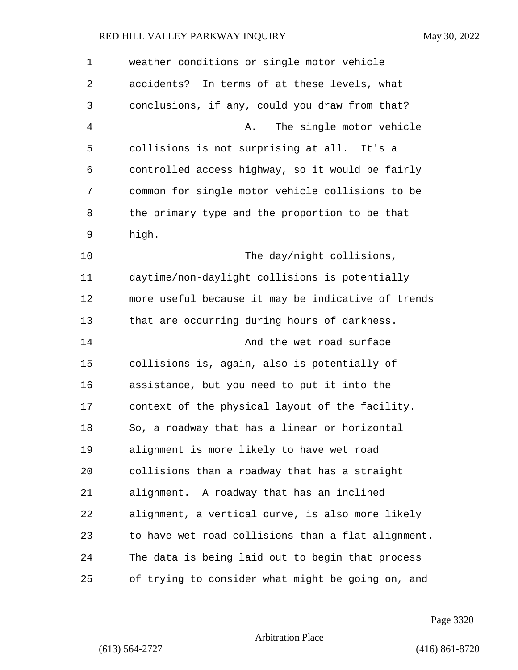| 1  | weather conditions or single motor vehicle         |
|----|----------------------------------------------------|
| 2  | accidents? In terms of at these levels, what       |
| 3  | conclusions, if any, could you draw from that?     |
| 4  | The single motor vehicle<br>Α.                     |
| 5  | collisions is not surprising at all. It's a        |
| 6  | controlled access highway, so it would be fairly   |
| 7  | common for single motor vehicle collisions to be   |
| 8  | the primary type and the proportion to be that     |
| 9  | high.                                              |
| 10 | The day/night collisions,                          |
| 11 | daytime/non-daylight collisions is potentially     |
| 12 | more useful because it may be indicative of trends |
| 13 | that are occurring during hours of darkness.       |
| 14 | And the wet road surface                           |
| 15 | collisions is, again, also is potentially of       |
| 16 | assistance, but you need to put it into the        |
| 17 | context of the physical layout of the facility.    |
| 18 | So, a roadway that has a linear or horizontal      |
| 19 | alignment is more likely to have wet road          |
| 20 | collisions than a roadway that has a straight      |
| 21 | alignment. A roadway that has an inclined          |
| 22 | alignment, a vertical curve, is also more likely   |
| 23 | to have wet road collisions than a flat alignment. |
| 24 | The data is being laid out to begin that process   |
| 25 | of trying to consider what might be going on, and  |

Page 3320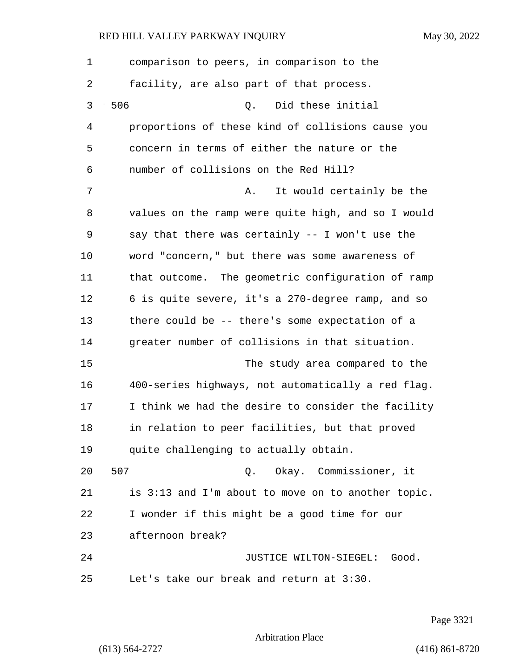| 1  | comparison to peers, in comparison to the          |
|----|----------------------------------------------------|
| 2  | facility, are also part of that process.           |
| 3  | 506<br>Did these initial<br>Q.                     |
| 4  | proportions of these kind of collisions cause you  |
| 5  | concern in terms of either the nature or the       |
| 6  | number of collisions on the Red Hill?              |
| 7  | It would certainly be the<br>Α.                    |
| 8  | values on the ramp were quite high, and so I would |
| 9  | say that there was certainly -- I won't use the    |
| 10 | word "concern," but there was some awareness of    |
| 11 | that outcome. The geometric configuration of ramp  |
| 12 | 6 is quite severe, it's a 270-degree ramp, and so  |
| 13 | there could be -- there's some expectation of a    |
| 14 | greater number of collisions in that situation.    |
| 15 | The study area compared to the                     |
| 16 | 400-series highways, not automatically a red flag. |
| 17 | I think we had the desire to consider the facility |
| 18 | in relation to peer facilities, but that proved    |
| 19 | quite challenging to actually obtain.              |
| 20 | 507<br>Okay. Commissioner, it<br>Q.                |
| 21 | is 3:13 and I'm about to move on to another topic. |
| 22 | I wonder if this might be a good time for our      |
| 23 | afternoon break?                                   |
| 24 | JUSTICE WILTON-SIEGEL:<br>Good.                    |
| 25 | Let's take our break and return at 3:30.           |

Page 3321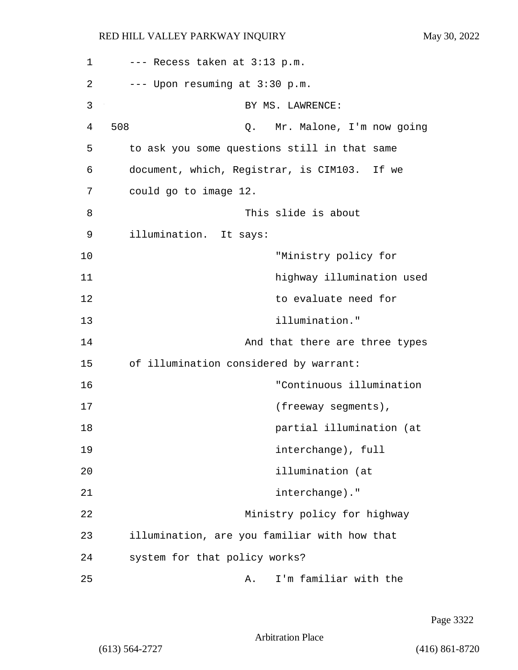| 1  | --- Recess taken at 3:13 p.m.                |
|----|----------------------------------------------|
| 2  | --- Upon resuming at 3:30 p.m.               |
| 3  | BY MS. LAWRENCE:                             |
| 4  | 508<br>Mr. Malone, I'm now going<br>Q.       |
| 5  | to ask you some questions still in that same |
| 6  | document, which, Registrar, is CIM103. If we |
| 7  | could go to image 12.                        |
| 8  | This slide is about                          |
| 9  | illumination. It says:                       |
| 10 | "Ministry policy for                         |
| 11 | highway illumination used                    |
| 12 | to evaluate need for                         |
| 13 | illumination."                               |
| 14 | And that there are three types               |
| 15 | of illumination considered by warrant:       |
| 16 | "Continuous illumination                     |
| 17 | (freeway segments),                          |
| 18 | partial illumination (at                     |
| 19 | interchange), full                           |
| 20 | illumination (at                             |
| 21 | interchange)."                               |
| 22 | Ministry policy for highway                  |
| 23 | illumination, are you familiar with how that |
| 24 | system for that policy works?                |
| 25 | I'm familiar with the<br>Α.                  |

Page 3322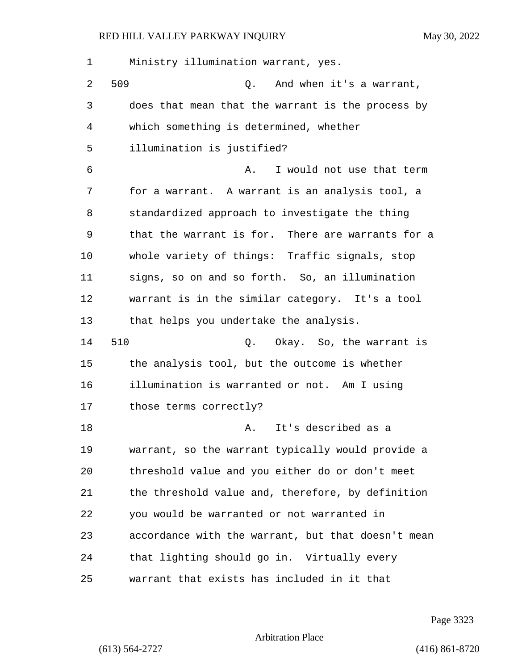1 Ministry illumination warrant, yes. 2 509 Q. And when it's a warrant, 3 does that mean that the warrant is the process by 4 which something is determined, whether 5 illumination is justified? 6 A. I would not use that term 7 for a warrant. A warrant is an analysis tool, a 8 standardized approach to investigate the thing 9 that the warrant is for. There are warrants for a 10 whole variety of things: Traffic signals, stop 11 signs, so on and so forth. So, an illumination 12 warrant is in the similar category. It's a tool 13 that helps you undertake the analysis. 14 510 Q. Okay. So, the warrant is 15 the analysis tool, but the outcome is whether 16 illumination is warranted or not. Am I using 17 those terms correctly? 18 **A.** It's described as a 19 warrant, so the warrant typically would provide a 20 threshold value and you either do or don't meet 21 the threshold value and, therefore, by definition 22 you would be warranted or not warranted in 23 accordance with the warrant, but that doesn't mean 24 that lighting should go in. Virtually every 25 warrant that exists has included in it that

Page 3323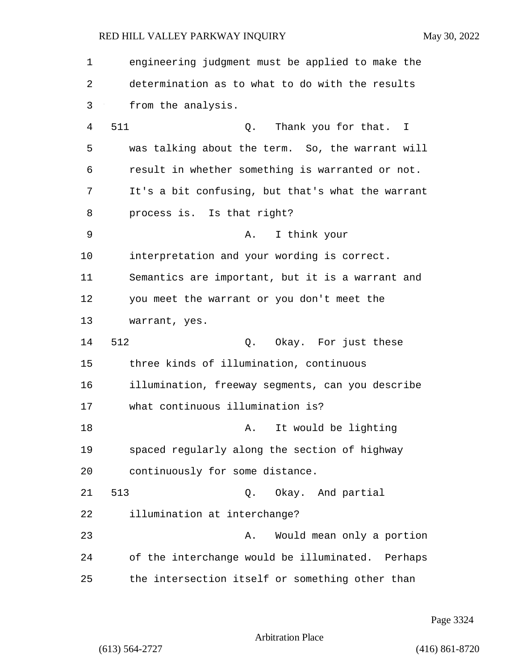| 1  | engineering judgment must be applied to make the  |
|----|---------------------------------------------------|
| 2  | determination as to what to do with the results   |
| 3  | from the analysis.                                |
| 4  | 511<br>Thank you for that. I<br>Q.                |
| 5  | was talking about the term. So, the warrant will  |
| 6  | result in whether something is warranted or not.  |
| 7  | It's a bit confusing, but that's what the warrant |
| 8  | process is. Is that right?                        |
| 9  | I think your<br>Α.                                |
| 10 | interpretation and your wording is correct.       |
| 11 | Semantics are important, but it is a warrant and  |
| 12 | you meet the warrant or you don't meet the        |
| 13 | warrant, yes.                                     |
| 14 | 512<br>Q. Okay. For just these                    |
| 15 | three kinds of illumination, continuous           |
| 16 | illumination, freeway segments, can you describe  |
| 17 | what continuous illumination is?                  |
| 18 | It would be lighting<br>Α.                        |
| 19 | spaced regularly along the section of highway     |
| 20 | continuously for some distance.                   |
| 21 | 513<br>Q. Okay. And partial                       |
| 22 | illumination at interchange?                      |
| 23 | Would mean only a portion<br>Α.                   |
| 24 | of the interchange would be illuminated. Perhaps  |
| 25 | the intersection itself or something other than   |

Page 3324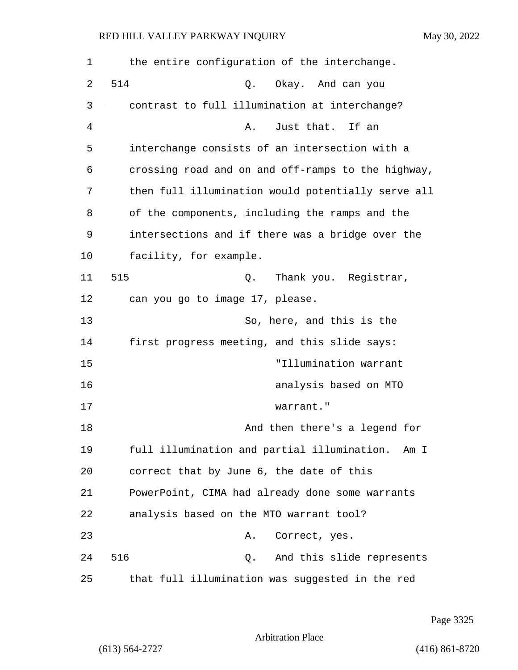| 1  | the entire configuration of the interchange.       |
|----|----------------------------------------------------|
| 2  | 514<br>Okay. And can you<br>Q.                     |
| 3  | contrast to full illumination at interchange?      |
| 4  | Just that. If an<br>Α.                             |
| 5  | interchange consists of an intersection with a     |
| 6  | crossing road and on and off-ramps to the highway, |
| 7  | then full illumination would potentially serve all |
| 8  | of the components, including the ramps and the     |
| 9  | intersections and if there was a bridge over the   |
| 10 | facility, for example.                             |
| 11 | 515<br>Thank you. Registrar,<br>Q.                 |
| 12 | can you go to image 17, please.                    |
| 13 | So, here, and this is the                          |
| 14 | first progress meeting, and this slide says:       |
| 15 | "Illumination warrant                              |
| 16 | analysis based on MTO                              |
| 17 | warrant."                                          |
| 18 | And then there's a legend for                      |
| 19 | full illumination and partial illumination. Am I   |
| 20 | correct that by June 6, the date of this           |
| 21 | PowerPoint, CIMA had already done some warrants    |
| 22 | analysis based on the MTO warrant tool?            |
| 23 | Correct, yes.<br>Α.                                |
| 24 | 516<br>And this slide represents<br>Q.             |
| 25 | that full illumination was suggested in the red    |

Page 3325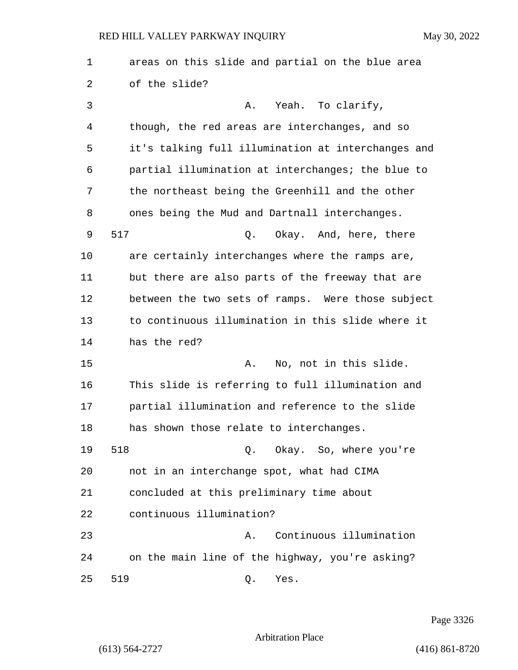1 areas on this slide and partial on the blue area 2 of the slide? 3 A. Yeah. To clarify, 4 though, the red areas are interchanges, and so 5 it's talking full illumination at interchanges and 6 partial illumination at interchanges; the blue to 7 the northeast being the Greenhill and the other 8 ones being the Mud and Dartnall interchanges. 9 517 Q. Okay. And, here, there 10 are certainly interchanges where the ramps are, 11 but there are also parts of the freeway that are 12 between the two sets of ramps. Were those subject 13 to continuous illumination in this slide where it 14 has the red? 15 A. No, not in this slide. 16 This slide is referring to full illumination and 17 partial illumination and reference to the slide 18 has shown those relate to interchanges. 19 518 Q. Okay. So, where you're 20 not in an interchange spot, what had CIMA 21 concluded at this preliminary time about 22 continuous illumination? 23 A. Continuous illumination 24 on the main line of the highway, you're asking? 25 519 Q. Yes.

Page 3326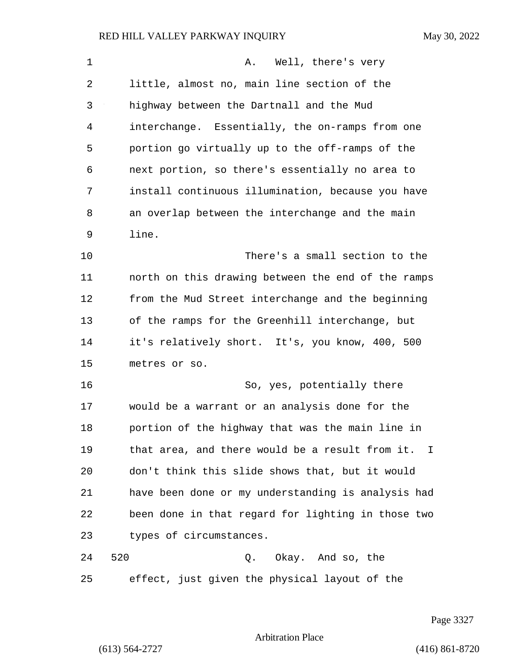| 1              | Well, there's very<br>Α.                           |
|----------------|----------------------------------------------------|
| 2              | little, almost no, main line section of the        |
| 3              | highway between the Dartnall and the Mud           |
| $\overline{4}$ | interchange. Essentially, the on-ramps from one    |
| 5              | portion go virtually up to the off-ramps of the    |
| 6              | next portion, so there's essentially no area to    |
| 7              | install continuous illumination, because you have  |
| 8              | an overlap between the interchange and the main    |
| 9              | line.                                              |
| 10             | There's a small section to the                     |
| 11             | north on this drawing between the end of the ramps |
| 12             | from the Mud Street interchange and the beginning  |
| 13             | of the ramps for the Greenhill interchange, but    |
| 14             | it's relatively short. It's, you know, 400, 500    |
| 15             | metres or so.                                      |
| 16             | So, yes, potentially there                         |
| 17             | would be a warrant or an analysis done for the     |
| 18             | portion of the highway that was the main line in   |
| 19             | that area, and there would be a result from it. I  |
| 20             | don't think this slide shows that, but it would    |
| 21             | have been done or my understanding is analysis had |
| 22             | been done in that regard for lighting in those two |
| 23             | types of circumstances.                            |
| 24             | 520<br>Okay. And so, the<br>Q.                     |
| 25             | effect, just given the physical layout of the      |

Page 3327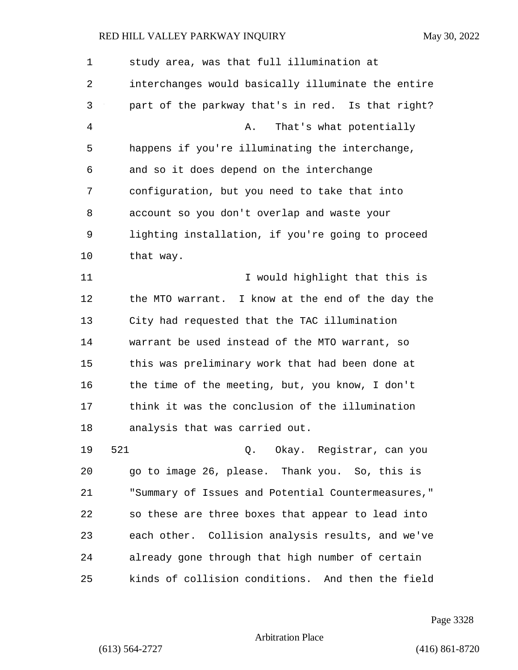1 study area, was that full illumination at 2 interchanges would basically illuminate the entire 3 part of the parkway that's in red. Is that right? 4 A. That's what potentially 5 happens if you're illuminating the interchange, 6 and so it does depend on the interchange 7 configuration, but you need to take that into 8 account so you don't overlap and waste your 9 lighting installation, if you're going to proceed 10 that way. 11 **I** would highlight that this is 12 the MTO warrant. I know at the end of the day the 13 City had requested that the TAC illumination 14 warrant be used instead of the MTO warrant, so 15 this was preliminary work that had been done at 16 the time of the meeting, but, you know, I don't 17 think it was the conclusion of the illumination 18 analysis that was carried out. 19 521 Q. Okay. Registrar, can you 20 go to image 26, please. Thank you. So, this is 21 "Summary of Issues and Potential Countermeasures," 22 so these are three boxes that appear to lead into 23 each other. Collision analysis results, and we've 24 already gone through that high number of certain 25 kinds of collision conditions. And then the field

Page 3328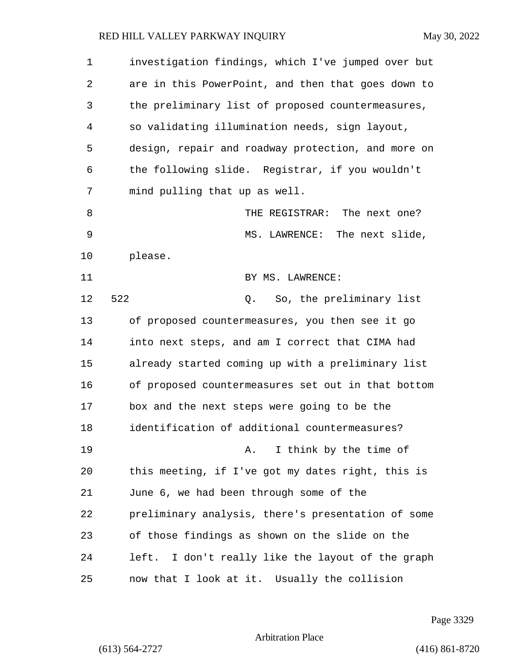| $\mathbf 1$ | investigation findings, which I've jumped over but |
|-------------|----------------------------------------------------|
| 2           | are in this PowerPoint, and then that goes down to |
| 3           | the preliminary list of proposed countermeasures,  |
| 4           | so validating illumination needs, sign layout,     |
| 5           | design, repair and roadway protection, and more on |
| 6           | the following slide. Registrar, if you wouldn't    |
| 7           | mind pulling that up as well.                      |
| 8           | THE REGISTRAR: The next one?                       |
| 9           | MS. LAWRENCE: The next slide,                      |
| 10          | please.                                            |
| 11          | BY MS. LAWRENCE:                                   |
| 12          | 522<br>Q. So, the preliminary list                 |
| 13          | of proposed countermeasures, you then see it go    |
| 14          | into next steps, and am I correct that CIMA had    |
| 15          | already started coming up with a preliminary list  |
| 16          | of proposed countermeasures set out in that bottom |
| 17          | box and the next steps were going to be the        |
| 18          | identification of additional countermeasures?      |
| 19          | I think by the time of<br>Α.                       |
| 20          | this meeting, if I've got my dates right, this is  |
| 21          | June 6, we had been through some of the            |
| 22          | preliminary analysis, there's presentation of some |
| 23          | of those findings as shown on the slide on the     |
| 24          | left. I don't really like the layout of the graph  |
| 25          | now that I look at it. Usually the collision       |

Page 3329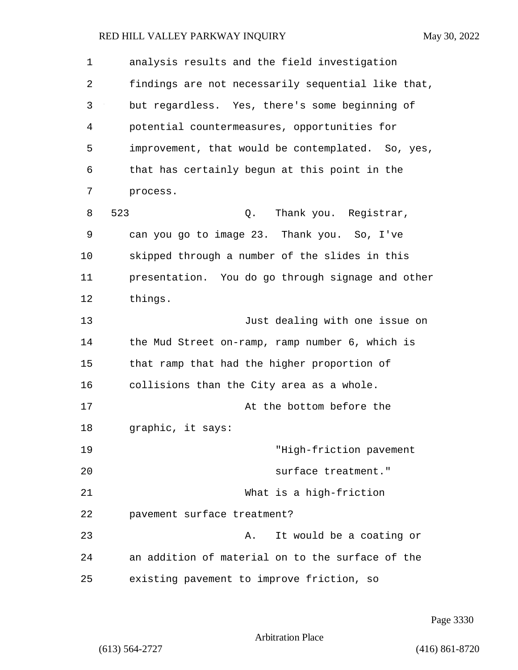| 1  | analysis results and the field investigation       |
|----|----------------------------------------------------|
| 2  | findings are not necessarily sequential like that, |
| 3  | but regardless. Yes, there's some beginning of     |
| 4  | potential countermeasures, opportunities for       |
| 5  | improvement, that would be contemplated. So, yes,  |
| 6  | that has certainly begun at this point in the      |
| 7  | process.                                           |
| 8  | 523<br>Thank you. Registrar,<br>Q.                 |
| 9  | can you go to image 23. Thank you. So, I've        |
| 10 | skipped through a number of the slides in this     |
| 11 | presentation. You do go through signage and other  |
| 12 | things.                                            |
| 13 | Just dealing with one issue on                     |
| 14 | the Mud Street on-ramp, ramp number 6, which is    |
| 15 | that ramp that had the higher proportion of        |
| 16 | collisions than the City area as a whole.          |
| 17 | At the bottom before the                           |
| 18 | graphic, it says:                                  |
| 19 | "High-friction pavement                            |
| 20 | surface treatment."                                |
| 21 | What is a high-friction                            |
| 22 | pavement surface treatment?                        |
| 23 | It would be a coating or<br>Α.                     |
| 24 | an addition of material on to the surface of the   |
| 25 | existing pavement to improve friction, so          |

Page 3330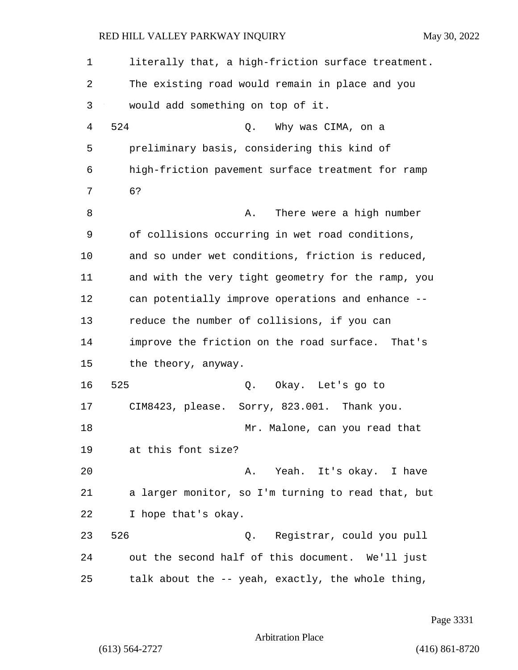| 1  | literally that, a high-friction surface treatment. |
|----|----------------------------------------------------|
| 2  | The existing road would remain in place and you    |
| 3  | would add something on top of it.                  |
| 4  | 524<br>Why was CIMA, on a<br>Q.                    |
| 5  | preliminary basis, considering this kind of        |
| 6  | high-friction pavement surface treatment for ramp  |
| 7  | 6?                                                 |
| 8  | There were a high number<br>Α.                     |
| 9  | of collisions occurring in wet road conditions,    |
| 10 | and so under wet conditions, friction is reduced,  |
| 11 | and with the very tight geometry for the ramp, you |
| 12 | can potentially improve operations and enhance --  |
| 13 | reduce the number of collisions, if you can        |
| 14 | improve the friction on the road surface. That's   |
| 15 | the theory, anyway.                                |
| 16 | 525<br>Q. Okay. Let's go to                        |
| 17 | CIM8423, please. Sorry, 823.001. Thank you.        |
| 18 | Mr. Malone, can you read that                      |
| 19 | at this font size?                                 |
| 20 | A. Yeah. It's okay. I have                         |
| 21 | a larger monitor, so I'm turning to read that, but |
| 22 | I hope that's okay.                                |
| 23 | 526<br>Q. Registrar, could you pull                |
| 24 | out the second half of this document. We'll just   |
| 25 | talk about the -- yeah, exactly, the whole thing,  |

Page 3331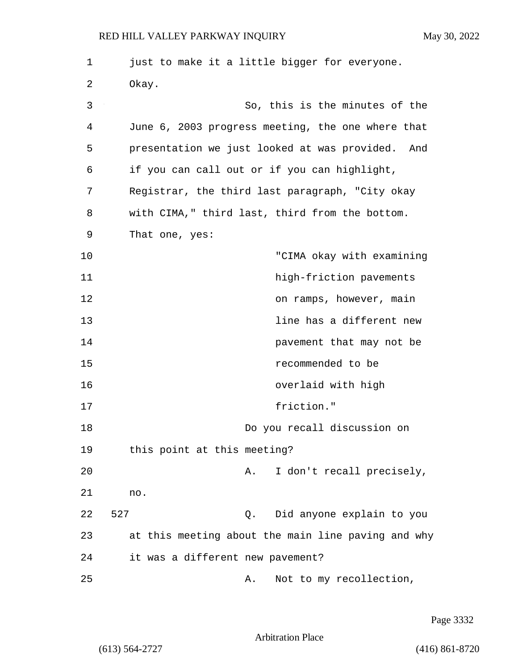| 1  | just to make it a little bigger for everyone.      |
|----|----------------------------------------------------|
| 2  | Okay.                                              |
| 3  | So, this is the minutes of the                     |
| 4  | June 6, 2003 progress meeting, the one where that  |
| 5  | presentation we just looked at was provided. And   |
| 6  | if you can call out or if you can highlight,       |
| 7  | Registrar, the third last paragraph, "City okay    |
| 8  | with CIMA," third last, third from the bottom.     |
| 9  | That one, yes:                                     |
| 10 | "CIMA okay with examining                          |
| 11 | high-friction pavements                            |
| 12 | on ramps, however, main                            |
| 13 | line has a different new                           |
| 14 | pavement that may not be                           |
| 15 | recommended to be                                  |
| 16 | overlaid with high                                 |
| 17 | friction."                                         |
| 18 | Do you recall discussion on                        |
| 19 | this point at this meeting?                        |
| 20 | I don't recall precisely,<br>Α.                    |
| 21 | no.                                                |
| 22 | 527<br>Did anyone explain to you<br>Q.             |
| 23 | at this meeting about the main line paving and why |
| 24 | it was a different new pavement?                   |
| 25 | Not to my recollection,<br>Α.                      |

Page 3332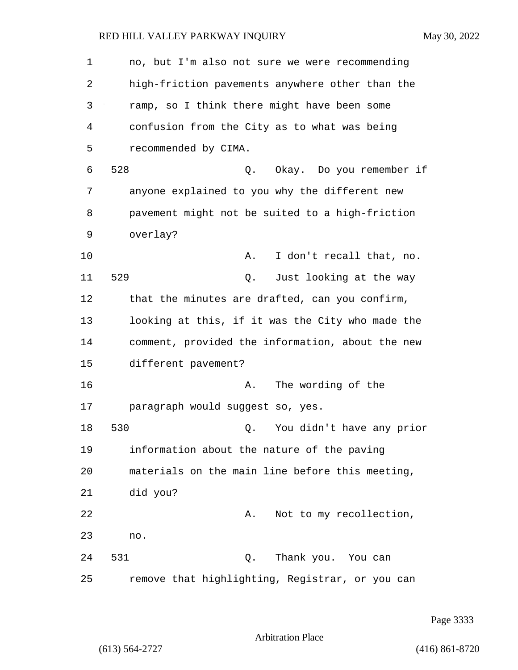1 no, but I'm also not sure we were recommending 2 high-friction pavements anywhere other than the 3 ramp, so I think there might have been some 4 confusion from the City as to what was being 5 recommended by CIMA. 6 528 Q. Okay. Do you remember if 7 anyone explained to you why the different new 8 pavement might not be suited to a high-friction 9 overlay? 10 A. I don't recall that, no. 11 529 Q. Just looking at the way 12 that the minutes are drafted, can you confirm, 13 looking at this, if it was the City who made the 14 comment, provided the information, about the new 15 different pavement? 16 **A.** The wording of the 17 paragraph would suggest so, yes. 18 530 Q. You didn't have any prior 19 information about the nature of the paving 20 materials on the main line before this meeting, 21 did you? 22 A. Not to my recollection, 23 no. 24 531 Q. Thank you. You can 25 remove that highlighting, Registrar, or you can

Page 3333

Arbitration Place

(613) 564-2727 (416) 861-8720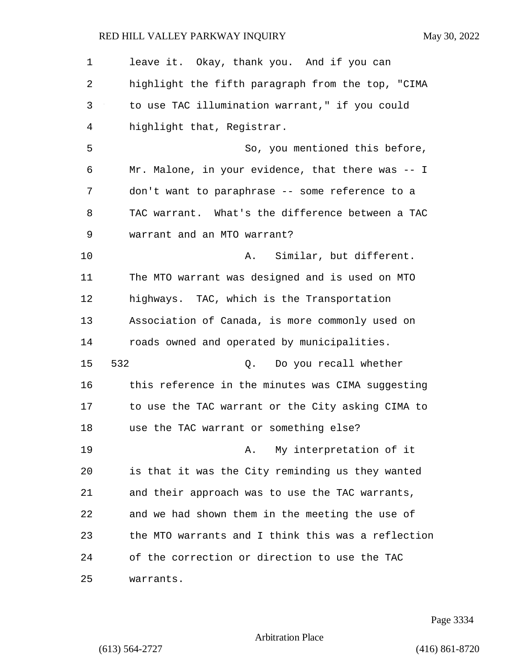1 leave it. Okay, thank you. And if you can 2 highlight the fifth paragraph from the top, "CIMA 3 to use TAC illumination warrant," if you could 4 highlight that, Registrar. 5 So, you mentioned this before, 6 Mr. Malone, in your evidence, that there was -- I 7 don't want to paraphrase -- some reference to a 8 TAC warrant. What's the difference between a TAC 9 warrant and an MTO warrant? 10 A. Similar, but different. 11 The MTO warrant was designed and is used on MTO 12 highways. TAC, which is the Transportation 13 Association of Canada, is more commonly used on 14 roads owned and operated by municipalities. 15 532 Q. Do you recall whether 16 this reference in the minutes was CIMA suggesting 17 to use the TAC warrant or the City asking CIMA to 18 use the TAC warrant or something else? 19 A. My interpretation of it 20 is that it was the City reminding us they wanted 21 and their approach was to use the TAC warrants, 22 and we had shown them in the meeting the use of 23 the MTO warrants and I think this was a reflection 24 of the correction or direction to use the TAC 25 warrants.

Page 3334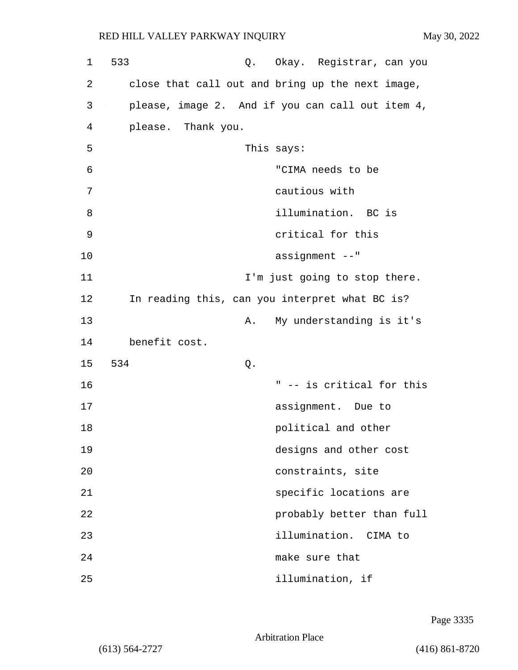| 1  | 533                                              | Q. Okay. Registrar, can you                      |
|----|--------------------------------------------------|--------------------------------------------------|
| 2  | close that call out and bring up the next image, |                                                  |
| 3  |                                                  | please, image 2. And if you can call out item 4, |
| 4  | please. Thank you.                               |                                                  |
| 5  | This says:                                       |                                                  |
| 6  |                                                  | "CIMA needs to be                                |
| 7  |                                                  | cautious with                                    |
| 8  |                                                  | illumination. BC is                              |
| 9  |                                                  | critical for this                                |
| 10 |                                                  | assignment --"                                   |
| 11 |                                                  | I'm just going to stop there.                    |
| 12 | In reading this, can you interpret what BC is?   |                                                  |
| 13 | Α.                                               | My understanding is it's                         |
| 14 | benefit cost.                                    |                                                  |
| 15 | 534<br>Q.                                        |                                                  |
| 16 |                                                  | " -- is critical for this                        |
| 17 |                                                  | assignment. Due to                               |
| 18 |                                                  | political and other                              |
| 19 |                                                  | designs and other cost                           |
| 20 |                                                  | constraints, site                                |
| 21 |                                                  | specific locations are                           |
| 22 |                                                  | probably better than full                        |
| 23 |                                                  | illumination. CIMA to                            |
| 24 |                                                  | make sure that                                   |
| 25 |                                                  | illumination, if                                 |

Page 3335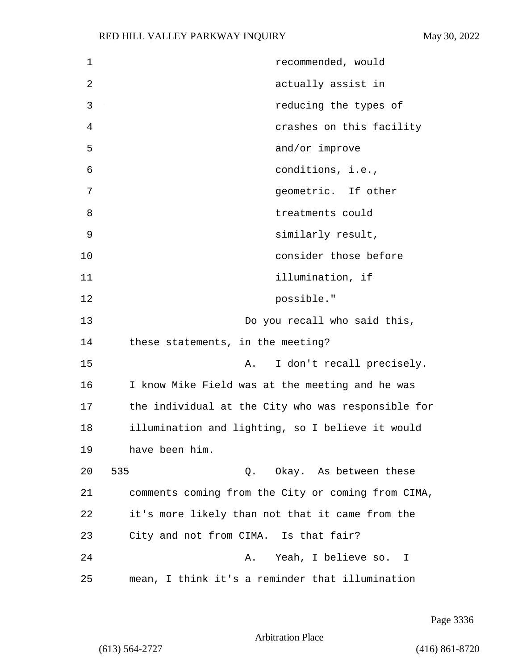| $\mathbf 1$ | recommended, would                                 |
|-------------|----------------------------------------------------|
| 2           | actually assist in                                 |
| 3           | reducing the types of                              |
| 4           | crashes on this facility                           |
| 5           | and/or improve                                     |
| 6           | conditions, i.e.,                                  |
| 7           | geometric. If other                                |
| 8           | treatments could                                   |
| 9           | similarly result,                                  |
| $10$        | consider those before                              |
| 11          | illumination, if                                   |
| 12          | possible."                                         |
| 13          | Do you recall who said this,                       |
| 14          | these statements, in the meeting?                  |
| 15          | I don't recall precisely.<br>Α.                    |
| 16          | I know Mike Field was at the meeting and he was    |
| 17          | the individual at the City who was responsible for |
| 18          | illumination and lighting, so I believe it would   |
| 19          | have been him.                                     |
| 20          | 535<br>Q. Okay. As between these                   |
| 21          | comments coming from the City or coming from CIMA, |
| 22          | it's more likely than not that it came from the    |
| 23          | City and not from CIMA. Is that fair?              |
| 24          | Yeah, I believe so. I<br>Α.                        |
| 25          | mean, I think it's a reminder that illumination    |

Page 3336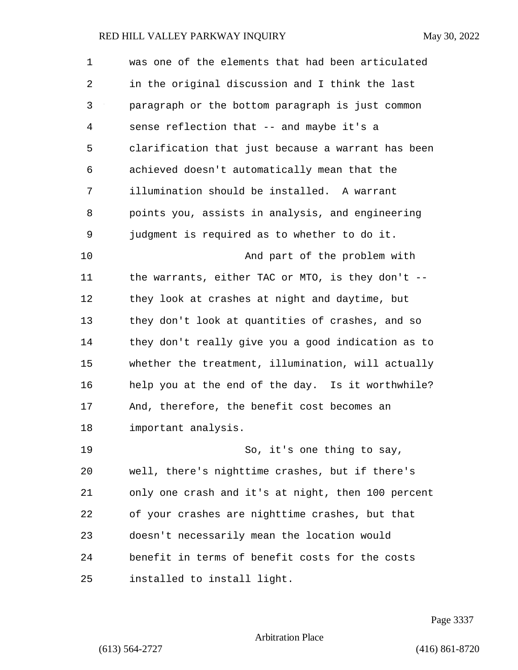| 1  | was one of the elements that had been articulated  |
|----|----------------------------------------------------|
| 2  | in the original discussion and I think the last    |
| 3  | paragraph or the bottom paragraph is just common   |
| 4  | sense reflection that -- and maybe it's a          |
| 5  | clarification that just because a warrant has been |
| 6  | achieved doesn't automatically mean that the       |
| 7  | illumination should be installed. A warrant        |
| 8  | points you, assists in analysis, and engineering   |
| 9  | judgment is required as to whether to do it.       |
| 10 | And part of the problem with                       |
| 11 | the warrants, either TAC or MTO, is they don't --  |
| 12 | they look at crashes at night and daytime, but     |
| 13 | they don't look at quantities of crashes, and so   |
| 14 | they don't really give you a good indication as to |
| 15 | whether the treatment, illumination, will actually |
| 16 | help you at the end of the day. Is it worthwhile?  |
| 17 | And, therefore, the benefit cost becomes an        |
| 18 | important analysis.                                |
| 19 | So, it's one thing to say,                         |
| 20 | well, there's nighttime crashes, but if there's    |
| 21 | only one crash and it's at night, then 100 percent |
| 22 | of your crashes are nighttime crashes, but that    |
| 23 | doesn't necessarily mean the location would        |
| 24 | benefit in terms of benefit costs for the costs    |
| 25 | installed to install light.                        |

Page 3337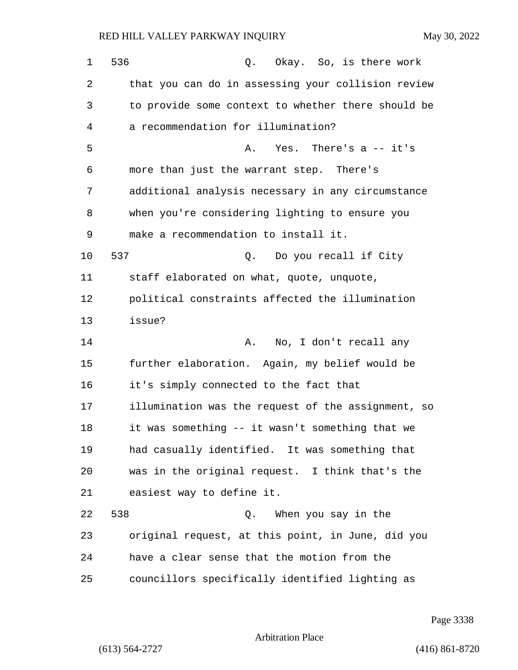1 536 Q. Okay. So, is there work 2 that you can do in assessing your collision review 3 to provide some context to whether there should be 4 a recommendation for illumination? 5 A. Yes. There's a -- it's 6 more than just the warrant step. There's 7 additional analysis necessary in any circumstance 8 when you're considering lighting to ensure you 9 make a recommendation to install it. 10 537 Q. Do you recall if City 11 staff elaborated on what, quote, unquote, 12 political constraints affected the illumination 13 issue? 14 **A.** No, I don't recall any 15 further elaboration. Again, my belief would be 16 it's simply connected to the fact that 17 illumination was the request of the assignment, so 18 it was something -- it wasn't something that we 19 had casually identified. It was something that 20 was in the original request. I think that's the 21 easiest way to define it. 22 538 Q. When you say in the 23 original request, at this point, in June, did you 24 have a clear sense that the motion from the 25 councillors specifically identified lighting as

Page 3338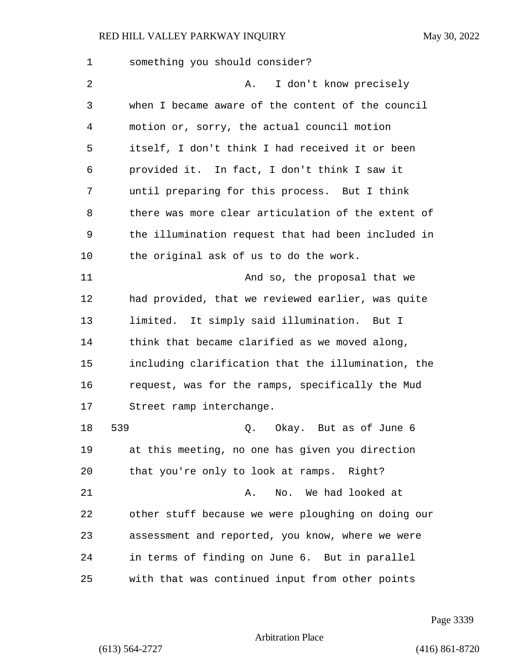| 1  | something you should consider?                     |
|----|----------------------------------------------------|
| 2  | I don't know precisely<br>Α.                       |
| 3  | when I became aware of the content of the council  |
| 4  | motion or, sorry, the actual council motion        |
| 5  | itself, I don't think I had received it or been    |
| 6  | provided it. In fact, I don't think I saw it       |
| 7  | until preparing for this process. But I think      |
| 8  | there was more clear articulation of the extent of |
| 9  | the illumination request that had been included in |
| 10 | the original ask of us to do the work.             |
| 11 | And so, the proposal that we                       |
| 12 | had provided, that we reviewed earlier, was quite  |
| 13 | limited. It simply said illumination. But I        |
| 14 | think that became clarified as we moved along,     |
| 15 | including clarification that the illumination, the |
| 16 | request, was for the ramps, specifically the Mud   |
| 17 | Street ramp interchange.                           |
| 18 | 539<br>Q. Okay. But as of June 6                   |
| 19 | at this meeting, no one has given you direction    |
| 20 | that you're only to look at ramps. Right?          |
| 21 | No. We had looked at<br>Α.                         |
| 22 | other stuff because we were ploughing on doing our |
| 23 | assessment and reported, you know, where we were   |
| 24 | in terms of finding on June 6. But in parallel     |
| 25 | with that was continued input from other points    |

Page 3339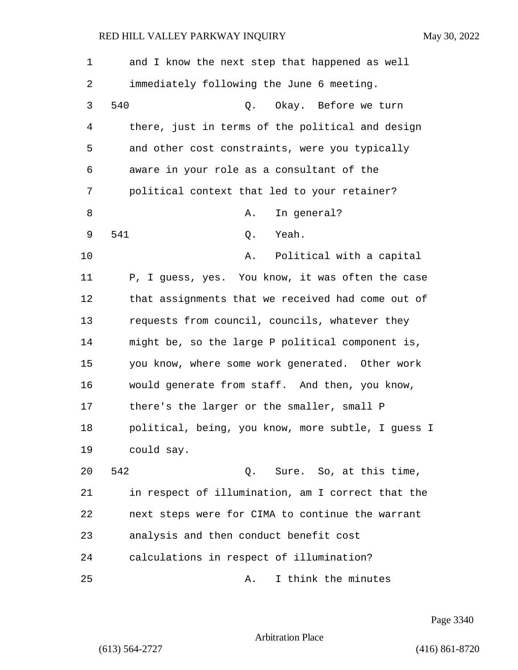| $\mathbf 1$    | and I know the next step that happened as well     |
|----------------|----------------------------------------------------|
| 2              | immediately following the June 6 meeting.          |
| 3              | 540<br>Okay. Before we turn<br>Q.                  |
| $\overline{4}$ | there, just in terms of the political and design   |
| 5              | and other cost constraints, were you typically     |
| 6              | aware in your role as a consultant of the          |
| 7              | political context that led to your retainer?       |
| 8              | In general?<br>Α.                                  |
| 9              | 541<br>Yeah.<br>Q.                                 |
| 10             | Political with a capital<br>Α.                     |
| 11             | P, I guess, yes. You know, it was often the case   |
| 12             | that assignments that we received had come out of  |
| 13             | requests from council, councils, whatever they     |
| 14             | might be, so the large P political component is,   |
| 15             | you know, where some work generated. Other work    |
| 16             | would generate from staff. And then, you know,     |
| 17             | there's the larger or the smaller, small P         |
| 18             | political, being, you know, more subtle, I guess I |
| 19             | could say.                                         |
| 20             | 542<br>Q. Sure. So, at this time,                  |
| 21             | in respect of illumination, am I correct that the  |
| 22             | next steps were for CIMA to continue the warrant   |
| 23             | analysis and then conduct benefit cost             |
| 24             | calculations in respect of illumination?           |
| 25             | I think the minutes<br>Α.                          |

Page 3340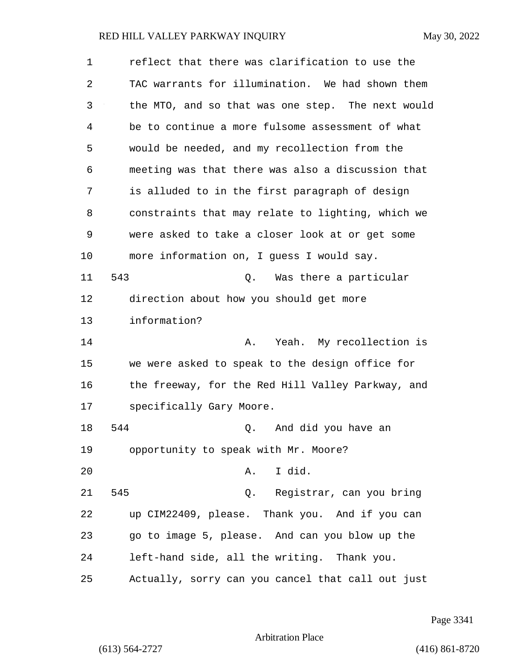| 1  | reflect that there was clarification to use the   |
|----|---------------------------------------------------|
| 2  | TAC warrants for illumination. We had shown them  |
| 3  | the MTO, and so that was one step. The next would |
| 4  | be to continue a more fulsome assessment of what  |
| 5  | would be needed, and my recollection from the     |
| 6  | meeting was that there was also a discussion that |
| 7  | is alluded to in the first paragraph of design    |
| 8  | constraints that may relate to lighting, which we |
| 9  | were asked to take a closer look at or get some   |
| 10 | more information on, I guess I would say.         |
| 11 | 543<br>Was there a particular<br>Q.               |
| 12 | direction about how you should get more           |
| 13 | information?                                      |
| 14 | Yeah. My recollection is<br>Α.                    |
| 15 | we were asked to speak to the design office for   |
| 16 | the freeway, for the Red Hill Valley Parkway, and |
| 17 | specifically Gary Moore.                          |
| 18 | 544<br>And did you have an<br>Q.                  |
| 19 | opportunity to speak with Mr. Moore?              |
| 20 | I did.<br>Α.                                      |
| 21 | 545<br>Registrar, can you bring<br>Q.             |
| 22 | up CIM22409, please. Thank you. And if you can    |
| 23 | go to image 5, please. And can you blow up the    |
| 24 | left-hand side, all the writing. Thank you.       |
| 25 | Actually, sorry can you cancel that call out just |

Page 3341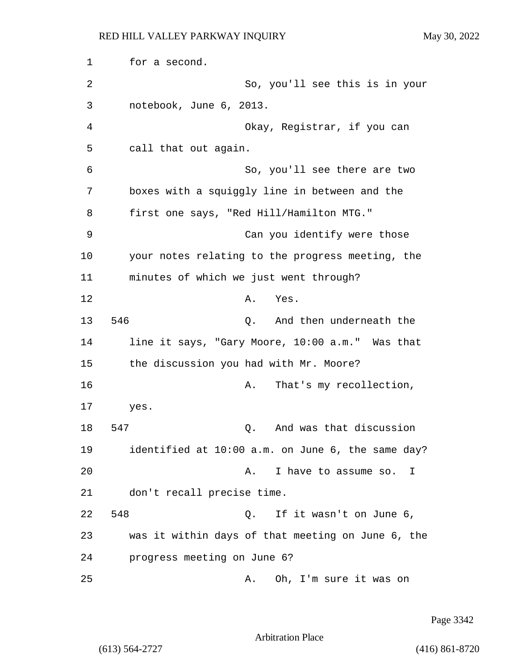1 for a second. 2 So, you'll see this is in your 3 notebook, June 6, 2013. 4 Okay, Registrar, if you can 5 call that out again. 6 So, you'll see there are two 7 boxes with a squiggly line in between and the 8 first one says, "Red Hill/Hamilton MTG." 9 Can you identify were those 10 your notes relating to the progress meeting, the 11 minutes of which we just went through? 12 A. Yes. 13 546 Q. And then underneath the 14 line it says, "Gary Moore, 10:00 a.m." Was that 15 the discussion you had with Mr. Moore? 16 A. That's my recollection, 17 yes. 18 547 Q. And was that discussion 19 identified at 10:00 a.m. on June 6, the same day? 20 **A.** I have to assume so. I 21 don't recall precise time. 22 548 Q. If it wasn't on June 6, 23 was it within days of that meeting on June 6, the 24 progress meeting on June 6? 25 A. Oh, I'm sure it was on

Page 3342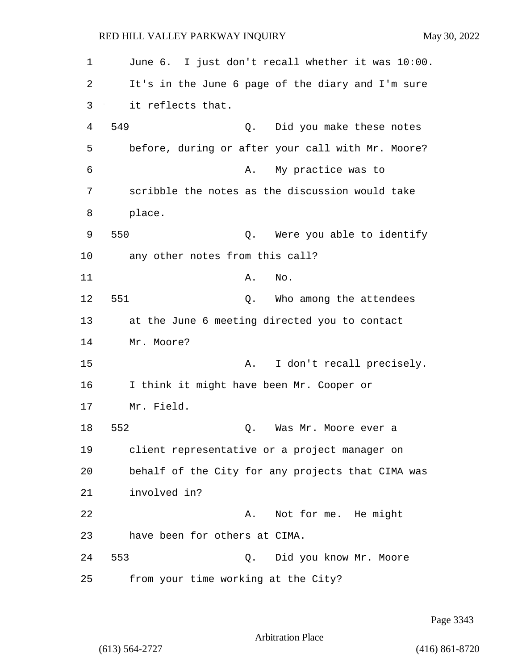| 1  | June 6. I just don't recall whether it was 10:00. |
|----|---------------------------------------------------|
| 2  | It's in the June 6 page of the diary and I'm sure |
| 3  | it reflects that.                                 |
| 4  | 549<br>Did you make these notes<br>Q.             |
| 5  | before, during or after your call with Mr. Moore? |
| 6  | My practice was to<br>Α.                          |
| 7  | scribble the notes as the discussion would take   |
| 8  | place.                                            |
| 9  | 550<br>Were you able to identify<br>Q.            |
| 10 | any other notes from this call?                   |
| 11 | Α.<br>No.                                         |
| 12 | 551<br>Who among the attendees<br>Q.              |
| 13 | at the June 6 meeting directed you to contact     |
| 14 | Mr. Moore?                                        |
| 15 | I don't recall precisely.<br>Α.                   |
| 16 | I think it might have been Mr. Cooper or          |
| 17 | Mr. Field.                                        |
| 18 | 552<br>Was Mr. Moore ever a<br>Q.                 |
| 19 | client representative or a project manager on     |
| 20 | behalf of the City for any projects that CIMA was |
| 21 | involved in?                                      |
| 22 | Not for me. He might<br>Α.                        |
| 23 | have been for others at CIMA.                     |
| 24 | 553<br>Did you know Mr. Moore<br>Q.               |
| 25 | from your time working at the City?               |

Page 3343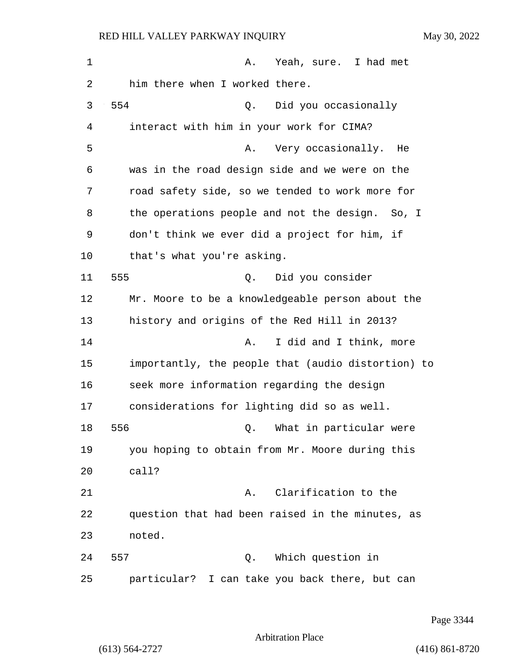1 A. Yeah, sure. I had met 2 him there when I worked there. 3 554 Q. Did you occasionally 4 interact with him in your work for CIMA? 5 A. Very occasionally. He 6 was in the road design side and we were on the 7 road safety side, so we tended to work more for 8 the operations people and not the design. So, I 9 don't think we ever did a project for him, if 10 that's what you're asking. 11 555 Q. Did you consider 12 Mr. Moore to be a knowledgeable person about the 13 history and origins of the Red Hill in 2013? 14 A. I did and I think, more 15 importantly, the people that (audio distortion) to 16 seek more information regarding the design 17 considerations for lighting did so as well. 18 556 Q. What in particular were 19 you hoping to obtain from Mr. Moore during this 20 call? 21 A. Clarification to the 22 question that had been raised in the minutes, as 23 noted. 24 557 Q. Which question in 25 particular? I can take you back there, but can

Page 3344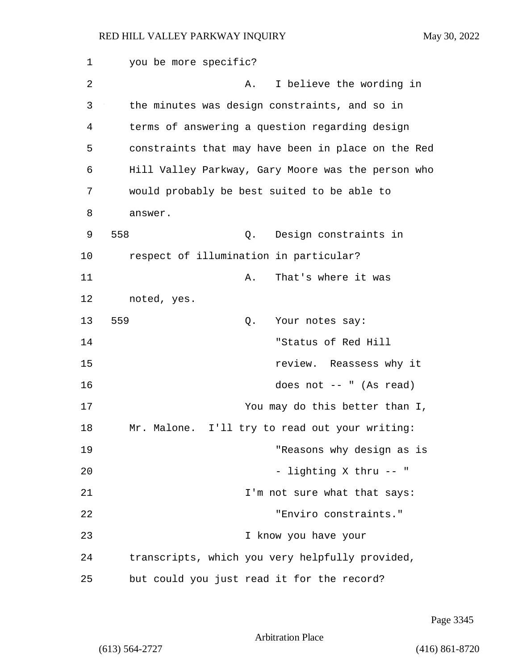1 you be more specific? 2 A. I believe the wording in 3 the minutes was design constraints, and so in 4 terms of answering a question regarding design 5 constraints that may have been in place on the Red 6 Hill Valley Parkway, Gary Moore was the person who 7 would probably be best suited to be able to 8 answer. 9 558 Q. Design constraints in 10 respect of illumination in particular? 11 A. That's where it was 12 noted, yes. 13 559 Q. Your notes say: 14 "Status of Red Hill 15 review. Reassess why it 16 does not -- " (As read) 17 You may do this better than I, 18 Mr. Malone. I'll try to read out your writing: 19 "Reasons why design as is 20 - lighting X thru -- " 21 **I'm not sure what that says:** 22 "Enviro constraints." 23 I know you have your 24 transcripts, which you very helpfully provided, 25 but could you just read it for the record?

Page 3345

Arbitration Place

(613) 564-2727 (416) 861-8720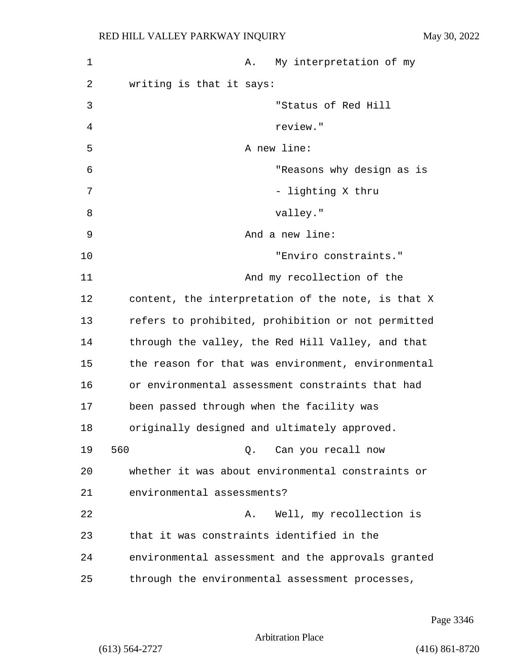| 1  | My interpretation of my<br>Α.                      |
|----|----------------------------------------------------|
| 2  | writing is that it says:                           |
| 3  | "Status of Red Hill                                |
| 4  | review."                                           |
| 5  | A new line:                                        |
| 6  | "Reasons why design as is                          |
| 7  | - lighting X thru                                  |
| 8  | valley."                                           |
| 9  | And a new line:                                    |
| 10 | "Enviro constraints."                              |
| 11 | And my recollection of the                         |
| 12 | content, the interpretation of the note, is that X |
| 13 | refers to prohibited, prohibition or not permitted |
| 14 | through the valley, the Red Hill Valley, and that  |
| 15 | the reason for that was environment, environmental |
| 16 | or environmental assessment constraints that had   |
| 17 | been passed through when the facility was          |
| 18 | originally designed and ultimately approved.       |
| 19 | 560<br>Q. Can you recall now                       |
| 20 | whether it was about environmental constraints or  |
| 21 | environmental assessments?                         |
| 22 | Well, my recollection is<br>Α.                     |
| 23 | that it was constraints identified in the          |
| 24 | environmental assessment and the approvals granted |
| 25 | through the environmental assessment processes,    |

Page 3346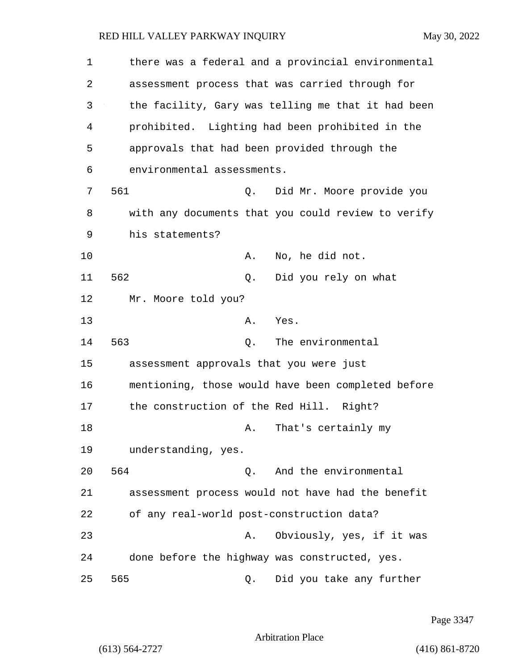| 1  |                                              |    | there was a federal and a provincial environmental |
|----|----------------------------------------------|----|----------------------------------------------------|
| 2  |                                              |    | assessment process that was carried through for    |
| 3  |                                              |    | the facility, Gary was telling me that it had been |
| 4  |                                              |    | prohibited. Lighting had been prohibited in the    |
| 5  | approvals that had been provided through the |    |                                                    |
| 6  | environmental assessments.                   |    |                                                    |
| 7  | 561                                          | Q. | Did Mr. Moore provide you                          |
| 8  |                                              |    | with any documents that you could review to verify |
| 9  | his statements?                              |    |                                                    |
| 10 | Α.                                           |    | No, he did not.                                    |
| 11 | 562                                          | Q. | Did you rely on what                               |
| 12 | Mr. Moore told you?                          |    |                                                    |
| 13 | Α.                                           |    | Yes.                                               |
| 14 | 563<br>Q.                                    |    | The environmental                                  |
| 15 | assessment approvals that you were just      |    |                                                    |
| 16 |                                              |    | mentioning, those would have been completed before |
| 17 | the construction of the Red Hill. Right?     |    |                                                    |
| 18 | Α.                                           |    | That's certainly my                                |
| 19 | understanding, yes.                          |    |                                                    |
| 20 | 564<br>О.                                    |    | And the environmental                              |
| 21 |                                              |    | assessment process would not have had the benefit  |
| 22 | of any real-world post-construction data?    |    |                                                    |
| 23 | Α.                                           |    | Obviously, yes, if it was                          |
| 24 |                                              |    | done before the highway was constructed, yes.      |
| 25 | 565<br>Q.                                    |    | Did you take any further                           |

Page 3347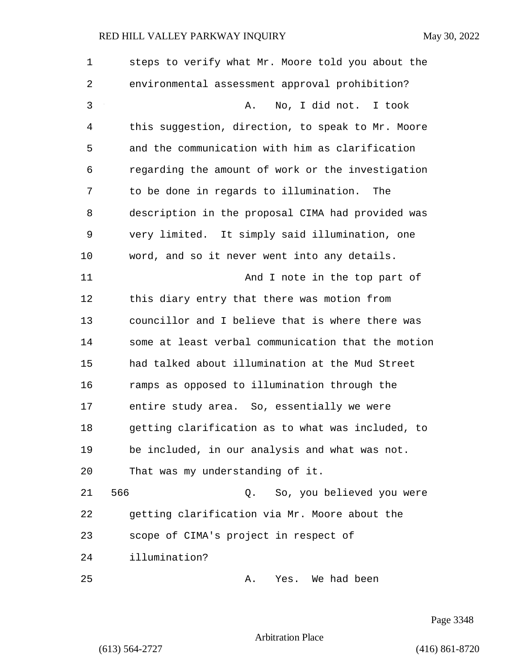| 1  | steps to verify what Mr. Moore told you about the  |
|----|----------------------------------------------------|
| 2  | environmental assessment approval prohibition?     |
| 3  | No, I did not. I took<br>Α.                        |
| 4  | this suggestion, direction, to speak to Mr. Moore  |
| 5  | and the communication with him as clarification    |
| 6  | regarding the amount of work or the investigation  |
| 7  | to be done in regards to illumination.<br>The      |
| 8  | description in the proposal CIMA had provided was  |
| 9  | very limited. It simply said illumination, one     |
| 10 | word, and so it never went into any details.       |
| 11 | And I note in the top part of                      |
| 12 | this diary entry that there was motion from        |
| 13 | councillor and I believe that is where there was   |
| 14 | some at least verbal communication that the motion |
| 15 | had talked about illumination at the Mud Street    |
| 16 | ramps as opposed to illumination through the       |
| 17 | entire study area. So, essentially we were         |
| 18 | getting clarification as to what was included, to  |
| 19 | be included, in our analysis and what was not.     |
| 20 | That was my understanding of it.                   |
| 21 | 566<br>So, you believed you were<br>0.             |
| 22 | getting clarification via Mr. Moore about the      |
| 23 | scope of CIMA's project in respect of              |
| 24 | illumination?                                      |
| 25 | Yes. We had been<br>Α.                             |

Page 3348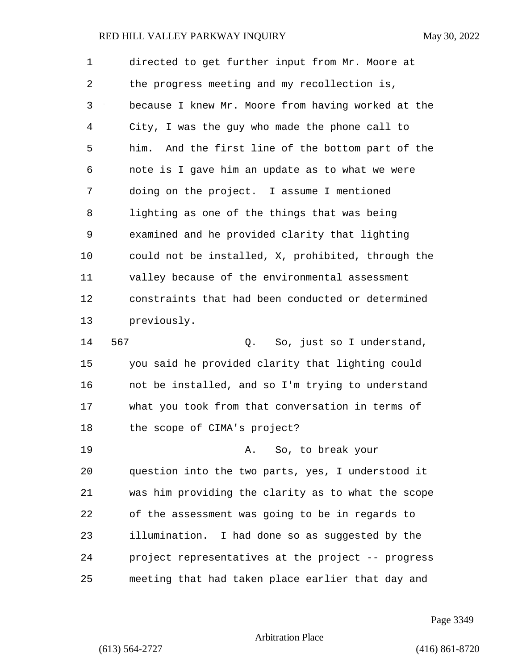1 directed to get further input from Mr. Moore at 2 the progress meeting and my recollection is, 3 because I knew Mr. Moore from having worked at the 4 City, I was the guy who made the phone call to 5 him. And the first line of the bottom part of the 6 note is I gave him an update as to what we were 7 doing on the project. I assume I mentioned 8 lighting as one of the things that was being 9 examined and he provided clarity that lighting 10 could not be installed, X, prohibited, through the 11 valley because of the environmental assessment 12 constraints that had been conducted or determined 13 previously. 14 567 Q. So, just so I understand, 15 you said he provided clarity that lighting could 16 not be installed, and so I'm trying to understand 17 what you took from that conversation in terms of 18 the scope of CIMA's project? 19 A. So, to break your 20 question into the two parts, yes, I understood it 21 was him providing the clarity as to what the scope 22 of the assessment was going to be in regards to 23 illumination. I had done so as suggested by the 24 project representatives at the project -- progress 25 meeting that had taken place earlier that day and

Page 3349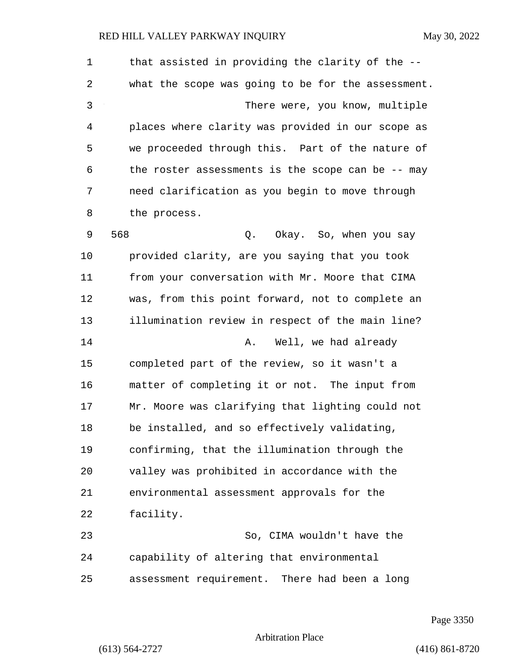1 that assisted in providing the clarity of the -- 2 what the scope was going to be for the assessment. 3 There were, you know, multiple 4 places where clarity was provided in our scope as 5 we proceeded through this. Part of the nature of 6 the roster assessments is the scope can be -- may 7 need clarification as you begin to move through 8 the process. 9 568 Q. Okay. So, when you say 10 provided clarity, are you saying that you took 11 from your conversation with Mr. Moore that CIMA 12 was, from this point forward, not to complete an 13 illumination review in respect of the main line? 14 A. Well, we had already 15 completed part of the review, so it wasn't a 16 matter of completing it or not. The input from 17 Mr. Moore was clarifying that lighting could not 18 be installed, and so effectively validating, 19 confirming, that the illumination through the 20 valley was prohibited in accordance with the 21 environmental assessment approvals for the 22 facility. 23 So, CIMA wouldn't have the 24 capability of altering that environmental 25 assessment requirement. There had been a long

Page 3350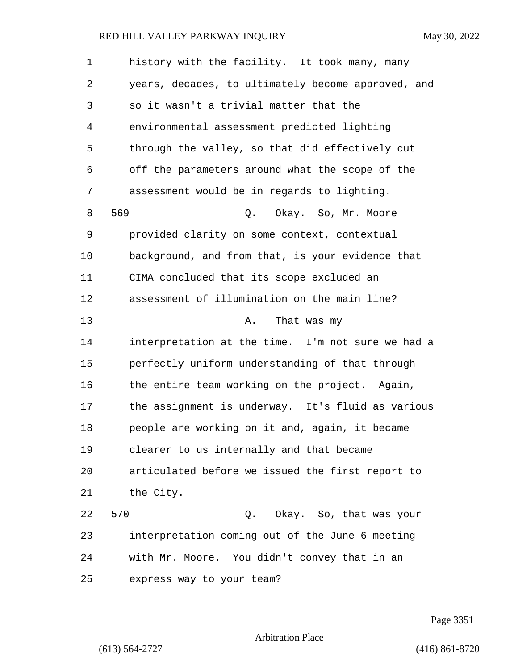| 1  | history with the facility. It took many, many      |
|----|----------------------------------------------------|
| 2  | years, decades, to ultimately become approved, and |
| 3  | so it wasn't a trivial matter that the             |
| 4  | environmental assessment predicted lighting        |
| 5  | through the valley, so that did effectively cut    |
| 6  | off the parameters around what the scope of the    |
| 7  | assessment would be in regards to lighting.        |
| 8  | 569<br>Okay. So, Mr. Moore<br>Q.                   |
| 9  | provided clarity on some context, contextual       |
| 10 | background, and from that, is your evidence that   |
| 11 | CIMA concluded that its scope excluded an          |
| 12 | assessment of illumination on the main line?       |
| 13 | That was my<br>Α.                                  |
| 14 | interpretation at the time. I'm not sure we had a  |
| 15 | perfectly uniform understanding of that through    |
| 16 | the entire team working on the project. Again,     |
| 17 | the assignment is underway. It's fluid as various  |
| 18 | people are working on it and, again, it became     |
| 19 | clearer to us internally and that became           |
| 20 | articulated before we issued the first report to   |
| 21 | the City.                                          |
| 22 | 570<br>Okay. So, that was your<br>Q.               |
| 23 | interpretation coming out of the June 6 meeting    |
| 24 | with Mr. Moore. You didn't convey that in an       |
| 25 | express way to your team?                          |

Page 3351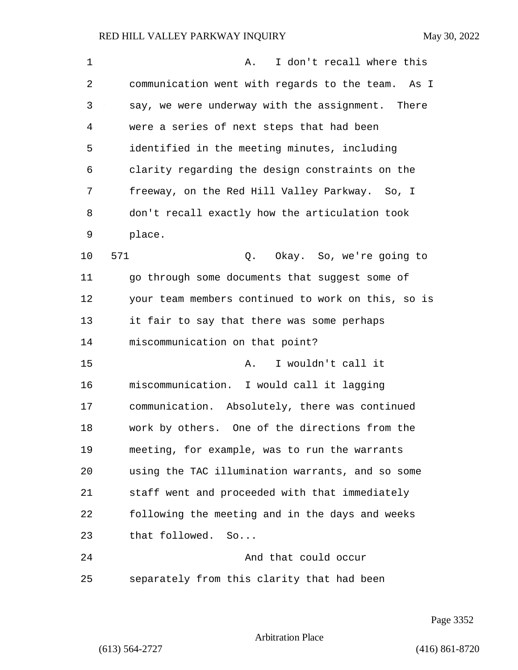| 1  | I don't recall where this<br>Α.                    |
|----|----------------------------------------------------|
| 2  | communication went with regards to the team. As I  |
| 3  | say, we were underway with the assignment. There   |
| 4  | were a series of next steps that had been          |
| 5  | identified in the meeting minutes, including       |
| 6  | clarity regarding the design constraints on the    |
| 7  | freeway, on the Red Hill Valley Parkway. So, I     |
| 8  | don't recall exactly how the articulation took     |
| 9  | place.                                             |
| 10 | 571<br>Q. Okay. So, we're going to                 |
| 11 | go through some documents that suggest some of     |
| 12 | your team members continued to work on this, so is |
| 13 | it fair to say that there was some perhaps         |
| 14 | miscommunication on that point?                    |
| 15 | I wouldn't call it<br>Α.                           |
| 16 | miscommunication. I would call it lagging          |
| 17 | communication. Absolutely, there was continued     |
| 18 | work by others. One of the directions from the     |
| 19 | meeting, for example, was to run the warrants      |
| 20 | using the TAC illumination warrants, and so some   |
| 21 | staff went and proceeded with that immediately     |
| 22 | following the meeting and in the days and weeks    |
| 23 | that followed. So                                  |
| 24 | And that could occur                               |
| 25 | separately from this clarity that had been         |

Page 3352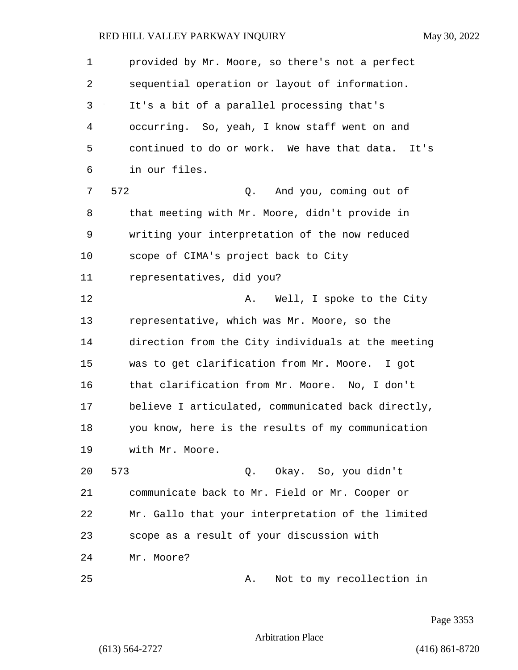1 provided by Mr. Moore, so there's not a perfect 2 sequential operation or layout of information. 3 It's a bit of a parallel processing that's 4 occurring. So, yeah, I know staff went on and 5 continued to do or work. We have that data. It's 6 in our files. 7 572 Q. And you, coming out of 8 that meeting with Mr. Moore, didn't provide in 9 writing your interpretation of the now reduced 10 scope of CIMA's project back to City 11 representatives, did you? 12 **A.** Well, I spoke to the City 13 representative, which was Mr. Moore, so the 14 direction from the City individuals at the meeting 15 was to get clarification from Mr. Moore. I got 16 that clarification from Mr. Moore. No, I don't 17 believe I articulated, communicated back directly, 18 you know, here is the results of my communication 19 with Mr. Moore. 20 573 Q. Okay. So, you didn't 21 communicate back to Mr. Field or Mr. Cooper or 22 Mr. Gallo that your interpretation of the limited 23 scope as a result of your discussion with 24 Mr. Moore?

25 A. Not to my recollection in

Page 3353

Arbitration Place

(613) 564-2727 (416) 861-8720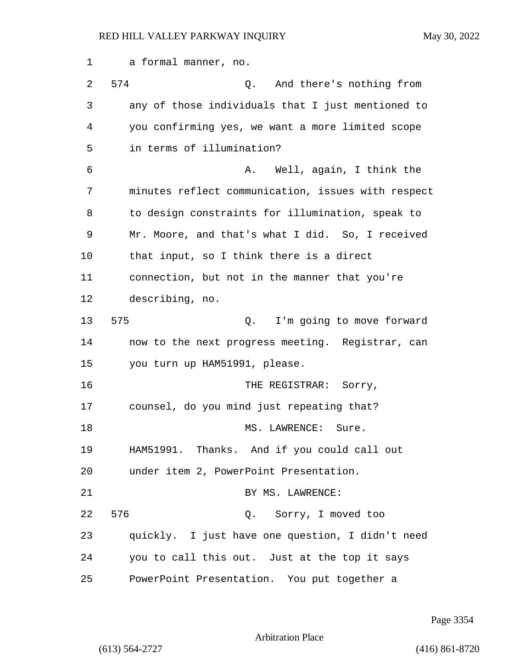1 a formal manner, no. 2 574 Q. And there's nothing from 3 any of those individuals that I just mentioned to 4 you confirming yes, we want a more limited scope 5 in terms of illumination? 6 A. Well, again, I think the 7 minutes reflect communication, issues with respect 8 to design constraints for illumination, speak to 9 Mr. Moore, and that's what I did. So, I received 10 that input, so I think there is a direct 11 connection, but not in the manner that you're 12 describing, no. 13 575 Q. I'm going to move forward 14 now to the next progress meeting. Registrar, can 15 you turn up HAM51991, please. 16 THE REGISTRAR: Sorry, 17 counsel, do you mind just repeating that? 18 MS. LAWRENCE: Sure. 19 HAM51991. Thanks. And if you could call out 20 under item 2, PowerPoint Presentation. 21 BY MS. LAWRENCE: 22 576 Q. Sorry, I moved too 23 quickly. I just have one question, I didn't need 24 you to call this out. Just at the top it says 25 PowerPoint Presentation. You put together a

Page 3354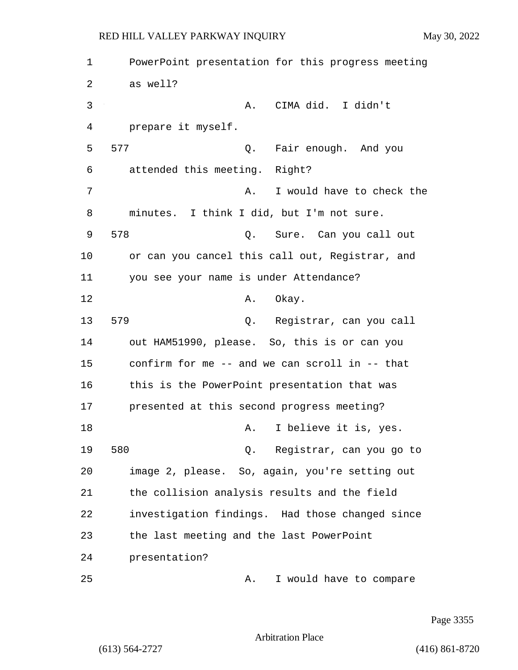1 PowerPoint presentation for this progress meeting 2 as well? 3 A. CIMA did. I didn't 4 prepare it myself. 5 577 Q. Fair enough. And you 6 attended this meeting. Right? 7 A. I would have to check the 8 minutes. I think I did, but I'm not sure. 9 578 Q. Sure. Can you call out 10 or can you cancel this call out, Registrar, and 11 you see your name is under Attendance? 12 **A.** Okay. 13 579 Q. Registrar, can you call 14 out HAM51990, please. So, this is or can you 15 confirm for me -- and we can scroll in -- that 16 this is the PowerPoint presentation that was 17 presented at this second progress meeting? 18 A. I believe it is, yes. 19 580 Q. Registrar, can you go to 20 image 2, please. So, again, you're setting out 21 the collision analysis results and the field 22 investigation findings. Had those changed since 23 the last meeting and the last PowerPoint 24 presentation? 25 A. I would have to compare

Page 3355

Arbitration Place

(613) 564-2727 (416) 861-8720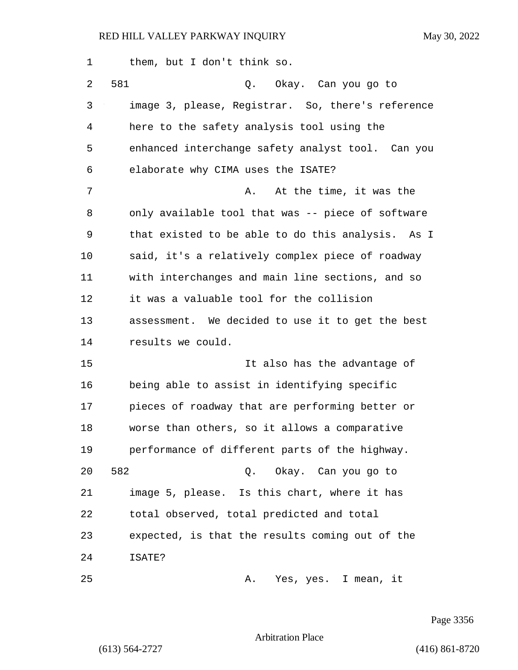| $\mathbf 1$ | them, but I don't think so.                       |
|-------------|---------------------------------------------------|
| 2           | 581<br>Q.<br>Okay. Can you go to                  |
| 3           | image 3, please, Registrar. So, there's reference |
| 4           | here to the safety analysis tool using the        |
| 5           | enhanced interchange safety analyst tool. Can you |
| 6           | elaborate why CIMA uses the ISATE?                |
| 7           | At the time, it was the<br>Α.                     |
| 8           | only available tool that was -- piece of software |
| 9           | that existed to be able to do this analysis. As I |
| 10          | said, it's a relatively complex piece of roadway  |
| 11          | with interchanges and main line sections, and so  |
| 12          | it was a valuable tool for the collision          |
| 13          | assessment. We decided to use it to get the best  |
| 14          | results we could.                                 |
| 15          | It also has the advantage of                      |
| 16          | being able to assist in identifying specific      |
| 17          | pieces of roadway that are performing better or   |
| 18          | worse than others, so it allows a comparative     |
| 19          | performance of different parts of the highway.    |
| 20          | 582<br>Q. Okay. Can you go to                     |
| 21          | image 5, please. Is this chart, where it has      |
| 22          | total observed, total predicted and total         |
| 23          | expected, is that the results coming out of the   |
| 24          | ISATE?                                            |
| 25          | Yes, yes. I mean, it<br>Α.                        |

Page 3356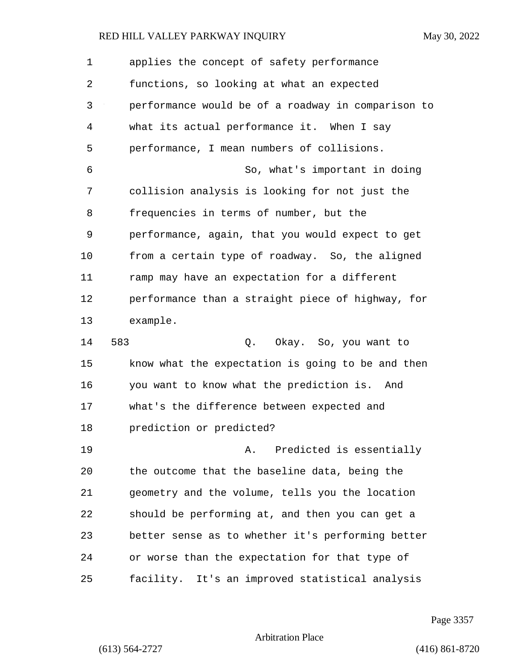1 applies the concept of safety performance 2 functions, so looking at what an expected 3 performance would be of a roadway in comparison to 4 what its actual performance it. When I say 5 performance, I mean numbers of collisions. 6 So, what's important in doing 7 collision analysis is looking for not just the 8 frequencies in terms of number, but the 9 performance, again, that you would expect to get 10 from a certain type of roadway. So, the aligned 11 ramp may have an expectation for a different 12 performance than a straight piece of highway, for 13 example. 14 583 Q. Okay. So, you want to

15 know what the expectation is going to be and then 16 you want to know what the prediction is. And 17 what's the difference between expected and 18 prediction or predicted?

19 **A.** Predicted is essentially 20 the outcome that the baseline data, being the 21 geometry and the volume, tells you the location 22 should be performing at, and then you can get a 23 better sense as to whether it's performing better 24 or worse than the expectation for that type of 25 facility. It's an improved statistical analysis

Page 3357

Arbitration Place

(613) 564-2727 (416) 861-8720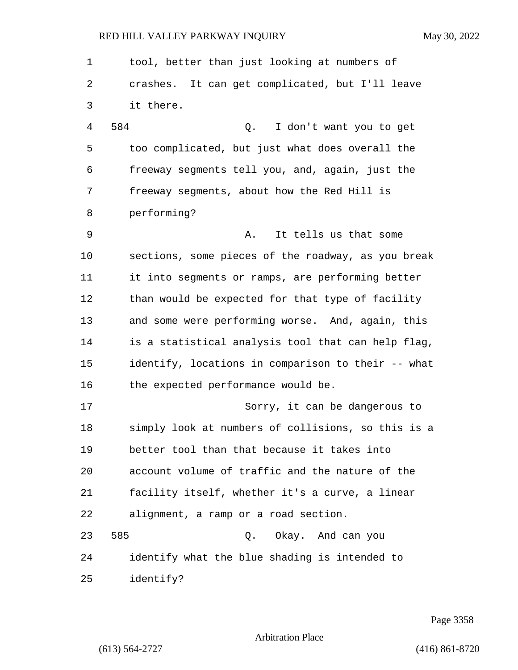| $\mathbf 1$ | tool, better than just looking at numbers of       |
|-------------|----------------------------------------------------|
| 2           | crashes. It can get complicated, but I'll leave    |
| 3           | it there.                                          |
| 4           | 584<br>$Q$ .<br>I don't want you to get            |
| 5           | too complicated, but just what does overall the    |
| 6           | freeway segments tell you, and, again, just the    |
| 7           | freeway segments, about how the Red Hill is        |
| 8           | performing?                                        |
| 9           | It tells us that some<br>Α.                        |
| 10          | sections, some pieces of the roadway, as you break |
| 11          | it into segments or ramps, are performing better   |
| 12          | than would be expected for that type of facility   |
| 13          | and some were performing worse. And, again, this   |
| 14          | is a statistical analysis tool that can help flag, |
| 15          | identify, locations in comparison to their -- what |
| 16          | the expected performance would be.                 |
| 17          | Sorry, it can be dangerous to                      |
| 18          | simply look at numbers of collisions, so this is a |
| 19          | better tool than that because it takes into        |
| 20          | account volume of traffic and the nature of the    |
| 21          | facility itself, whether it's a curve, a linear    |
| 22          | alignment, a ramp or a road section.               |
| 23          | 585<br>Okay. And can you<br>Q.                     |
| 24          | identify what the blue shading is intended to      |
| 25          | identify?                                          |

Page 3358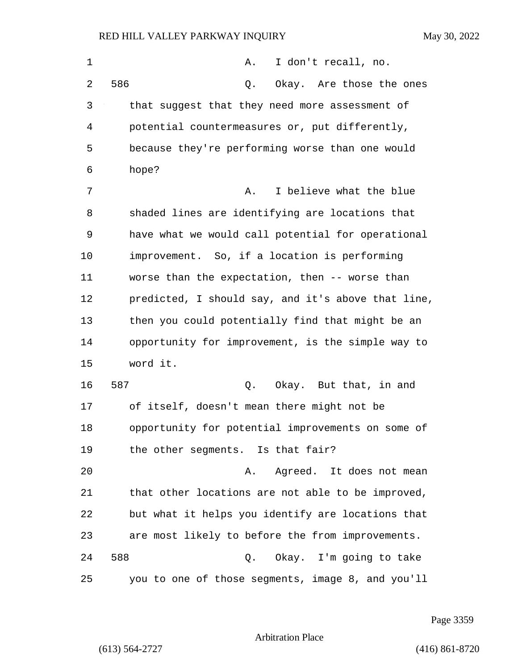| 1  | I don't recall, no.<br>Α.                          |
|----|----------------------------------------------------|
| 2  | 586<br>Okay. Are those the ones<br>Q.              |
| 3  | that suggest that they need more assessment of     |
| 4  | potential countermeasures or, put differently,     |
| 5  | because they're performing worse than one would    |
| 6  | hope?                                              |
| 7  | I believe what the blue<br>Α.                      |
| 8  | shaded lines are identifying are locations that    |
| 9  | have what we would call potential for operational  |
| 10 | improvement. So, if a location is performing       |
| 11 | worse than the expectation, then -- worse than     |
| 12 | predicted, I should say, and it's above that line, |
| 13 | then you could potentially find that might be an   |
| 14 | opportunity for improvement, is the simple way to  |
| 15 | word it.                                           |
| 16 | 587<br>Okay. But that, in and<br>Q.                |
| 17 | of itself, doesn't mean there might not be         |
| 18 | opportunity for potential improvements on some of  |
| 19 | the other segments. Is that fair?                  |
| 20 | Agreed. It does not mean<br>Α.                     |
| 21 | that other locations are not able to be improved,  |
| 22 | but what it helps you identify are locations that  |
| 23 | are most likely to before the from improvements.   |
| 24 | 588<br>Q. Okay. I'm going to take                  |
| 25 | you to one of those segments, image 8, and you'll  |

Page 3359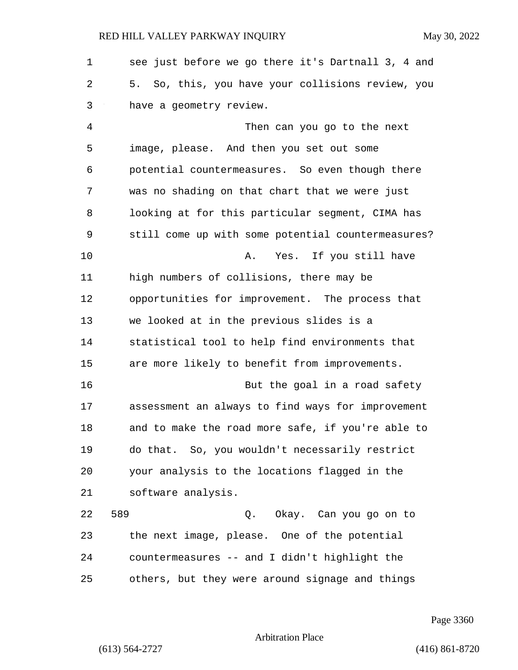1 see just before we go there it's Dartnall 3, 4 and 2 5. So, this, you have your collisions review, you 3 have a geometry review. 4 Then can you go to the next 5 image, please. And then you set out some 6 potential countermeasures. So even though there 7 was no shading on that chart that we were just 8 looking at for this particular segment, CIMA has 9 still come up with some potential countermeasures? 10 A. Yes. If you still have 11 high numbers of collisions, there may be 12 opportunities for improvement. The process that 13 we looked at in the previous slides is a 14 statistical tool to help find environments that 15 are more likely to benefit from improvements. 16 But the goal in a road safety 17 assessment an always to find ways for improvement 18 and to make the road more safe, if you're able to 19 do that. So, you wouldn't necessarily restrict 20 your analysis to the locations flagged in the 21 software analysis. 22 589 Q. Okay. Can you go on to 23 the next image, please. One of the potential 24 countermeasures -- and I didn't highlight the 25 others, but they were around signage and things

Page 3360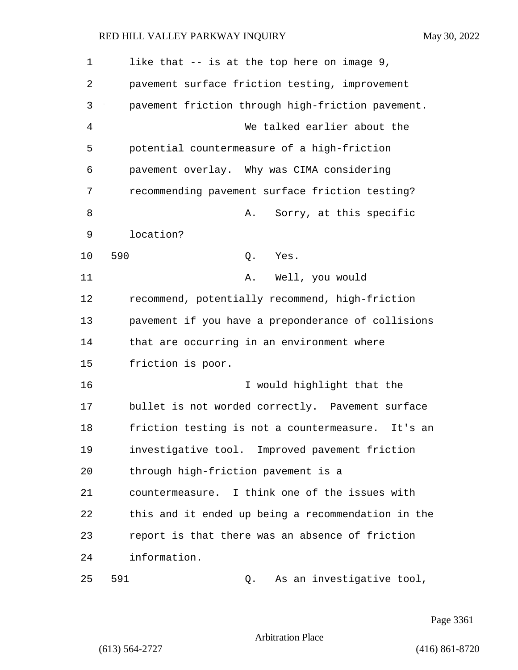| $\mathbf 1$ | like that -- is at the top here on image 9,          |
|-------------|------------------------------------------------------|
| 2           | pavement surface friction testing, improvement       |
| 3           | pavement friction through high-friction pavement.    |
| 4           | We talked earlier about the                          |
| 5           | potential countermeasure of a high-friction          |
| 6           | pavement overlay. Why was CIMA considering           |
| 7           | recommending pavement surface friction testing?      |
| 8           | Sorry, at this specific<br>Α.                        |
| 9           | location?                                            |
| 10          | 590<br>Q.<br>Yes.                                    |
| 11          | Well, you would<br>Α.                                |
| 12          | recommend, potentially recommend, high-friction      |
| 13          | pavement if you have a preponderance of collisions   |
| 14          | that are occurring in an environment where           |
| 15          | friction is poor.                                    |
| 16          | I would highlight that the                           |
| 17          | bullet is not worded correctly. Pavement surface     |
| 18          | friction testing is not a countermeasure.<br>It's an |
| 19          | investigative tool. Improved pavement friction       |
| 20          | through high-friction pavement is a                  |
| 21          | countermeasure. I think one of the issues with       |
| 22          | this and it ended up being a recommendation in the   |
| 23          | report is that there was an absence of friction      |
| 24          | information.                                         |
| 25          | 591<br>As an investigative tool,<br>Q.               |

Page 3361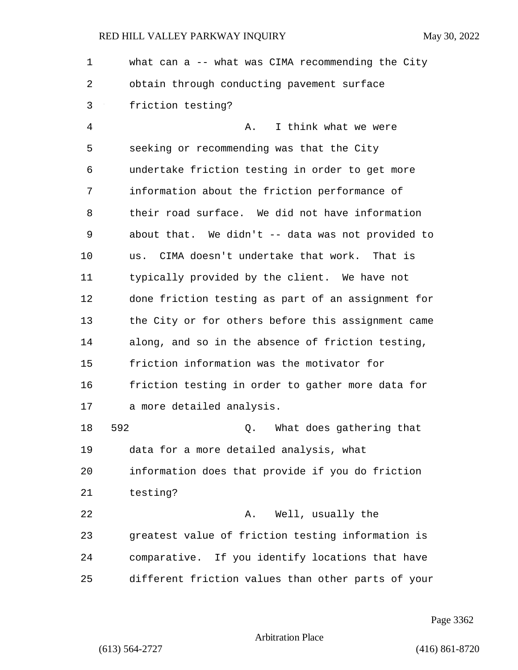| 1  | what can a -- what was CIMA recommending the City  |
|----|----------------------------------------------------|
| 2  | obtain through conducting pavement surface         |
| 3  | friction testing?                                  |
| 4  | I think what we were<br>Α.                         |
| 5  | seeking or recommending was that the City          |
| 6  | undertake friction testing in order to get more    |
| 7  | information about the friction performance of      |
| 8  | their road surface. We did not have information    |
| 9  | about that. We didn't -- data was not provided to  |
| 10 | us. CIMA doesn't undertake that work. That is      |
| 11 | typically provided by the client. We have not      |
| 12 | done friction testing as part of an assignment for |
| 13 | the City or for others before this assignment came |
| 14 | along, and so in the absence of friction testing,  |
| 15 | friction information was the motivator for         |
| 16 | friction testing in order to gather more data for  |
| 17 | a more detailed analysis.                          |
| 18 | 592<br>What does gathering that<br>Q.              |
| 19 | data for a more detailed analysis, what            |
| 20 | information does that provide if you do friction   |
| 21 | testing?                                           |
| 22 | Well, usually the<br>Α.                            |
| 23 | greatest value of friction testing information is  |
| 24 | comparative. If you identify locations that have   |
| 25 | different friction values than other parts of your |

Page 3362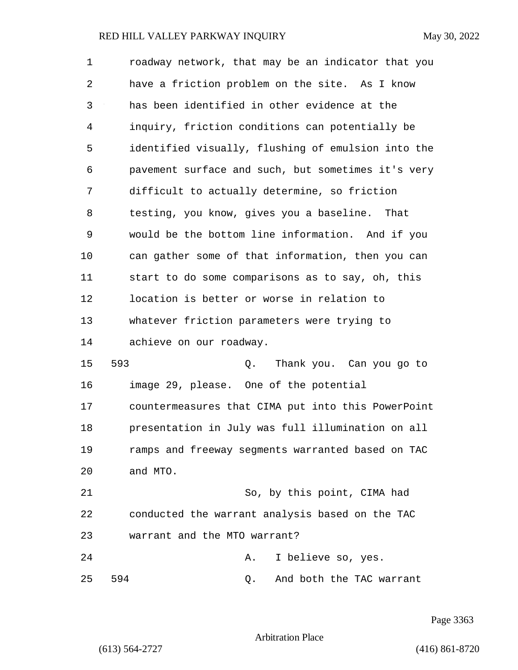1 roadway network, that may be an indicator that you 2 have a friction problem on the site. As I know 3 has been identified in other evidence at the 4 inquiry, friction conditions can potentially be 5 identified visually, flushing of emulsion into the 6 pavement surface and such, but sometimes it's very 7 difficult to actually determine, so friction 8 testing, you know, gives you a baseline. That 9 would be the bottom line information. And if you 10 can gather some of that information, then you can 11 start to do some comparisons as to say, oh, this 12 location is better or worse in relation to 13 whatever friction parameters were trying to 14 achieve on our roadway. 15 593 Q. Thank you. Can you go to 16 image 29, please. One of the potential 17 countermeasures that CIMA put into this PowerPoint 18 presentation in July was full illumination on all 19 ramps and freeway segments warranted based on TAC 20 and MTO. 21 So, by this point, CIMA had 22 conducted the warrant analysis based on the TAC 23 warrant and the MTO warrant? 24 A. I believe so, yes. 25 594 Q. And both the TAC warrant

Page 3363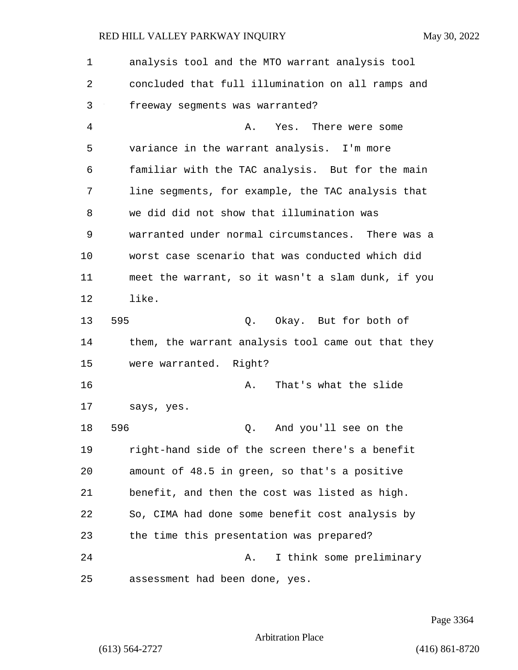| 1  | analysis tool and the MTO warrant analysis tool    |
|----|----------------------------------------------------|
| 2  | concluded that full illumination on all ramps and  |
| 3  | freeway segments was warranted?                    |
| 4  | Yes. There were some<br>Α.                         |
| 5  | variance in the warrant analysis. I'm more         |
| 6  | familiar with the TAC analysis. But for the main   |
| 7  | line segments, for example, the TAC analysis that  |
| 8  | we did did not show that illumination was          |
| 9  | warranted under normal circumstances. There was a  |
| 10 | worst case scenario that was conducted which did   |
| 11 | meet the warrant, so it wasn't a slam dunk, if you |
| 12 | like.                                              |
| 13 | 595<br>Q. Okay. But for both of                    |
| 14 | them, the warrant analysis tool came out that they |
| 15 | were warranted. Right?                             |
| 16 | That's what the slide<br>Α.                        |
| 17 | says, yes.                                         |
| 18 | 596<br>And you'll see on the<br>Q.                 |
| 19 | right-hand side of the screen there's a benefit    |
| 20 | amount of 48.5 in green, so that's a positive      |
| 21 | benefit, and then the cost was listed as high.     |
| 22 | So, CIMA had done some benefit cost analysis by    |
| 23 | the time this presentation was prepared?           |
| 24 | I think some preliminary<br>Α.                     |
| 25 | assessment had been done, yes.                     |

Page 3364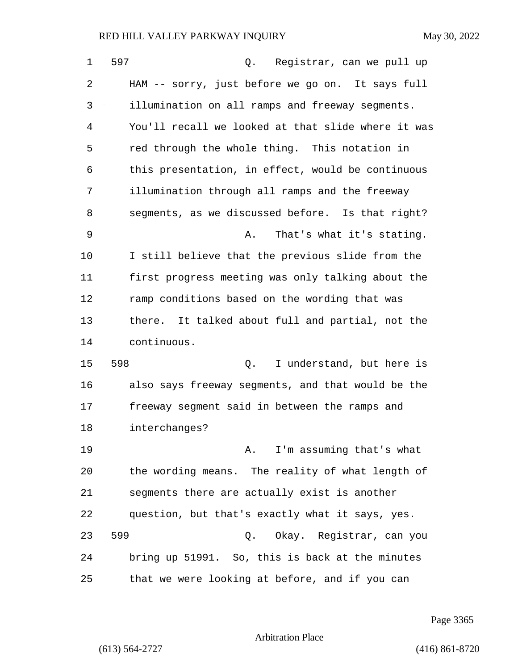| 1  | 597<br>Registrar, can we pull up<br>Q.              |
|----|-----------------------------------------------------|
| 2  | HAM -- sorry, just before we go on. It says full    |
| 3  | illumination on all ramps and freeway segments.     |
| 4  | You'll recall we looked at that slide where it was  |
| 5  | red through the whole thing. This notation in       |
| 6  | this presentation, in effect, would be continuous   |
| 7  | illumination through all ramps and the freeway      |
| 8  | segments, as we discussed before. Is that right?    |
| 9  | That's what it's stating.<br>Α.                     |
| 10 | I still believe that the previous slide from the    |
| 11 | first progress meeting was only talking about the   |
| 12 | ramp conditions based on the wording that was       |
| 13 | It talked about full and partial, not the<br>there. |
| 14 | continuous.                                         |
| 15 | 598<br>I understand, but here is<br>Q.              |
| 16 | also says freeway segments, and that would be the   |
| 17 | freeway segment said in between the ramps and       |
| 18 | interchanges?                                       |
| 19 | A. I'm assuming that's what                         |
| 20 | the wording means. The reality of what length of    |
| 21 | segments there are actually exist is another        |
| 22 | question, but that's exactly what it says, yes.     |
| 23 | 599<br>Okay. Registrar, can you<br>Q.               |
| 24 | bring up 51991. So, this is back at the minutes     |
| 25 | that we were looking at before, and if you can      |

Page 3365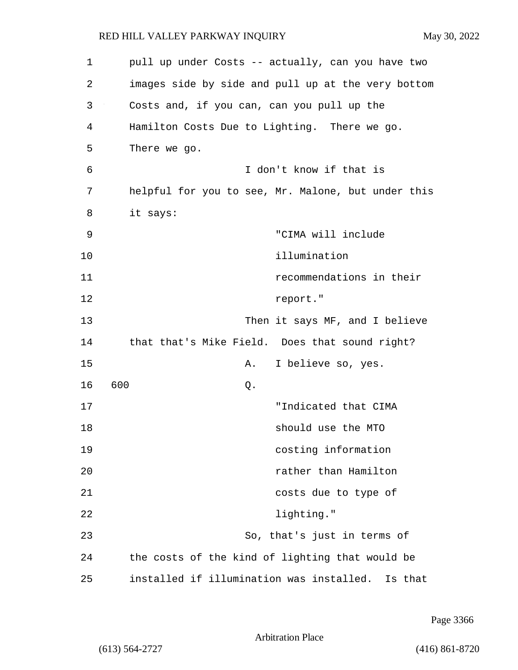| 1  | pull up under Costs -- actually, can you have two   |
|----|-----------------------------------------------------|
| 2  | images side by side and pull up at the very bottom  |
| 3  | Costs and, if you can, can you pull up the          |
| 4  | Hamilton Costs Due to Lighting. There we go.        |
| 5  | There we go.                                        |
| 6  | I don't know if that is                             |
| 7  | helpful for you to see, Mr. Malone, but under this  |
| 8  | it says:                                            |
| 9  | "CIMA will include                                  |
| 10 | illumination                                        |
| 11 | recommendations in their                            |
| 12 | report."                                            |
| 13 | Then it says MF, and I believe                      |
| 14 | that that's Mike Field. Does that sound right?      |
| 15 | I believe so, yes.<br>Α.                            |
| 16 | 600<br>Q.                                           |
| 17 | "Indicated that CIMA                                |
| 18 | should use the MTO                                  |
| 19 | costing information                                 |
| 20 | rather than Hamilton                                |
| 21 | costs due to type of                                |
| 22 | lighting."                                          |
| 23 | So, that's just in terms of                         |
| 24 | the costs of the kind of lighting that would be     |
| 25 | installed if illumination was installed.<br>Is that |

Page 3366